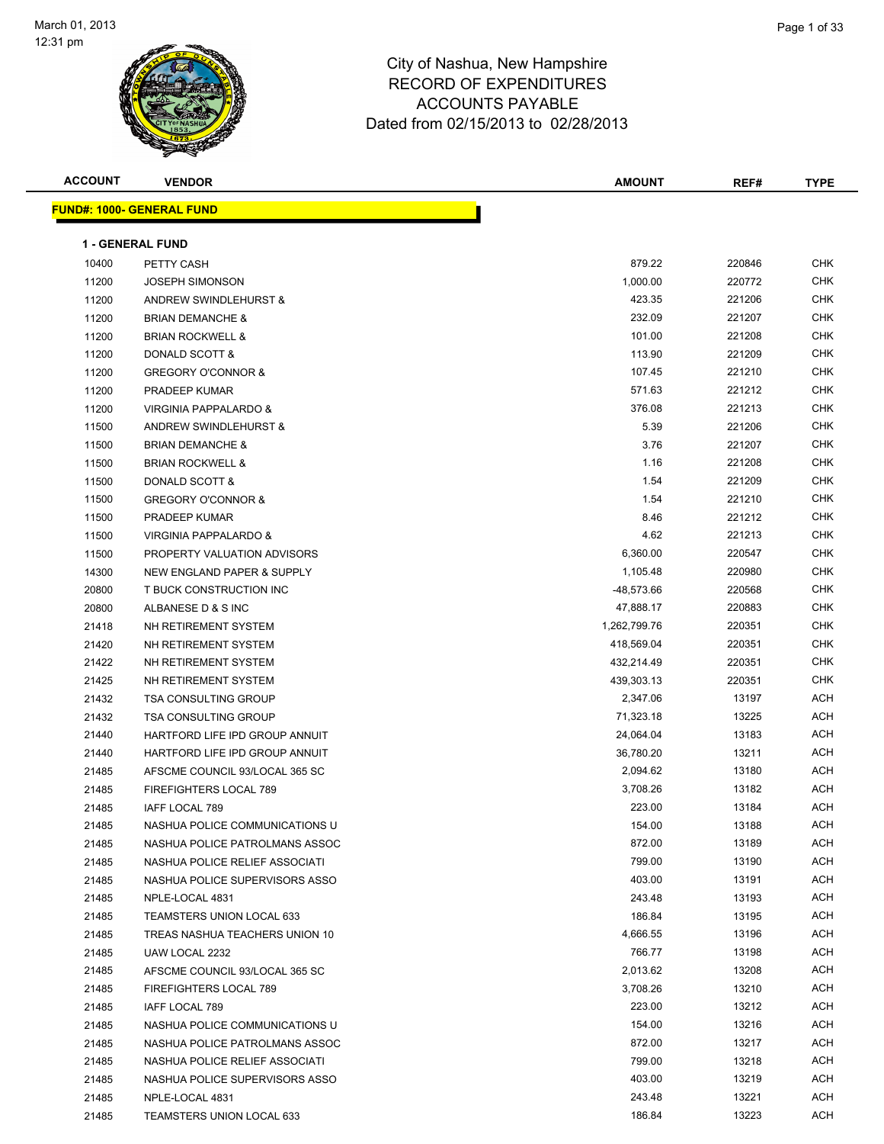

| <b>ACCOUNT</b> | <b>VENDOR</b>                     | <b>AMOUNT</b> | REF#   | <b>TYPE</b> |
|----------------|-----------------------------------|---------------|--------|-------------|
|                | <u> FUND#: 1000- GENERAL FUND</u> |               |        |             |
|                | <b>1 - GENERAL FUND</b>           |               |        |             |
| 10400          | PETTY CASH                        | 879.22        | 220846 | <b>CHK</b>  |
|                | <b>JOSEPH SIMONSON</b>            | 1,000.00      | 220772 | <b>CHK</b>  |
| 11200<br>11200 | ANDREW SWINDLEHURST &             | 423.35        | 221206 | <b>CHK</b>  |
| 11200          | <b>BRIAN DEMANCHE &amp;</b>       | 232.09        | 221207 | CHK         |
| 11200          | <b>BRIAN ROCKWELL &amp;</b>       | 101.00        | 221208 | <b>CHK</b>  |
| 11200          | DONALD SCOTT &                    | 113.90        | 221209 | CHK         |
| 11200          | <b>GREGORY O'CONNOR &amp;</b>     | 107.45        | 221210 | CHK         |
| 11200          | PRADEEP KUMAR                     | 571.63        | 221212 | <b>CHK</b>  |
| 11200          | VIRGINIA PAPPALARDO &             | 376.08        | 221213 | CHK         |
| 11500          | ANDREW SWINDLEHURST &             | 5.39          | 221206 | <b>CHK</b>  |
| 11500          | <b>BRIAN DEMANCHE &amp;</b>       | 3.76          | 221207 | <b>CHK</b>  |
| 11500          | <b>BRIAN ROCKWELL &amp;</b>       | 1.16          | 221208 | CHK         |
| 11500          | DONALD SCOTT &                    | 1.54          | 221209 | CHK         |
| 11500          | <b>GREGORY O'CONNOR &amp;</b>     | 1.54          | 221210 | CHK         |
| 11500          | PRADEEP KUMAR                     | 8.46          | 221212 | CHK         |
| 11500          | VIRGINIA PAPPALARDO &             | 4.62          | 221213 | <b>CHK</b>  |
| 11500          | PROPERTY VALUATION ADVISORS       | 6,360.00      | 220547 | <b>CHK</b>  |
| 14300          | NEW ENGLAND PAPER & SUPPLY        | 1,105.48      | 220980 | <b>CHK</b>  |
| 20800          | T BUCK CONSTRUCTION INC           | -48,573.66    | 220568 | <b>CHK</b>  |
| 20800          | ALBANESE D & S INC                | 47,888.17     | 220883 | <b>CHK</b>  |
| 21418          | NH RETIREMENT SYSTEM              | 1,262,799.76  | 220351 | <b>CHK</b>  |
| 21420          | NH RETIREMENT SYSTEM              | 418,569.04    | 220351 | CHK         |
| 21422          | NH RETIREMENT SYSTEM              | 432,214.49    | 220351 | <b>CHK</b>  |
| 21425          | NH RETIREMENT SYSTEM              | 439,303.13    | 220351 | <b>CHK</b>  |
| 21432          | <b>TSA CONSULTING GROUP</b>       | 2,347.06      | 13197  | ACH         |
| 21432          | <b>TSA CONSULTING GROUP</b>       | 71,323.18     | 13225  | ACH         |
| 21440          | HARTFORD LIFE IPD GROUP ANNUIT    | 24,064.04     | 13183  | <b>ACH</b>  |
| 21440          | HARTFORD LIFE IPD GROUP ANNUIT    | 36,780.20     | 13211  | <b>ACH</b>  |
| 21485          | AFSCME COUNCIL 93/LOCAL 365 SC    | 2,094.62      | 13180  | <b>ACH</b>  |
| 21485          | FIREFIGHTERS LOCAL 789            | 3,708.26      | 13182  | ACH         |
| 21485          | IAFF LOCAL 789                    | 223.00        | 13184  | ACH         |
| 21485          | NASHUA POLICE COMMUNICATIONS U    | 154.00        | 13188  | ACH         |
| 21485          | NASHUA POLICE PATROLMANS ASSOC    | 872.00        | 13189  | ACH         |
| 21485          | NASHUA POLICE RELIEF ASSOCIATI    | 799.00        | 13190  | ACH         |
| 21485          | NASHUA POLICE SUPERVISORS ASSO    | 403.00        | 13191  | ACH         |
| 21485          | NPLE-LOCAL 4831                   | 243.48        | 13193  | ACH         |
| 21485          | TEAMSTERS UNION LOCAL 633         | 186.84        | 13195  | ACH         |
| 21485          | TREAS NASHUA TEACHERS UNION 10    | 4,666.55      | 13196  | ACH         |
| 21485          | UAW LOCAL 2232                    | 766.77        | 13198  | ACH         |
| 21485          | AFSCME COUNCIL 93/LOCAL 365 SC    | 2,013.62      | 13208  | ACH         |
| 21485          | FIREFIGHTERS LOCAL 789            | 3,708.26      | 13210  | ACH         |
| 21485          | IAFF LOCAL 789                    | 223.00        | 13212  | ACH         |
| 21485          | NASHUA POLICE COMMUNICATIONS U    | 154.00        | 13216  | ACH         |
| 21485          | NASHUA POLICE PATROLMANS ASSOC    | 872.00        | 13217  | ACH         |
| 21485          | NASHUA POLICE RELIEF ASSOCIATI    | 799.00        | 13218  | ACH         |
| 21485          | NASHUA POLICE SUPERVISORS ASSO    | 403.00        | 13219  | ACH         |
| 21485          | NPLE-LOCAL 4831                   | 243.48        | 13221  | ACH         |
| 21485          | TEAMSTERS UNION LOCAL 633         | 186.84        | 13223  | ACH         |
|                |                                   |               |        |             |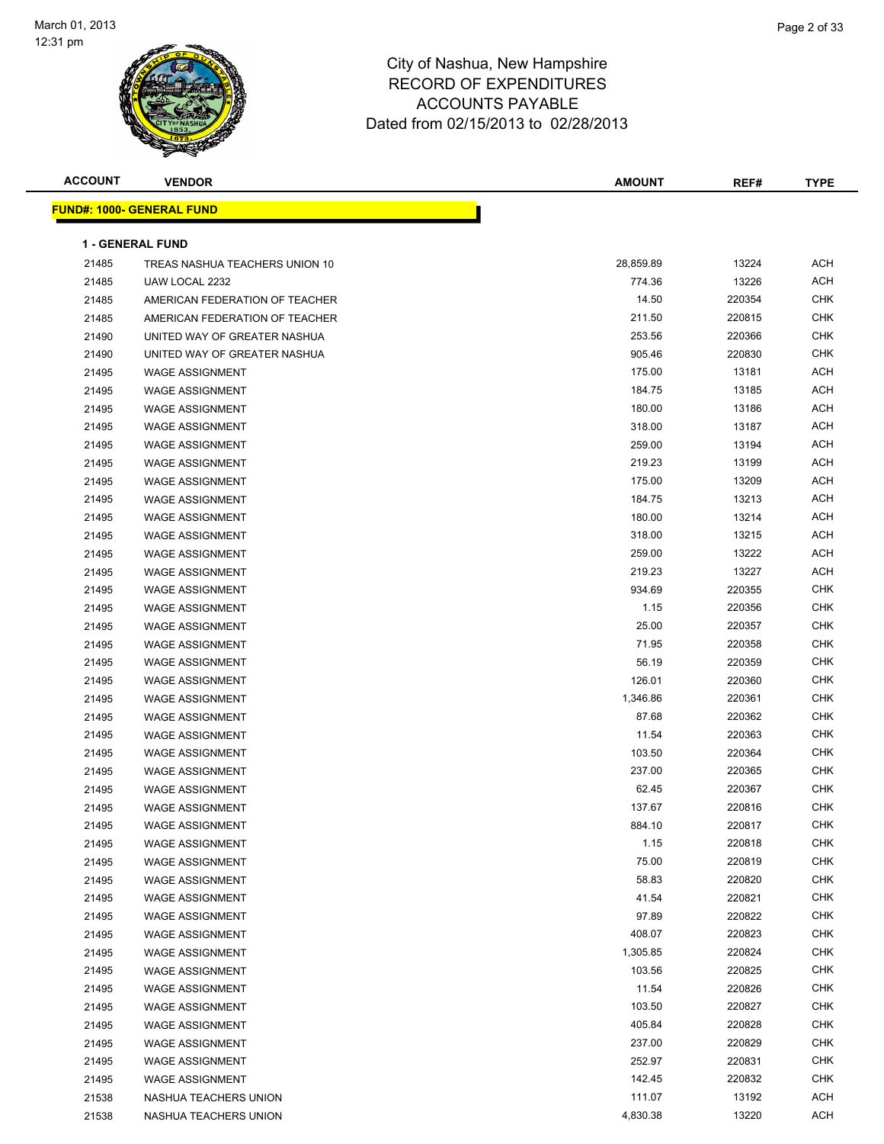

| <b>ACCOUNT</b> | <b>VENDOR</b>                    | <b>AMOUNT</b> | REF#   | <b>TYPE</b> |
|----------------|----------------------------------|---------------|--------|-------------|
|                | <b>FUND#: 1000- GENERAL FUND</b> |               |        |             |
|                |                                  |               |        |             |
|                | <b>1 - GENERAL FUND</b>          |               |        |             |
| 21485          | TREAS NASHUA TEACHERS UNION 10   | 28,859.89     | 13224  | <b>ACH</b>  |
| 21485          | UAW LOCAL 2232                   | 774.36        | 13226  | <b>ACH</b>  |
| 21485          | AMERICAN FEDERATION OF TEACHER   | 14.50         | 220354 | <b>CHK</b>  |
| 21485          | AMERICAN FEDERATION OF TEACHER   | 211.50        | 220815 | <b>CHK</b>  |
| 21490          | UNITED WAY OF GREATER NASHUA     | 253.56        | 220366 | <b>CHK</b>  |
| 21490          | UNITED WAY OF GREATER NASHUA     | 905.46        | 220830 | <b>CHK</b>  |
| 21495          | <b>WAGE ASSIGNMENT</b>           | 175.00        | 13181  | <b>ACH</b>  |
| 21495          | <b>WAGE ASSIGNMENT</b>           | 184.75        | 13185  | ACH         |
| 21495          | <b>WAGE ASSIGNMENT</b>           | 180.00        | 13186  | ACH         |
| 21495          | <b>WAGE ASSIGNMENT</b>           | 318.00        | 13187  | <b>ACH</b>  |
| 21495          | <b>WAGE ASSIGNMENT</b>           | 259.00        | 13194  | <b>ACH</b>  |
| 21495          | <b>WAGE ASSIGNMENT</b>           | 219.23        | 13199  | ACH         |
| 21495          | <b>WAGE ASSIGNMENT</b>           | 175.00        | 13209  | <b>ACH</b>  |
| 21495          | <b>WAGE ASSIGNMENT</b>           | 184.75        | 13213  | ACH         |
| 21495          | <b>WAGE ASSIGNMENT</b>           | 180.00        | 13214  | ACH         |
| 21495          | <b>WAGE ASSIGNMENT</b>           | 318.00        | 13215  | <b>ACH</b>  |
| 21495          | <b>WAGE ASSIGNMENT</b>           | 259.00        | 13222  | <b>ACH</b>  |
| 21495          | <b>WAGE ASSIGNMENT</b>           | 219.23        | 13227  | <b>ACH</b>  |
| 21495          | <b>WAGE ASSIGNMENT</b>           | 934.69        | 220355 | <b>CHK</b>  |
| 21495          | <b>WAGE ASSIGNMENT</b>           | 1.15          | 220356 | <b>CHK</b>  |
| 21495          | <b>WAGE ASSIGNMENT</b>           | 25.00         | 220357 | <b>CHK</b>  |
| 21495          | <b>WAGE ASSIGNMENT</b>           | 71.95         | 220358 | <b>CHK</b>  |
| 21495          | <b>WAGE ASSIGNMENT</b>           | 56.19         | 220359 | <b>CHK</b>  |
| 21495          | <b>WAGE ASSIGNMENT</b>           | 126.01        | 220360 | <b>CHK</b>  |
| 21495          | <b>WAGE ASSIGNMENT</b>           | 1,346.86      | 220361 | <b>CHK</b>  |
| 21495          | <b>WAGE ASSIGNMENT</b>           | 87.68         | 220362 | <b>CHK</b>  |
| 21495          | <b>WAGE ASSIGNMENT</b>           | 11.54         | 220363 | <b>CHK</b>  |
| 21495          | <b>WAGE ASSIGNMENT</b>           | 103.50        | 220364 | <b>CHK</b>  |
| 21495          | <b>WAGE ASSIGNMENT</b>           | 237.00        | 220365 | <b>CHK</b>  |
| 21495          | <b>WAGE ASSIGNMENT</b>           | 62.45         | 220367 | CHK         |
| 21495          | <b>WAGE ASSIGNMENT</b>           | 137.67        | 220816 | <b>CHK</b>  |
| 21495          | <b>WAGE ASSIGNMENT</b>           | 884.10        | 220817 | <b>CHK</b>  |
| 21495          | <b>WAGE ASSIGNMENT</b>           | 1.15          | 220818 | <b>CHK</b>  |
| 21495          | WAGE ASSIGNMENT                  | 75.00         | 220819 | <b>CHK</b>  |
| 21495          | <b>WAGE ASSIGNMENT</b>           | 58.83         | 220820 | <b>CHK</b>  |
| 21495          | <b>WAGE ASSIGNMENT</b>           | 41.54         | 220821 | <b>CHK</b>  |
| 21495          | <b>WAGE ASSIGNMENT</b>           | 97.89         | 220822 | <b>CHK</b>  |
| 21495          | <b>WAGE ASSIGNMENT</b>           | 408.07        | 220823 | <b>CHK</b>  |
| 21495          | <b>WAGE ASSIGNMENT</b>           | 1,305.85      | 220824 | <b>CHK</b>  |
| 21495          | <b>WAGE ASSIGNMENT</b>           | 103.56        | 220825 | <b>CHK</b>  |
| 21495          | <b>WAGE ASSIGNMENT</b>           | 11.54         | 220826 | <b>CHK</b>  |
| 21495          | <b>WAGE ASSIGNMENT</b>           | 103.50        | 220827 | <b>CHK</b>  |
| 21495          | <b>WAGE ASSIGNMENT</b>           | 405.84        | 220828 | <b>CHK</b>  |
| 21495          | <b>WAGE ASSIGNMENT</b>           | 237.00        | 220829 | <b>CHK</b>  |
| 21495          | <b>WAGE ASSIGNMENT</b>           | 252.97        | 220831 | <b>CHK</b>  |
| 21495          | <b>WAGE ASSIGNMENT</b>           | 142.45        | 220832 | CHK         |
| 21538          | NASHUA TEACHERS UNION            | 111.07        | 13192  | ACH         |
| 21538          | NASHUA TEACHERS UNION            | 4,830.38      | 13220  | ACH         |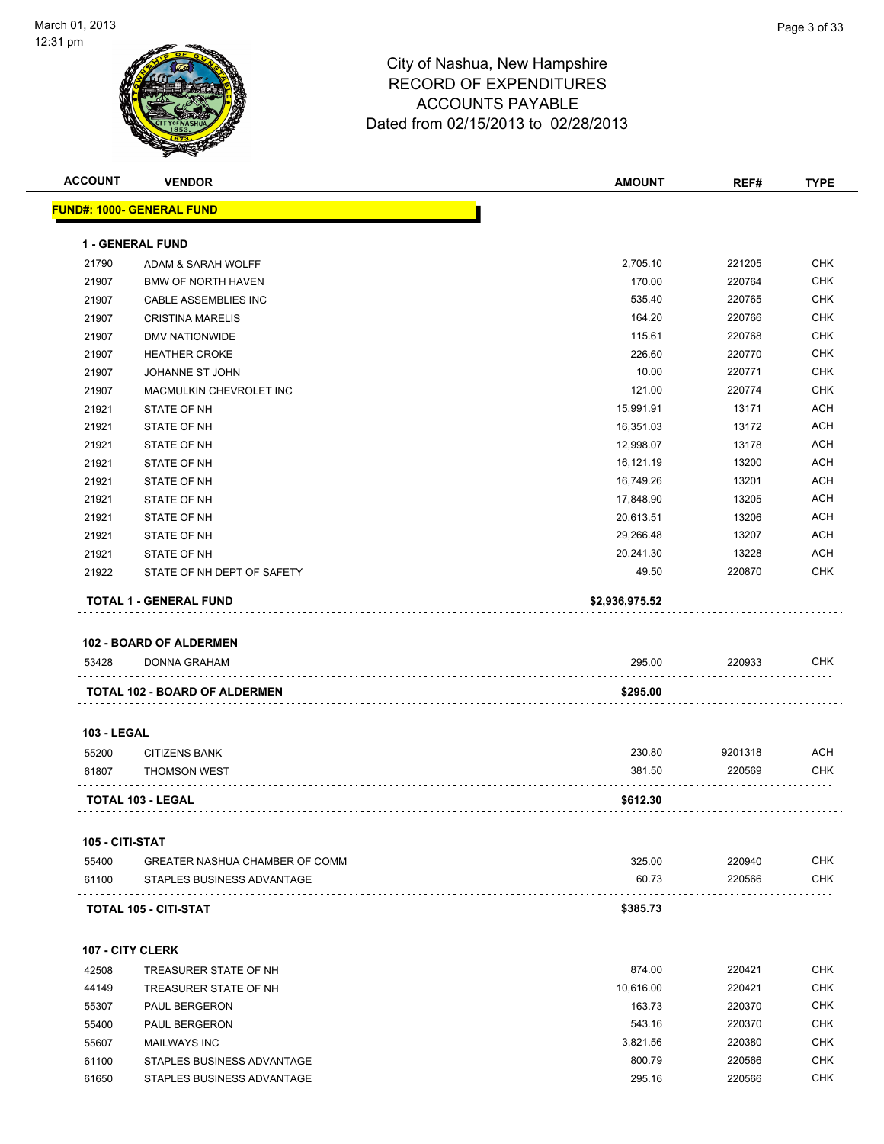

| <b>ACCOUNT</b>     | <b>VENDOR</b>                     | <b>AMOUNT</b>          | REF#            | <b>TYPE</b> |
|--------------------|-----------------------------------|------------------------|-----------------|-------------|
|                    | <u> FUND#: 1000- GENERAL FUND</u> |                        |                 |             |
|                    | 1 - GENERAL FUND                  |                        |                 |             |
| 21790              | ADAM & SARAH WOLFF                | 2,705.10               | 221205          | <b>CHK</b>  |
| 21907              | <b>BMW OF NORTH HAVEN</b>         | 170.00                 | 220764          | <b>CHK</b>  |
| 21907              | <b>CABLE ASSEMBLIES INC</b>       | 535.40                 | 220765          | <b>CHK</b>  |
| 21907              | <b>CRISTINA MARELIS</b>           | 164.20                 | 220766          | <b>CHK</b>  |
| 21907              | DMV NATIONWIDE                    | 115.61                 | 220768          | <b>CHK</b>  |
| 21907              | <b>HEATHER CROKE</b>              | 226.60                 | 220770          | <b>CHK</b>  |
| 21907              | JOHANNE ST JOHN                   | 10.00                  | 220771          | <b>CHK</b>  |
| 21907              | MACMULKIN CHEVROLET INC           | 121.00                 | 220774          | <b>CHK</b>  |
| 21921              | STATE OF NH                       | 15,991.91              | 13171           | <b>ACH</b>  |
| 21921              | STATE OF NH                       | 16,351.03              | 13172           | <b>ACH</b>  |
| 21921              | STATE OF NH                       | 12,998.07              | 13178           | <b>ACH</b>  |
| 21921              | <b>STATE OF NH</b>                | 16,121.19              | 13200           | <b>ACH</b>  |
|                    |                                   | 16,749.26              |                 | <b>ACH</b>  |
| 21921<br>21921     | STATE OF NH<br>STATE OF NH        | 17,848.90              | 13201<br>13205  | <b>ACH</b>  |
|                    |                                   |                        |                 | <b>ACH</b>  |
| 21921              | STATE OF NH                       | 20,613.51<br>29,266.48 | 13206           | <b>ACH</b>  |
| 21921              | STATE OF NH                       |                        | 13207           | <b>ACH</b>  |
| 21921              | STATE OF NH                       | 20,241.30<br>49.50     | 13228<br>220870 | <b>CHK</b>  |
| 21922              | STATE OF NH DEPT OF SAFETY        |                        |                 |             |
|                    | <b>TOTAL 1 - GENERAL FUND</b>     | \$2,936,975.52         |                 |             |
|                    |                                   |                        |                 |             |
|                    | <b>102 - BOARD OF ALDERMEN</b>    |                        |                 |             |
| 53428              | DONNA GRAHAM                      | 295.00                 | 220933          | <b>CHK</b>  |
|                    | TOTAL 102 - BOARD OF ALDERMEN     | \$295.00               |                 |             |
|                    |                                   |                        |                 |             |
| <b>103 - LEGAL</b> |                                   |                        |                 |             |
| 55200              | <b>CITIZENS BANK</b>              | 230.80                 | 9201318         | ACH         |
| 61807              | <b>THOMSON WEST</b>               | 381.50                 | 220569          | CHK         |
|                    | <b>TOTAL 103 - LEGAL</b>          | \$612.30               |                 |             |
| 105 - CITI-STAT    |                                   |                        |                 |             |
| 55400              | GREATER NASHUA CHAMBER OF COMM    | 325.00                 | 220940          | CHK         |
| 61100              | STAPLES BUSINESS ADVANTAGE        | 60.73                  | 220566          | <b>CHK</b>  |
|                    |                                   |                        |                 |             |
|                    | TOTAL 105 - CITI-STAT             | \$385.73               |                 |             |
|                    | <b>107 - CITY CLERK</b>           |                        |                 |             |
| 42508              | TREASURER STATE OF NH             | 874.00                 | 220421          | <b>CHK</b>  |
| 44149              | TREASURER STATE OF NH             | 10,616.00              | 220421          | <b>CHK</b>  |
| 55307              | <b>PAUL BERGERON</b>              | 163.73                 | 220370          | <b>CHK</b>  |
| 55400              | PAUL BERGERON                     | 543.16                 | 220370          | <b>CHK</b>  |
| 55607              | <b>MAILWAYS INC</b>               | 3,821.56               | 220380          | <b>CHK</b>  |
| 61100              | STAPLES BUSINESS ADVANTAGE        | 800.79                 | 220566          | CHK         |
| 61650              | STAPLES BUSINESS ADVANTAGE        | 295.16                 | 220566          | <b>CHK</b>  |
|                    |                                   |                        |                 |             |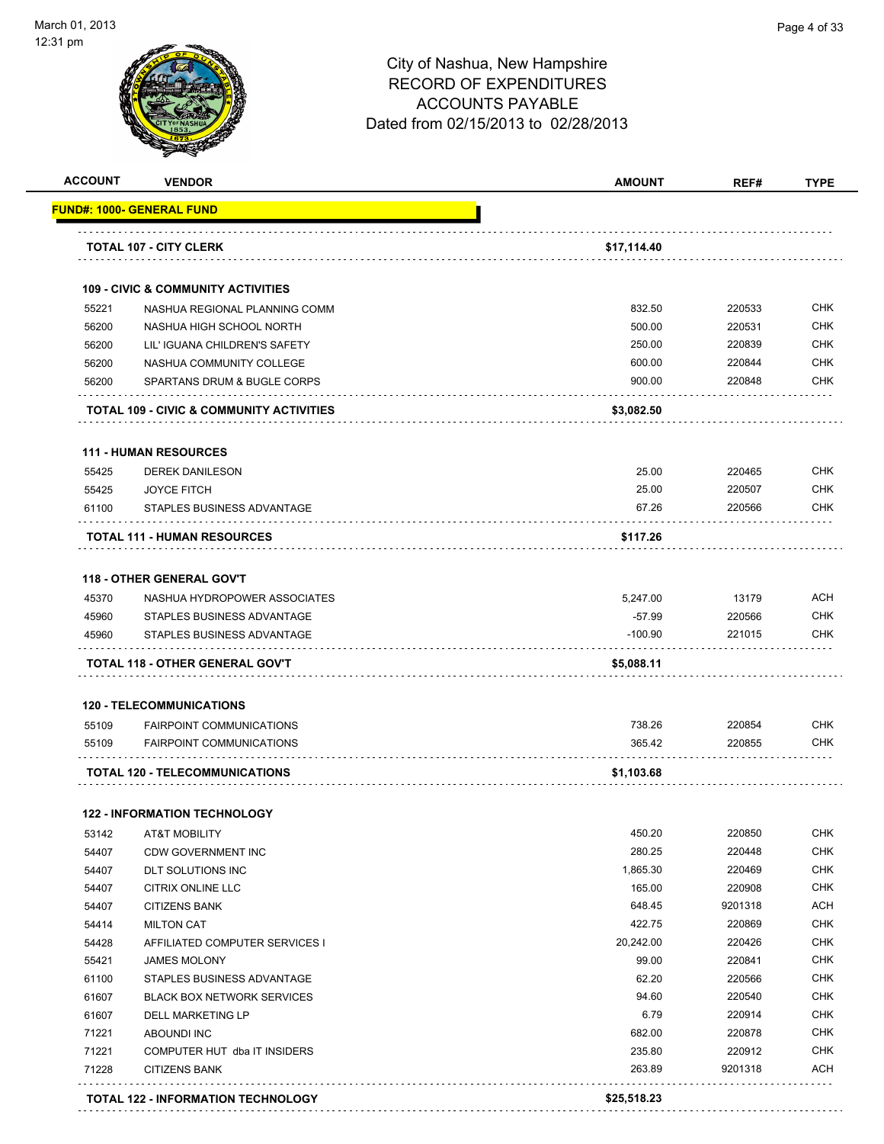

| <b>ACCOUNT</b> | <b>VENDOR</b>                                                   | <b>AMOUNT</b>    | REF#              | <b>TYPE</b>              |
|----------------|-----------------------------------------------------------------|------------------|-------------------|--------------------------|
|                | <u> FUND#: 1000- GENERAL FUND</u>                               |                  |                   |                          |
|                | <b>TOTAL 107 - CITY CLERK</b>                                   | \$17,114.40      |                   |                          |
|                | <b>109 - CIVIC &amp; COMMUNITY ACTIVITIES</b>                   |                  |                   |                          |
| 55221          | NASHUA REGIONAL PLANNING COMM                                   | 832.50           | 220533            | <b>CHK</b>               |
| 56200          | NASHUA HIGH SCHOOL NORTH                                        | 500.00           | 220531            | <b>CHK</b>               |
| 56200          | LIL' IGUANA CHILDREN'S SAFETY                                   | 250.00           | 220839            | <b>CHK</b>               |
| 56200          | NASHUA COMMUNITY COLLEGE                                        | 600.00           | 220844            | <b>CHK</b>               |
| 56200          | SPARTANS DRUM & BUGLE CORPS                                     | 900.00           | 220848            | <b>CHK</b>               |
|                | <b>TOTAL 109 - CIVIC &amp; COMMUNITY ACTIVITIES</b>             | \$3,082.50       |                   |                          |
|                | <b>111 - HUMAN RESOURCES</b>                                    |                  |                   |                          |
| 55425          | <b>DEREK DANILESON</b>                                          | 25.00            | 220465            | <b>CHK</b>               |
| 55425          | <b>JOYCE FITCH</b>                                              | 25.00            | 220507            | <b>CHK</b>               |
| 61100          | STAPLES BUSINESS ADVANTAGE                                      | 67.26            | 220566            | <b>CHK</b>               |
|                | <b>TOTAL 111 - HUMAN RESOURCES</b>                              | \$117.26         |                   |                          |
|                | <b>118 - OTHER GENERAL GOV'T</b>                                |                  |                   |                          |
| 45370          | NASHUA HYDROPOWER ASSOCIATES                                    | 5,247.00         | 13179             | <b>ACH</b>               |
| 45960          | STAPLES BUSINESS ADVANTAGE                                      | $-57.99$         | 220566            | <b>CHK</b>               |
| 45960          | STAPLES BUSINESS ADVANTAGE                                      | $-100.90$        | 221015            | CHK                      |
|                | TOTAL 118 - OTHER GENERAL GOV'T                                 | \$5,088.11       |                   |                          |
|                | <b>120 - TELECOMMUNICATIONS</b>                                 |                  |                   |                          |
| 55109          | <b>FAIRPOINT COMMUNICATIONS</b>                                 | 738.26           | 220854            | <b>CHK</b>               |
| 55109          | <b>FAIRPOINT COMMUNICATIONS</b>                                 | 365.42           | 220855            | CHK                      |
|                | <b>TOTAL 120 - TELECOMMUNICATIONS</b>                           | \$1,103.68       |                   |                          |
|                |                                                                 |                  |                   |                          |
| 53142          | <b>122 - INFORMATION TECHNOLOGY</b><br><b>AT&amp;T MOBILITY</b> | 450.20           | 220850            | <b>CHK</b>               |
| 54407          | <b>CDW GOVERNMENT INC</b>                                       | 280.25           | 220448            | <b>CHK</b>               |
| 54407          | DLT SOLUTIONS INC                                               | 1,865.30         | 220469            | <b>CHK</b>               |
| 54407          | <b>CITRIX ONLINE LLC</b>                                        | 165.00           | 220908            | <b>CHK</b>               |
| 54407          | <b>CITIZENS BANK</b>                                            | 648.45           | 9201318           | <b>ACH</b>               |
| 54414          | <b>MILTON CAT</b>                                               | 422.75           | 220869            | <b>CHK</b>               |
| 54428          | AFFILIATED COMPUTER SERVICES I                                  | 20,242.00        | 220426            | <b>CHK</b>               |
|                |                                                                 | 99.00            | 220841            | <b>CHK</b>               |
| 55421          | <b>JAMES MOLONY</b>                                             | 62.20            |                   | <b>CHK</b>               |
| 61100          | STAPLES BUSINESS ADVANTAGE                                      |                  | 220566            | <b>CHK</b>               |
| 61607          | <b>BLACK BOX NETWORK SERVICES</b>                               | 94.60            | 220540            |                          |
| 61607          | DELL MARKETING LP                                               | 6.79             | 220914            | <b>CHK</b>               |
| 71221          | <b>ABOUNDI INC</b>                                              | 682.00           | 220878            | CHK                      |
| 71221<br>71228 | COMPUTER HUT dba IT INSIDERS<br><b>CITIZENS BANK</b>            | 235.80<br>263.89 | 220912<br>9201318 | <b>CHK</b><br><b>ACH</b> |
|                |                                                                 |                  |                   |                          |
|                | <b>TOTAL 122 - INFORMATION TECHNOLOGY</b>                       | \$25,518.23      |                   |                          |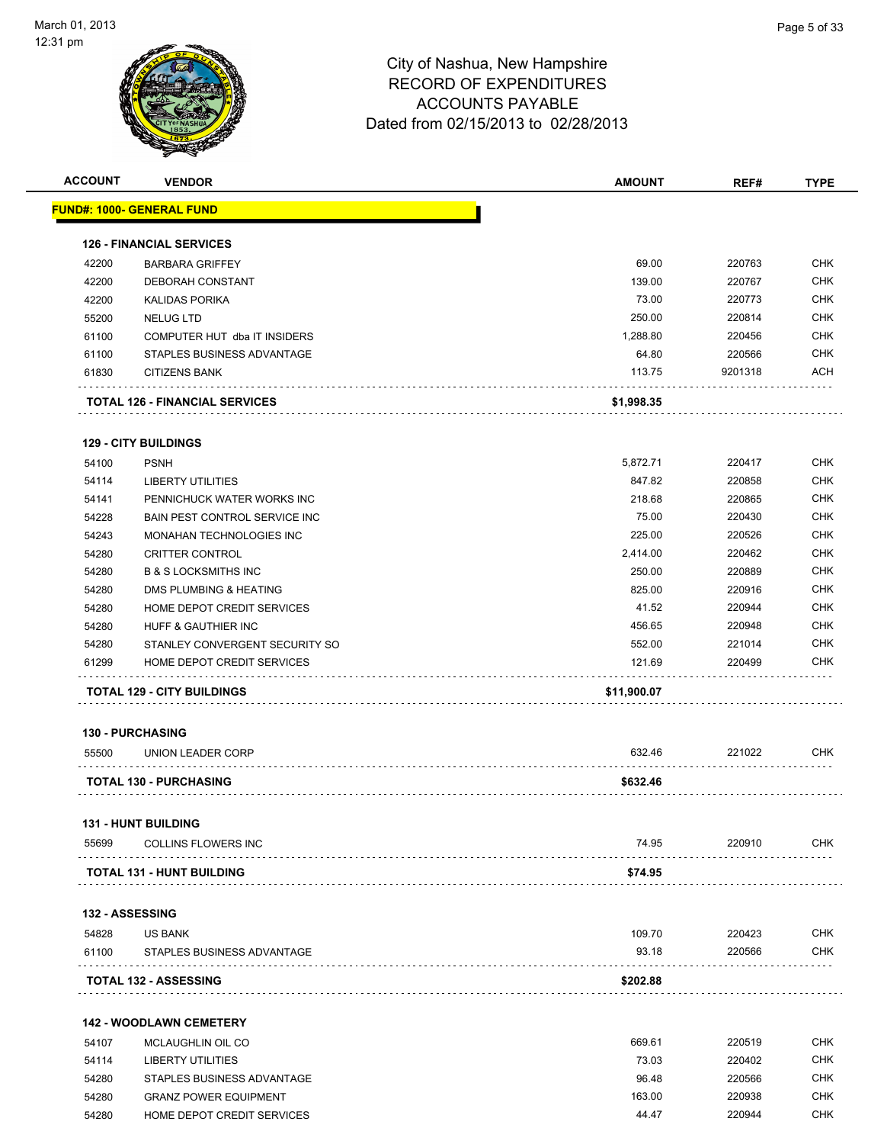

| <b>ACCOUNT</b>         | <b>VENDOR</b>                              | <b>AMOUNT</b> | REF#    | <b>TYPE</b> |
|------------------------|--------------------------------------------|---------------|---------|-------------|
|                        | <b>FUND#: 1000- GENERAL FUND</b>           |               |         |             |
|                        | <b>126 - FINANCIAL SERVICES</b>            |               |         |             |
| 42200                  | <b>BARBARA GRIFFEY</b>                     | 69.00         | 220763  | <b>CHK</b>  |
| 42200                  | DEBORAH CONSTANT                           | 139.00        | 220767  | <b>CHK</b>  |
| 42200                  | <b>KALIDAS PORIKA</b>                      | 73.00         | 220773  | <b>CHK</b>  |
| 55200                  | <b>NELUG LTD</b>                           | 250.00        | 220814  | <b>CHK</b>  |
| 61100                  | COMPUTER HUT dba IT INSIDERS               | 1,288.80      | 220456  | <b>CHK</b>  |
| 61100                  | STAPLES BUSINESS ADVANTAGE                 | 64.80         | 220566  | <b>CHK</b>  |
| 61830                  | <b>CITIZENS BANK</b>                       | 113.75        | 9201318 | ACH         |
|                        | <b>TOTAL 126 - FINANCIAL SERVICES</b>      | \$1,998.35    |         |             |
|                        | <b>129 - CITY BUILDINGS</b>                |               |         |             |
| 54100                  | <b>PSNH</b>                                | 5,872.71      | 220417  | <b>CHK</b>  |
| 54114                  | <b>LIBERTY UTILITIES</b>                   | 847.82        | 220858  | <b>CHK</b>  |
| 54141                  | PENNICHUCK WATER WORKS INC                 | 218.68        | 220865  | <b>CHK</b>  |
| 54228                  | BAIN PEST CONTROL SERVICE INC              | 75.00         | 220430  | <b>CHK</b>  |
| 54243                  | MONAHAN TECHNOLOGIES INC                   | 225.00        | 220526  | <b>CHK</b>  |
| 54280                  | <b>CRITTER CONTROL</b>                     | 2,414.00      | 220462  | <b>CHK</b>  |
| 54280                  | <b>B &amp; S LOCKSMITHS INC</b>            | 250.00        | 220889  | <b>CHK</b>  |
| 54280                  | <b>DMS PLUMBING &amp; HEATING</b>          | 825.00        | 220916  | <b>CHK</b>  |
| 54280                  | HOME DEPOT CREDIT SERVICES                 | 41.52         | 220944  | CHK         |
| 54280                  | HUFF & GAUTHIER INC                        | 456.65        | 220948  | <b>CHK</b>  |
| 54280                  | STANLEY CONVERGENT SECURITY SO             | 552.00        | 221014  | <b>CHK</b>  |
| 61299                  | HOME DEPOT CREDIT SERVICES                 | 121.69        | 220499  | CHK         |
|                        | <b>TOTAL 129 - CITY BUILDINGS</b>          | \$11,900.07   |         |             |
|                        | <b>130 - PURCHASING</b>                    |               |         |             |
| 55500                  | UNION LEADER CORP                          | 632.46        | 221022  | <b>CHK</b>  |
|                        | <b>TOTAL 130 - PURCHASING</b>              | \$632.46      |         |             |
|                        |                                            |               |         |             |
| 55699                  | 131 - HUNT BUILDING<br>COLLINS FLOWERS INC | 74.95         | 220910  | CHK         |
|                        | TOTAL 131 - HUNT BUILDING                  | \$74.95       |         |             |
|                        |                                            |               |         |             |
| <b>132 - ASSESSING</b> |                                            |               |         |             |
| 54828                  | <b>US BANK</b>                             | 109.70        | 220423  | <b>CHK</b>  |
| 61100                  | STAPLES BUSINESS ADVANTAGE                 | 93.18         | 220566  | <b>CHK</b>  |
|                        | <b>TOTAL 132 - ASSESSING</b>               | \$202.88      |         |             |
|                        | <b>142 - WOODLAWN CEMETERY</b>             |               |         |             |
| 54107                  | MCLAUGHLIN OIL CO                          | 669.61        | 220519  | <b>CHK</b>  |
| 54114                  | LIBERTY UTILITIES                          | 73.03         | 220402  | CHK         |
| 54280                  | STAPLES BUSINESS ADVANTAGE                 | 96.48         | 220566  | CHK         |
| 54280                  | <b>GRANZ POWER EQUIPMENT</b>               | 163.00        | 220938  | CHK         |
| 54280                  | HOME DEPOT CREDIT SERVICES                 | 44.47         | 220944  | <b>CHK</b>  |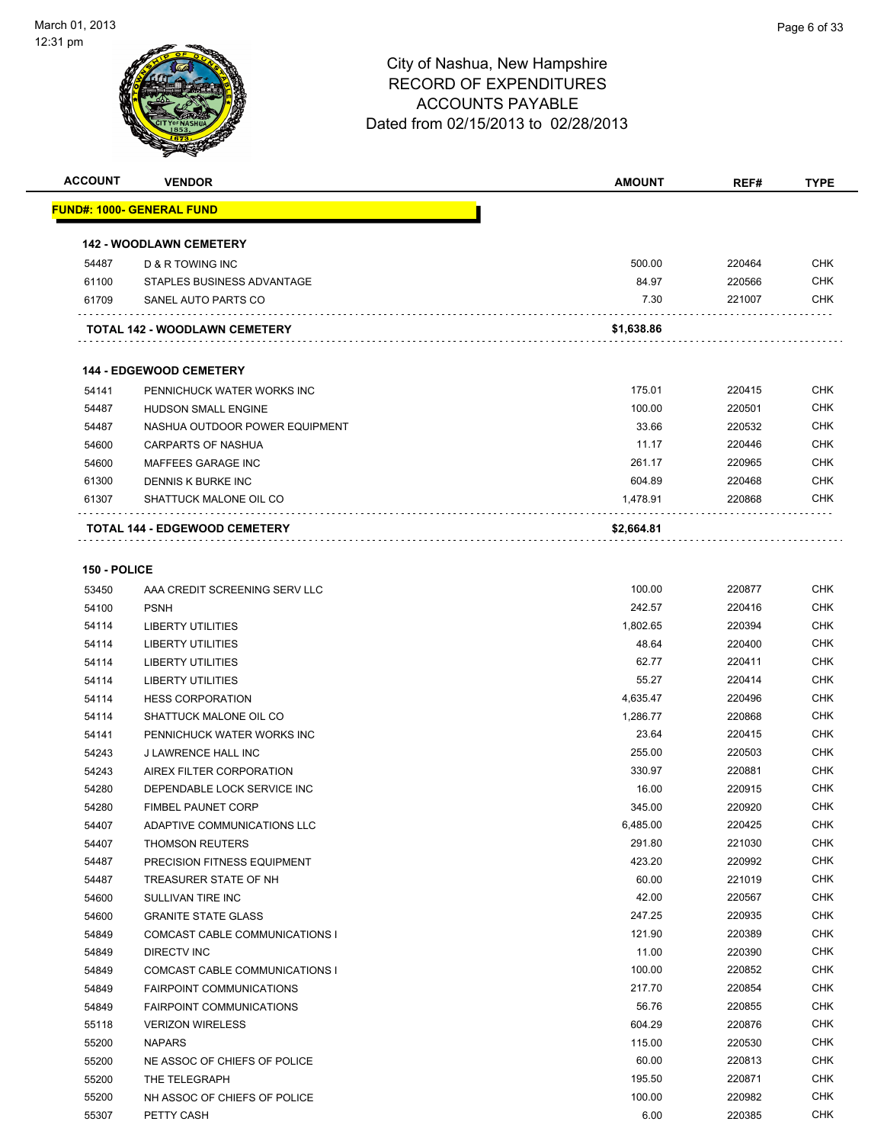

Page 6 of 33

| <b>ACCOUNT</b> | <b>VENDOR</b>                     | <b>AMOUNT</b> | REF#   | <b>TYPE</b> |
|----------------|-----------------------------------|---------------|--------|-------------|
|                | <u> FUND#: 1000- GENERAL FUND</u> |               |        |             |
|                | <b>142 - WOODLAWN CEMETERY</b>    |               |        |             |
| 54487          | D & R TOWING INC                  | 500.00        | 220464 | <b>CHK</b>  |
| 61100          | STAPLES BUSINESS ADVANTAGE        | 84.97         | 220566 | <b>CHK</b>  |
| 61709          | SANEL AUTO PARTS CO               | 7.30          | 221007 | <b>CHK</b>  |
|                | TOTAL 142 - WOODLAWN CEMETERY     | \$1,638.86    |        |             |
|                |                                   |               |        |             |
|                | <b>144 - EDGEWOOD CEMETERY</b>    |               |        |             |
| 54141          | PENNICHUCK WATER WORKS INC        | 175.01        | 220415 | <b>CHK</b>  |
| 54487          | <b>HUDSON SMALL ENGINE</b>        | 100.00        | 220501 | <b>CHK</b>  |
| 54487          | NASHUA OUTDOOR POWER EQUIPMENT    | 33.66         | 220532 | <b>CHK</b>  |
| 54600          | CARPARTS OF NASHUA                | 11.17         | 220446 | <b>CHK</b>  |
| 54600          | MAFFEES GARAGE INC                | 261.17        | 220965 | <b>CHK</b>  |
| 61300          | DENNIS K BURKE INC                | 604.89        | 220468 | <b>CHK</b>  |
| 61307          | SHATTUCK MALONE OIL CO            | 1,478.91      | 220868 | CHK         |
|                | TOTAL 144 - EDGEWOOD CEMETERY     | \$2,664.81    |        |             |
| 150 - POLICE   |                                   |               |        |             |
| 53450          | AAA CREDIT SCREENING SERV LLC     | 100.00        | 220877 | <b>CHK</b>  |
| 54100          | <b>PSNH</b>                       | 242.57        | 220416 | <b>CHK</b>  |
| 54114          | <b>LIBERTY UTILITIES</b>          | 1,802.65      | 220394 | <b>CHK</b>  |
| 54114          | <b>LIBERTY UTILITIES</b>          | 48.64         | 220400 | <b>CHK</b>  |
| 54114          | <b>LIBERTY UTILITIES</b>          | 62.77         | 220411 | <b>CHK</b>  |
| 54114          | <b>LIBERTY UTILITIES</b>          | 55.27         | 220414 | <b>CHK</b>  |
| 54114          | <b>HESS CORPORATION</b>           | 4,635.47      | 220496 | <b>CHK</b>  |
| 54114          | SHATTUCK MALONE OIL CO            | 1,286.77      | 220868 | <b>CHK</b>  |
| 54141          | PENNICHUCK WATER WORKS INC        | 23.64         | 220415 | <b>CHK</b>  |
| 54243          | <b>J LAWRENCE HALL INC</b>        | 255.00        | 220503 | <b>CHK</b>  |
| 54243          | AIREX FILTER CORPORATION          | 330.97        | 220881 | <b>CHK</b>  |
| 54280          | DEPENDABLE LOCK SERVICE INC       | 16.00         | 220915 | <b>CHK</b>  |
| 54280          | FIMBEL PAUNET CORP                | 345.00        | 220920 | <b>CHK</b>  |
| 54407          | ADAPTIVE COMMUNICATIONS LLC       | 6,485.00      | 220425 | <b>CHK</b>  |
| 54407          | <b>THOMSON REUTERS</b>            | 291.80        | 221030 | CHK         |
| 54487          | PRECISION FITNESS EQUIPMENT       | 423.20        | 220992 | <b>CHK</b>  |
| 54487          | TREASURER STATE OF NH             | 60.00         | 221019 | <b>CHK</b>  |
| 54600          | SULLIVAN TIRE INC                 | 42.00         | 220567 | <b>CHK</b>  |
| 54600          | <b>GRANITE STATE GLASS</b>        | 247.25        | 220935 | <b>CHK</b>  |
| 54849          | COMCAST CABLE COMMUNICATIONS I    | 121.90        | 220389 | <b>CHK</b>  |
| 54849          | DIRECTV INC                       | 11.00         | 220390 | <b>CHK</b>  |
| 54849          | COMCAST CABLE COMMUNICATIONS I    | 100.00        | 220852 | <b>CHK</b>  |
| 54849          | <b>FAIRPOINT COMMUNICATIONS</b>   | 217.70        | 220854 | <b>CHK</b>  |
| 54849          | <b>FAIRPOINT COMMUNICATIONS</b>   | 56.76         | 220855 | <b>CHK</b>  |
| 55118          | <b>VERIZON WIRELESS</b>           | 604.29        | 220876 | <b>CHK</b>  |
| 55200          | <b>NAPARS</b>                     | 115.00        | 220530 | <b>CHK</b>  |
| 55200          | NE ASSOC OF CHIEFS OF POLICE      | 60.00         | 220813 | <b>CHK</b>  |
| 55200          | THE TELEGRAPH                     | 195.50        | 220871 | <b>CHK</b>  |
| 55200          | NH ASSOC OF CHIEFS OF POLICE      | 100.00        | 220982 | <b>CHK</b>  |
| 55307          | PETTY CASH                        | 6.00          | 220385 | <b>CHK</b>  |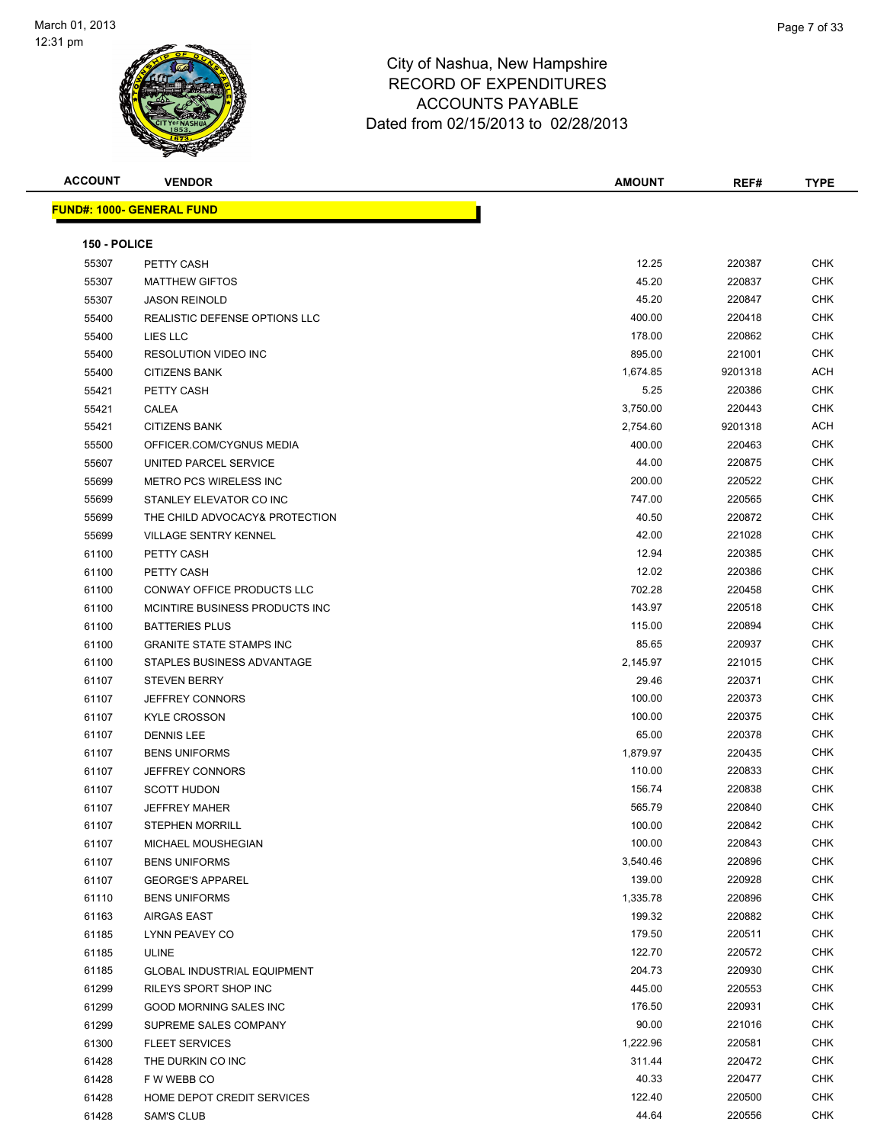

| <b>ACCOUNT</b> | <b>VENDOR</b>                      | <b>AMOUNT</b> | REF#    | <b>TYPE</b> |
|----------------|------------------------------------|---------------|---------|-------------|
|                | <b>FUND#: 1000- GENERAL FUND</b>   |               |         |             |
|                |                                    |               |         |             |
| 150 - POLICE   |                                    |               |         |             |
| 55307          | PETTY CASH                         | 12.25         | 220387  | CHK         |
| 55307          | <b>MATTHEW GIFTOS</b>              | 45.20         | 220837  | <b>CHK</b>  |
| 55307          | <b>JASON REINOLD</b>               | 45.20         | 220847  | CHK         |
| 55400          | REALISTIC DEFENSE OPTIONS LLC      | 400.00        | 220418  | <b>CHK</b>  |
| 55400          | LIES LLC                           | 178.00        | 220862  | <b>CHK</b>  |
| 55400          | <b>RESOLUTION VIDEO INC</b>        | 895.00        | 221001  | <b>CHK</b>  |
| 55400          | <b>CITIZENS BANK</b>               | 1,674.85      | 9201318 | ACH         |
| 55421          | PETTY CASH                         | 5.25          | 220386  | CHK         |
| 55421          | CALEA                              | 3,750.00      | 220443  | CHK         |
| 55421          | <b>CITIZENS BANK</b>               | 2,754.60      | 9201318 | ACH         |
| 55500          | OFFICER.COM/CYGNUS MEDIA           | 400.00        | 220463  | CHK         |
| 55607          | UNITED PARCEL SERVICE              | 44.00         | 220875  | CHK         |
| 55699          | METRO PCS WIRELESS INC             | 200.00        | 220522  | CHK         |
| 55699          | STANLEY ELEVATOR CO INC            | 747.00        | 220565  | CHK         |
| 55699          | THE CHILD ADVOCACY& PROTECTION     | 40.50         | 220872  | <b>CHK</b>  |
| 55699          | <b>VILLAGE SENTRY KENNEL</b>       | 42.00         | 221028  | <b>CHK</b>  |
| 61100          | PETTY CASH                         | 12.94         | 220385  | CHK         |
| 61100          | PETTY CASH                         | 12.02         | 220386  | <b>CHK</b>  |
| 61100          | CONWAY OFFICE PRODUCTS LLC         | 702.28        | 220458  | CHK         |
| 61100          | MCINTIRE BUSINESS PRODUCTS INC     | 143.97        | 220518  | <b>CHK</b>  |
| 61100          | <b>BATTERIES PLUS</b>              | 115.00        | 220894  | CHK         |
| 61100          | <b>GRANITE STATE STAMPS INC</b>    | 85.65         | 220937  | <b>CHK</b>  |
| 61100          | STAPLES BUSINESS ADVANTAGE         | 2,145.97      | 221015  | <b>CHK</b>  |
| 61107          | <b>STEVEN BERRY</b>                | 29.46         | 220371  | <b>CHK</b>  |
| 61107          | <b>JEFFREY CONNORS</b>             | 100.00        | 220373  | <b>CHK</b>  |
| 61107          | <b>KYLE CROSSON</b>                | 100.00        | 220375  | <b>CHK</b>  |
| 61107          | <b>DENNIS LEE</b>                  | 65.00         | 220378  | CHK         |
| 61107          | <b>BENS UNIFORMS</b>               | 1,879.97      | 220435  | <b>CHK</b>  |
| 61107          | <b>JEFFREY CONNORS</b>             | 110.00        | 220833  | CHK         |
| 61107          | <b>SCOTT HUDON</b>                 | 156.74        | 220838  | CHK         |
| 61107          | <b>JEFFREY MAHER</b>               | 565.79        | 220840  | CHK         |
| 61107          | <b>STEPHEN MORRILL</b>             | 100.00        | 220842  | <b>CHK</b>  |
| 61107          | MICHAEL MOUSHEGIAN                 | 100.00        | 220843  | CHK         |
| 61107          | <b>BENS UNIFORMS</b>               | 3,540.46      | 220896  | CHK         |
| 61107          | <b>GEORGE'S APPAREL</b>            | 139.00        | 220928  | <b>CHK</b>  |
| 61110          | <b>BENS UNIFORMS</b>               | 1,335.78      | 220896  | <b>CHK</b>  |
| 61163          | AIRGAS EAST                        | 199.32        | 220882  | <b>CHK</b>  |
| 61185          | LYNN PEAVEY CO                     | 179.50        | 220511  | <b>CHK</b>  |
| 61185          | <b>ULINE</b>                       | 122.70        | 220572  | CHK         |
| 61185          | <b>GLOBAL INDUSTRIAL EQUIPMENT</b> | 204.73        | 220930  | CHK         |
| 61299          | RILEYS SPORT SHOP INC              | 445.00        | 220553  | CHK         |
| 61299          | GOOD MORNING SALES INC             | 176.50        | 220931  | CHK         |
| 61299          | SUPREME SALES COMPANY              | 90.00         | 221016  | CHK         |
| 61300          | <b>FLEET SERVICES</b>              | 1,222.96      | 220581  | CHK         |
| 61428          | THE DURKIN CO INC                  | 311.44        | 220472  | CHK         |
| 61428          | F W WEBB CO                        | 40.33         | 220477  | CHK         |
| 61428          | HOME DEPOT CREDIT SERVICES         | 122.40        | 220500  | <b>CHK</b>  |
| 61428          | <b>SAM'S CLUB</b>                  | 44.64         | 220556  | <b>CHK</b>  |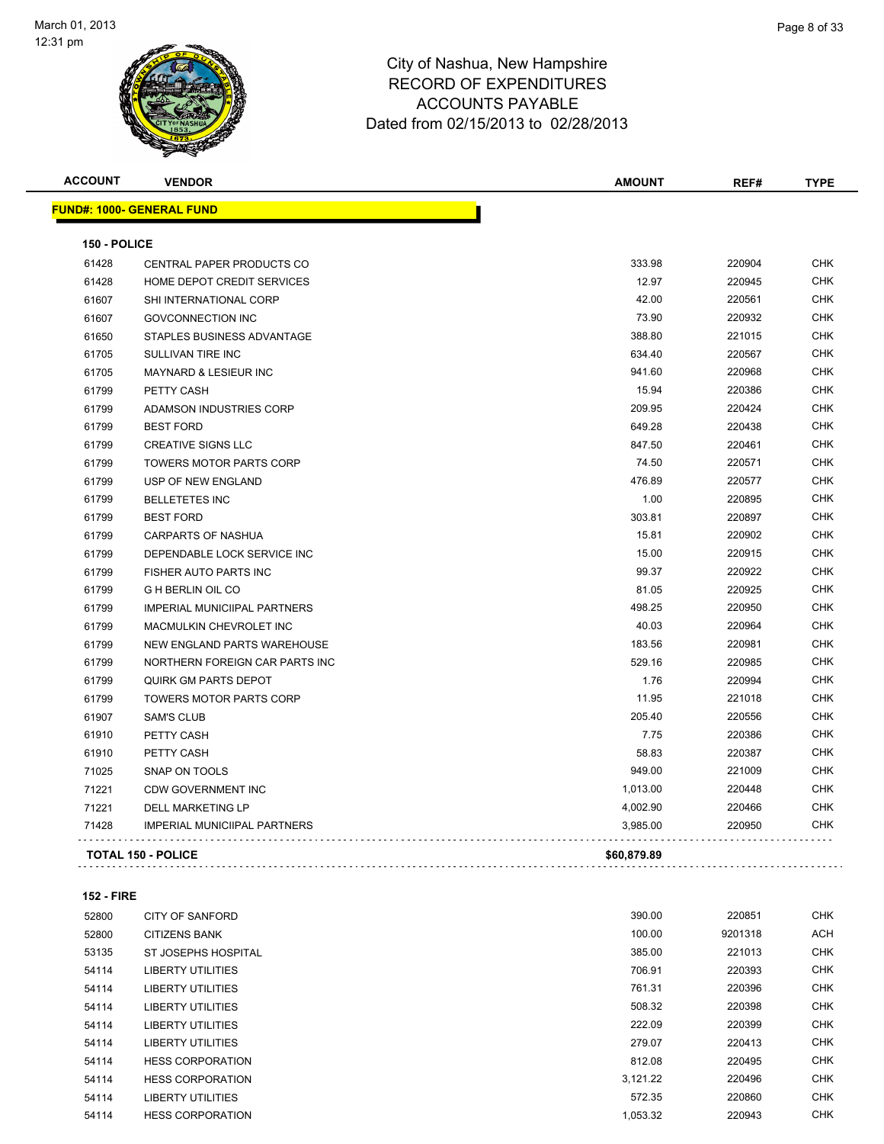

| <b>ACCOUNT</b> | <b>VENDOR</b>                       | <b>AMOUNT</b> | REF#   | <b>TYPE</b> |
|----------------|-------------------------------------|---------------|--------|-------------|
|                | <b>FUND#: 1000- GENERAL FUND</b>    |               |        |             |
| 150 - POLICE   |                                     |               |        |             |
| 61428          | CENTRAL PAPER PRODUCTS CO           | 333.98        | 220904 | <b>CHK</b>  |
| 61428          | HOME DEPOT CREDIT SERVICES          | 12.97         | 220945 | <b>CHK</b>  |
| 61607          | SHI INTERNATIONAL CORP              | 42.00         | 220561 | <b>CHK</b>  |
| 61607          | <b>GOVCONNECTION INC</b>            | 73.90         | 220932 | <b>CHK</b>  |
| 61650          | STAPLES BUSINESS ADVANTAGE          | 388.80        | 221015 | <b>CHK</b>  |
| 61705          | SULLIVAN TIRE INC                   | 634.40        | 220567 | <b>CHK</b>  |
| 61705          | MAYNARD & LESIEUR INC               | 941.60        | 220968 | <b>CHK</b>  |
| 61799          | PETTY CASH                          | 15.94         | 220386 | <b>CHK</b>  |
| 61799          | ADAMSON INDUSTRIES CORP             | 209.95        | 220424 | <b>CHK</b>  |
| 61799          | <b>BEST FORD</b>                    | 649.28        | 220438 | <b>CHK</b>  |
| 61799          | <b>CREATIVE SIGNS LLC</b>           | 847.50        | 220461 | <b>CHK</b>  |
| 61799          | <b>TOWERS MOTOR PARTS CORP</b>      | 74.50         | 220571 | CHK         |
| 61799          | USP OF NEW ENGLAND                  | 476.89        | 220577 | <b>CHK</b>  |
| 61799          | <b>BELLETETES INC</b>               | 1.00          | 220895 | <b>CHK</b>  |
| 61799          | <b>BEST FORD</b>                    | 303.81        | 220897 | CHK         |
| 61799          | <b>CARPARTS OF NASHUA</b>           | 15.81         | 220902 | <b>CHK</b>  |
| 61799          | DEPENDABLE LOCK SERVICE INC         | 15.00         | 220915 | <b>CHK</b>  |
| 61799          | FISHER AUTO PARTS INC               | 99.37         | 220922 | <b>CHK</b>  |
| 61799          | <b>G H BERLIN OIL CO</b>            | 81.05         | 220925 | <b>CHK</b>  |
| 61799          | <b>IMPERIAL MUNICIIPAL PARTNERS</b> | 498.25        | 220950 | <b>CHK</b>  |
| 61799          | MACMULKIN CHEVROLET INC             | 40.03         | 220964 | <b>CHK</b>  |
| 61799          | NEW ENGLAND PARTS WAREHOUSE         | 183.56        | 220981 | <b>CHK</b>  |
| 61799          | NORTHERN FOREIGN CAR PARTS INC      | 529.16        | 220985 | <b>CHK</b>  |
| 61799          | QUIRK GM PARTS DEPOT                | 1.76          | 220994 | <b>CHK</b>  |
| 61799          | TOWERS MOTOR PARTS CORP             | 11.95         | 221018 | <b>CHK</b>  |
| 61907          | <b>SAM'S CLUB</b>                   | 205.40        | 220556 | <b>CHK</b>  |
| 61910          | PETTY CASH                          | 7.75          | 220386 | <b>CHK</b>  |
| 61910          | PETTY CASH                          | 58.83         | 220387 | <b>CHK</b>  |
| 71025          | SNAP ON TOOLS                       | 949.00        | 221009 | <b>CHK</b>  |
| 71221          | <b>CDW GOVERNMENT INC</b>           | 1,013.00      | 220448 | <b>CHK</b>  |
| 71221          | <b>DELL MARKETING LP</b>            | 4,002.90      | 220466 | <b>CHK</b>  |
| 71428          | IMPERIAL MUNICIIPAL PARTNERS        | 3,985.00      | 220950 | <b>CHK</b>  |
|                | <b>TOTAL 150 - POLICE</b>           | \$60,879.89   |        |             |

#### **152 - FIRE**

| 52800 | <b>CITY OF SANFORD</b>   | 390.00   | 220851  | <b>CHK</b> |
|-------|--------------------------|----------|---------|------------|
| 52800 | <b>CITIZENS BANK</b>     | 100.00   | 9201318 | <b>ACH</b> |
| 53135 | ST JOSEPHS HOSPITAL      | 385.00   | 221013  | <b>CHK</b> |
| 54114 | LIBERTY UTILITIES        | 706.91   | 220393  | <b>CHK</b> |
| 54114 | LIBERTY UTILITIES        | 761.31   | 220396  | <b>CHK</b> |
| 54114 | LIBERTY UTILITIES        | 508.32   | 220398  | <b>CHK</b> |
| 54114 | <b>LIBERTY UTILITIES</b> | 222.09   | 220399  | <b>CHK</b> |
| 54114 | LIBERTY UTILITIES        | 279.07   | 220413  | <b>CHK</b> |
| 54114 | <b>HESS CORPORATION</b>  | 812.08   | 220495  | <b>CHK</b> |
| 54114 | <b>HESS CORPORATION</b>  | 3,121.22 | 220496  | <b>CHK</b> |
| 54114 | <b>LIBERTY UTILITIES</b> | 572.35   | 220860  | <b>CHK</b> |
| 54114 | <b>HESS CORPORATION</b>  | 1,053.32 | 220943  | <b>CHK</b> |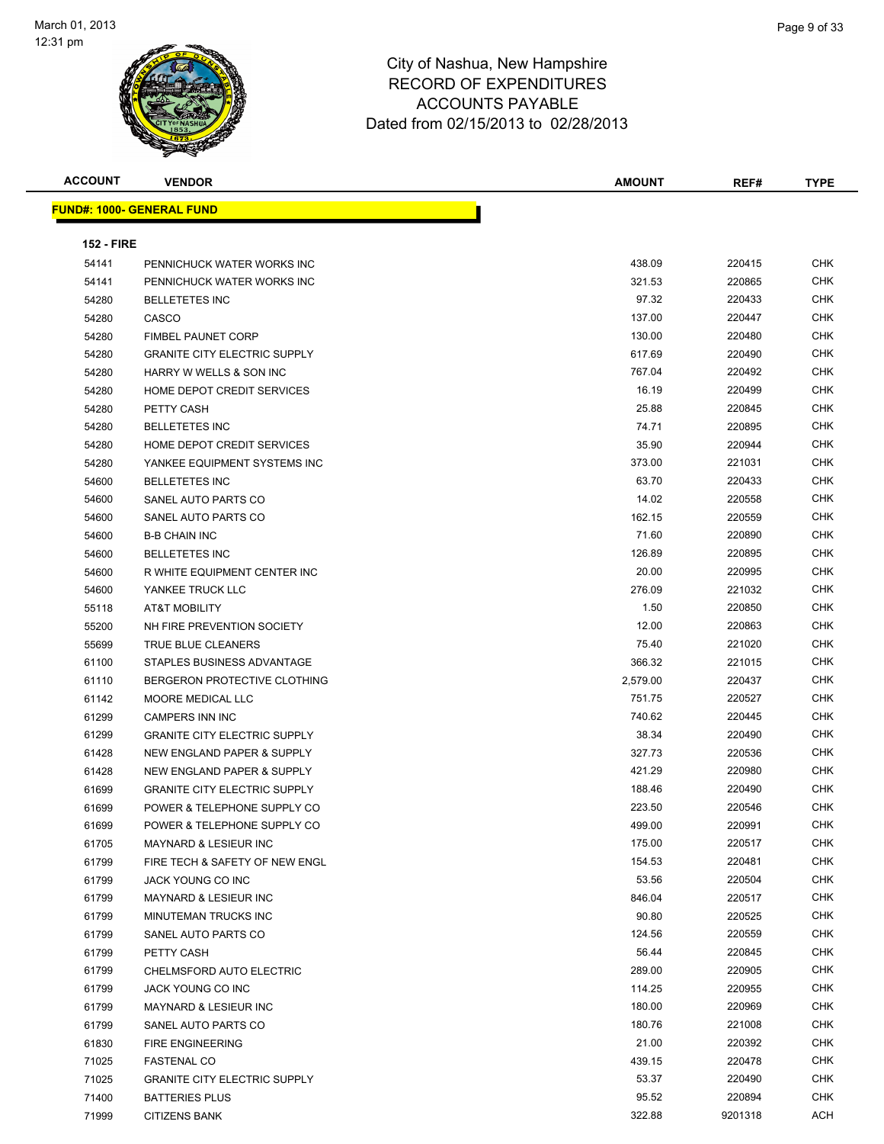

| <b>ACCOUNT</b>    | <b>VENDOR</b>                       | <b>AMOUNT</b> | REF#    | <b>TYPE</b> |
|-------------------|-------------------------------------|---------------|---------|-------------|
|                   | <b>FUND#: 1000- GENERAL FUND</b>    |               |         |             |
|                   |                                     |               |         |             |
| <b>152 - FIRE</b> |                                     |               |         |             |
| 54141             | PENNICHUCK WATER WORKS INC          | 438.09        | 220415  | <b>CHK</b>  |
| 54141             | PENNICHUCK WATER WORKS INC          | 321.53        | 220865  | CHK         |
| 54280             | <b>BELLETETES INC</b>               | 97.32         | 220433  | <b>CHK</b>  |
| 54280             | CASCO                               | 137.00        | 220447  | CHK         |
| 54280             | <b>FIMBEL PAUNET CORP</b>           | 130.00        | 220480  | CHK         |
| 54280             | <b>GRANITE CITY ELECTRIC SUPPLY</b> | 617.69        | 220490  | CHK         |
| 54280             | HARRY W WELLS & SON INC             | 767.04        | 220492  | <b>CHK</b>  |
| 54280             | HOME DEPOT CREDIT SERVICES          | 16.19         | 220499  | CHK         |
| 54280             | PETTY CASH                          | 25.88         | 220845  | CHK         |
| 54280             | <b>BELLETETES INC</b>               | 74.71         | 220895  | CHK         |
| 54280             | HOME DEPOT CREDIT SERVICES          | 35.90         | 220944  | CHK         |
| 54280             | YANKEE EQUIPMENT SYSTEMS INC        | 373.00        | 221031  | CHK         |
| 54600             | <b>BELLETETES INC</b>               | 63.70         | 220433  | CHK         |
| 54600             | SANEL AUTO PARTS CO                 | 14.02         | 220558  | CHK         |
| 54600             | SANEL AUTO PARTS CO                 | 162.15        | 220559  | <b>CHK</b>  |
| 54600             | <b>B-B CHAIN INC</b>                | 71.60         | 220890  | CHK         |
| 54600             | <b>BELLETETES INC</b>               | 126.89        | 220895  | CHK         |
| 54600             | R WHITE EQUIPMENT CENTER INC        | 20.00         | 220995  | CHK         |
| 54600             | YANKEE TRUCK LLC                    | 276.09        | 221032  | <b>CHK</b>  |
| 55118             | AT&T MOBILITY                       | 1.50          | 220850  | CHK         |
| 55200             | NH FIRE PREVENTION SOCIETY          | 12.00         | 220863  | CHK         |
| 55699             | TRUE BLUE CLEANERS                  | 75.40         | 221020  | <b>CHK</b>  |
| 61100             | STAPLES BUSINESS ADVANTAGE          | 366.32        | 221015  | CHK         |
| 61110             | BERGERON PROTECTIVE CLOTHING        | 2,579.00      | 220437  | <b>CHK</b>  |
| 61142             | MOORE MEDICAL LLC                   | 751.75        | 220527  | <b>CHK</b>  |
| 61299             | <b>CAMPERS INN INC</b>              | 740.62        | 220445  | CHK         |
| 61299             | <b>GRANITE CITY ELECTRIC SUPPLY</b> | 38.34         | 220490  | CHK         |
| 61428             | NEW ENGLAND PAPER & SUPPLY          | 327.73        | 220536  | CHK         |
| 61428             | NEW ENGLAND PAPER & SUPPLY          | 421.29        | 220980  | <b>CHK</b>  |
| 61699             | <b>GRANITE CITY ELECTRIC SUPPLY</b> | 188.46        | 220490  | CHK         |
| 61699             | POWER & TELEPHONE SUPPLY CO         | 223.50        | 220546  | <b>CHK</b>  |
| 61699             | POWER & TELEPHONE SUPPLY CO         | 499.00        | 220991  | <b>CHK</b>  |
| 61705             | MAYNARD & LESIEUR INC               | 175.00        | 220517  | <b>CHK</b>  |
| 61799             | FIRE TECH & SAFETY OF NEW ENGL      | 154.53        | 220481  | <b>CHK</b>  |
| 61799             | JACK YOUNG CO INC                   | 53.56         | 220504  | <b>CHK</b>  |
| 61799             | <b>MAYNARD &amp; LESIEUR INC</b>    | 846.04        | 220517  | <b>CHK</b>  |
| 61799             | MINUTEMAN TRUCKS INC                | 90.80         | 220525  | <b>CHK</b>  |
| 61799             | SANEL AUTO PARTS CO                 | 124.56        | 220559  | CHK         |
| 61799             | PETTY CASH                          | 56.44         | 220845  | <b>CHK</b>  |
| 61799             | CHELMSFORD AUTO ELECTRIC            | 289.00        | 220905  | CHK         |
| 61799             | JACK YOUNG CO INC                   | 114.25        | 220955  | <b>CHK</b>  |
| 61799             | MAYNARD & LESIEUR INC               | 180.00        | 220969  | CHK         |
| 61799             | SANEL AUTO PARTS CO                 | 180.76        | 221008  | CHK         |
| 61830             | <b>FIRE ENGINEERING</b>             | 21.00         | 220392  | <b>CHK</b>  |
| 71025             | <b>FASTENAL CO</b>                  | 439.15        | 220478  | CHK         |
| 71025             | <b>GRANITE CITY ELECTRIC SUPPLY</b> | 53.37         | 220490  | CHK         |
| 71400             | <b>BATTERIES PLUS</b>               | 95.52         | 220894  | CHK         |
| 71999             | <b>CITIZENS BANK</b>                | 322.88        | 9201318 | ACH         |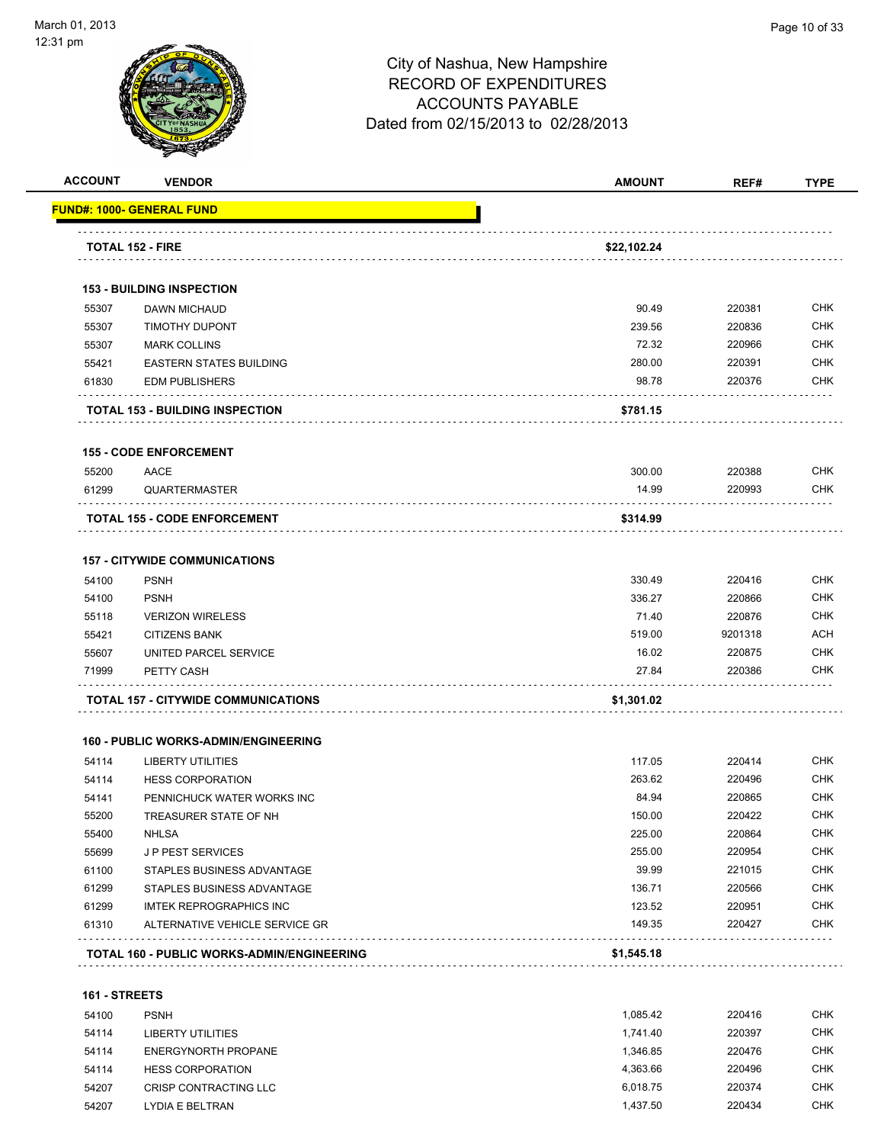

| <b>ACCOUNT</b> | <b>VENDOR</b>                              | <b>AMOUNT</b>        | REF#             | <b>TYPE</b> |
|----------------|--------------------------------------------|----------------------|------------------|-------------|
|                | <u> FUND#: 1000- GENERAL FUND</u>          |                      |                  |             |
|                | <b>TOTAL 152 - FIRE</b>                    | \$22,102.24          |                  |             |
|                |                                            |                      |                  |             |
|                | <b>153 - BUILDING INSPECTION</b>           |                      |                  |             |
| 55307          | <b>DAWN MICHAUD</b>                        | 90.49                | 220381           | <b>CHK</b>  |
| 55307          | <b>TIMOTHY DUPONT</b>                      | 239.56               | 220836           | <b>CHK</b>  |
| 55307          | <b>MARK COLLINS</b>                        | 72.32                | 220966           | CHK         |
| 55421          | <b>EASTERN STATES BUILDING</b>             | 280.00               | 220391           | <b>CHK</b>  |
| 61830          | <b>EDM PUBLISHERS</b>                      | 98.78                | 220376           | <b>CHK</b>  |
|                | <b>TOTAL 153 - BUILDING INSPECTION</b>     | \$781.15             |                  |             |
|                | <b>155 - CODE ENFORCEMENT</b>              |                      |                  |             |
| 55200          | AACE                                       | 300.00               | 220388           | <b>CHK</b>  |
| 61299          | <b>QUARTERMASTER</b>                       | 14.99                | 220993           | <b>CHK</b>  |
|                | <b>TOTAL 155 - CODE ENFORCEMENT</b>        | \$314.99             |                  |             |
|                | <b>157 - CITYWIDE COMMUNICATIONS</b>       |                      |                  |             |
| 54100          | <b>PSNH</b>                                | 330.49               | 220416           | <b>CHK</b>  |
| 54100          | <b>PSNH</b>                                | 336.27               | 220866           | <b>CHK</b>  |
| 55118          | <b>VERIZON WIRELESS</b>                    | 71.40                | 220876           | <b>CHK</b>  |
| 55421          | <b>CITIZENS BANK</b>                       | 519.00               | 9201318          | <b>ACH</b>  |
| 55607          | UNITED PARCEL SERVICE                      | 16.02                | 220875           | CHK         |
| 71999          | PETTY CASH                                 | 27.84                | 220386           | CHK         |
|                | TOTAL 157 - CITYWIDE COMMUNICATIONS        | \$1,301.02           |                  |             |
|                | 160 - PUBLIC WORKS-ADMIN/ENGINEERING       |                      |                  |             |
| 54114          | <b>LIBERTY UTILITIES</b>                   | 117.05               | 220414           | <b>CHK</b>  |
| 54114          | <b>HESS CORPORATION</b>                    | 263.62               | 220496           | CHK         |
| 54141          | PENNICHUCK WATER WORKS INC                 | 84.94                | 220865           | CHK         |
| 55200          | TREASURER STATE OF NH                      | 150.00               | 220422           | <b>CHK</b>  |
| 55400          | <b>NHLSA</b>                               | 225.00               | 220864           | <b>CHK</b>  |
| 55699          | JP PEST SERVICES                           | 255.00               | 220954           | <b>CHK</b>  |
| 61100          | STAPLES BUSINESS ADVANTAGE                 | 39.99                | 221015           | <b>CHK</b>  |
| 61299          | STAPLES BUSINESS ADVANTAGE                 | 136.71               | 220566           | <b>CHK</b>  |
| 61299          | <b>IMTEK REPROGRAPHICS INC</b>             | 123.52               | 220951           | <b>CHK</b>  |
| 61310          | ALTERNATIVE VEHICLE SERVICE GR             | 149.35               | 220427           | <b>CHK</b>  |
|                | TOTAL 160 - PUBLIC WORKS-ADMIN/ENGINEERING | \$1,545.18           |                  |             |
| 161 - STREETS  |                                            |                      |                  |             |
|                | <b>PSNH</b>                                |                      |                  | <b>CHK</b>  |
| 54100<br>54114 | <b>LIBERTY UTILITIES</b>                   | 1,085.42<br>1,741.40 | 220416<br>220397 | CHK         |
| 54114          | <b>ENERGYNORTH PROPANE</b>                 | 1,346.85             | 220476           | <b>CHK</b>  |
| 54114          | <b>HESS CORPORATION</b>                    | 4,363.66             | 220496           | <b>CHK</b>  |
| 54207          | CRISP CONTRACTING LLC                      | 6,018.75             | 220374           | <b>CHK</b>  |
| 54207          | LYDIA E BELTRAN                            | 1,437.50             | 220434           | <b>CHK</b>  |
|                |                                            |                      |                  |             |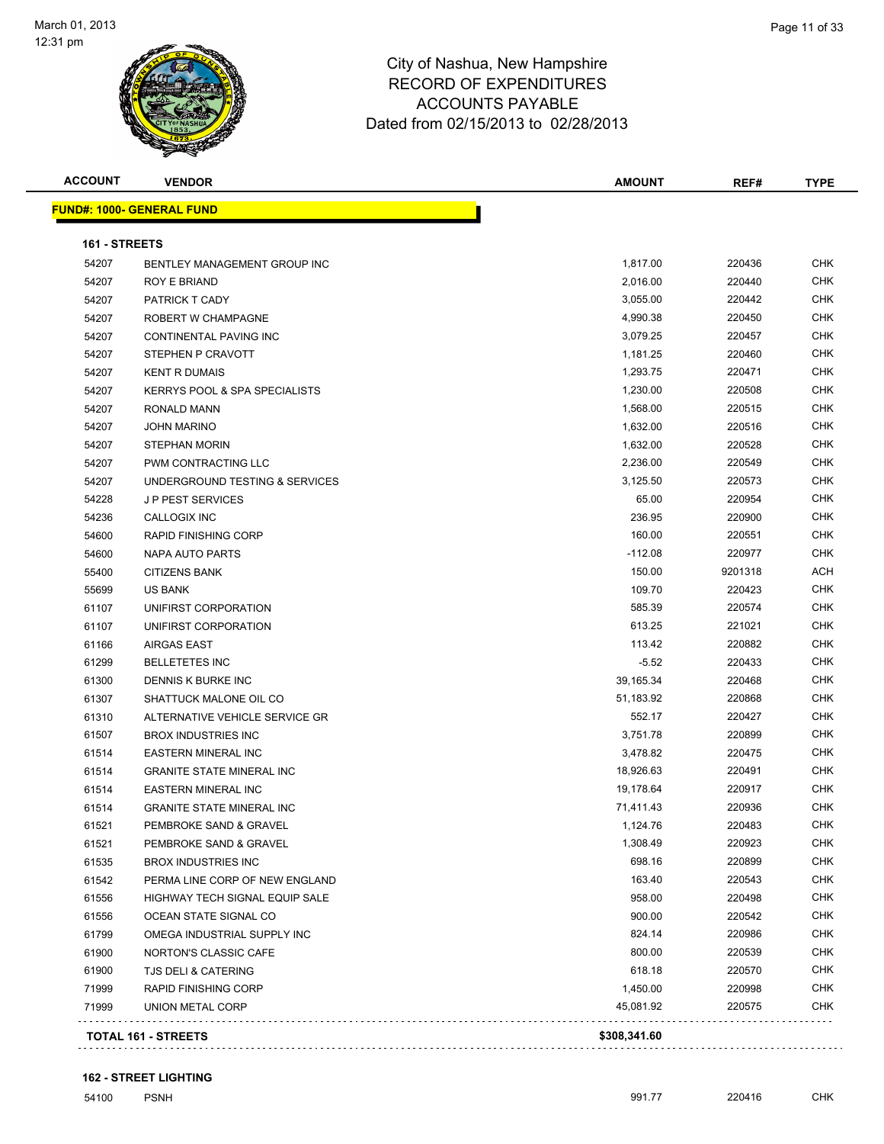

| <b>ACCOUNT</b>       | <b>VENDOR</b>                            | <b>AMOUNT</b> | REF#    | <b>TYPE</b> |
|----------------------|------------------------------------------|---------------|---------|-------------|
|                      | <u> FUND#: 1000- GENERAL FUND</u>        |               |         |             |
| <b>161 - STREETS</b> |                                          |               |         |             |
| 54207                | BENTLEY MANAGEMENT GROUP INC             | 1,817.00      | 220436  | CHK         |
| 54207                | ROY E BRIAND                             | 2,016.00      | 220440  | <b>CHK</b>  |
| 54207                | PATRICK T CADY                           | 3,055.00      | 220442  | <b>CHK</b>  |
| 54207                | ROBERT W CHAMPAGNE                       | 4,990.38      | 220450  | <b>CHK</b>  |
| 54207                | CONTINENTAL PAVING INC                   | 3,079.25      | 220457  | <b>CHK</b>  |
| 54207                | STEPHEN P CRAVOTT                        | 1,181.25      | 220460  | <b>CHK</b>  |
| 54207                | <b>KENT R DUMAIS</b>                     | 1,293.75      | 220471  | <b>CHK</b>  |
| 54207                | <b>KERRYS POOL &amp; SPA SPECIALISTS</b> | 1,230.00      | 220508  | <b>CHK</b>  |
| 54207                | RONALD MANN                              | 1,568.00      | 220515  | <b>CHK</b>  |
| 54207                | JOHN MARINO                              | 1,632.00      | 220516  | <b>CHK</b>  |
| 54207                | <b>STEPHAN MORIN</b>                     | 1,632.00      | 220528  | <b>CHK</b>  |
| 54207                | PWM CONTRACTING LLC                      | 2,236.00      | 220549  | <b>CHK</b>  |
| 54207                | UNDERGROUND TESTING & SERVICES           | 3,125.50      | 220573  | <b>CHK</b>  |
| 54228                | <b>JP PEST SERVICES</b>                  | 65.00         | 220954  | <b>CHK</b>  |
|                      | CALLOGIX INC                             | 236.95        | 220900  | <b>CHK</b>  |
| 54236                | <b>RAPID FINISHING CORP</b>              | 160.00        | 220551  | <b>CHK</b>  |
| 54600                |                                          |               |         | CHK         |
| 54600                | NAPA AUTO PARTS                          | $-112.08$     | 220977  | <b>ACH</b>  |
| 55400                | <b>CITIZENS BANK</b>                     | 150.00        | 9201318 |             |
| 55699                | US BANK                                  | 109.70        | 220423  | CHK         |
| 61107                | UNIFIRST CORPORATION                     | 585.39        | 220574  | CHK         |
| 61107                | UNIFIRST CORPORATION                     | 613.25        | 221021  | CHK         |
| 61166                | <b>AIRGAS EAST</b>                       | 113.42        | 220882  | <b>CHK</b>  |
| 61299                | <b>BELLETETES INC</b>                    | $-5.52$       | 220433  | <b>CHK</b>  |
| 61300                | DENNIS K BURKE INC                       | 39,165.34     | 220468  | <b>CHK</b>  |
| 61307                | SHATTUCK MALONE OIL CO                   | 51,183.92     | 220868  | <b>CHK</b>  |
| 61310                | ALTERNATIVE VEHICLE SERVICE GR           | 552.17        | 220427  | CHK         |
| 61507                | <b>BROX INDUSTRIES INC</b>               | 3,751.78      | 220899  | <b>CHK</b>  |
| 61514                | <b>EASTERN MINERAL INC</b>               | 3,478.82      | 220475  | CHK         |
| 61514                | <b>GRANITE STATE MINERAL INC</b>         | 18,926.63     | 220491  | CHK         |
| 61514                | <b>EASTERN MINERAL INC</b>               | 19,178.64     | 220917  | CHK         |
| 61514                | <b>GRANITE STATE MINERAL INC</b>         | 71,411.43     | 220936  | CHK         |
| 61521                | PEMBROKE SAND & GRAVEL                   | 1,124.76      | 220483  | <b>CHK</b>  |
| 61521                | PEMBROKE SAND & GRAVEL                   | 1,308.49      | 220923  | CHK         |
| 61535                | <b>BROX INDUSTRIES INC</b>               | 698.16        | 220899  | CHK         |
| 61542                | PERMA LINE CORP OF NEW ENGLAND           | 163.40        | 220543  | CHK         |
| 61556                | HIGHWAY TECH SIGNAL EQUIP SALE           | 958.00        | 220498  | CHK         |
| 61556                | OCEAN STATE SIGNAL CO                    | 900.00        | 220542  | CHK         |
| 61799                | OMEGA INDUSTRIAL SUPPLY INC              | 824.14        | 220986  | CHK         |
| 61900                | NORTON'S CLASSIC CAFE                    | 800.00        | 220539  | CHK         |
| 61900                | TJS DELI & CATERING                      | 618.18        | 220570  | CHK         |
| 71999                | <b>RAPID FINISHING CORP</b>              | 1,450.00      | 220998  | CHK         |
| 71999                | UNION METAL CORP                         | 45,081.92     | 220575  | <b>CHK</b>  |
|                      | TOTAL 161 - STREETS                      | \$308,341.60  |         |             |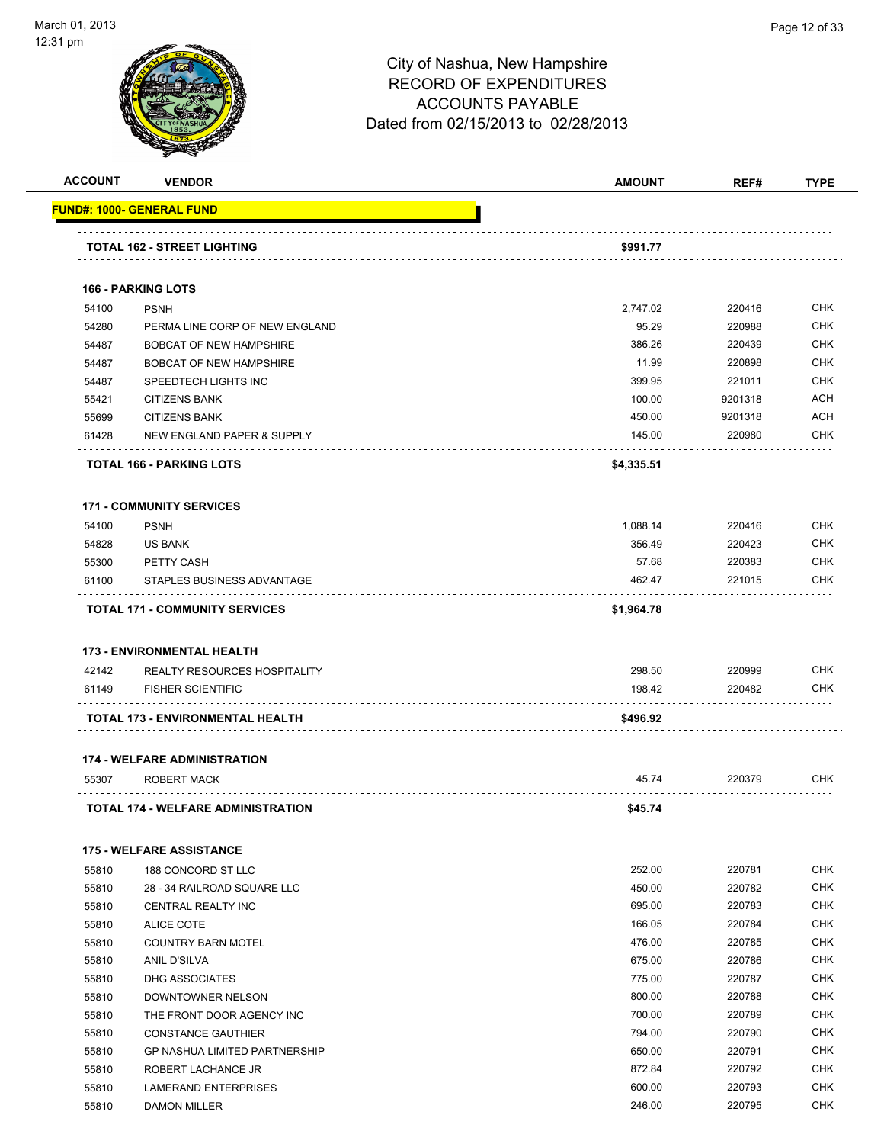

|                |                                                   | <b>AMOUNT</b>    | REF#             |                                                                                                                                                        |
|----------------|---------------------------------------------------|------------------|------------------|--------------------------------------------------------------------------------------------------------------------------------------------------------|
|                | FUND#: 1000- GENERAL FUND                         |                  |                  |                                                                                                                                                        |
|                | <b>TOTAL 162 - STREET LIGHTING</b>                | \$991.77         |                  |                                                                                                                                                        |
|                |                                                   |                  |                  |                                                                                                                                                        |
|                | <b>166 - PARKING LOTS</b>                         |                  |                  |                                                                                                                                                        |
| 54100          | <b>PSNH</b>                                       | 2,747.02         | 220416           | <b>CHK</b>                                                                                                                                             |
| 54280          | PERMA LINE CORP OF NEW ENGLAND                    | 95.29            | 220988           | <b>CHK</b>                                                                                                                                             |
| 54487          | <b>BOBCAT OF NEW HAMPSHIRE</b>                    | 386.26           | 220439           | <b>CHK</b>                                                                                                                                             |
| 54487          | <b>BOBCAT OF NEW HAMPSHIRE</b>                    | 11.99            | 220898           | <b>CHK</b>                                                                                                                                             |
| 54487          | SPEEDTECH LIGHTS INC                              | 399.95           | 221011           | <b>CHK</b>                                                                                                                                             |
| 55421          | <b>CITIZENS BANK</b>                              | 100.00           | 9201318          | <b>ACH</b>                                                                                                                                             |
| 55699          | <b>CITIZENS BANK</b>                              | 450.00           | 9201318          | ACH                                                                                                                                                    |
| 61428          | NEW ENGLAND PAPER & SUPPLY                        | 145.00           | 220980           | CHK                                                                                                                                                    |
|                | TOTAL 166 - PARKING LOTS                          | \$4,335.51       |                  |                                                                                                                                                        |
|                | <b>171 - COMMUNITY SERVICES</b>                   |                  |                  |                                                                                                                                                        |
| 54100          | <b>PSNH</b>                                       | 1,088.14         | 220416           | <b>CHK</b>                                                                                                                                             |
| 54828          | <b>US BANK</b>                                    | 356.49           | 220423           | CHK                                                                                                                                                    |
| 55300          | PETTY CASH                                        | 57.68            | 220383           | <b>CHK</b>                                                                                                                                             |
| 61100          | STAPLES BUSINESS ADVANTAGE                        | 462.47           | 221015           | <b>CHK</b>                                                                                                                                             |
|                |                                                   |                  |                  |                                                                                                                                                        |
|                | <b>TOTAL 171 - COMMUNITY SERVICES</b>             | \$1,964.78       |                  |                                                                                                                                                        |
|                |                                                   |                  |                  |                                                                                                                                                        |
|                | <b>173 - ENVIRONMENTAL HEALTH</b>                 |                  |                  |                                                                                                                                                        |
| 42142          | <b>REALTY RESOURCES HOSPITALITY</b>               | 298.50           | 220999           |                                                                                                                                                        |
| 61149          | <b>FISHER SCIENTIFIC</b>                          | 198.42           | 220482           |                                                                                                                                                        |
|                | TOTAL 173 - ENVIRONMENTAL HEALTH                  | \$496.92         |                  | <b>CHK</b><br><b>CHK</b>                                                                                                                               |
|                | <b>174 - WELFARE ADMINISTRATION</b>               |                  |                  |                                                                                                                                                        |
| 55307          | ROBERT MACK                                       | 45.74            | 220379           | CHK                                                                                                                                                    |
|                | <b>TOTAL 174 - WELFARE ADMINISTRATION</b>         | \$45.74          |                  |                                                                                                                                                        |
|                | <b>175 - WELFARE ASSISTANCE</b>                   |                  |                  |                                                                                                                                                        |
| 55810          | 188 CONCORD ST LLC                                | 252.00           | 220781           |                                                                                                                                                        |
| 55810          | 28 - 34 RAILROAD SQUARE LLC                       | 450.00           | 220782           |                                                                                                                                                        |
| 55810          | CENTRAL REALTY INC                                | 695.00           | 220783           |                                                                                                                                                        |
| 55810          | <b>ALICE COTE</b>                                 | 166.05           | 220784           |                                                                                                                                                        |
| 55810          | <b>COUNTRY BARN MOTEL</b>                         | 476.00           | 220785           |                                                                                                                                                        |
| 55810          | ANIL D'SILVA                                      | 675.00           | 220786           |                                                                                                                                                        |
| 55810          | <b>DHG ASSOCIATES</b>                             | 775.00           | 220787           |                                                                                                                                                        |
| 55810          | DOWNTOWNER NELSON                                 | 800.00           | 220788           |                                                                                                                                                        |
| 55810          | THE FRONT DOOR AGENCY INC                         | 700.00           | 220789           |                                                                                                                                                        |
| 55810          | <b>CONSTANCE GAUTHIER</b>                         | 794.00           | 220790           |                                                                                                                                                        |
|                |                                                   |                  |                  |                                                                                                                                                        |
| 55810          | <b>GP NASHUA LIMITED PARTNERSHIP</b>              | 650.00           | 220791           |                                                                                                                                                        |
| 55810<br>55810 | ROBERT LACHANCE JR<br><b>LAMERAND ENTERPRISES</b> | 872.84<br>600.00 | 220792<br>220793 | <b>CHK</b><br><b>CHK</b><br><b>CHK</b><br><b>CHK</b><br><b>CHK</b><br>CHK<br><b>CHK</b><br><b>CHK</b><br>CHK<br>CHK<br>CHK<br><b>CHK</b><br><b>CHK</b> |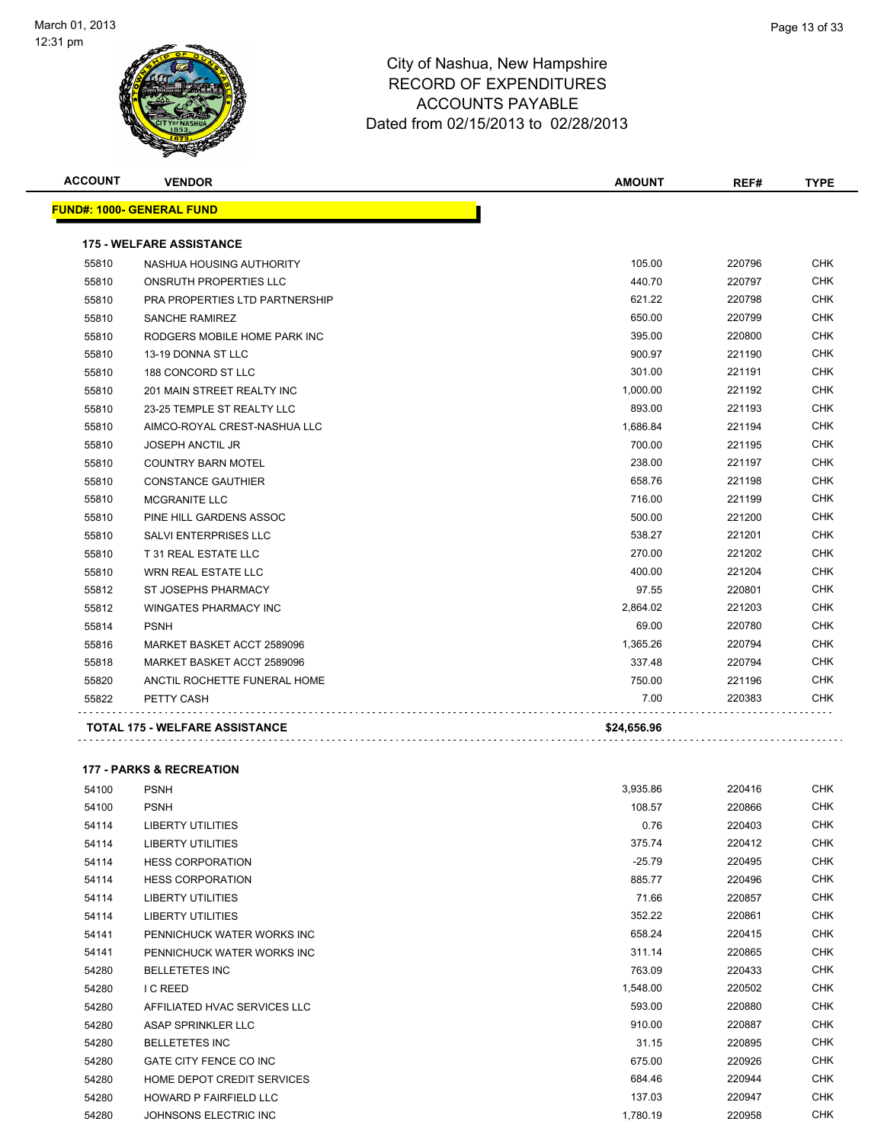

| <b>ACCOUNT</b> | <b>VENDOR</b>                         | <b>AMOUNT</b> | REF#   | <b>TYPE</b> |
|----------------|---------------------------------------|---------------|--------|-------------|
|                | <b>FUND#: 1000- GENERAL FUND</b>      |               |        |             |
|                | <b>175 - WELFARE ASSISTANCE</b>       |               |        |             |
| 55810          | NASHUA HOUSING AUTHORITY              | 105.00        | 220796 | <b>CHK</b>  |
| 55810          | ONSRUTH PROPERTIES LLC                | 440.70        | 220797 | <b>CHK</b>  |
| 55810          | <b>PRA PROPERTIES LTD PARTNERSHIP</b> | 621.22        | 220798 | <b>CHK</b>  |
| 55810          | <b>SANCHE RAMIREZ</b>                 | 650.00        | 220799 | <b>CHK</b>  |
| 55810          | RODGERS MOBILE HOME PARK INC          | 395.00        | 220800 | <b>CHK</b>  |
| 55810          | 13-19 DONNA ST LLC                    | 900.97        | 221190 | <b>CHK</b>  |
| 55810          | 188 CONCORD ST LLC                    | 301.00        | 221191 | <b>CHK</b>  |
| 55810          | 201 MAIN STREET REALTY INC            | 1,000.00      | 221192 | <b>CHK</b>  |
| 55810          | 23-25 TEMPLE ST REALTY LLC            | 893.00        | 221193 | <b>CHK</b>  |
| 55810          | AIMCO-ROYAL CREST-NASHUA LLC          | 1,686.84      | 221194 | <b>CHK</b>  |
| 55810          | <b>JOSEPH ANCTIL JR</b>               | 700.00        | 221195 | <b>CHK</b>  |
| 55810          | <b>COUNTRY BARN MOTEL</b>             | 238.00        | 221197 | <b>CHK</b>  |
| 55810          | <b>CONSTANCE GAUTHIER</b>             | 658.76        | 221198 | <b>CHK</b>  |
| 55810          | <b>MCGRANITE LLC</b>                  | 716.00        | 221199 | <b>CHK</b>  |
| 55810          | PINE HILL GARDENS ASSOC               | 500.00        | 221200 | <b>CHK</b>  |
| 55810          | SALVI ENTERPRISES LLC                 | 538.27        | 221201 | <b>CHK</b>  |
| 55810          | T 31 REAL ESTATE LLC                  | 270.00        | 221202 | <b>CHK</b>  |
| 55810          | <b>WRN REAL ESTATE LLC</b>            | 400.00        | 221204 | <b>CHK</b>  |
| 55812          | ST JOSEPHS PHARMACY                   | 97.55         | 220801 | <b>CHK</b>  |
| 55812          | <b>WINGATES PHARMACY INC</b>          | 2,864.02      | 221203 | <b>CHK</b>  |
| 55814          | <b>PSNH</b>                           | 69.00         | 220780 | <b>CHK</b>  |
| 55816          | MARKET BASKET ACCT 2589096            | 1,365.26      | 220794 | <b>CHK</b>  |
| 55818          | MARKET BASKET ACCT 2589096            | 337.48        | 220794 | <b>CHK</b>  |
| 55820          | ANCTIL ROCHETTE FUNERAL HOME          | 750.00        | 221196 | <b>CHK</b>  |
| 55822          | PETTY CASH                            | 7.00          | 220383 | <b>CHK</b>  |
|                | <b>TOTAL 175 - WELFARE ASSISTANCE</b> | \$24,656.96   |        |             |
|                |                                       |               |        |             |

#### **177 - PARKS & RECREATION**

| 54100 | <b>PSNH</b>                   | 3,935.86 | 220416 | CHK        |
|-------|-------------------------------|----------|--------|------------|
| 54100 | <b>PSNH</b>                   | 108.57   | 220866 | <b>CHK</b> |
| 54114 | LIBERTY UTILITIES             | 0.76     | 220403 | <b>CHK</b> |
| 54114 | <b>LIBERTY UTILITIES</b>      | 375.74   | 220412 | <b>CHK</b> |
| 54114 | <b>HESS CORPORATION</b>       | $-25.79$ | 220495 | <b>CHK</b> |
| 54114 | <b>HESS CORPORATION</b>       | 885.77   | 220496 | <b>CHK</b> |
| 54114 | <b>LIBERTY UTILITIES</b>      | 71.66    | 220857 | <b>CHK</b> |
| 54114 | <b>LIBERTY UTILITIES</b>      | 352.22   | 220861 | <b>CHK</b> |
| 54141 | PENNICHUCK WATER WORKS INC    | 658.24   | 220415 | <b>CHK</b> |
| 54141 | PENNICHUCK WATER WORKS INC    | 311.14   | 220865 | CHK        |
| 54280 | <b>BELLETETES INC</b>         | 763.09   | 220433 | <b>CHK</b> |
| 54280 | I C REED                      | 1,548.00 | 220502 | <b>CHK</b> |
| 54280 | AFFILIATED HVAC SERVICES LLC  | 593.00   | 220880 | <b>CHK</b> |
| 54280 | ASAP SPRINKLER LLC            | 910.00   | 220887 | <b>CHK</b> |
| 54280 | <b>BELLETETES INC</b>         | 31.15    | 220895 | <b>CHK</b> |
| 54280 | GATE CITY FENCE CO INC        | 675.00   | 220926 | <b>CHK</b> |
| 54280 | HOME DEPOT CREDIT SERVICES    | 684.46   | 220944 | <b>CHK</b> |
| 54280 | <b>HOWARD P FAIRFIELD LLC</b> | 137.03   | 220947 | CHK        |
| 54280 | JOHNSONS ELECTRIC INC         | 1,780.19 | 220958 | <b>CHK</b> |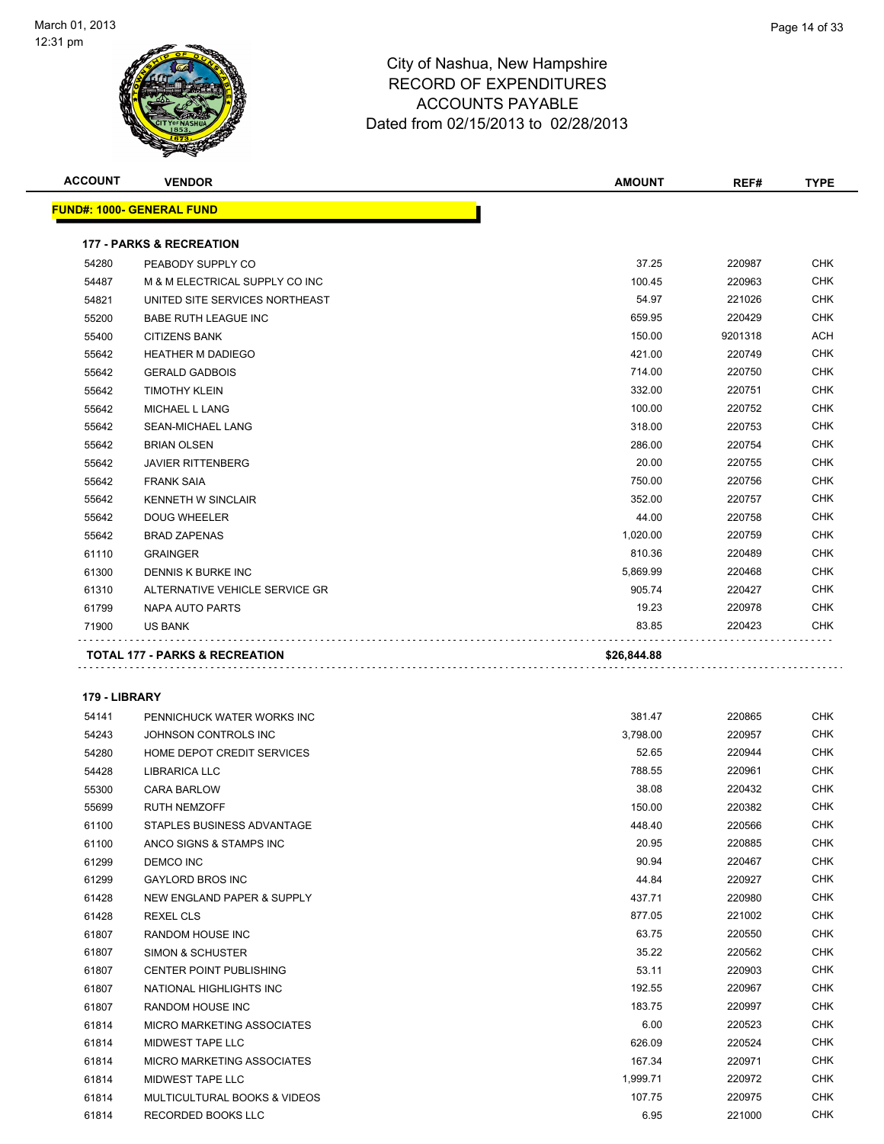

| <b>ACCOUNT</b> | <b>VENDOR</b>                                  | <b>AMOUNT</b> | REF#    | <b>TYPE</b> |
|----------------|------------------------------------------------|---------------|---------|-------------|
|                | <u> FUND#: 1000- GENERAL FUND</u>              |               |         |             |
|                | <b>177 - PARKS &amp; RECREATION</b>            |               |         |             |
| 54280          | PEABODY SUPPLY CO                              | 37.25         | 220987  | <b>CHK</b>  |
| 54487          | M & M ELECTRICAL SUPPLY CO INC                 | 100.45        | 220963  | <b>CHK</b>  |
| 54821          | UNITED SITE SERVICES NORTHEAST                 | 54.97         | 221026  | <b>CHK</b>  |
| 55200          | <b>BABE RUTH LEAGUE INC</b>                    | 659.95        | 220429  | <b>CHK</b>  |
| 55400          | <b>CITIZENS BANK</b>                           | 150.00        | 9201318 | ACH         |
| 55642          | <b>HEATHER M DADIEGO</b>                       | 421.00        | 220749  | <b>CHK</b>  |
| 55642          | <b>GERALD GADBOIS</b>                          | 714.00        | 220750  | <b>CHK</b>  |
| 55642          | <b>TIMOTHY KLEIN</b>                           | 332.00        | 220751  | <b>CHK</b>  |
| 55642          | MICHAEL L LANG                                 | 100.00        | 220752  | <b>CHK</b>  |
| 55642          | SEAN-MICHAEL LANG                              | 318.00        | 220753  | <b>CHK</b>  |
| 55642          | <b>BRIAN OLSEN</b>                             | 286.00        | 220754  | <b>CHK</b>  |
| 55642          | <b>JAVIER RITTENBERG</b>                       | 20.00         | 220755  | <b>CHK</b>  |
| 55642          | <b>FRANK SAIA</b>                              | 750.00        | 220756  | <b>CHK</b>  |
| 55642          | <b>KENNETH W SINCLAIR</b>                      | 352.00        | 220757  | <b>CHK</b>  |
| 55642          | <b>DOUG WHEELER</b>                            | 44.00         | 220758  | <b>CHK</b>  |
| 55642          | <b>BRAD ZAPENAS</b>                            | 1,020.00      | 220759  | <b>CHK</b>  |
| 61110          | <b>GRAINGER</b>                                | 810.36        | 220489  | <b>CHK</b>  |
| 61300          | DENNIS K BURKE INC                             | 5,869.99      | 220468  | <b>CHK</b>  |
| 61310          | ALTERNATIVE VEHICLE SERVICE GR                 | 905.74        | 220427  | <b>CHK</b>  |
| 61799          | NAPA AUTO PARTS                                | 19.23         | 220978  | <b>CHK</b>  |
| 71900          | US BANK                                        | 83.85         | 220423  | <b>CHK</b>  |
|                |                                                |               |         |             |
|                | TOTAL 177 - PARKS & RECREATION                 | \$26,844.88   |         |             |
| 179 - LIBRARY  |                                                |               |         |             |
| 54141          | PENNICHUCK WATER WORKS INC                     | 381.47        | 220865  | <b>CHK</b>  |
| 54243          | JOHNSON CONTROLS INC                           | 3,798.00      | 220957  | <b>CHK</b>  |
| 54280          | HOME DEPOT CREDIT SERVICES                     | 52.65         | 220944  | <b>CHK</b>  |
| 54428          | <b>LIBRARICA LLC</b>                           | 788.55        | 220961  | <b>CHK</b>  |
| 55300          | <b>CARA BARLOW</b>                             | 38.08         | 220432  | <b>CHK</b>  |
| 55699          | <b>RUTH NEMZOFF</b>                            | 150.00        | 220382  | <b>CHK</b>  |
| 61100          | STAPLES BUSINESS ADVANTAGE                     | 448.40        | 220566  | <b>CHK</b>  |
| 61100          | ANCO SIGNS & STAMPS INC                        | 20.95         | 220885  | CHK         |
| 61299          | DEMCO INC                                      | 90.94         | 220467  | <b>CHK</b>  |
| 61299          | <b>GAYLORD BROS INC</b>                        | 44.84         | 220927  | <b>CHK</b>  |
| 61428          | <b>NEW ENGLAND PAPER &amp; SUPPLY</b>          | 437.71        | 220980  | <b>CHK</b>  |
| 61428          | REXEL CLS                                      | 877.05        | 221002  | <b>CHK</b>  |
| 61807          | RANDOM HOUSE INC                               | 63.75         | 220550  | <b>CHK</b>  |
| 61807          | <b>SIMON &amp; SCHUSTER</b>                    | 35.22         | 220562  | <b>CHK</b>  |
| 61807          | CENTER POINT PUBLISHING                        | 53.11         | 220903  | <b>CHK</b>  |
| 61807          | NATIONAL HIGHLIGHTS INC                        | 192.55        | 220967  | <b>CHK</b>  |
| 61807          | RANDOM HOUSE INC                               | 183.75        | 220997  | <b>CHK</b>  |
| 61814          | MICRO MARKETING ASSOCIATES                     | 6.00          | 220523  | <b>CHK</b>  |
| 61814          |                                                | 626.09        | 220524  | <b>CHK</b>  |
| 61814          | MIDWEST TAPE LLC<br>MICRO MARKETING ASSOCIATES | 167.34        | 220971  | <b>CHK</b>  |
| 61814          | MIDWEST TAPE LLC                               | 1,999.71      | 220972  | <b>CHK</b>  |
| 61814          | MULTICULTURAL BOOKS & VIDEOS                   | 107.75        | 220975  | <b>CHK</b>  |
| 61814          | RECORDED BOOKS LLC                             | 6.95          | 221000  | <b>CHK</b>  |
|                |                                                |               |         |             |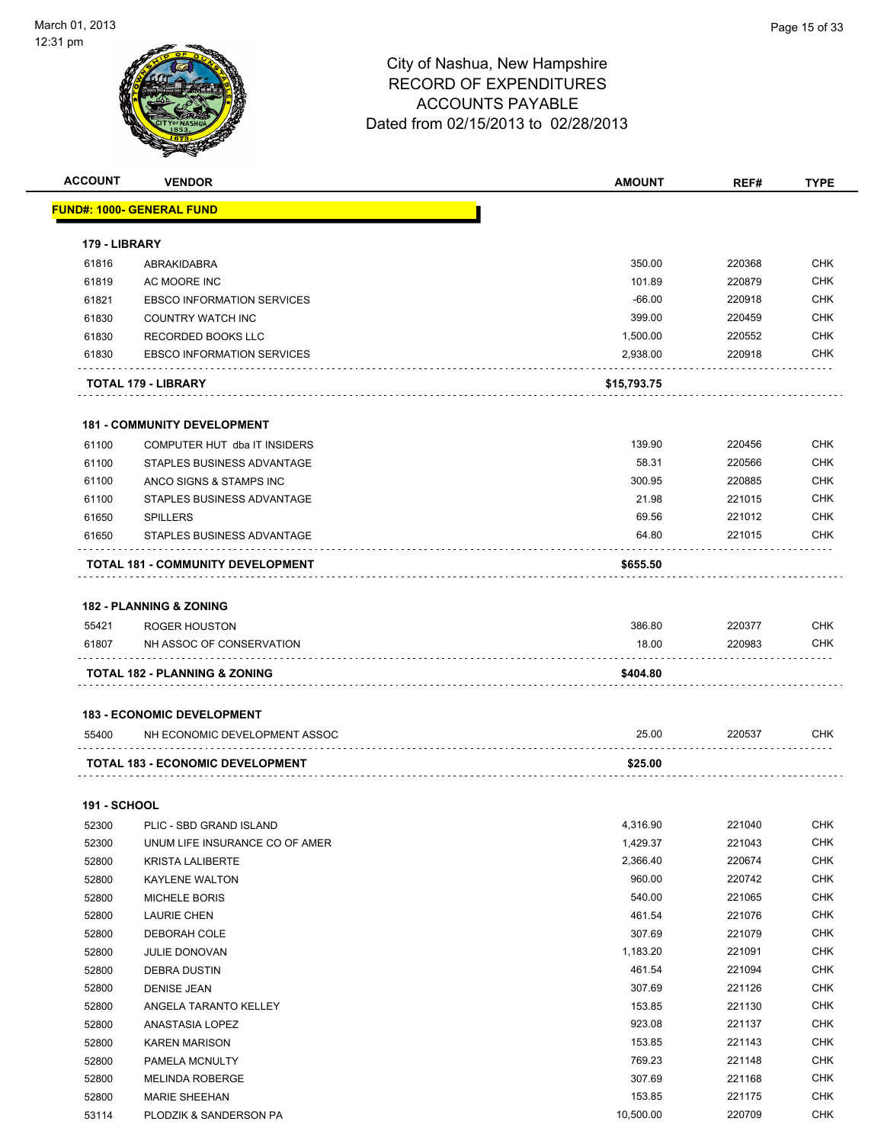|                     |                                                | <b>AMOUNT</b>    | REF#             |                          |
|---------------------|------------------------------------------------|------------------|------------------|--------------------------|
|                     | <u> FUND#: 1000- GENERAL FUND</u>              |                  |                  |                          |
| 179 - LIBRARY       |                                                |                  |                  |                          |
| 61816               | ABRAKIDABRA                                    | 350.00           | 220368           | <b>CHK</b>               |
| 61819               | AC MOORE INC                                   | 101.89           | 220879           | <b>CHK</b>               |
| 61821               | <b>EBSCO INFORMATION SERVICES</b>              | $-66.00$         | 220918           | <b>CHK</b>               |
| 61830               | <b>COUNTRY WATCH INC</b>                       | 399.00           | 220459           | <b>CHK</b>               |
| 61830               | RECORDED BOOKS LLC                             | 1,500.00         | 220552           | <b>CHK</b>               |
| 61830               | <b>EBSCO INFORMATION SERVICES</b>              | 2,938.00         | 220918           | <b>CHK</b>               |
|                     | TOTAL 179 - LIBRARY                            | \$15,793.75      |                  |                          |
|                     | <b>181 - COMMUNITY DEVELOPMENT</b>             |                  |                  |                          |
| 61100               | COMPUTER HUT dba IT INSIDERS                   | 139.90           | 220456           | <b>CHK</b>               |
| 61100               | STAPLES BUSINESS ADVANTAGE                     | 58.31            | 220566           | <b>CHK</b>               |
| 61100               | ANCO SIGNS & STAMPS INC                        | 300.95           | 220885           | <b>CHK</b>               |
| 61100               | STAPLES BUSINESS ADVANTAGE                     | 21.98            | 221015           | <b>CHK</b>               |
| 61650               | <b>SPILLERS</b>                                | 69.56            | 221012           | <b>CHK</b>               |
| 61650               | STAPLES BUSINESS ADVANTAGE                     | 64.80            | 221015           | <b>CHK</b>               |
|                     | TOTAL 181 - COMMUNITY DEVELOPMENT              | \$655.50         |                  |                          |
|                     | <b>182 - PLANNING &amp; ZONING</b>             |                  |                  |                          |
|                     |                                                |                  |                  |                          |
|                     |                                                |                  |                  |                          |
| 55421               | <b>ROGER HOUSTON</b>                           | 386.80           | 220377           | <b>CHK</b>               |
| 61807               | NH ASSOC OF CONSERVATION<br>.                  | 18.00            | 220983           | <b>CHK</b>               |
|                     | TOTAL 182 - PLANNING & ZONING                  | \$404.80         |                  |                          |
|                     | <b>183 - ECONOMIC DEVELOPMENT</b>              |                  |                  |                          |
| 55400               | NH ECONOMIC DEVELOPMENT ASSOC                  | 25.00            | 220537           | <b>CHK</b>               |
|                     | <b>TOTAL 183 - ECONOMIC DEVELOPMENT</b>        | \$25.00          |                  |                          |
| <b>191 - SCHOOL</b> |                                                |                  |                  |                          |
|                     | 52300 PLIC - SBD GRAND ISLAND                  | 4,316.90         | 221040           | <b>CHK</b>               |
| 52300               | UNUM LIFE INSURANCE CO OF AMER                 | 1,429.37         | 221043           | CHK                      |
| 52800               | <b>KRISTA LALIBERTE</b>                        | 2,366.40         | 220674           | <b>CHK</b>               |
| 52800               | <b>KAYLENE WALTON</b>                          | 960.00           | 220742           | <b>CHK</b>               |
| 52800               | <b>MICHELE BORIS</b>                           | 540.00           | 221065           | <b>CHK</b>               |
| 52800               | <b>LAURIE CHEN</b>                             | 461.54           | 221076           | <b>CHK</b>               |
| 52800               | DEBORAH COLE                                   | 307.69           | 221079           | <b>CHK</b>               |
| 52800               | <b>JULIE DONOVAN</b>                           | 1,183.20         | 221091           | <b>CHK</b>               |
| 52800               | <b>DEBRA DUSTIN</b>                            | 461.54           | 221094           | <b>CHK</b>               |
| 52800               | <b>DENISE JEAN</b>                             | 307.69           | 221126           | <b>CHK</b>               |
| 52800               | ANGELA TARANTO KELLEY                          | 153.85           | 221130           | <b>CHK</b>               |
|                     | ANASTASIA LOPEZ                                | 923.08           | 221137           | <b>CHK</b>               |
| 52800<br>52800      | <b>KAREN MARISON</b>                           | 153.85           | 221143           | <b>CHK</b>               |
|                     |                                                | 769.23           |                  | <b>CHK</b>               |
| 52800               | PAMELA MCNULTY                                 |                  | 221148           |                          |
| 52800<br>52800      | <b>MELINDA ROBERGE</b><br><b>MARIE SHEEHAN</b> | 307.69<br>153.85 | 221168<br>221175 | <b>CHK</b><br><b>CHK</b> |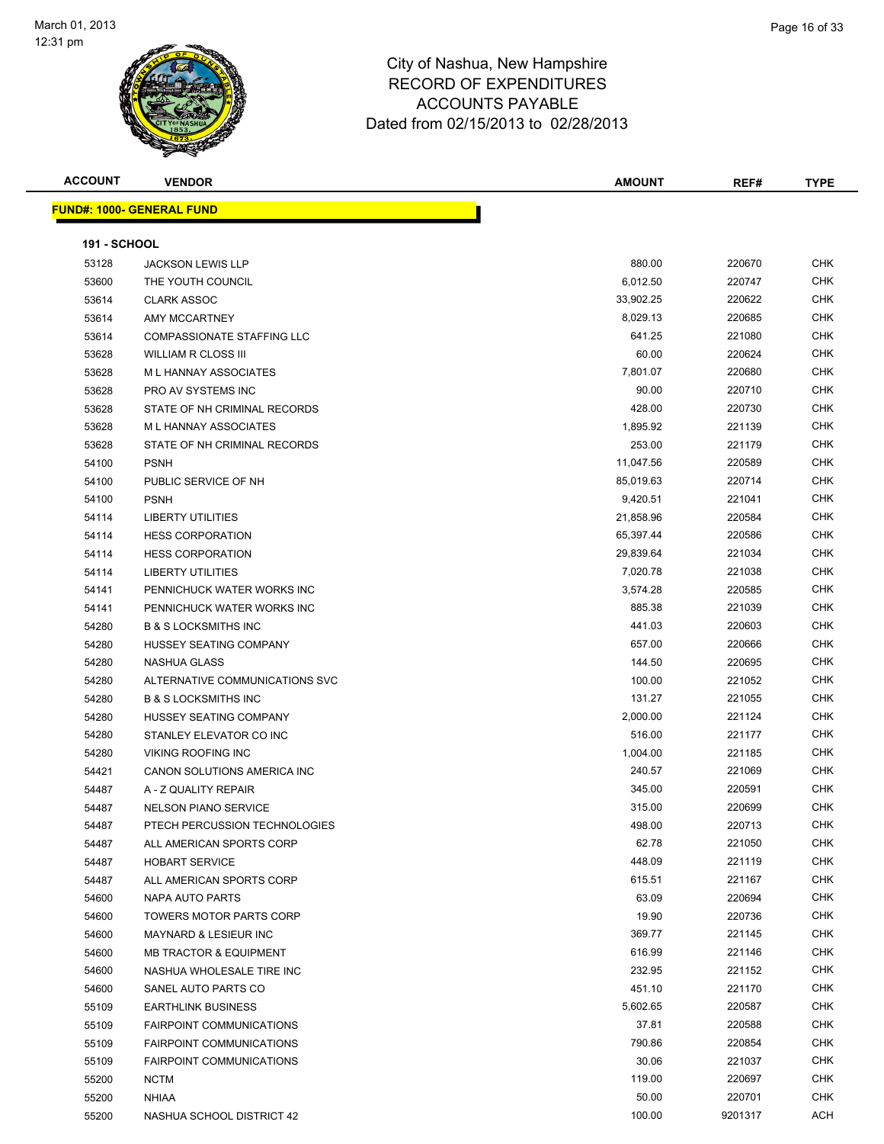

| <b>ACCOUNT</b>      | <b>VENDOR</b>                     | <b>AMOUNT</b> | REF#    | <b>TYPE</b> |
|---------------------|-----------------------------------|---------------|---------|-------------|
|                     | <b>FUND#: 1000- GENERAL FUND</b>  |               |         |             |
|                     |                                   |               |         |             |
| <b>191 - SCHOOL</b> |                                   |               |         |             |
| 53128               | <b>JACKSON LEWIS LLP</b>          | 880.00        | 220670  | CHK         |
| 53600               | THE YOUTH COUNCIL                 | 6,012.50      | 220747  | <b>CHK</b>  |
| 53614               | <b>CLARK ASSOC</b>                | 33,902.25     | 220622  | <b>CHK</b>  |
| 53614               | AMY MCCARTNEY                     | 8,029.13      | 220685  | <b>CHK</b>  |
| 53614               | <b>COMPASSIONATE STAFFING LLC</b> | 641.25        | 221080  | <b>CHK</b>  |
| 53628               | <b>WILLIAM R CLOSS III</b>        | 60.00         | 220624  | <b>CHK</b>  |
| 53628               | M L HANNAY ASSOCIATES             | 7,801.07      | 220680  | <b>CHK</b>  |
| 53628               | PRO AV SYSTEMS INC                | 90.00         | 220710  | <b>CHK</b>  |
| 53628               | STATE OF NH CRIMINAL RECORDS      | 428.00        | 220730  | <b>CHK</b>  |
| 53628               | M L HANNAY ASSOCIATES             | 1,895.92      | 221139  | <b>CHK</b>  |
| 53628               | STATE OF NH CRIMINAL RECORDS      | 253.00        | 221179  | <b>CHK</b>  |
| 54100               | <b>PSNH</b>                       | 11,047.56     | 220589  | <b>CHK</b>  |
| 54100               | PUBLIC SERVICE OF NH              | 85,019.63     | 220714  | <b>CHK</b>  |
| 54100               | <b>PSNH</b>                       | 9,420.51      | 221041  | <b>CHK</b>  |
| 54114               | <b>LIBERTY UTILITIES</b>          | 21,858.96     | 220584  | <b>CHK</b>  |
| 54114               | <b>HESS CORPORATION</b>           | 65,397.44     | 220586  | <b>CHK</b>  |
| 54114               | <b>HESS CORPORATION</b>           | 29,839.64     | 221034  | CHK         |
| 54114               | <b>LIBERTY UTILITIES</b>          | 7,020.78      | 221038  | <b>CHK</b>  |
| 54141               | PENNICHUCK WATER WORKS INC        | 3,574.28      | 220585  | <b>CHK</b>  |
| 54141               | PENNICHUCK WATER WORKS INC        | 885.38        | 221039  | CHK         |
| 54280               | <b>B &amp; S LOCKSMITHS INC</b>   | 441.03        | 220603  | <b>CHK</b>  |
| 54280               | HUSSEY SEATING COMPANY            | 657.00        | 220666  | <b>CHK</b>  |
| 54280               | NASHUA GLASS                      | 144.50        | 220695  | <b>CHK</b>  |
| 54280               | ALTERNATIVE COMMUNICATIONS SVC    | 100.00        | 221052  | CHK         |
| 54280               | <b>B &amp; S LOCKSMITHS INC</b>   | 131.27        | 221055  | CHK         |
| 54280               | HUSSEY SEATING COMPANY            | 2,000.00      | 221124  | <b>CHK</b>  |
| 54280               | STANLEY ELEVATOR CO INC           | 516.00        | 221177  | CHK         |
| 54280               | <b>VIKING ROOFING INC</b>         | 1,004.00      | 221185  | <b>CHK</b>  |
| 54421               | CANON SOLUTIONS AMERICA INC       | 240.57        | 221069  | CHK         |
| 54487               | A - Z QUALITY REPAIR              | 345.00        | 220591  | CHK         |
| 54487               | <b>NELSON PIANO SERVICE</b>       | 315.00        | 220699  | CHK         |
| 54487               | PTECH PERCUSSION TECHNOLOGIES     | 498.00        | 220713  | <b>CHK</b>  |
| 54487               | ALL AMERICAN SPORTS CORP          | 62.78         | 221050  | <b>CHK</b>  |
| 54487               | <b>HOBART SERVICE</b>             | 448.09        | 221119  | <b>CHK</b>  |
| 54487               | ALL AMERICAN SPORTS CORP          | 615.51        | 221167  | <b>CHK</b>  |
| 54600               | NAPA AUTO PARTS                   | 63.09         | 220694  | <b>CHK</b>  |
| 54600               | <b>TOWERS MOTOR PARTS CORP</b>    | 19.90         | 220736  | <b>CHK</b>  |
| 54600               | MAYNARD & LESIEUR INC             | 369.77        | 221145  | CHK         |
| 54600               | <b>MB TRACTOR &amp; EQUIPMENT</b> | 616.99        | 221146  | <b>CHK</b>  |
| 54600               | NASHUA WHOLESALE TIRE INC         | 232.95        | 221152  | <b>CHK</b>  |
| 54600               | SANEL AUTO PARTS CO               | 451.10        | 221170  | <b>CHK</b>  |
| 55109               | <b>EARTHLINK BUSINESS</b>         | 5,602.65      | 220587  | CHK         |
| 55109               | <b>FAIRPOINT COMMUNICATIONS</b>   | 37.81         | 220588  | CHK         |
| 55109               | <b>FAIRPOINT COMMUNICATIONS</b>   | 790.86        | 220854  | CHK         |
| 55109               | <b>FAIRPOINT COMMUNICATIONS</b>   | 30.06         | 221037  | <b>CHK</b>  |
| 55200               | <b>NCTM</b>                       | 119.00        | 220697  | <b>CHK</b>  |
| 55200               | <b>NHIAA</b>                      | 50.00         | 220701  | CHK         |
| 55200               | NASHUA SCHOOL DISTRICT 42         | 100.00        | 9201317 | ACH         |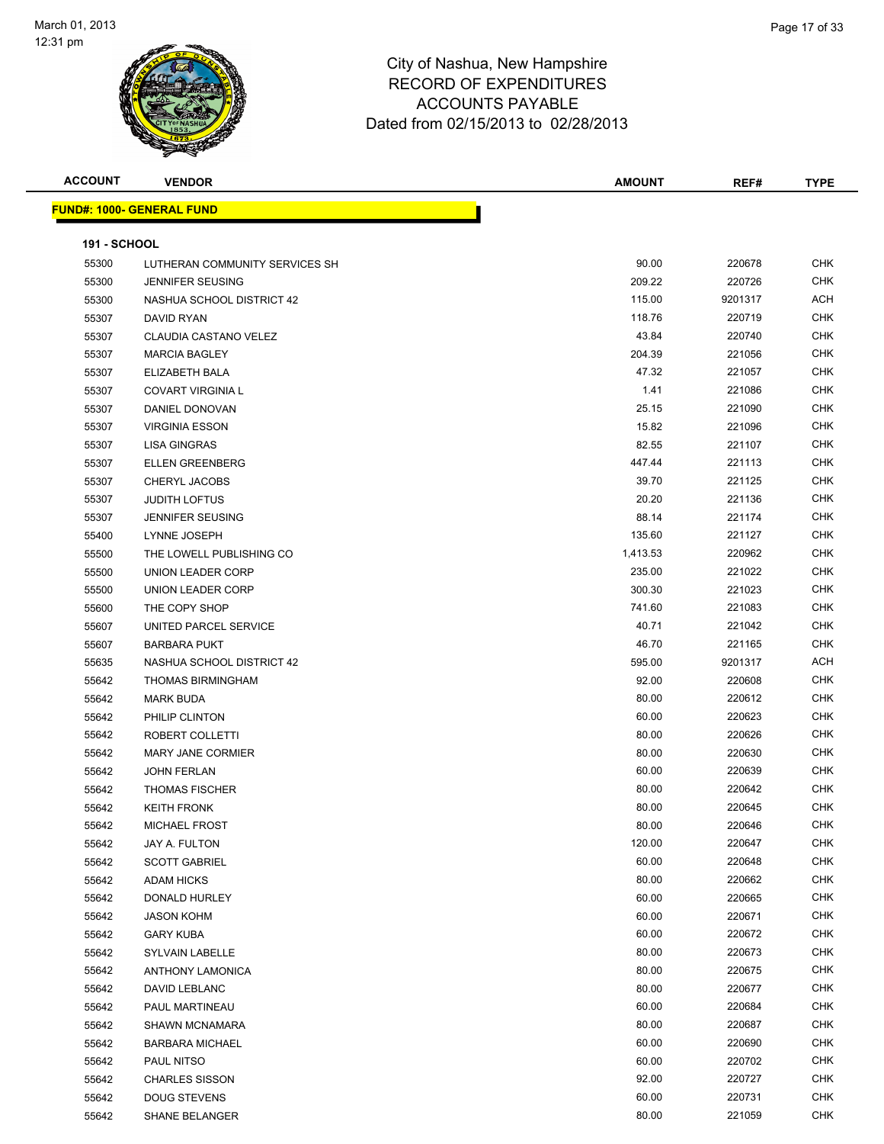

| <b>ACCOUNT</b>      | <b>VENDOR</b>                    | <b>AMOUNT</b> | REF#    | <b>TYPE</b> |
|---------------------|----------------------------------|---------------|---------|-------------|
|                     | <b>FUND#: 1000- GENERAL FUND</b> |               |         |             |
|                     |                                  |               |         |             |
| <b>191 - SCHOOL</b> |                                  |               |         |             |
| 55300               | LUTHERAN COMMUNITY SERVICES SH   | 90.00         | 220678  | <b>CHK</b>  |
| 55300               | <b>JENNIFER SEUSING</b>          | 209.22        | 220726  | <b>CHK</b>  |
| 55300               | NASHUA SCHOOL DISTRICT 42        | 115.00        | 9201317 | ACH         |
| 55307               | DAVID RYAN                       | 118.76        | 220719  | <b>CHK</b>  |
| 55307               | CLAUDIA CASTANO VELEZ            | 43.84         | 220740  | <b>CHK</b>  |
| 55307               | <b>MARCIA BAGLEY</b>             | 204.39        | 221056  | <b>CHK</b>  |
| 55307               | ELIZABETH BALA                   | 47.32         | 221057  | <b>CHK</b>  |
| 55307               | <b>COVART VIRGINIA L</b>         | 1.41          | 221086  | <b>CHK</b>  |
| 55307               | DANIEL DONOVAN                   | 25.15         | 221090  | <b>CHK</b>  |
| 55307               | <b>VIRGINIA ESSON</b>            | 15.82         | 221096  | <b>CHK</b>  |
| 55307               | <b>LISA GINGRAS</b>              | 82.55         | 221107  | CHK         |
| 55307               | <b>ELLEN GREENBERG</b>           | 447.44        | 221113  | <b>CHK</b>  |
| 55307               | CHERYL JACOBS                    | 39.70         | 221125  | CHK         |
| 55307               | <b>JUDITH LOFTUS</b>             | 20.20         | 221136  | <b>CHK</b>  |
| 55307               | <b>JENNIFER SEUSING</b>          | 88.14         | 221174  | <b>CHK</b>  |
| 55400               | LYNNE JOSEPH                     | 135.60        | 221127  | <b>CHK</b>  |
| 55500               | THE LOWELL PUBLISHING CO         | 1,413.53      | 220962  | <b>CHK</b>  |
| 55500               | UNION LEADER CORP                | 235.00        | 221022  | <b>CHK</b>  |
| 55500               | UNION LEADER CORP                | 300.30        | 221023  | <b>CHK</b>  |
| 55600               | THE COPY SHOP                    | 741.60        | 221083  | <b>CHK</b>  |
| 55607               | UNITED PARCEL SERVICE            | 40.71         | 221042  | <b>CHK</b>  |
| 55607               | <b>BARBARA PUKT</b>              | 46.70         | 221165  | <b>CHK</b>  |
| 55635               | NASHUA SCHOOL DISTRICT 42        | 595.00        | 9201317 | ACH         |
| 55642               | THOMAS BIRMINGHAM                | 92.00         | 220608  | <b>CHK</b>  |
| 55642               | <b>MARK BUDA</b>                 | 80.00         | 220612  | <b>CHK</b>  |
| 55642               | PHILIP CLINTON                   | 60.00         | 220623  | <b>CHK</b>  |
| 55642               | ROBERT COLLETTI                  | 80.00         | 220626  | <b>CHK</b>  |
| 55642               | <b>MARY JANE CORMIER</b>         | 80.00         | 220630  | <b>CHK</b>  |
| 55642               | <b>JOHN FERLAN</b>               | 60.00         | 220639  | <b>CHK</b>  |
| 55642               | <b>THOMAS FISCHER</b>            | 80.00         | 220642  | <b>CHK</b>  |
| 55642               | <b>KEITH FRONK</b>               | 80.00         | 220645  | <b>CHK</b>  |
| 55642               | <b>MICHAEL FROST</b>             | 80.00         | 220646  | <b>CHK</b>  |
| 55642               | JAY A. FULTON                    | 120.00        | 220647  | <b>CHK</b>  |
| 55642               | <b>SCOTT GABRIEL</b>             | 60.00         | 220648  | <b>CHK</b>  |
| 55642               | <b>ADAM HICKS</b>                | 80.00         | 220662  | CHK         |
| 55642               | DONALD HURLEY                    | 60.00         | 220665  | CHK         |
| 55642               | <b>JASON KOHM</b>                | 60.00         | 220671  | <b>CHK</b>  |
| 55642               | <b>GARY KUBA</b>                 | 60.00         | 220672  | CHK         |
| 55642               | SYLVAIN LABELLE                  | 80.00         | 220673  | <b>CHK</b>  |
| 55642               | <b>ANTHONY LAMONICA</b>          | 80.00         | 220675  | <b>CHK</b>  |
| 55642               | DAVID LEBLANC                    | 80.00         | 220677  | CHK         |
| 55642               | PAUL MARTINEAU                   | 60.00         | 220684  | <b>CHK</b>  |
| 55642               | <b>SHAWN MCNAMARA</b>            | 80.00         | 220687  | <b>CHK</b>  |
| 55642               | <b>BARBARA MICHAEL</b>           | 60.00         | 220690  | <b>CHK</b>  |
| 55642               | PAUL NITSO                       | 60.00         | 220702  | <b>CHK</b>  |
| 55642               | <b>CHARLES SISSON</b>            | 92.00         | 220727  | CHK         |
| 55642               | <b>DOUG STEVENS</b>              | 60.00         | 220731  | CHK         |
| 55642               | <b>SHANE BELANGER</b>            | 80.00         | 221059  | <b>CHK</b>  |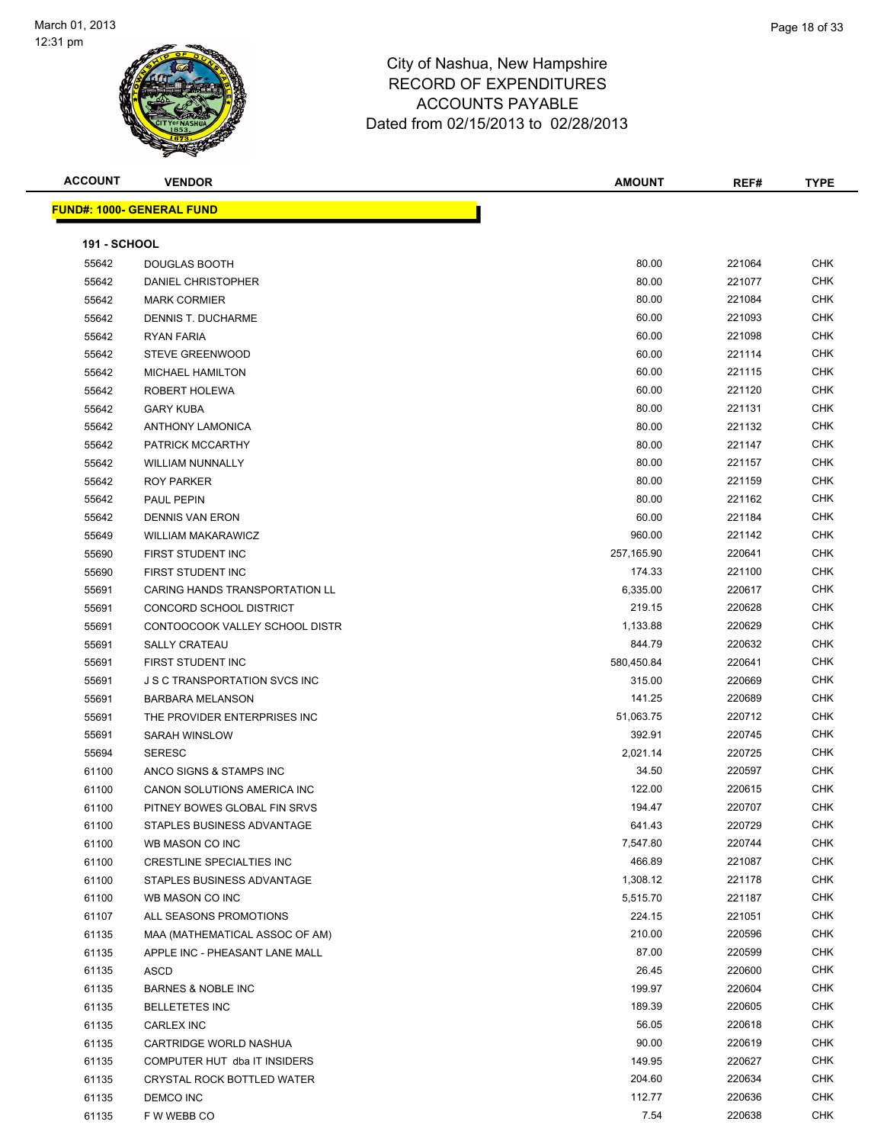

| <b>ACCOUNT</b>      | <b>VENDOR</b>                        | <b>AMOUNT</b> | REF#   | <b>TYPE</b> |
|---------------------|--------------------------------------|---------------|--------|-------------|
|                     | <u> FUND#: 1000- GENERAL FUND</u>    |               |        |             |
|                     |                                      |               |        |             |
| <b>191 - SCHOOL</b> |                                      |               |        |             |
| 55642               | <b>DOUGLAS BOOTH</b>                 | 80.00         | 221064 | <b>CHK</b>  |
| 55642               | DANIEL CHRISTOPHER                   | 80.00         | 221077 | <b>CHK</b>  |
| 55642               | <b>MARK CORMIER</b>                  | 80.00         | 221084 | <b>CHK</b>  |
| 55642               | DENNIS T. DUCHARME                   | 60.00         | 221093 | <b>CHK</b>  |
| 55642               | <b>RYAN FARIA</b>                    | 60.00         | 221098 | <b>CHK</b>  |
| 55642               | <b>STEVE GREENWOOD</b>               | 60.00         | 221114 | <b>CHK</b>  |
| 55642               | MICHAEL HAMILTON                     | 60.00         | 221115 | <b>CHK</b>  |
| 55642               | ROBERT HOLEWA                        | 60.00         | 221120 | <b>CHK</b>  |
| 55642               | <b>GARY KUBA</b>                     | 80.00         | 221131 | <b>CHK</b>  |
| 55642               | <b>ANTHONY LAMONICA</b>              | 80.00         | 221132 | <b>CHK</b>  |
| 55642               | PATRICK MCCARTHY                     | 80.00         | 221147 | <b>CHK</b>  |
| 55642               | <b>WILLIAM NUNNALLY</b>              | 80.00         | 221157 | <b>CHK</b>  |
| 55642               | <b>ROY PARKER</b>                    | 80.00         | 221159 | <b>CHK</b>  |
| 55642               | PAUL PEPIN                           | 80.00         | 221162 | <b>CHK</b>  |
| 55642               | <b>DENNIS VAN ERON</b>               | 60.00         | 221184 | <b>CHK</b>  |
| 55649               | <b>WILLIAM MAKARAWICZ</b>            | 960.00        | 221142 | <b>CHK</b>  |
| 55690               | FIRST STUDENT INC                    | 257,165.90    | 220641 | <b>CHK</b>  |
| 55690               | FIRST STUDENT INC                    | 174.33        | 221100 | <b>CHK</b>  |
| 55691               | CARING HANDS TRANSPORTATION LL       | 6,335.00      | 220617 | <b>CHK</b>  |
| 55691               | CONCORD SCHOOL DISTRICT              | 219.15        | 220628 | <b>CHK</b>  |
| 55691               | CONTOOCOOK VALLEY SCHOOL DISTR       | 1,133.88      | 220629 | <b>CHK</b>  |
| 55691               | <b>SALLY CRATEAU</b>                 | 844.79        | 220632 | <b>CHK</b>  |
| 55691               | FIRST STUDENT INC                    | 580,450.84    | 220641 | <b>CHK</b>  |
| 55691               | <b>J S C TRANSPORTATION SVCS INC</b> | 315.00        | 220669 | <b>CHK</b>  |
| 55691               | <b>BARBARA MELANSON</b>              | 141.25        | 220689 | <b>CHK</b>  |
| 55691               | THE PROVIDER ENTERPRISES INC         | 51,063.75     | 220712 | <b>CHK</b>  |
| 55691               | SARAH WINSLOW                        | 392.91        | 220745 | <b>CHK</b>  |
| 55694               | <b>SERESC</b>                        | 2,021.14      | 220725 | <b>CHK</b>  |
| 61100               | ANCO SIGNS & STAMPS INC              | 34.50         | 220597 | <b>CHK</b>  |
| 61100               | CANON SOLUTIONS AMERICA INC          | 122.00        | 220615 | <b>CHK</b>  |
| 61100               | PITNEY BOWES GLOBAL FIN SRVS         | 194.47        | 220707 | <b>CHK</b>  |
| 61100               | STAPLES BUSINESS ADVANTAGE           | 641.43        | 220729 | CHK         |
| 61100               | WB MASON CO INC                      | 7,547.80      | 220744 | <b>CHK</b>  |
| 61100               | CRESTLINE SPECIALTIES INC            | 466.89        | 221087 | <b>CHK</b>  |
| 61100               | STAPLES BUSINESS ADVANTAGE           | 1,308.12      | 221178 | CHK         |
| 61100               | WB MASON CO INC                      | 5,515.70      | 221187 | CHK         |
| 61107               | ALL SEASONS PROMOTIONS               | 224.15        | 221051 | CHK         |
| 61135               | MAA (MATHEMATICAL ASSOC OF AM)       | 210.00        | 220596 | CHK         |
| 61135               | APPLE INC - PHEASANT LANE MALL       | 87.00         | 220599 | <b>CHK</b>  |
| 61135               | ASCD                                 | 26.45         | 220600 | CHK         |
| 61135               | <b>BARNES &amp; NOBLE INC</b>        | 199.97        | 220604 | CHK         |
| 61135               | <b>BELLETETES INC</b>                | 189.39        | 220605 | <b>CHK</b>  |
| 61135               | <b>CARLEX INC</b>                    | 56.05         | 220618 | <b>CHK</b>  |
| 61135               | CARTRIDGE WORLD NASHUA               | 90.00         | 220619 | <b>CHK</b>  |
| 61135               | COMPUTER HUT dba IT INSIDERS         | 149.95        | 220627 | <b>CHK</b>  |
| 61135               | CRYSTAL ROCK BOTTLED WATER           | 204.60        | 220634 | CHK         |
| 61135               | DEMCO INC                            | 112.77        | 220636 | CHK         |
| 61135               | F W WEBB CO                          | 7.54          | 220638 | CHK         |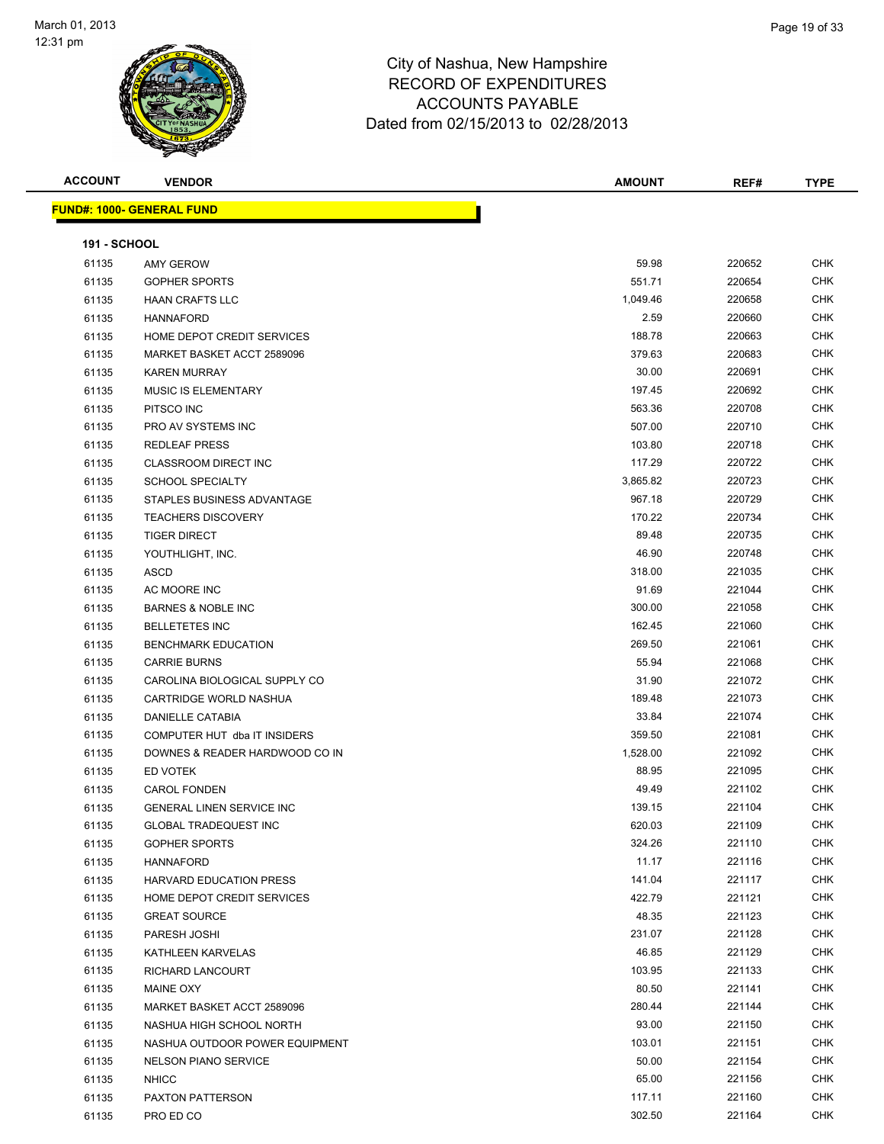

| <b>ACCOUNT</b>      | <b>VENDOR</b>                    | <b>AMOUNT</b> | REF#   | <b>TYPE</b> |
|---------------------|----------------------------------|---------------|--------|-------------|
|                     | <b>FUND#: 1000- GENERAL FUND</b> |               |        |             |
| <b>191 - SCHOOL</b> |                                  |               |        |             |
| 61135               | <b>AMY GEROW</b>                 | 59.98         | 220652 | <b>CHK</b>  |
| 61135               | <b>GOPHER SPORTS</b>             | 551.71        | 220654 | <b>CHK</b>  |
| 61135               | <b>HAAN CRAFTS LLC</b>           | 1,049.46      | 220658 | <b>CHK</b>  |
| 61135               | <b>HANNAFORD</b>                 | 2.59          | 220660 | <b>CHK</b>  |
| 61135               | HOME DEPOT CREDIT SERVICES       | 188.78        | 220663 | <b>CHK</b>  |
| 61135               | MARKET BASKET ACCT 2589096       | 379.63        | 220683 | <b>CHK</b>  |
| 61135               | <b>KAREN MURRAY</b>              | 30.00         | 220691 | <b>CHK</b>  |
| 61135               | MUSIC IS ELEMENTARY              | 197.45        | 220692 | <b>CHK</b>  |
| 61135               | PITSCO INC                       | 563.36        | 220708 | <b>CHK</b>  |
| 61135               | PRO AV SYSTEMS INC               | 507.00        | 220710 | <b>CHK</b>  |
| 61135               | <b>REDLEAF PRESS</b>             | 103.80        | 220718 | CHK         |
| 61135               | <b>CLASSROOM DIRECT INC</b>      | 117.29        | 220722 | CHK         |
| 61135               | <b>SCHOOL SPECIALTY</b>          | 3,865.82      | 220723 | CHK         |
| 61135               | STAPLES BUSINESS ADVANTAGE       | 967.18        | 220729 | CHK         |
| 61135               | <b>TEACHERS DISCOVERY</b>        | 170.22        | 220734 | CHK         |
| 61135               | <b>TIGER DIRECT</b>              | 89.48         | 220735 | <b>CHK</b>  |
| 61135               | YOUTHLIGHT, INC.                 | 46.90         | 220748 | <b>CHK</b>  |
| 61135               | ASCD                             | 318.00        | 221035 | <b>CHK</b>  |
| 61135               | AC MOORE INC                     | 91.69         | 221044 | <b>CHK</b>  |
| 61135               | <b>BARNES &amp; NOBLE INC</b>    | 300.00        | 221058 | <b>CHK</b>  |
| 61135               | <b>BELLETETES INC</b>            | 162.45        | 221060 | <b>CHK</b>  |
| 61135               | <b>BENCHMARK EDUCATION</b>       | 269.50        | 221061 | <b>CHK</b>  |
| 61135               | <b>CARRIE BURNS</b>              | 55.94         | 221068 | <b>CHK</b>  |
| 61135               | CAROLINA BIOLOGICAL SUPPLY CO    | 31.90         | 221072 | <b>CHK</b>  |
| 61135               | CARTRIDGE WORLD NASHUA           | 189.48        | 221073 | <b>CHK</b>  |
| 61135               | DANIELLE CATABIA                 | 33.84         | 221074 | CHK         |
| 61135               | COMPUTER HUT dba IT INSIDERS     | 359.50        | 221081 | <b>CHK</b>  |
| 61135               | DOWNES & READER HARDWOOD CO IN   | 1,528.00      | 221092 | <b>CHK</b>  |
| 61135               | ED VOTEK                         | 88.95         | 221095 | <b>CHK</b>  |
| 61135               | <b>CAROL FONDEN</b>              | 49.49         | 221102 | <b>CHK</b>  |
| 61135               | <b>GENERAL LINEN SERVICE INC</b> | 139.15        | 221104 | <b>CHK</b>  |
| 61135               | <b>GLOBAL TRADEQUEST INC</b>     | 620.03        | 221109 | <b>CHK</b>  |
| 61135               | <b>GOPHER SPORTS</b>             | 324.26        | 221110 | <b>CHK</b>  |
| 61135               | HANNAFORD                        | 11.17         | 221116 | <b>CHK</b>  |
| 61135               | <b>HARVARD EDUCATION PRESS</b>   | 141.04        | 221117 | <b>CHK</b>  |
| 61135               | HOME DEPOT CREDIT SERVICES       | 422.79        | 221121 | <b>CHK</b>  |
| 61135               | <b>GREAT SOURCE</b>              | 48.35         | 221123 | CHK         |
| 61135               | PARESH JOSHI                     | 231.07        | 221128 | CHK         |
| 61135               | KATHLEEN KARVELAS                | 46.85         | 221129 | <b>CHK</b>  |
| 61135               | RICHARD LANCOURT                 | 103.95        | 221133 | CHK         |
| 61135               | MAINE OXY                        | 80.50         | 221141 | CHK         |
| 61135               | MARKET BASKET ACCT 2589096       | 280.44        | 221144 | <b>CHK</b>  |
| 61135               | NASHUA HIGH SCHOOL NORTH         | 93.00         | 221150 | CHK         |
| 61135               | NASHUA OUTDOOR POWER EQUIPMENT   | 103.01        | 221151 | CHK         |
| 61135               | <b>NELSON PIANO SERVICE</b>      | 50.00         | 221154 | CHK         |
| 61135               | <b>NHICC</b>                     | 65.00         | 221156 | CHK         |
| 61135               | PAXTON PATTERSON                 | 117.11        | 221160 | <b>CHK</b>  |
| 61135               | PRO ED CO                        | 302.50        | 221164 | CHK         |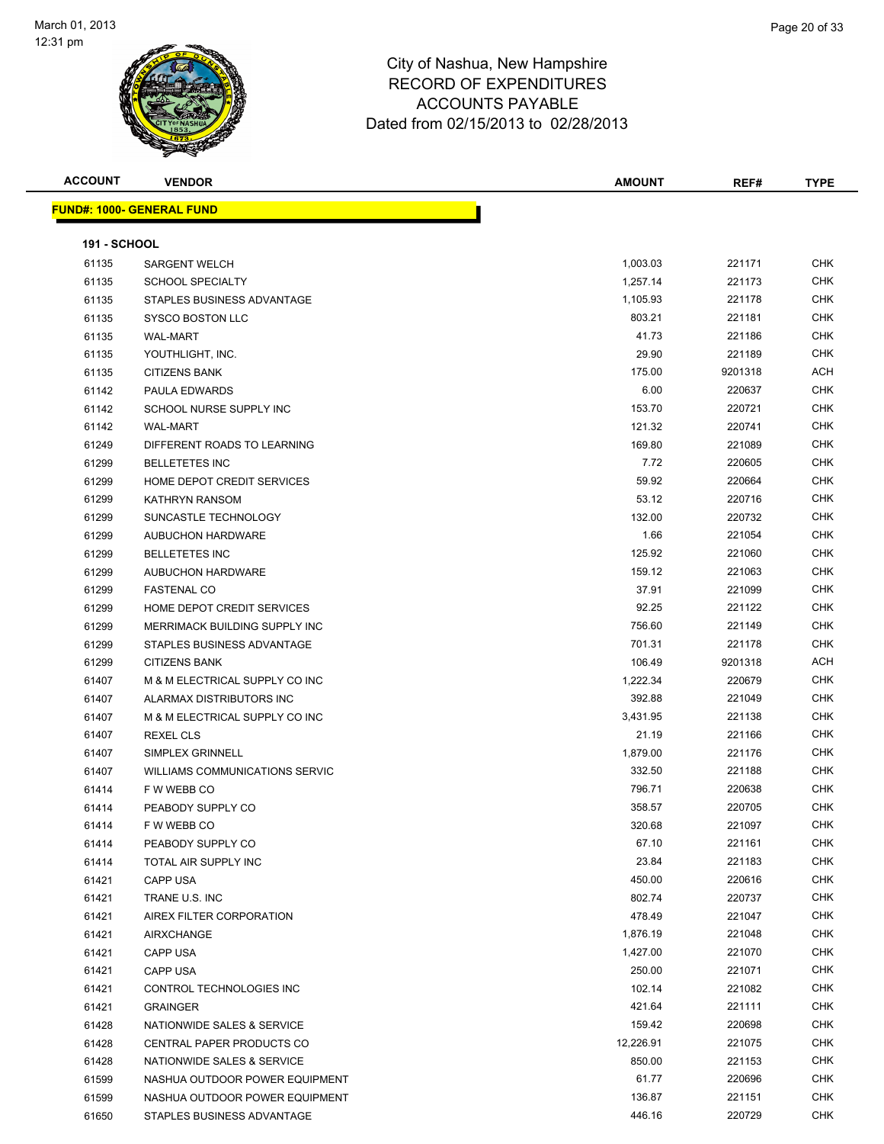

| <b>ACCOUNT</b>      | <b>VENDOR</b>                         | <b>AMOUNT</b> | REF#    | <b>TYPE</b> |
|---------------------|---------------------------------------|---------------|---------|-------------|
|                     | <u> FUND#: 1000- GENERAL FUND</u>     |               |         |             |
|                     |                                       |               |         |             |
| <b>191 - SCHOOL</b> |                                       |               |         |             |
| 61135               | <b>SARGENT WELCH</b>                  | 1,003.03      | 221171  | <b>CHK</b>  |
| 61135               | <b>SCHOOL SPECIALTY</b>               | 1,257.14      | 221173  | <b>CHK</b>  |
| 61135               | STAPLES BUSINESS ADVANTAGE            | 1,105.93      | 221178  | CHK         |
| 61135               | <b>SYSCO BOSTON LLC</b>               | 803.21        | 221181  | <b>CHK</b>  |
| 61135               | <b>WAL-MART</b>                       | 41.73         | 221186  | CHK         |
| 61135               | YOUTHLIGHT, INC.                      | 29.90         | 221189  | CHK         |
| 61135               | <b>CITIZENS BANK</b>                  | 175.00        | 9201318 | ACH         |
| 61142               | PAULA EDWARDS                         | 6.00          | 220637  | CHK         |
| 61142               | SCHOOL NURSE SUPPLY INC               | 153.70        | 220721  | <b>CHK</b>  |
| 61142               | <b>WAL-MART</b>                       | 121.32        | 220741  | CHK         |
| 61249               | DIFFERENT ROADS TO LEARNING           | 169.80        | 221089  | CHK         |
| 61299               | <b>BELLETETES INC</b>                 | 7.72          | 220605  | <b>CHK</b>  |
| 61299               | HOME DEPOT CREDIT SERVICES            | 59.92         | 220664  | <b>CHK</b>  |
| 61299               | <b>KATHRYN RANSOM</b>                 | 53.12         | 220716  | CHK         |
| 61299               | SUNCASTLE TECHNOLOGY                  | 132.00        | 220732  | CHK         |
| 61299               | <b>AUBUCHON HARDWARE</b>              | 1.66          | 221054  | CHK         |
| 61299               | <b>BELLETETES INC</b>                 | 125.92        | 221060  | CHK         |
| 61299               | AUBUCHON HARDWARE                     | 159.12        | 221063  | <b>CHK</b>  |
| 61299               | <b>FASTENAL CO</b>                    | 37.91         | 221099  | <b>CHK</b>  |
| 61299               | HOME DEPOT CREDIT SERVICES            | 92.25         | 221122  | <b>CHK</b>  |
| 61299               | MERRIMACK BUILDING SUPPLY INC         | 756.60        | 221149  | <b>CHK</b>  |
| 61299               | STAPLES BUSINESS ADVANTAGE            | 701.31        | 221178  | <b>CHK</b>  |
| 61299               | <b>CITIZENS BANK</b>                  | 106.49        | 9201318 | <b>ACH</b>  |
| 61407               | M & M ELECTRICAL SUPPLY CO INC        | 1,222.34      | 220679  | CHK         |
| 61407               | ALARMAX DISTRIBUTORS INC              | 392.88        | 221049  | CHK         |
| 61407               | M & M ELECTRICAL SUPPLY CO INC        | 3,431.95      | 221138  | <b>CHK</b>  |
| 61407               | <b>REXEL CLS</b>                      | 21.19         | 221166  | <b>CHK</b>  |
| 61407               | SIMPLEX GRINNELL                      | 1,879.00      | 221176  | <b>CHK</b>  |
| 61407               | <b>WILLIAMS COMMUNICATIONS SERVIC</b> | 332.50        | 221188  | <b>CHK</b>  |
| 61414               | F W WEBB CO                           | 796.71        | 220638  | <b>CHK</b>  |
| 61414               | PEABODY SUPPLY CO                     | 358.57        | 220705  | <b>CHK</b>  |
| 61414               | F W WEBB CO                           | 320.68        | 221097  | <b>CHK</b>  |
| 61414               | PEABODY SUPPLY CO                     | 67.10         | 221161  | <b>CHK</b>  |
| 61414               | TOTAL AIR SUPPLY INC                  | 23.84         | 221183  | <b>CHK</b>  |
| 61421               | CAPP USA                              | 450.00        | 220616  | <b>CHK</b>  |
| 61421               | TRANE U.S. INC                        | 802.74        | 220737  | CHK         |
| 61421               | AIREX FILTER CORPORATION              | 478.49        | 221047  | CHK         |
| 61421               | <b>AIRXCHANGE</b>                     | 1,876.19      | 221048  | <b>CHK</b>  |
| 61421               | <b>CAPP USA</b>                       | 1,427.00      | 221070  | <b>CHK</b>  |
| 61421               | CAPP USA                              | 250.00        | 221071  | <b>CHK</b>  |
| 61421               | CONTROL TECHNOLOGIES INC              | 102.14        | 221082  | <b>CHK</b>  |
| 61421               | <b>GRAINGER</b>                       | 421.64        | 221111  | <b>CHK</b>  |
| 61428               | NATIONWIDE SALES & SERVICE            | 159.42        | 220698  | CHK         |
| 61428               | CENTRAL PAPER PRODUCTS CO             | 12,226.91     | 221075  | <b>CHK</b>  |
| 61428               | NATIONWIDE SALES & SERVICE            | 850.00        | 221153  | <b>CHK</b>  |
| 61599               | NASHUA OUTDOOR POWER EQUIPMENT        | 61.77         | 220696  | CHK         |
| 61599               | NASHUA OUTDOOR POWER EQUIPMENT        | 136.87        | 221151  | CHK         |
| 61650               | STAPLES BUSINESS ADVANTAGE            | 446.16        | 220729  | CHK         |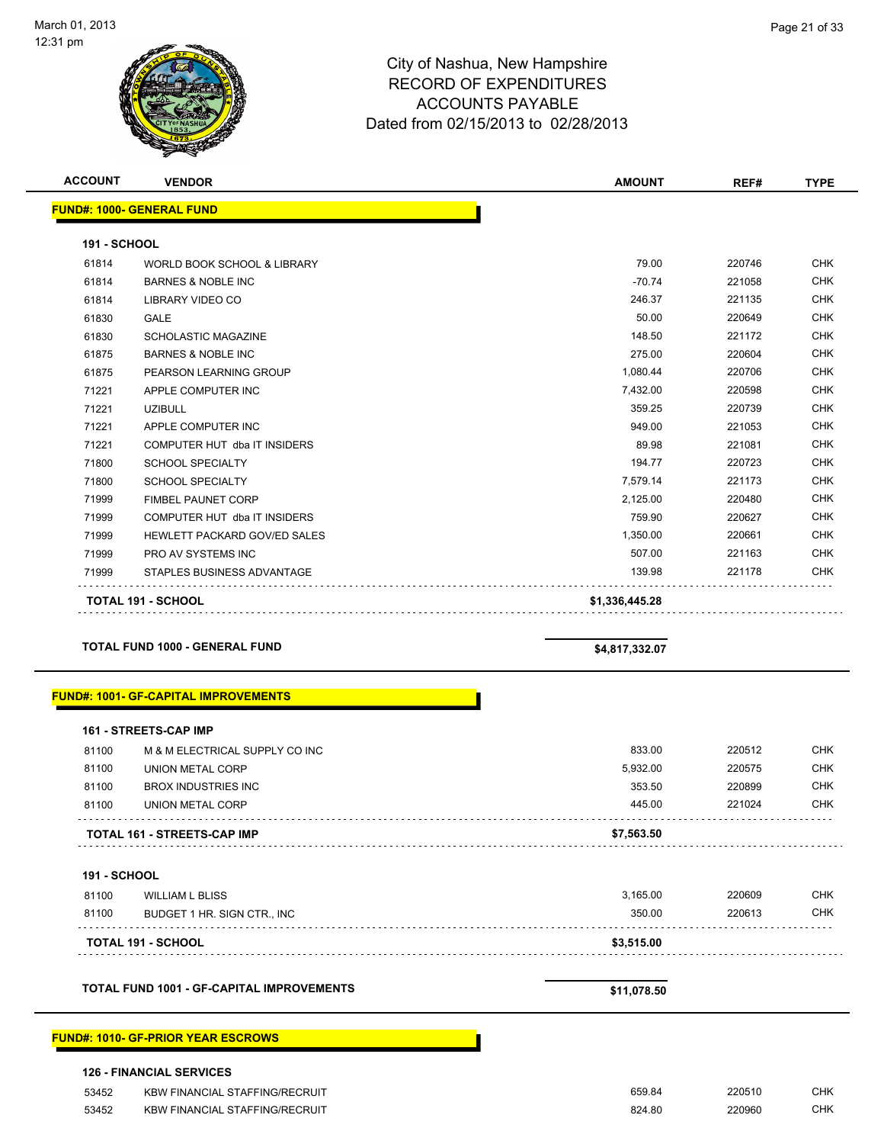

| <b>ACCOUNT</b>      | <b>VENDOR</b>                       | <b>AMOUNT</b>  | REF#   | <b>TYPE</b> |
|---------------------|-------------------------------------|----------------|--------|-------------|
|                     | <b>FUND#: 1000- GENERAL FUND</b>    |                |        |             |
| <b>191 - SCHOOL</b> |                                     |                |        |             |
| 61814               | WORLD BOOK SCHOOL & LIBRARY         | 79.00          | 220746 | <b>CHK</b>  |
| 61814               | <b>BARNES &amp; NOBLE INC</b>       | $-70.74$       | 221058 | <b>CHK</b>  |
| 61814               | <b>LIBRARY VIDEO CO</b>             | 246.37         | 221135 | <b>CHK</b>  |
| 61830               | <b>GALE</b>                         | 50.00          | 220649 | <b>CHK</b>  |
| 61830               | <b>SCHOLASTIC MAGAZINE</b>          | 148.50         | 221172 | <b>CHK</b>  |
| 61875               | <b>BARNES &amp; NOBLE INC</b>       | 275.00         | 220604 | <b>CHK</b>  |
| 61875               | PEARSON LEARNING GROUP              | 1,080.44       | 220706 | <b>CHK</b>  |
| 71221               | APPLE COMPUTER INC                  | 7,432.00       | 220598 | <b>CHK</b>  |
| 71221               | <b>UZIBULL</b>                      | 359.25         | 220739 | <b>CHK</b>  |
| 71221               | APPLE COMPUTER INC                  | 949.00         | 221053 | <b>CHK</b>  |
| 71221               | COMPUTER HUT dba IT INSIDERS        | 89.98          | 221081 | <b>CHK</b>  |
| 71800               | <b>SCHOOL SPECIALTY</b>             | 194.77         | 220723 | <b>CHK</b>  |
| 71800               | <b>SCHOOL SPECIALTY</b>             | 7,579.14       | 221173 | <b>CHK</b>  |
| 71999               | <b>FIMBEL PAUNET CORP</b>           | 2,125.00       | 220480 | <b>CHK</b>  |
| 71999               | COMPUTER HUT dba IT INSIDERS        | 759.90         | 220627 | <b>CHK</b>  |
| 71999               | <b>HEWLETT PACKARD GOV/ED SALES</b> | 1,350.00       | 220661 | <b>CHK</b>  |
| 71999               | PRO AV SYSTEMS INC                  | 507.00         | 221163 | <b>CHK</b>  |
| 71999               | STAPLES BUSINESS ADVANTAGE          | 139.98         | 221178 | <b>CHK</b>  |
|                     | <b>TOTAL 191 - SCHOOL</b>           | \$1,336,445.28 |        |             |

#### **TOTAL FUND 1000 - GENERAL FUND \$4,817,332.07**

#### **FUND#: 1001- GF-CAPITAL IMPROVEMENTS**

|       | <b>161 - STREETS-CAP IMP</b>       |            |        |            |
|-------|------------------------------------|------------|--------|------------|
| 81100 | M & M ELECTRICAL SUPPLY CO INC     | 833.00     | 220512 | CHK        |
| 81100 | UNION METAL CORP                   | 5.932.00   | 220575 | CHK        |
| 81100 | BROX INDUSTRIES INC                | 353.50     | 220899 | CHK        |
| 81100 | UNION METAL CORP                   | 445.00     | 221024 | <b>CHK</b> |
|       | <b>TOTAL 161 - STREETS-CAP IMP</b> | \$7,563.50 |        |            |
|       |                                    |            |        |            |

#### **191 - SCHOOL**

|       | <b>TOTAL 191 - SCHOOL</b>   | \$3.515.00 |        |            |
|-------|-----------------------------|------------|--------|------------|
| 81100 | BUDGET 1 HR. SIGN CTR., INC | 350.00     | 220613 | <b>CHK</b> |
| 81100 | WILLIAM L BLISS             | 3.165.00   | 220609 | CHK        |
| .     |                             |            |        |            |

**TOTAL FUND 1001 - GF-CAPITAL IMPROVEMENTS \$11,078.50**

#### **FUND#: 1010- GF-PRIOR YEAR ESCROWS**

|  |  | <b>126 - FINANCIAL SERVICES</b> |
|--|--|---------------------------------|
|--|--|---------------------------------|

| 53452 | KBW FINANCIAL STAFFING/RECRUIT        | 659.84 | 220510 | СНК |
|-------|---------------------------------------|--------|--------|-----|
| 53452 | <b>KBW FINANCIAL STAFFING/RECRUIT</b> | 824.80 | 220960 | СНК |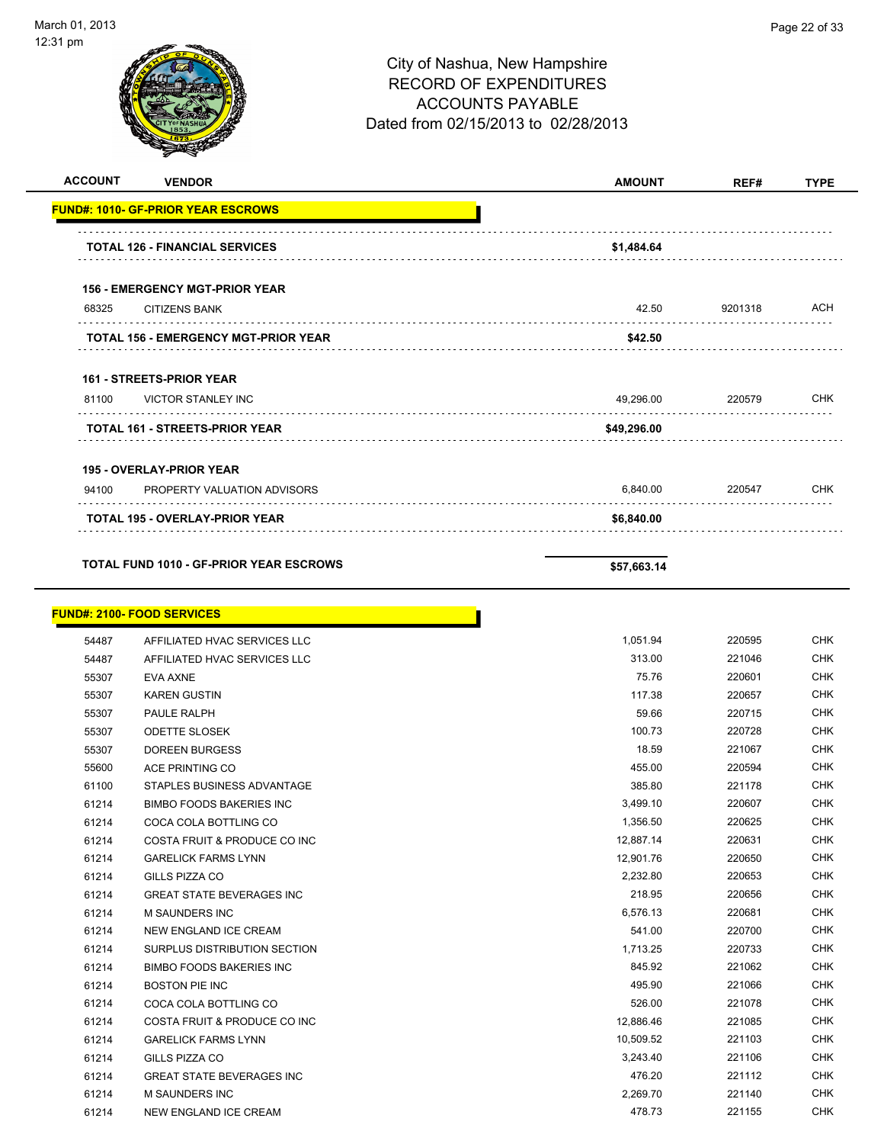

| <b>ACCOUNT</b> | <b>VENDOR</b>                                  | <b>AMOUNT</b> | REF#    | <b>TYPE</b> |
|----------------|------------------------------------------------|---------------|---------|-------------|
|                | <b>FUND#: 1010- GF-PRIOR YEAR ESCROWS</b>      |               |         |             |
|                | <b>TOTAL 126 - FINANCIAL SERVICES</b>          | \$1,484.64    |         |             |
|                | <b>156 - EMERGENCY MGT-PRIOR YEAR</b>          |               |         |             |
| 68325          | <b>CITIZENS BANK</b>                           | 42.50         | 9201318 | ACH         |
|                | <b>TOTAL 156 - EMERGENCY MGT-PRIOR YEAR</b>    | \$42.50       |         |             |
|                | <b>161 - STREETS-PRIOR YEAR</b>                |               |         |             |
| 81100          | <b>VICTOR STANLEY INC</b>                      | 49,296.00     | 220579  | <b>CHK</b>  |
|                | TOTAL 161 - STREETS-PRIOR YEAR                 | \$49,296.00   |         |             |
|                |                                                |               |         |             |
|                | <b>195 - OVERLAY-PRIOR YEAR</b>                |               |         |             |
| 94100          | PROPERTY VALUATION ADVISORS                    | 6,840.00      | 220547  | <b>CHK</b>  |
|                | <b>TOTAL 195 - OVERLAY-PRIOR YEAR</b>          | \$6,840.00    |         |             |
|                | <b>TOTAL FUND 1010 - GF-PRIOR YEAR ESCROWS</b> | \$57,663.14   |         |             |
|                | <b>FUND#: 2100- FOOD SERVICES</b>              |               |         |             |
| 54487          | AFFILIATED HVAC SERVICES LLC                   | 1,051.94      | 220595  | <b>CHK</b>  |
| 54487          | AFFILIATED HVAC SERVICES LLC                   | 313.00        | 221046  | <b>CHK</b>  |
| 55307          | EVA AXNE                                       | 75.76         | 220601  | <b>CHK</b>  |
| 55307          | <b>KAREN GUSTIN</b>                            | 117.38        | 220657  | <b>CHK</b>  |
| 55307          | PAULE RALPH                                    | 59.66         | 220715  | <b>CHK</b>  |
| 55307          | <b>ODETTE SLOSEK</b>                           | 100.73        | 220728  | <b>CHK</b>  |
| 55307          | <b>DOREEN BURGESS</b>                          | 18.59         | 221067  | <b>CHK</b>  |
| 55600          | ACE PRINTING CO                                | 455.00        | 220594  | <b>CHK</b>  |
| 61100          | STAPLES BUSINESS ADVANTAGE                     | 385.80        | 221178  | <b>CHK</b>  |
| 61214          | <b>BIMBO FOODS BAKERIES INC</b>                | 3,499.10      | 220607  | <b>CHK</b>  |
| 61214          | COCA COLA BOTTLING CO                          | 1,356.50      | 220625  | <b>CHK</b>  |
| 61214          | COSTA FRUIT & PRODUCE CO INC                   | 12,887.14     | 220631  | <b>CHK</b>  |
| 61214          | <b>GARELICK FARMS LYNN</b>                     | 12,901.76     | 220650  | <b>CHK</b>  |
| 61214          | GILLS PIZZA CO                                 | 2,232.80      | 220653  | <b>CHK</b>  |
| 61214          | <b>GREAT STATE BEVERAGES INC</b>               | 218.95        | 220656  | <b>CHK</b>  |
| 61214          | M SAUNDERS INC                                 | 6,576.13      | 220681  | CHK         |
| 61214          | NEW ENGLAND ICE CREAM                          | 541.00        | 220700  | <b>CHK</b>  |
| 61214          | SURPLUS DISTRIBUTION SECTION                   | 1,713.25      | 220733  | <b>CHK</b>  |
| 61214          | <b>BIMBO FOODS BAKERIES INC</b>                | 845.92        | 221062  | <b>CHK</b>  |
| 61214          | <b>BOSTON PIE INC</b>                          | 495.90        | 221066  | <b>CHK</b>  |
| 61214          | COCA COLA BOTTLING CO                          | 526.00        | 221078  | <b>CHK</b>  |
| 61214          | COSTA FRUIT & PRODUCE CO INC                   | 12,886.46     | 221085  | <b>CHK</b>  |
| 61214          | <b>GARELICK FARMS LYNN</b>                     | 10,509.52     | 221103  | <b>CHK</b>  |
| 61214          | GILLS PIZZA CO                                 | 3,243.40      | 221106  | <b>CHK</b>  |
| 61214          | GREAT STATE BEVERAGES INC                      | 476.20        | 221112  | CHK         |
| 61214          | M SAUNDERS INC                                 | 2,269.70      | 221140  | <b>CHK</b>  |
| 61214          | NEW ENGLAND ICE CREAM                          | 478.73        | 221155  | <b>CHK</b>  |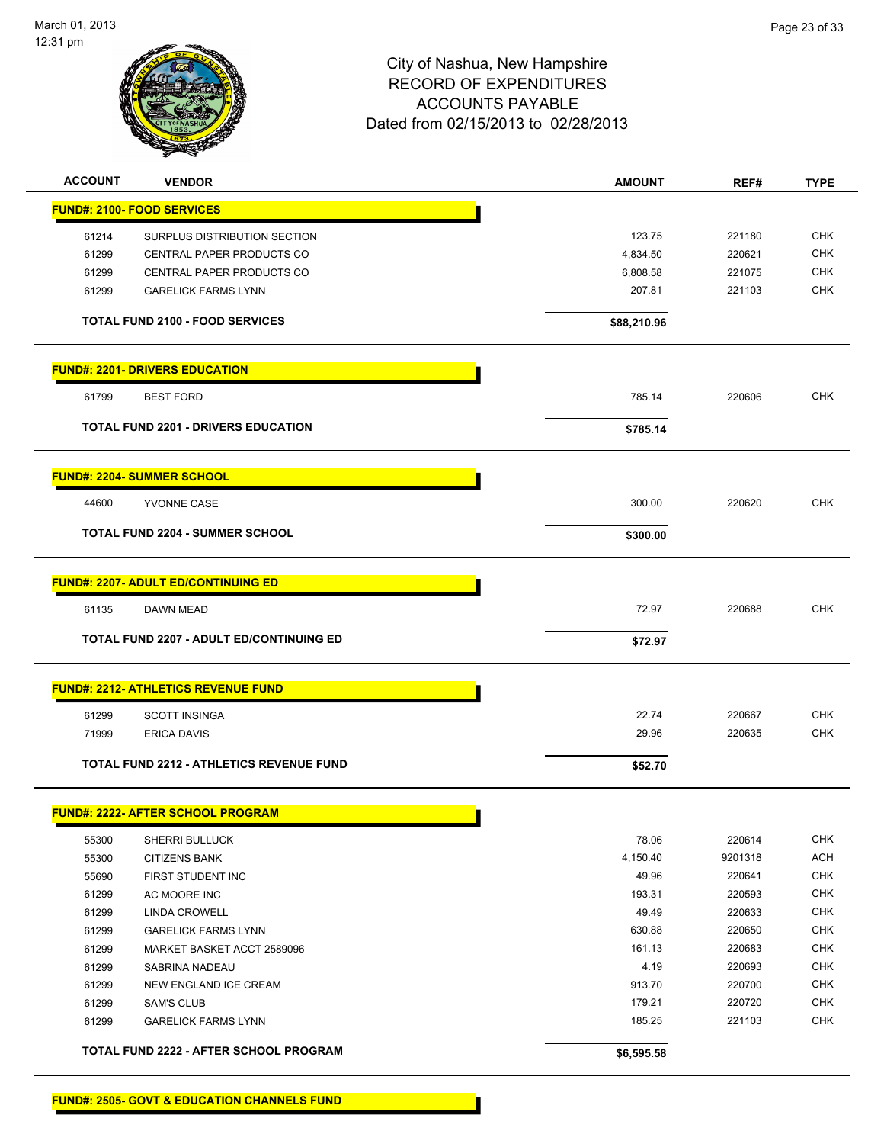

| <b>ACCOUNT</b> | <b>VENDOR</b>                                   | <b>AMOUNT</b> | REF#    | <b>TYPE</b> |
|----------------|-------------------------------------------------|---------------|---------|-------------|
|                | <b>FUND#: 2100- FOOD SERVICES</b>               |               |         |             |
| 61214          | SURPLUS DISTRIBUTION SECTION                    | 123.75        | 221180  | <b>CHK</b>  |
| 61299          | <b>CENTRAL PAPER PRODUCTS CO</b>                | 4,834.50      | 220621  | <b>CHK</b>  |
| 61299          | CENTRAL PAPER PRODUCTS CO                       | 6,808.58      | 221075  | <b>CHK</b>  |
| 61299          | <b>GARELICK FARMS LYNN</b>                      | 207.81        | 221103  | <b>CHK</b>  |
|                | <b>TOTAL FUND 2100 - FOOD SERVICES</b>          | \$88,210.96   |         |             |
|                | <b>FUND#: 2201- DRIVERS EDUCATION</b>           |               |         |             |
| 61799          | <b>BEST FORD</b>                                | 785.14        | 220606  | <b>CHK</b>  |
|                | <b>TOTAL FUND 2201 - DRIVERS EDUCATION</b>      | \$785.14      |         |             |
|                | <b>FUND#: 2204- SUMMER SCHOOL</b>               |               |         |             |
| 44600          | YVONNE CASE                                     | 300.00        | 220620  | <b>CHK</b>  |
|                |                                                 |               |         |             |
|                | <b>TOTAL FUND 2204 - SUMMER SCHOOL</b>          | \$300.00      |         |             |
|                | <u> FUND#: 2207- ADULT ED/CONTINUING ED</u>     |               |         |             |
| 61135          | DAWN MEAD                                       | 72.97         | 220688  | <b>CHK</b>  |
|                | <b>TOTAL FUND 2207 - ADULT ED/CONTINUING ED</b> | \$72.97       |         |             |
|                | <b>FUND#: 2212- ATHLETICS REVENUE FUND</b>      |               |         |             |
| 61299          | <b>SCOTT INSINGA</b>                            | 22.74         | 220667  | <b>CHK</b>  |
| 71999          | <b>ERICA DAVIS</b>                              | 29.96         | 220635  | <b>CHK</b>  |
|                |                                                 |               |         |             |
|                | TOTAL FUND 2212 - ATHLETICS REVENUE FUND        | \$52.70       |         |             |
|                | <b>FUND#: 2222- AFTER SCHOOL PROGRAM</b>        |               |         |             |
| 55300          | <b>SHERRI BULLUCK</b>                           | 78.06         | 220614  | <b>CHK</b>  |
| 55300          | <b>CITIZENS BANK</b>                            | 4,150.40      | 9201318 | <b>ACH</b>  |
| 55690          | FIRST STUDENT INC                               | 49.96         | 220641  | <b>CHK</b>  |
| 61299          | AC MOORE INC                                    | 193.31        | 220593  | <b>CHK</b>  |
| 61299          | <b>LINDA CROWELL</b>                            | 49.49         | 220633  | <b>CHK</b>  |
| 61299          | <b>GARELICK FARMS LYNN</b>                      | 630.88        | 220650  | <b>CHK</b>  |
| 61299          | MARKET BASKET ACCT 2589096                      | 161.13        | 220683  | <b>CHK</b>  |
| 61299          | SABRINA NADEAU                                  | 4.19          | 220693  | <b>CHK</b>  |
| 61299          | NEW ENGLAND ICE CREAM                           | 913.70        | 220700  | <b>CHK</b>  |
| 61299          | <b>SAM'S CLUB</b>                               | 179.21        | 220720  | <b>CHK</b>  |
| 61299          | <b>GARELICK FARMS LYNN</b>                      | 185.25        | 221103  | <b>CHK</b>  |
|                | TOTAL FUND 2222 - AFTER SCHOOL PROGRAM          | \$6,595.58    |         |             |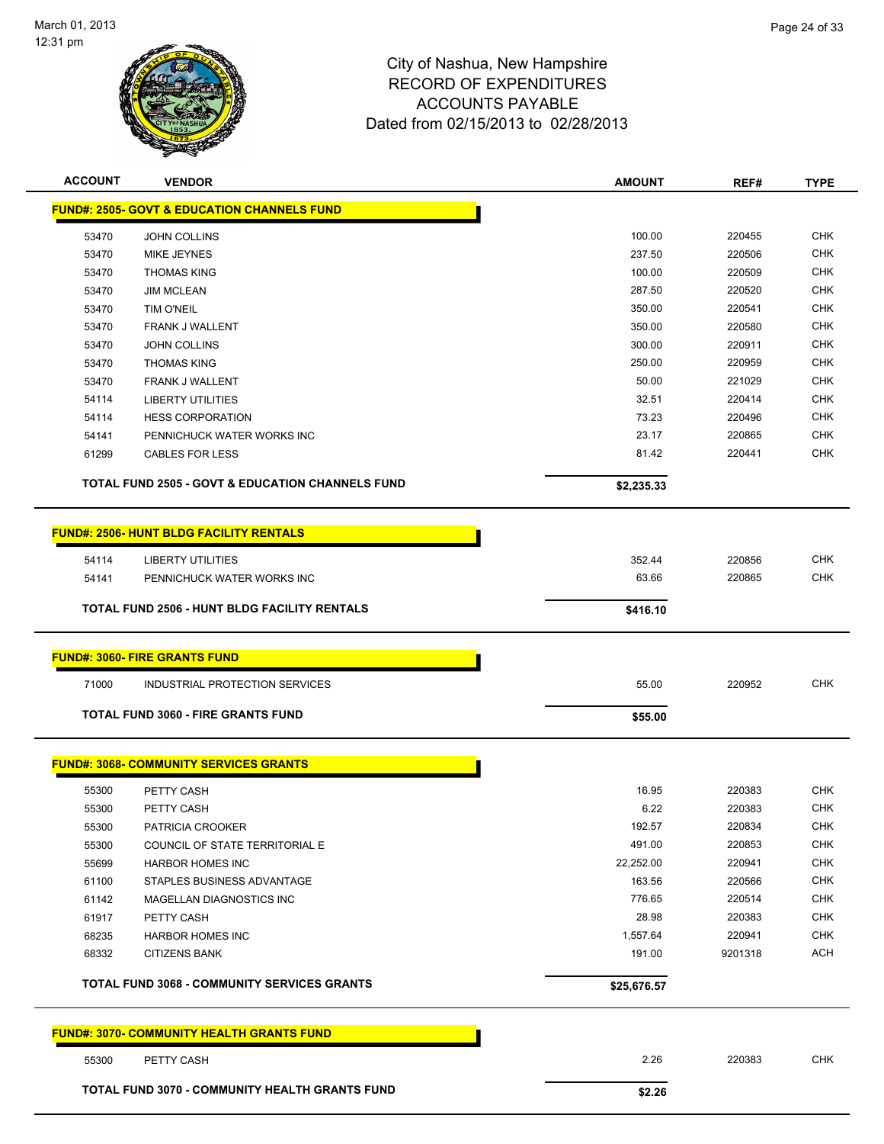

| <b>ACCOUNT</b> | <b>VENDOR</b>                                          | <b>AMOUNT</b> | REF#    | <b>TYPE</b> |
|----------------|--------------------------------------------------------|---------------|---------|-------------|
|                | <b>FUND#: 2505- GOVT &amp; EDUCATION CHANNELS FUND</b> |               |         |             |
| 53470          | JOHN COLLINS                                           | 100.00        | 220455  | <b>CHK</b>  |
| 53470          | MIKE JEYNES                                            | 237.50        | 220506  | CHK         |
| 53470          | <b>THOMAS KING</b>                                     | 100.00        | 220509  | <b>CHK</b>  |
| 53470          | <b>JIM MCLEAN</b>                                      | 287.50        | 220520  | <b>CHK</b>  |
| 53470          | TIM O'NEIL                                             | 350.00        | 220541  | <b>CHK</b>  |
| 53470          | <b>FRANK J WALLENT</b>                                 | 350.00        | 220580  | <b>CHK</b>  |
| 53470          | <b>JOHN COLLINS</b>                                    | 300.00        | 220911  | <b>CHK</b>  |
| 53470          | <b>THOMAS KING</b>                                     | 250.00        | 220959  | <b>CHK</b>  |
| 53470          | <b>FRANK J WALLENT</b>                                 | 50.00         | 221029  | <b>CHK</b>  |
| 54114          | LIBERTY UTILITIES                                      | 32.51         | 220414  | <b>CHK</b>  |
| 54114          | <b>HESS CORPORATION</b>                                | 73.23         | 220496  | <b>CHK</b>  |
| 54141          | PENNICHUCK WATER WORKS INC                             | 23.17         | 220865  | <b>CHK</b>  |
| 61299          | <b>CABLES FOR LESS</b>                                 | 81.42         | 220441  | <b>CHK</b>  |
|                | TOTAL FUND 2505 - GOVT & EDUCATION CHANNELS FUND       | \$2,235.33    |         |             |
|                | <b>FUND#: 2506- HUNT BLDG FACILITY RENTALS</b>         |               |         |             |
| 54114          | LIBERTY UTILITIES                                      | 352.44        | 220856  | <b>CHK</b>  |
| 54141          | PENNICHUCK WATER WORKS INC                             | 63.66         | 220865  | <b>CHK</b>  |
|                |                                                        |               |         |             |
|                | <b>TOTAL FUND 2506 - HUNT BLDG FACILITY RENTALS</b>    | \$416.10      |         |             |
|                | <b>FUND#: 3060- FIRE GRANTS FUND</b>                   |               |         |             |
| 71000          | INDUSTRIAL PROTECTION SERVICES                         | 55.00         | 220952  | <b>CHK</b>  |
|                | <b>TOTAL FUND 3060 - FIRE GRANTS FUND</b>              | \$55.00       |         |             |
|                | <b>FUND#: 3068- COMMUNITY SERVICES GRANTS</b>          |               |         |             |
| 55300          | PETTY CASH                                             | 16.95         | 220383  | <b>CHK</b>  |
| 55300          | PETTY CASH                                             | 6.22          | 220383  | <b>CHK</b>  |
| 55300          | PATRICIA CROOKER                                       | 192.57        | 220834  | <b>CHK</b>  |
| 55300          | COUNCIL OF STATE TERRITORIAL E                         | 491.00        | 220853  | <b>CHK</b>  |
| 55699          | <b>HARBOR HOMES INC</b>                                | 22,252.00     | 220941  | CHK         |
| 61100          | STAPLES BUSINESS ADVANTAGE                             | 163.56        | 220566  | <b>CHK</b>  |
| 61142          | <b>MAGELLAN DIAGNOSTICS INC</b>                        | 776.65        | 220514  | <b>CHK</b>  |
| 61917          | PETTY CASH                                             | 28.98         | 220383  | <b>CHK</b>  |
| 68235          | <b>HARBOR HOMES INC</b>                                | 1,557.64      | 220941  | <b>CHK</b>  |
| 68332          | <b>CITIZENS BANK</b>                                   | 191.00        | 9201318 | <b>ACH</b>  |
|                |                                                        |               |         |             |
|                | <b>TOTAL FUND 3068 - COMMUNITY SERVICES GRANTS</b>     | \$25,676.57   |         |             |
|                | <b>FUND#: 3070- COMMUNITY HEALTH GRANTS FUND</b>       |               |         |             |
| 55300          | PETTY CASH                                             | 2.26          | 220383  | <b>CHK</b>  |
|                | TOTAL FUND 3070 - COMMUNITY HEALTH GRANTS FUND         | \$2.26        |         |             |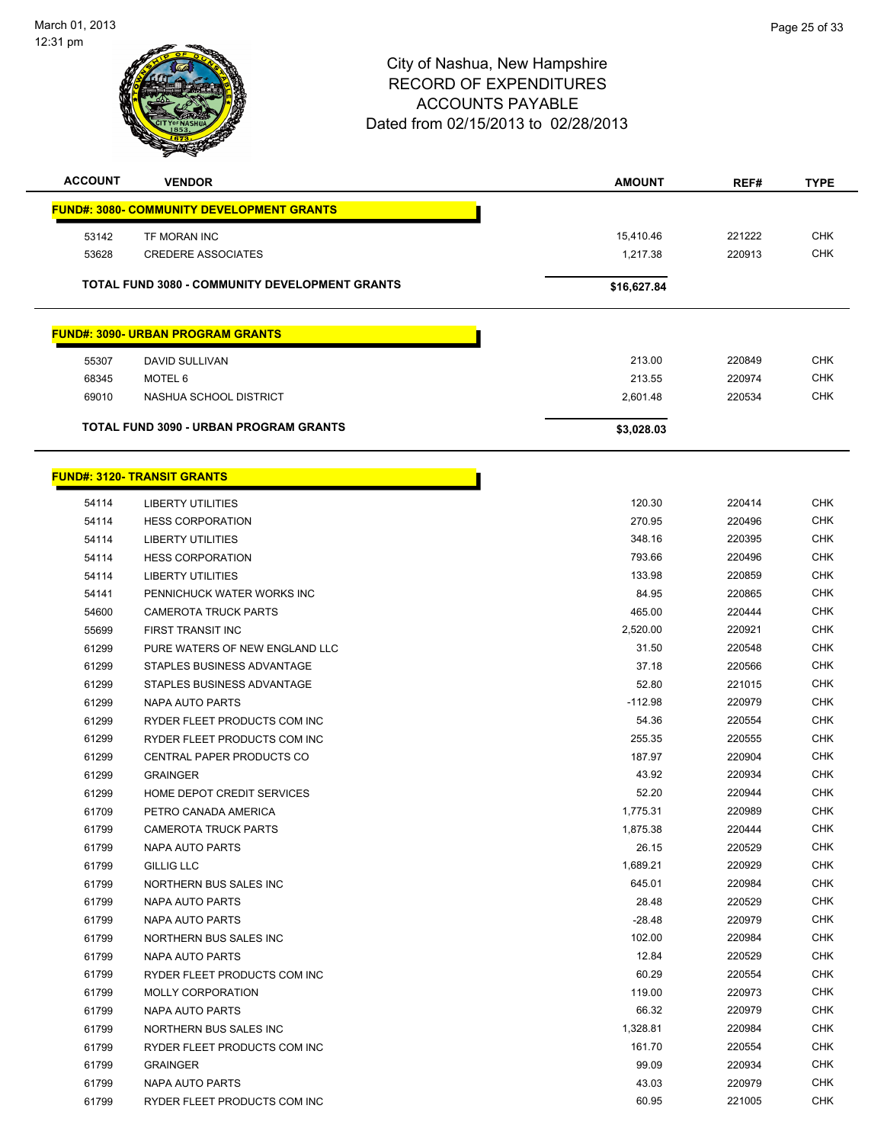

| <b>ACCOUNT</b> | <b>VENDOR</b>                                         | <b>AMOUNT</b>      | REF#             | TYPE       |
|----------------|-------------------------------------------------------|--------------------|------------------|------------|
|                | <b>FUND#: 3080- COMMUNITY DEVELOPMENT GRANTS</b>      |                    |                  |            |
| 53142          | TF MORAN INC                                          | 15,410.46          | 221222           | <b>CHK</b> |
| 53628          | <b>CREDERE ASSOCIATES</b>                             | 1,217.38           | 220913           | <b>CHK</b> |
|                |                                                       |                    |                  |            |
|                | <b>TOTAL FUND 3080 - COMMUNITY DEVELOPMENT GRANTS</b> | \$16,627.84        |                  |            |
|                | <b>FUND#: 3090- URBAN PROGRAM GRANTS</b>              |                    |                  |            |
|                |                                                       |                    |                  | <b>CHK</b> |
| 55307          | DAVID SULLIVAN                                        | 213.00             | 220849<br>220974 | <b>CHK</b> |
| 68345          | <b>MOTEL 6</b>                                        | 213.55<br>2,601.48 | 220534           | <b>CHK</b> |
| 69010          | NASHUA SCHOOL DISTRICT                                |                    |                  |            |
|                | <b>TOTAL FUND 3090 - URBAN PROGRAM GRANTS</b>         | \$3,028.03         |                  |            |
|                | <b>FUND#: 3120- TRANSIT GRANTS</b>                    |                    |                  |            |
| 54114          | <b>LIBERTY UTILITIES</b>                              | 120.30             | 220414           | <b>CHK</b> |
| 54114          | <b>HESS CORPORATION</b>                               | 270.95             | 220496           | <b>CHK</b> |
| 54114          | <b>LIBERTY UTILITIES</b>                              | 348.16             | 220395           | <b>CHK</b> |
| 54114          | <b>HESS CORPORATION</b>                               | 793.66             | 220496           | <b>CHK</b> |
| 54114          | <b>LIBERTY UTILITIES</b>                              | 133.98             | 220859           | <b>CHK</b> |
| 54141          | PENNICHUCK WATER WORKS INC                            | 84.95              | 220865           | <b>CHK</b> |
| 54600          | <b>CAMEROTA TRUCK PARTS</b>                           | 465.00             | 220444           | <b>CHK</b> |
| 55699          | <b>FIRST TRANSIT INC</b>                              | 2,520.00           | 220921           | <b>CHK</b> |
| 61299          | PURE WATERS OF NEW ENGLAND LLC                        | 31.50              | 220548           | <b>CHK</b> |
| 61299          | STAPLES BUSINESS ADVANTAGE                            | 37.18              | 220566           | <b>CHK</b> |
| 61299          | STAPLES BUSINESS ADVANTAGE                            | 52.80              | 221015           | <b>CHK</b> |
| 61299          | NAPA AUTO PARTS                                       | $-112.98$          | 220979           | <b>CHK</b> |
| 61299          | RYDER FLEET PRODUCTS COM INC                          | 54.36              | 220554           | <b>CHK</b> |
| 61299          | RYDER FLEET PRODUCTS COM INC                          | 255.35             | 220555           | <b>CHK</b> |
|                |                                                       | 187.97             | 220904           | <b>CHK</b> |
| 61299<br>61299 | CENTRAL PAPER PRODUCTS CO<br><b>GRAINGER</b>          | 43.92              | 220934           | <b>CHK</b> |
| 61299          | HOME DEPOT CREDIT SERVICES                            | 52.20              | 220944           | <b>CHK</b> |
| 61709          | PETRO CANADA AMERICA                                  | 1,775.31           | 220989           | <b>CHK</b> |
|                |                                                       | 1,875.38           | 220444           | <b>CHK</b> |
| 61799<br>61799 | <b>CAMEROTA TRUCK PARTS</b><br>NAPA AUTO PARTS        | 26.15              | 220529           | <b>CHK</b> |
| 61799          | <b>GILLIG LLC</b>                                     | 1,689.21           | 220929           | <b>CHK</b> |
| 61799          | NORTHERN BUS SALES INC                                | 645.01             | 220984           | <b>CHK</b> |
|                |                                                       |                    |                  | <b>CHK</b> |
| 61799          | <b>NAPA AUTO PARTS</b>                                | 28.48              | 220529           |            |
| 61799          | NAPA AUTO PARTS                                       | $-28.48$           | 220979           | <b>CHK</b> |
| 61799          | NORTHERN BUS SALES INC                                | 102.00             | 220984           | <b>CHK</b> |
| 61799          | <b>NAPA AUTO PARTS</b>                                | 12.84              | 220529           | <b>CHK</b> |
| 61799          | RYDER FLEET PRODUCTS COM INC                          | 60.29              | 220554           | <b>CHK</b> |
| 61799          | <b>MOLLY CORPORATION</b>                              | 119.00             | 220973           | <b>CHK</b> |
| 61799          | NAPA AUTO PARTS                                       | 66.32              | 220979           | <b>CHK</b> |
| 61799          | NORTHERN BUS SALES INC                                | 1,328.81           | 220984           | <b>CHK</b> |
| 61799          | RYDER FLEET PRODUCTS COM INC                          | 161.70             | 220554           | <b>CHK</b> |
| 61799          | <b>GRAINGER</b>                                       | 99.09              | 220934           | <b>CHK</b> |
| 61799          | NAPA AUTO PARTS                                       | 43.03              | 220979           | <b>CHK</b> |
| 61799          | RYDER FLEET PRODUCTS COM INC                          | 60.95              | 221005           | <b>CHK</b> |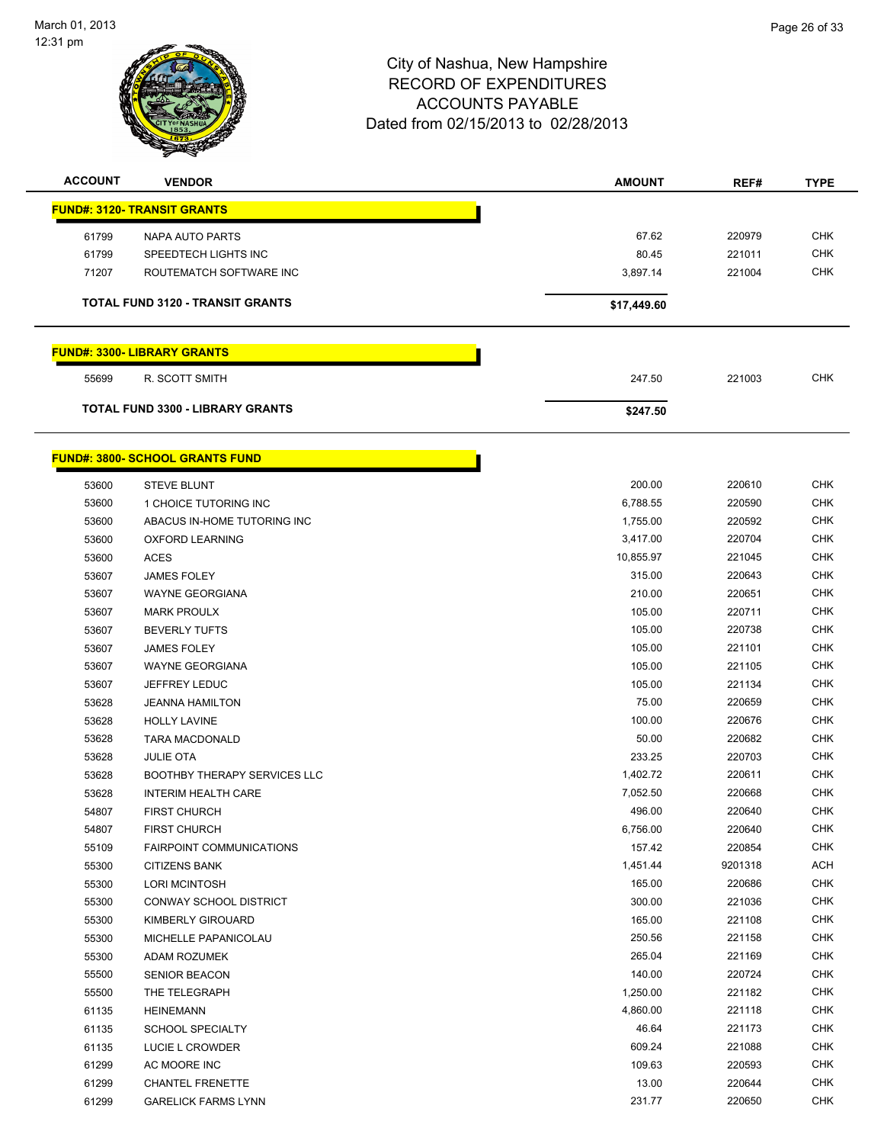

| <b>ACCOUNT</b> | <b>VENDOR</b>                          | <b>AMOUNT</b> | REF#    | <b>TYPE</b> |
|----------------|----------------------------------------|---------------|---------|-------------|
|                | <b>FUND#: 3120- TRANSIT GRANTS</b>     |               |         |             |
| 61799          | NAPA AUTO PARTS                        | 67.62         | 220979  | <b>CHK</b>  |
| 61799          | SPEEDTECH LIGHTS INC                   | 80.45         | 221011  | <b>CHK</b>  |
| 71207          | ROUTEMATCH SOFTWARE INC                | 3,897.14      | 221004  | <b>CHK</b>  |
|                | TOTAL FUND 3120 - TRANSIT GRANTS       |               |         |             |
|                |                                        | \$17,449.60   |         |             |
|                | <b>FUND#: 3300- LIBRARY GRANTS</b>     |               |         |             |
| 55699          | R. SCOTT SMITH                         | 247.50        | 221003  | <b>CHK</b>  |
|                | TOTAL FUND 3300 - LIBRARY GRANTS       | \$247.50      |         |             |
|                | <b>FUND#: 3800- SCHOOL GRANTS FUND</b> |               |         |             |
| 53600          | <b>STEVE BLUNT</b>                     | 200.00        | 220610  | <b>CHK</b>  |
| 53600          | 1 CHOICE TUTORING INC                  | 6,788.55      | 220590  | <b>CHK</b>  |
| 53600          | ABACUS IN-HOME TUTORING INC            | 1,755.00      | 220592  | <b>CHK</b>  |
| 53600          | <b>OXFORD LEARNING</b>                 | 3,417.00      | 220704  | <b>CHK</b>  |
| 53600          | <b>ACES</b>                            | 10,855.97     | 221045  | <b>CHK</b>  |
| 53607          | <b>JAMES FOLEY</b>                     | 315.00        | 220643  | <b>CHK</b>  |
| 53607          | <b>WAYNE GEORGIANA</b>                 | 210.00        | 220651  | <b>CHK</b>  |
| 53607          | <b>MARK PROULX</b>                     | 105.00        | 220711  | <b>CHK</b>  |
| 53607          | <b>BEVERLY TUFTS</b>                   | 105.00        | 220738  | <b>CHK</b>  |
| 53607          | <b>JAMES FOLEY</b>                     | 105.00        | 221101  | <b>CHK</b>  |
| 53607          | <b>WAYNE GEORGIANA</b>                 | 105.00        | 221105  | <b>CHK</b>  |
| 53607          | <b>JEFFREY LEDUC</b>                   | 105.00        | 221134  | <b>CHK</b>  |
| 53628          | <b>JEANNA HAMILTON</b>                 | 75.00         | 220659  | <b>CHK</b>  |
| 53628          | <b>HOLLY LAVINE</b>                    | 100.00        | 220676  | <b>CHK</b>  |
| 53628          | <b>TARA MACDONALD</b>                  | 50.00         | 220682  | <b>CHK</b>  |
| 53628          | <b>JULIE OTA</b>                       | 233.25        | 220703  | <b>CHK</b>  |
| 53628          | <b>BOOTHBY THERAPY SERVICES LLC</b>    | 1,402.72      | 220611  | <b>CHK</b>  |
| 53628          | <b>INTERIM HEALTH CARE</b>             | 7,052.50      | 220668  | <b>CHK</b>  |
| 54807          | <b>FIRST CHURCH</b>                    | 496.00        | 220640  | <b>CHK</b>  |
| 54807          | <b>FIRST CHURCH</b>                    | 6,756.00      | 220640  | <b>CHK</b>  |
| 55109          | <b>FAIRPOINT COMMUNICATIONS</b>        | 157.42        | 220854  | <b>CHK</b>  |
| 55300          | <b>CITIZENS BANK</b>                   | 1,451.44      | 9201318 | <b>ACH</b>  |
| 55300          | <b>LORI MCINTOSH</b>                   | 165.00        | 220686  | <b>CHK</b>  |
| 55300          | CONWAY SCHOOL DISTRICT                 | 300.00        | 221036  | <b>CHK</b>  |
| 55300          | KIMBERLY GIROUARD                      | 165.00        | 221108  | <b>CHK</b>  |
| 55300          | MICHELLE PAPANICOLAU                   | 250.56        | 221158  | <b>CHK</b>  |
| 55300          | ADAM ROZUMEK                           | 265.04        | 221169  | <b>CHK</b>  |
| 55500          | <b>SENIOR BEACON</b>                   | 140.00        | 220724  | <b>CHK</b>  |
| 55500          | THE TELEGRAPH                          | 1,250.00      | 221182  | <b>CHK</b>  |
| 61135          | <b>HEINEMANN</b>                       | 4,860.00      | 221118  | <b>CHK</b>  |
| 61135          | <b>SCHOOL SPECIALTY</b>                | 46.64         | 221173  | <b>CHK</b>  |
| 61135          | LUCIE L CROWDER                        | 609.24        | 221088  | CHK         |
| 61299          | AC MOORE INC                           | 109.63        | 220593  | CHK         |
| 61299          | <b>CHANTEL FRENETTE</b>                | 13.00         | 220644  | <b>CHK</b>  |
| 61299          | <b>GARELICK FARMS LYNN</b>             | 231.77        | 220650  | <b>CHK</b>  |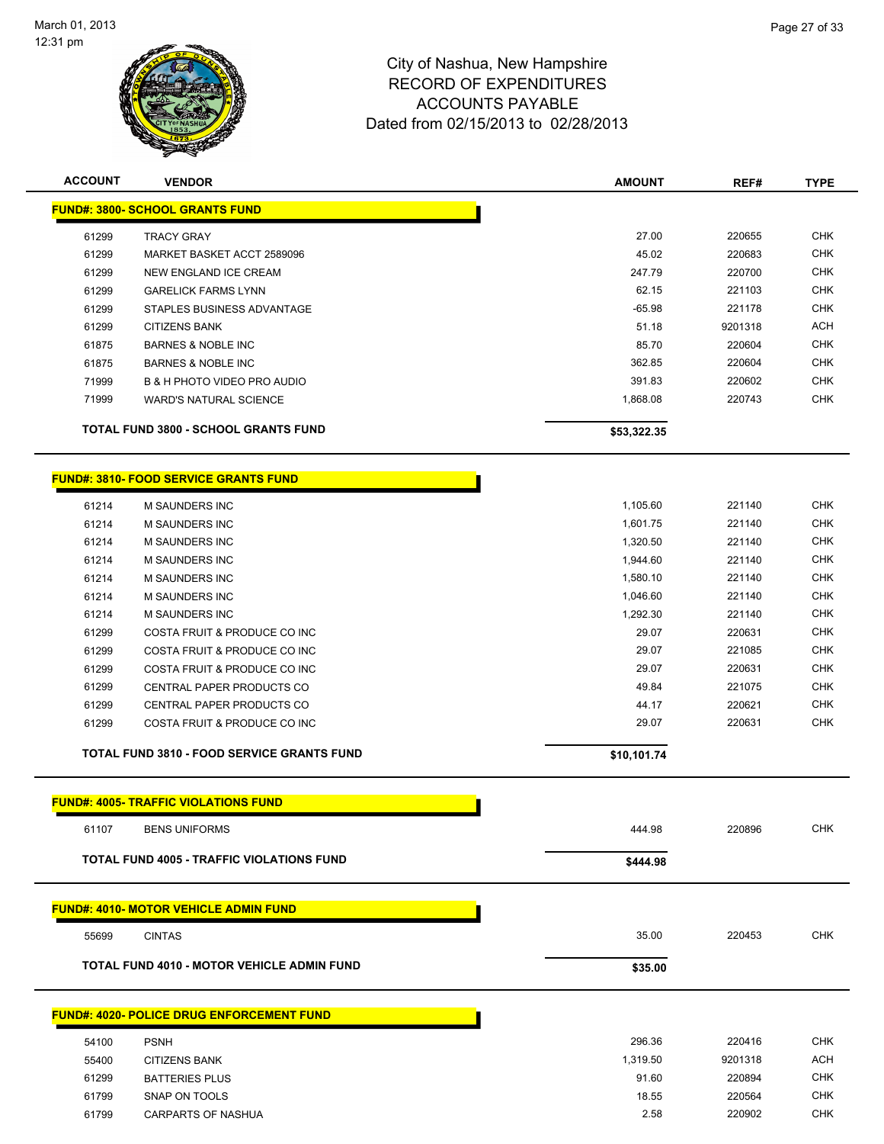

| <b>ACCOUNT</b> | <b>VENDOR</b>                                     | <b>AMOUNT</b> | REF#    | <b>TYPE</b> |
|----------------|---------------------------------------------------|---------------|---------|-------------|
|                | <b>FUND#: 3800- SCHOOL GRANTS FUND</b>            |               |         |             |
| 61299          | <b>TRACY GRAY</b>                                 | 27.00         | 220655  | <b>CHK</b>  |
| 61299          | MARKET BASKET ACCT 2589096                        | 45.02         | 220683  | <b>CHK</b>  |
| 61299          | NEW ENGLAND ICE CREAM                             | 247.79        | 220700  | <b>CHK</b>  |
| 61299          | <b>GARELICK FARMS LYNN</b>                        | 62.15         | 221103  | <b>CHK</b>  |
| 61299          | STAPLES BUSINESS ADVANTAGE                        | $-65.98$      | 221178  | <b>CHK</b>  |
| 61299          | <b>CITIZENS BANK</b>                              | 51.18         | 9201318 | <b>ACH</b>  |
| 61875          | <b>BARNES &amp; NOBLE INC</b>                     | 85.70         | 220604  | <b>CHK</b>  |
| 61875          | <b>BARNES &amp; NOBLE INC</b>                     | 362.85        | 220604  | <b>CHK</b>  |
| 71999          | B & H PHOTO VIDEO PRO AUDIO                       | 391.83        | 220602  | <b>CHK</b>  |
| 71999          | <b>WARD'S NATURAL SCIENCE</b>                     | 1,868.08      | 220743  | <b>CHK</b>  |
|                | <b>TOTAL FUND 3800 - SCHOOL GRANTS FUND</b>       | \$53,322.35   |         |             |
|                | <b>FUND#: 3810- FOOD SERVICE GRANTS FUND</b>      |               |         |             |
| 61214          | <b>M SAUNDERS INC</b>                             | 1,105.60      | 221140  | <b>CHK</b>  |
| 61214          | <b>M SAUNDERS INC</b>                             | 1,601.75      | 221140  | <b>CHK</b>  |
| 61214          | <b>M SAUNDERS INC</b>                             | 1,320.50      | 221140  | <b>CHK</b>  |
| 61214          | M SAUNDERS INC                                    | 1,944.60      | 221140  | <b>CHK</b>  |
| 61214          | <b>M SAUNDERS INC</b>                             | 1,580.10      | 221140  | <b>CHK</b>  |
| 61214          | <b>M SAUNDERS INC</b>                             | 1,046.60      | 221140  | <b>CHK</b>  |
| 61214          | <b>M SAUNDERS INC</b>                             | 1,292.30      | 221140  | <b>CHK</b>  |
| 61299          | COSTA FRUIT & PRODUCE CO INC                      | 29.07         | 220631  | <b>CHK</b>  |
| 61299          | COSTA FRUIT & PRODUCE CO INC                      | 29.07         | 221085  | <b>CHK</b>  |
| 61299          | COSTA FRUIT & PRODUCE CO INC                      | 29.07         | 220631  | <b>CHK</b>  |
| 61299          | CENTRAL PAPER PRODUCTS CO                         | 49.84         | 221075  | <b>CHK</b>  |
| 61299          | CENTRAL PAPER PRODUCTS CO                         | 44.17         | 220621  | <b>CHK</b>  |
| 61299          | COSTA FRUIT & PRODUCE CO INC                      | 29.07         | 220631  | <b>CHK</b>  |
|                | <b>TOTAL FUND 3810 - FOOD SERVICE GRANTS FUND</b> | \$10,101.74   |         |             |
|                | <b>FUND#: 4005- TRAFFIC VIOLATIONS FUND</b>       |               |         |             |
| 61107          | <b>BENS UNIFORMS</b>                              | 444.98        | 220896  | <b>CHK</b>  |
|                | <b>TOTAL FUND 4005 - TRAFFIC VIOLATIONS FUND</b>  | \$444.98      |         |             |
|                | <b>FUND#: 4010- MOTOR VEHICLE ADMIN FUND</b>      |               |         |             |
| 55699          | <b>CINTAS</b>                                     | 35.00         | 220453  | <b>CHK</b>  |
|                | <b>TOTAL FUND 4010 - MOTOR VEHICLE ADMIN FUND</b> | \$35.00       |         |             |
|                | <b>FUND#: 4020- POLICE DRUG ENFORCEMENT FUND</b>  |               |         |             |
| 54100          | <b>PSNH</b>                                       | 296.36        | 220416  | <b>CHK</b>  |
| 55400          | <b>CITIZENS BANK</b>                              | 1,319.50      | 9201318 | <b>ACH</b>  |
| 61299          | <b>BATTERIES PLUS</b>                             | 91.60         | 220894  | <b>CHK</b>  |
| 61799          | SNAP ON TOOLS                                     | 18.55         | 220564  | <b>CHK</b>  |
| 61799          | <b>CARPARTS OF NASHUA</b>                         | 2.58          | 220902  | <b>CHK</b>  |
|                |                                                   |               |         |             |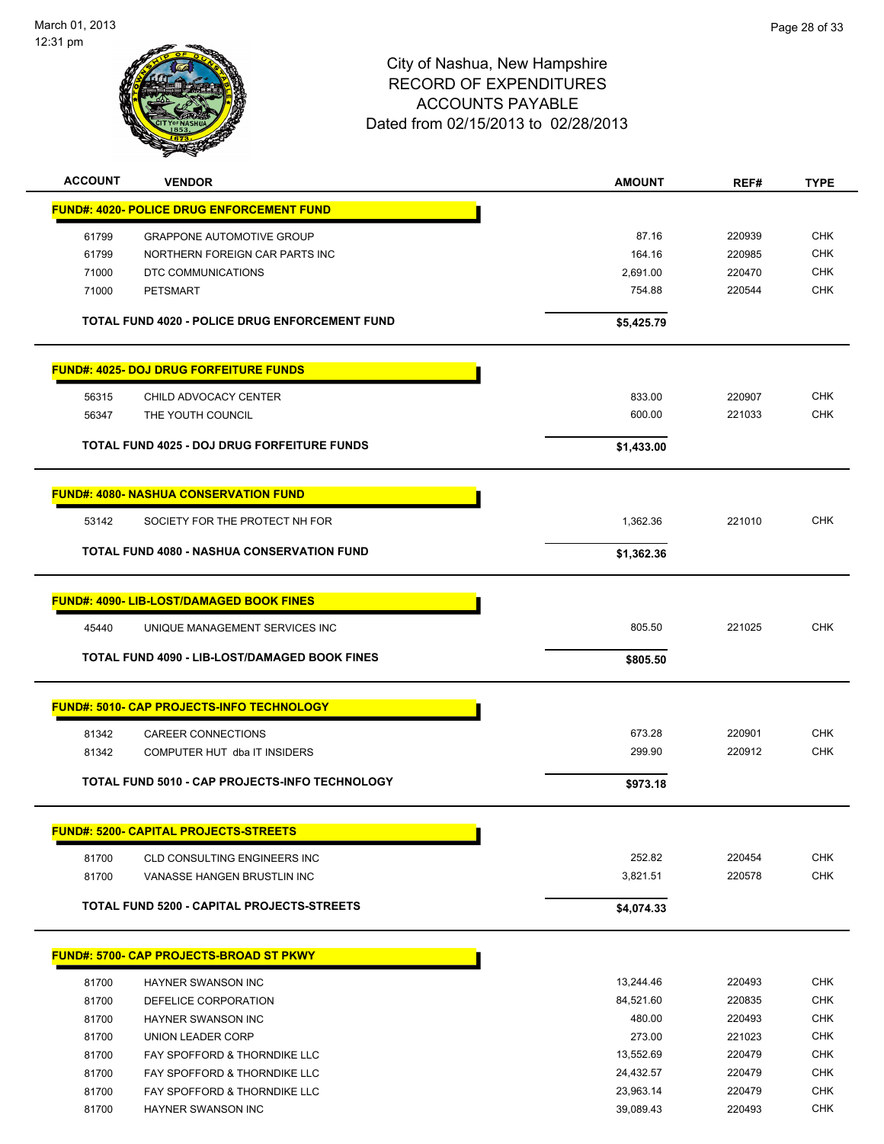

| <b>ACCOUNT</b><br><b>VENDOR</b>                    |                                                       | <b>AMOUNT</b> | REF#   | <b>TYPE</b> |
|----------------------------------------------------|-------------------------------------------------------|---------------|--------|-------------|
| <b>FUND#: 4020- POLICE DRUG ENFORCEMENT FUND</b>   |                                                       |               |        |             |
| 61799                                              | <b>GRAPPONE AUTOMOTIVE GROUP</b>                      | 87.16         | 220939 | <b>CHK</b>  |
| 61799                                              | NORTHERN FOREIGN CAR PARTS INC                        | 164.16        | 220985 | <b>CHK</b>  |
| 71000<br>DTC COMMUNICATIONS                        |                                                       | 2,691.00      | 220470 | <b>CHK</b>  |
| 71000<br><b>PETSMART</b>                           |                                                       | 754.88        | 220544 | <b>CHK</b>  |
|                                                    |                                                       |               |        |             |
|                                                    | TOTAL FUND 4020 - POLICE DRUG ENFORCEMENT FUND        | \$5,425.79    |        |             |
| <b>FUND#: 4025- DOJ DRUG FORFEITURE FUNDS</b>      |                                                       |               |        |             |
| 56315<br>CHILD ADVOCACY CENTER                     |                                                       | 833.00        | 220907 | <b>CHK</b>  |
| 56347<br>THE YOUTH COUNCIL                         |                                                       | 600.00        | 221033 | <b>CHK</b>  |
|                                                    |                                                       |               |        |             |
| <b>TOTAL FUND 4025 - DOJ DRUG FORFEITURE FUNDS</b> |                                                       | \$1,433.00    |        |             |
| <b>FUND#: 4080- NASHUA CONSERVATION FUND</b>       |                                                       |               |        |             |
| 53142                                              | SOCIETY FOR THE PROTECT NH FOR                        | 1,362.36      | 221010 | <b>CHK</b>  |
|                                                    |                                                       |               |        |             |
| <b>TOTAL FUND 4080 - NASHUA CONSERVATION FUND</b>  |                                                       | \$1,362.36    |        |             |
| <b>FUND#: 4090- LIB-LOST/DAMAGED BOOK FINES</b>    |                                                       |               |        |             |
| 45440                                              | UNIQUE MANAGEMENT SERVICES INC                        | 805.50        | 221025 | <b>CHK</b>  |
|                                                    |                                                       |               |        |             |
|                                                    | <b>TOTAL FUND 4090 - LIB-LOST/DAMAGED BOOK FINES</b>  | \$805.50      |        |             |
|                                                    |                                                       |               |        |             |
| <b>FUND#: 5010- CAP PROJECTS-INFO TECHNOLOGY</b>   |                                                       |               |        |             |
| 81342                                              |                                                       | 673.28        | 220901 | <b>CHK</b>  |
| <b>CAREER CONNECTIONS</b><br>81342                 | COMPUTER HUT dba IT INSIDERS                          | 299.90        | 220912 | <b>CHK</b>  |
|                                                    |                                                       |               |        |             |
|                                                    | <b>TOTAL FUND 5010 - CAP PROJECTS-INFO TECHNOLOGY</b> | \$973.18      |        |             |
| <b>FUND#: 5200- CAPITAL PROJECTS-STREETS</b>       |                                                       |               |        |             |
| 81700                                              | CLD CONSULTING ENGINEERS INC                          | 252.82        | 220454 | CHK         |
| 81700                                              | VANASSE HANGEN BRUSTLIN INC                           | 3,821.51      | 220578 | <b>CHK</b>  |
| TOTAL FUND 5200 - CAPITAL PROJECTS-STREETS         |                                                       | \$4,074.33    |        |             |
|                                                    |                                                       |               |        |             |
| <b>FUND#: 5700- CAP PROJECTS-BROAD ST PKWY</b>     |                                                       |               |        |             |
| 81700<br><b>HAYNER SWANSON INC</b>                 |                                                       | 13,244.46     | 220493 | <b>CHK</b>  |
| 81700<br>DEFELICE CORPORATION                      |                                                       | 84,521.60     | 220835 | <b>CHK</b>  |
| 81700<br>HAYNER SWANSON INC                        |                                                       | 480.00        | 220493 | <b>CHK</b>  |
| 81700<br><b>UNION LEADER CORP</b>                  |                                                       | 273.00        | 221023 | <b>CHK</b>  |
| 81700                                              | FAY SPOFFORD & THORNDIKE LLC                          | 13,552.69     | 220479 | <b>CHK</b>  |
| 81700                                              | FAY SPOFFORD & THORNDIKE LLC                          | 24,432.57     | 220479 | <b>CHK</b>  |
| 81700                                              | FAY SPOFFORD & THORNDIKE LLC                          | 23,963.14     | 220479 | <b>CHK</b>  |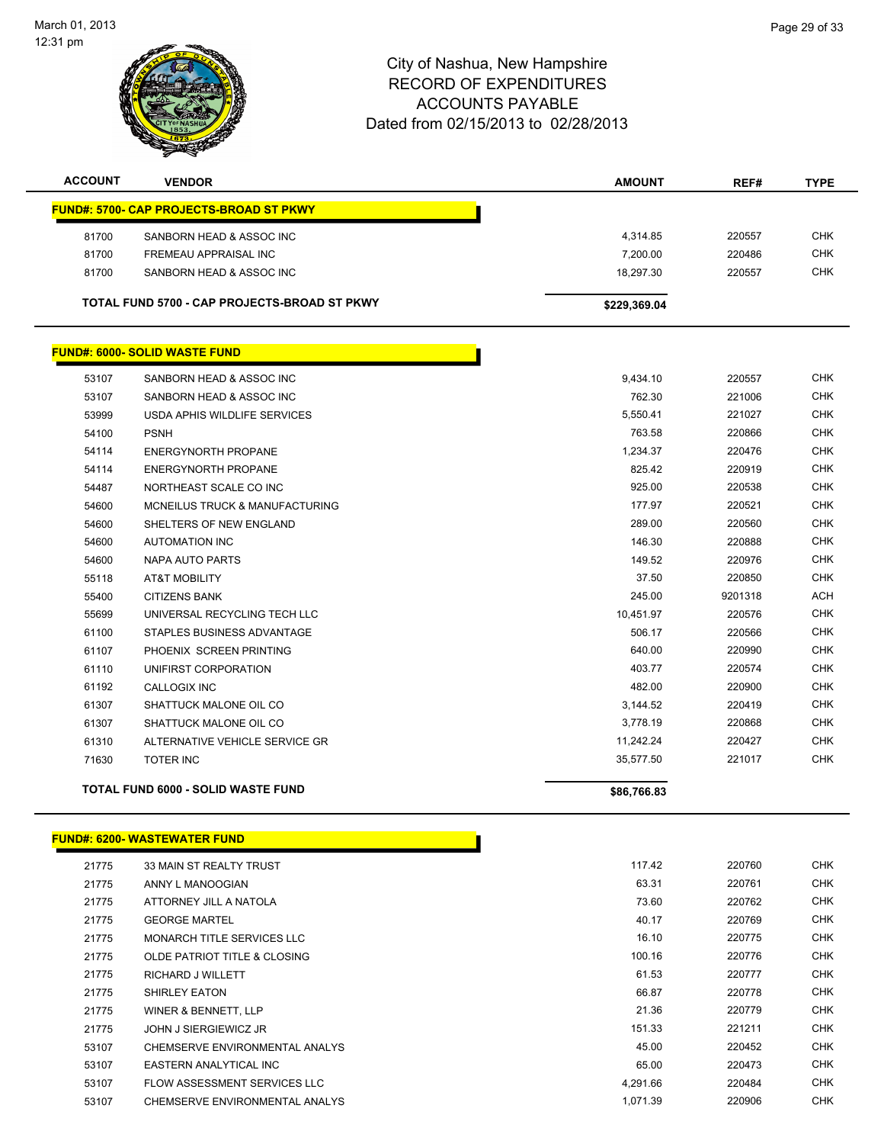

| <b>ACCOUNT</b> | <b>VENDOR</b>                                       | <b>AMOUNT</b> | REF#   | <b>TYPE</b> |
|----------------|-----------------------------------------------------|---------------|--------|-------------|
|                | <b>FUND#: 5700- CAP PROJECTS-BROAD ST PKWY</b>      |               |        |             |
| 81700          | SANBORN HEAD & ASSOC INC                            | 4.314.85      | 220557 | <b>CHK</b>  |
| 81700          | FREMEAU APPRAISAL INC                               | 7.200.00      | 220486 | <b>CHK</b>  |
| 81700          | SANBORN HEAD & ASSOC INC                            | 18.297.30     | 220557 | <b>CHK</b>  |
|                | <b>TOTAL FUND 5700 - CAP PROJECTS-BROAD ST PKWY</b> | \$229,369.04  |        |             |

|       | <b>FUND#: 6000- SOLID WASTE FUND</b>      |             |         |            |
|-------|-------------------------------------------|-------------|---------|------------|
| 53107 | SANBORN HEAD & ASSOC INC                  | 9,434.10    | 220557  | <b>CHK</b> |
| 53107 | SANBORN HEAD & ASSOC INC                  | 762.30      | 221006  | <b>CHK</b> |
| 53999 | USDA APHIS WILDLIFE SERVICES              | 5,550.41    | 221027  | <b>CHK</b> |
| 54100 | <b>PSNH</b>                               | 763.58      | 220866  | <b>CHK</b> |
| 54114 | <b>ENERGYNORTH PROPANE</b>                | 1,234.37    | 220476  | <b>CHK</b> |
| 54114 | <b>ENERGYNORTH PROPANE</b>                | 825.42      | 220919  | <b>CHK</b> |
| 54487 | NORTHEAST SCALE CO INC                    | 925.00      | 220538  | <b>CHK</b> |
| 54600 | MCNEILUS TRUCK & MANUFACTURING            | 177.97      | 220521  | <b>CHK</b> |
| 54600 | SHELTERS OF NEW ENGLAND                   | 289.00      | 220560  | <b>CHK</b> |
| 54600 | <b>AUTOMATION INC</b>                     | 146.30      | 220888  | <b>CHK</b> |
| 54600 | <b>NAPA AUTO PARTS</b>                    | 149.52      | 220976  | <b>CHK</b> |
| 55118 | <b>AT&amp;T MOBILITY</b>                  | 37.50       | 220850  | <b>CHK</b> |
| 55400 | <b>CITIZENS BANK</b>                      | 245.00      | 9201318 | <b>ACH</b> |
| 55699 | UNIVERSAL RECYCLING TECH LLC              | 10,451.97   | 220576  | <b>CHK</b> |
| 61100 | STAPLES BUSINESS ADVANTAGE                | 506.17      | 220566  | <b>CHK</b> |
| 61107 | PHOENIX SCREEN PRINTING                   | 640.00      | 220990  | <b>CHK</b> |
| 61110 | UNIFIRST CORPORATION                      | 403.77      | 220574  | <b>CHK</b> |
| 61192 | <b>CALLOGIX INC</b>                       | 482.00      | 220900  | <b>CHK</b> |
| 61307 | SHATTUCK MALONE OIL CO                    | 3,144.52    | 220419  | <b>CHK</b> |
| 61307 | SHATTUCK MALONE OIL CO                    | 3,778.19    | 220868  | <b>CHK</b> |
| 61310 | ALTERNATIVE VEHICLE SERVICE GR            | 11,242.24   | 220427  | <b>CHK</b> |
| 71630 | <b>TOTER INC</b>                          | 35,577.50   | 221017  | <b>CHK</b> |
|       | <b>TOTAL FUND 6000 - SOLID WASTE FUND</b> | \$86,766.83 |         |            |

#### **FUND#: 6200- WASTEWATER FUND**

| 21775 | 33 MAIN ST REALTY TRUST         |
|-------|---------------------------------|
| 21775 | ANNY L MANOOGIAN                |
| 21775 | ATTORNEY JILL A NATOLA          |
| 21775 | <b>GEORGE MARTEL</b>            |
| 21775 | MONARCH TITLE SERVICES LLC      |
| 21775 | OLDE PATRIOT TITLE & CLOSING    |
| 21775 | <b>RICHARD J WILLETT</b>        |
| 21775 | <b>SHIRLEY EATON</b>            |
| 21775 | <b>WINER &amp; BENNETT, LLP</b> |
| 21775 | <b>JOHN J SIERGIEWICZ JR</b>    |
| 53107 | CHEMSERVE ENVIRONMENTAL ANALYS  |
| 53107 | EASTERN ANALYTICAL INC          |
| 53107 | FLOW ASSESSMENT SERVICES LLC    |
| 53107 | CHEMSERVE ENVIRONMENTAL ANALYS  |

n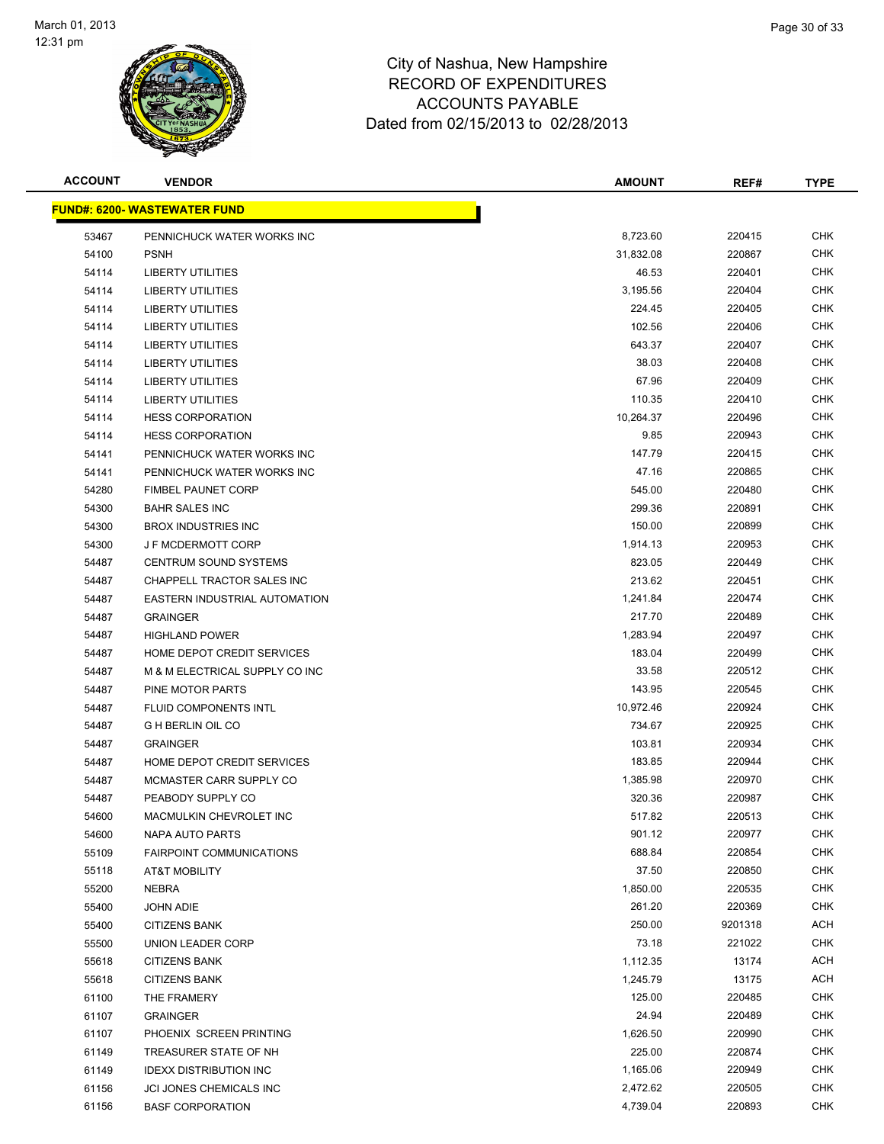

| <b>ACCOUNT</b> | <b>VENDOR</b>                        | <b>AMOUNT</b> | REF#    | <b>TYPE</b> |
|----------------|--------------------------------------|---------------|---------|-------------|
|                | <u> FUND#: 6200- WASTEWATER FUND</u> |               |         |             |
| 53467          | PENNICHUCK WATER WORKS INC           | 8,723.60      | 220415  | <b>CHK</b>  |
| 54100          | <b>PSNH</b>                          | 31,832.08     | 220867  | <b>CHK</b>  |
| 54114          | <b>LIBERTY UTILITIES</b>             | 46.53         | 220401  | <b>CHK</b>  |
| 54114          | <b>LIBERTY UTILITIES</b>             | 3,195.56      | 220404  | <b>CHK</b>  |
| 54114          | <b>LIBERTY UTILITIES</b>             | 224.45        | 220405  | <b>CHK</b>  |
| 54114          | <b>LIBERTY UTILITIES</b>             | 102.56        | 220406  | <b>CHK</b>  |
| 54114          | <b>LIBERTY UTILITIES</b>             | 643.37        | 220407  | CHK         |
| 54114          | <b>LIBERTY UTILITIES</b>             | 38.03         | 220408  | <b>CHK</b>  |
| 54114          | <b>LIBERTY UTILITIES</b>             | 67.96         | 220409  | CHK         |
| 54114          | <b>LIBERTY UTILITIES</b>             | 110.35        | 220410  | CHK         |
| 54114          | <b>HESS CORPORATION</b>              | 10,264.37     | 220496  | <b>CHK</b>  |
| 54114          | <b>HESS CORPORATION</b>              | 9.85          | 220943  | CHK         |
| 54141          | PENNICHUCK WATER WORKS INC           | 147.79        | 220415  | CHK         |
| 54141          | PENNICHUCK WATER WORKS INC           | 47.16         | 220865  | <b>CHK</b>  |
| 54280          | <b>FIMBEL PAUNET CORP</b>            | 545.00        | 220480  | CHK         |
| 54300          | <b>BAHR SALES INC</b>                | 299.36        | 220891  | <b>CHK</b>  |
| 54300          | <b>BROX INDUSTRIES INC</b>           | 150.00        | 220899  | <b>CHK</b>  |
| 54300          | <b>J F MCDERMOTT CORP</b>            | 1,914.13      | 220953  | CHK         |
| 54487          | <b>CENTRUM SOUND SYSTEMS</b>         | 823.05        | 220449  | <b>CHK</b>  |
| 54487          | CHAPPELL TRACTOR SALES INC           | 213.62        | 220451  | CHK         |
| 54487          | EASTERN INDUSTRIAL AUTOMATION        | 1,241.84      | 220474  | CHK         |
| 54487          | <b>GRAINGER</b>                      | 217.70        | 220489  | <b>CHK</b>  |
| 54487          | <b>HIGHLAND POWER</b>                | 1,283.94      | 220497  | CHK         |
| 54487          | HOME DEPOT CREDIT SERVICES           | 183.04        | 220499  | CHK         |
| 54487          | M & M ELECTRICAL SUPPLY CO INC       | 33.58         | 220512  | <b>CHK</b>  |
| 54487          | PINE MOTOR PARTS                     | 143.95        | 220545  | CHK         |
| 54487          | FLUID COMPONENTS INTL                | 10,972.46     | 220924  | CHK         |
| 54487          | <b>G H BERLIN OIL CO</b>             | 734.67        | 220925  | CHK         |
| 54487          | <b>GRAINGER</b>                      | 103.81        | 220934  | CHK         |
| 54487          | HOME DEPOT CREDIT SERVICES           | 183.85        | 220944  | <b>CHK</b>  |
| 54487          | MCMASTER CARR SUPPLY CO              | 1,385.98      | 220970  | CHK         |
| 54487          | PEABODY SUPPLY CO                    | 320.36        | 220987  | CHK         |
| 54600          | MACMULKIN CHEVROLET INC              | 517.82        | 220513  | <b>CHK</b>  |
| 54600          | <b>NAPA AUTO PARTS</b>               | 901.12        | 220977  | <b>CHK</b>  |
| 55109          | <b>FAIRPOINT COMMUNICATIONS</b>      | 688.84        | 220854  | <b>CHK</b>  |
| 55118          | AT&T MOBILITY                        | 37.50         | 220850  | <b>CHK</b>  |
| 55200          | <b>NEBRA</b>                         | 1,850.00      | 220535  | <b>CHK</b>  |
| 55400          | <b>JOHN ADIE</b>                     | 261.20        | 220369  | <b>CHK</b>  |
| 55400          | <b>CITIZENS BANK</b>                 | 250.00        | 9201318 | ACH         |
| 55500          | UNION LEADER CORP                    | 73.18         | 221022  | <b>CHK</b>  |
| 55618          | <b>CITIZENS BANK</b>                 | 1,112.35      | 13174   | <b>ACH</b>  |
| 55618          | <b>CITIZENS BANK</b>                 | 1,245.79      | 13175   | ACH         |
| 61100          | THE FRAMERY                          | 125.00        | 220485  | <b>CHK</b>  |
| 61107          | <b>GRAINGER</b>                      | 24.94         | 220489  | CHK         |
| 61107          | PHOENIX SCREEN PRINTING              | 1,626.50      | 220990  | <b>CHK</b>  |
| 61149          | TREASURER STATE OF NH                | 225.00        | 220874  | <b>CHK</b>  |
| 61149          | <b>IDEXX DISTRIBUTION INC</b>        | 1,165.06      | 220949  | <b>CHK</b>  |
| 61156          | JCI JONES CHEMICALS INC              | 2,472.62      | 220505  | <b>CHK</b>  |
| 61156          | <b>BASF CORPORATION</b>              | 4,739.04      | 220893  | <b>CHK</b>  |
|                |                                      |               |         |             |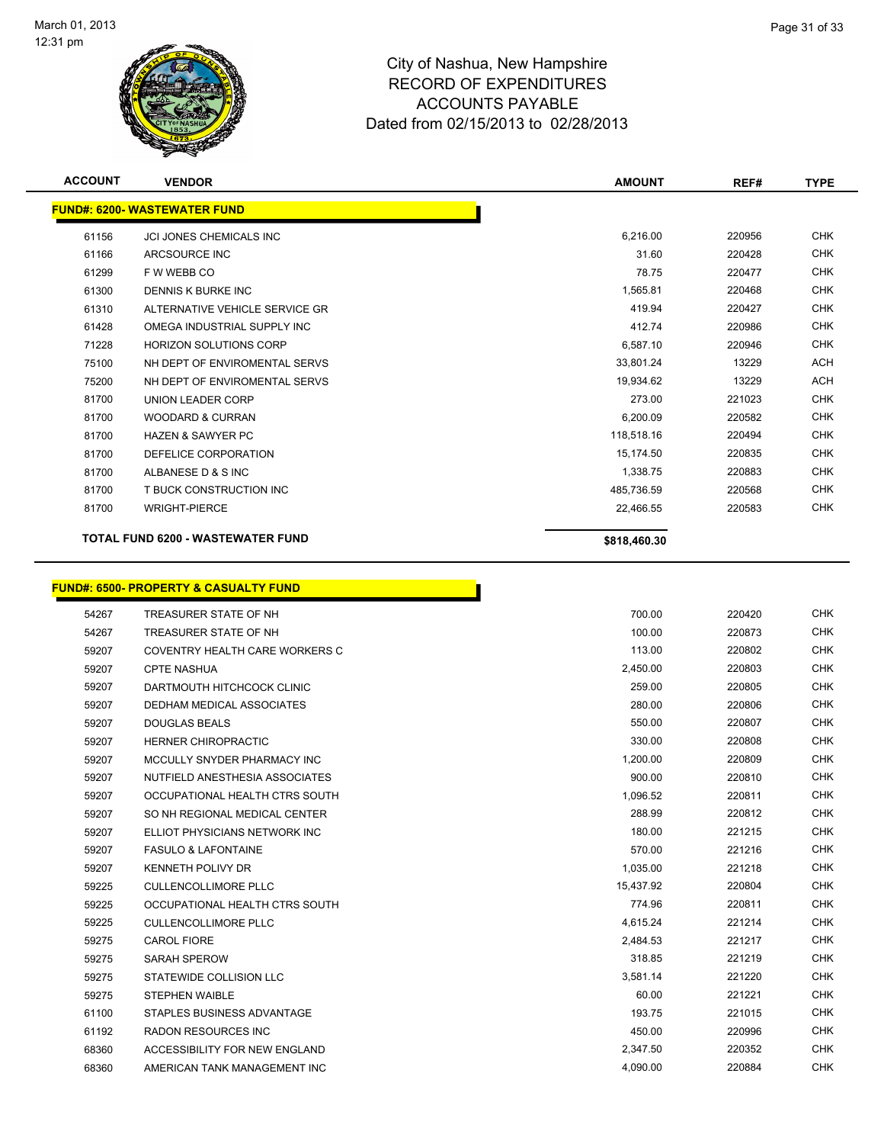

| <b>ACCOUNT</b> | <b>VENDOR</b>                                    | <b>AMOUNT</b> | REF#   | <b>TYPE</b> |
|----------------|--------------------------------------------------|---------------|--------|-------------|
|                | <b>FUND#: 6200- WASTEWATER FUND</b>              |               |        |             |
| 61156          | <b>JCI JONES CHEMICALS INC</b>                   | 6,216.00      | 220956 | <b>CHK</b>  |
| 61166          | ARCSOURCE INC                                    | 31.60         | 220428 | CHK         |
| 61299          | F W WEBB CO                                      | 78.75         | 220477 | CHK         |
| 61300          | DENNIS K BURKE INC                               | 1,565.81      | 220468 | <b>CHK</b>  |
| 61310          | ALTERNATIVE VEHICLE SERVICE GR                   | 419.94        | 220427 | <b>CHK</b>  |
| 61428          | OMEGA INDUSTRIAL SUPPLY INC                      | 412.74        | 220986 | <b>CHK</b>  |
| 71228          | <b>HORIZON SOLUTIONS CORP</b>                    | 6,587.10      | 220946 | <b>CHK</b>  |
| 75100          | NH DEPT OF ENVIROMENTAL SERVS                    | 33,801.24     | 13229  | <b>ACH</b>  |
| 75200          | NH DEPT OF ENVIROMENTAL SERVS                    | 19,934.62     | 13229  | ACH         |
| 81700          | UNION LEADER CORP                                | 273.00        | 221023 | CHK         |
| 81700          | <b>WOODARD &amp; CURRAN</b>                      | 6,200.09      | 220582 | CHK         |
| 81700          | <b>HAZEN &amp; SAWYER PC</b>                     | 118,518.16    | 220494 | CHK         |
| 81700          | DEFELICE CORPORATION                             | 15,174.50     | 220835 | CHK         |
| 81700          | ALBANESE D & S INC                               | 1,338.75      | 220883 | <b>CHK</b>  |
| 81700          | T BUCK CONSTRUCTION INC                          | 485,736.59    | 220568 | <b>CHK</b>  |
| 81700          | <b>WRIGHT-PIERCE</b>                             | 22,466.55     | 220583 | <b>CHK</b>  |
|                | <b>TOTAL FUND 6200 - WASTEWATER FUND</b>         | \$818,460.30  |        |             |
|                |                                                  |               |        |             |
|                | <b>FUND#: 6500- PROPERTY &amp; CASUALTY FUND</b> |               |        |             |
| 54267          | TREASURER STATE OF NH                            | 700.00        | 220420 | <b>CHK</b>  |
| 54267          | TREASURER STATE OF NH                            | 100.00        | 220873 | <b>CHK</b>  |
| 59207          | COVENTRY HEALTH CARE WORKERS C                   | 113.00        | 220802 | <b>CHK</b>  |
| 59207          | <b>CPTE NASHUA</b>                               | 2,450.00      | 220803 | <b>CHK</b>  |
| 59207          | DARTMOUTH HITCHCOCK CLINIC                       | 259.00        | 220805 | <b>CHK</b>  |
| 59207          | DEDHAM MEDICAL ASSOCIATES                        | 280.00        | 220806 | <b>CHK</b>  |
| 59207          | <b>DOUGLAS BEALS</b>                             | 550.00        | 220807 | <b>CHK</b>  |
| 59207          | HERNER CHIROPRACTIC                              | 330.00        | 220808 | <b>CHK</b>  |
| 59207          | MCCULLY SNYDER PHARMACY INC                      | 1,200.00      | 220809 | <b>CHK</b>  |
| 59207          | NUTFIELD ANESTHESIA ASSOCIATES                   | 900.00        | 220810 | <b>CHK</b>  |
| 59207          | OCCUPATIONAL HEALTH CTRS SOUTH                   | 1,096.52      | 220811 | <b>CHK</b>  |
| 59207          | SO NH REGIONAL MEDICAL CENTER                    | 288.99        | 220812 | <b>CHK</b>  |
| 59207          | ELLIOT PHYSICIANS NETWORK INC                    | 180.00        | 221215 | <b>CHK</b>  |
| 59207          | <b>FASULO &amp; LAFONTAINE</b>                   | 570.00        | 221216 | <b>CHK</b>  |
| 59207          | <b>KENNETH POLIVY DR</b>                         | 1,035.00      | 221218 | <b>CHK</b>  |
| 59225          | <b>CULLENCOLLIMORE PLLC</b>                      | 15,437.92     | 220804 | <b>CHK</b>  |
| 59225          | OCCUPATIONAL HEALTH CTRS SOUTH                   | 774.96        | 220811 | <b>CHK</b>  |
| 59225          | <b>CULLENCOLLIMORE PLLC</b>                      | 4,615.24      | 221214 | <b>CHK</b>  |
| 59275          | CAROL FIORE                                      | 2,484.53      | 221217 | <b>CHK</b>  |
| 59275          | SARAH SPEROW                                     | 318.85        | 221219 | <b>CHK</b>  |
| 59275          | STATEWIDE COLLISION LLC                          | 3,581.14      | 221220 | <b>CHK</b>  |
| 59275          | <b>STEPHEN WAIBLE</b>                            | 60.00         | 221221 | <b>CHK</b>  |
| 61100          | STAPLES BUSINESS ADVANTAGE                       | 193.75        | 221015 | <b>CHK</b>  |
| 61192          | RADON RESOURCES INC                              | 450.00        | 220996 | <b>CHK</b>  |
| 68360          | ACCESSIBILITY FOR NEW ENGLAND                    | 2,347.50      | 220352 | <b>CHK</b>  |
| 68360          | AMERICAN TANK MANAGEMENT INC                     | 4,090.00      | 220884 | CHK         |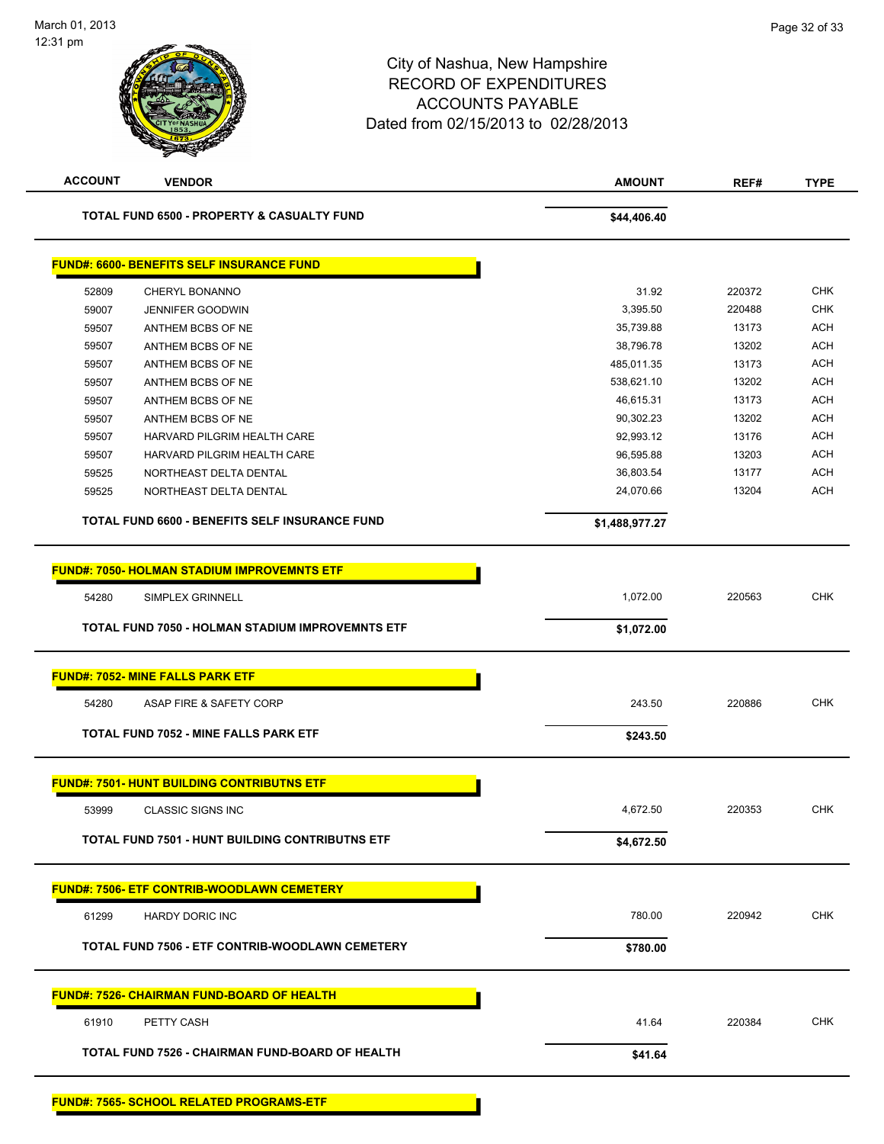**FUND#: 7565- SCHOOL RELATED PROGRAMS-ETF**

| <b>ACCOUNT</b><br><b>VENDOR</b> |                                                        | <b>AMOUNT</b>  | REF#   | <b>TYPE</b> |
|---------------------------------|--------------------------------------------------------|----------------|--------|-------------|
|                                 | <b>TOTAL FUND 6500 - PROPERTY &amp; CASUALTY FUND</b>  | \$44,406.40    |        |             |
|                                 | <b>FUND#: 6600- BENEFITS SELF INSURANCE FUND</b>       |                |        |             |
| 52809                           | CHERYL BONANNO                                         | 31.92          | 220372 | <b>CHK</b>  |
| 59007                           | <b>JENNIFER GOODWIN</b>                                | 3,395.50       | 220488 | <b>CHK</b>  |
| 59507                           | ANTHEM BCBS OF NE                                      | 35,739.88      | 13173  | <b>ACH</b>  |
| 59507                           | ANTHEM BCBS OF NE                                      | 38,796.78      | 13202  | <b>ACH</b>  |
| 59507                           | ANTHEM BCBS OF NE                                      | 485,011.35     | 13173  | <b>ACH</b>  |
| 59507                           | ANTHEM BCBS OF NE                                      | 538,621.10     | 13202  | <b>ACH</b>  |
| 59507                           | ANTHEM BCBS OF NE                                      | 46,615.31      | 13173  | <b>ACH</b>  |
| 59507                           | ANTHEM BCBS OF NE                                      | 90,302.23      | 13202  | <b>ACH</b>  |
| 59507                           | HARVARD PILGRIM HEALTH CARE                            | 92,993.12      | 13176  | <b>ACH</b>  |
| 59507                           | HARVARD PILGRIM HEALTH CARE                            | 96,595.88      | 13203  | <b>ACH</b>  |
| 59525                           | NORTHEAST DELTA DENTAL                                 | 36,803.54      | 13177  | ACH         |
| 59525                           | NORTHEAST DELTA DENTAL                                 | 24,070.66      | 13204  | ACH         |
|                                 | TOTAL FUND 6600 - BENEFITS SELF INSURANCE FUND         | \$1,488,977.27 |        |             |
|                                 | <b>FUND#: 7050- HOLMAN STADIUM IMPROVEMNTS ETF</b>     |                |        |             |
| 54280                           | <b>SIMPLEX GRINNELL</b>                                | 1,072.00       | 220563 | <b>CHK</b>  |
|                                 | TOTAL FUND 7050 - HOLMAN STADIUM IMPROVEMNTS ETF       | \$1,072.00     |        |             |
|                                 |                                                        |                |        |             |
|                                 | <b>FUND#: 7052- MINE FALLS PARK ETF</b>                |                |        |             |
| 54280                           | ASAP FIRE & SAFETY CORP                                | 243.50         | 220886 | <b>CHK</b>  |
|                                 | <b>TOTAL FUND 7052 - MINE FALLS PARK ETF</b>           | \$243.50       |        |             |
|                                 | <b>FUND#: 7501- HUNT BUILDING CONTRIBUTNS ETF</b>      |                |        |             |
| 53999                           | <b>CLASSIC SIGNS INC</b>                               | 4,672.50       | 220353 | <b>CHK</b>  |
|                                 |                                                        |                |        |             |
|                                 | <b>TOTAL FUND 7501 - HUNT BUILDING CONTRIBUTNS ETF</b> | \$4,672.50     |        |             |
|                                 | <b>FUND#: 7506- ETF CONTRIB-WOODLAWN CEMETERY</b>      |                |        |             |
| 61299                           | HARDY DORIC INC                                        | 780.00         | 220942 | <b>CHK</b>  |
|                                 | TOTAL FUND 7506 - ETF CONTRIB-WOODLAWN CEMETERY        | \$780.00       |        |             |
|                                 | <u> FUND#: 7526- CHAIRMAN FUND-BOARD OF HEALTH</u>     |                |        |             |
|                                 |                                                        |                |        | <b>CHK</b>  |
| 61910                           | PETTY CASH                                             | 41.64          | 220384 |             |
|                                 | TOTAL FUND 7526 - CHAIRMAN FUND-BOARD OF HEALTH        | \$41.64        |        |             |
|                                 |                                                        |                |        |             |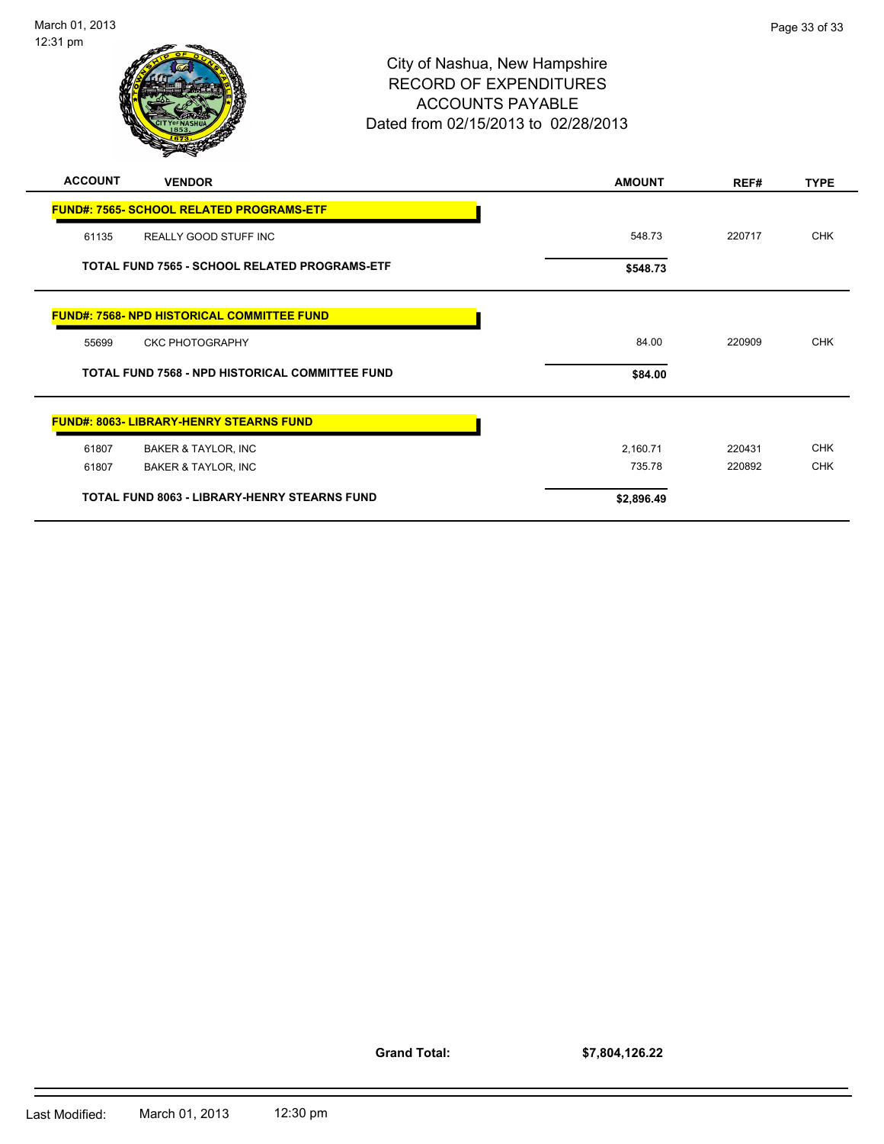

City of Nashua, New Hampshire RECORD OF EXPENDITURES ACCOUNTS PAYABLE Dated from 02/15/2013 to 02/28/2013 12:31 pm **ACCOUNT VENDOR AMOUNT REF# TYPE FUND#: 7565- SCHOOL RELATED PROGRAMS-ETF**

|       | <u> FUND#. 7909- SCHUUL RELATED FRUGRAMS-ETF</u>       |            |        |            |
|-------|--------------------------------------------------------|------------|--------|------------|
| 61135 | REALLY GOOD STUFF INC                                  | 548.73     | 220717 | <b>CHK</b> |
|       | <b>TOTAL FUND 7565 - SCHOOL RELATED PROGRAMS-ETF</b>   | \$548.73   |        |            |
|       | <b>FUND#: 7568- NPD HISTORICAL COMMITTEE FUND</b>      |            |        |            |
| 55699 | <b>CKC PHOTOGRAPHY</b>                                 | 84.00      | 220909 | <b>CHK</b> |
|       |                                                        |            |        |            |
|       | <b>TOTAL FUND 7568 - NPD HISTORICAL COMMITTEE FUND</b> | \$84.00    |        |            |
|       | <b>FUND#: 8063- LIBRARY-HENRY STEARNS FUND</b>         |            |        |            |
| 61807 | BAKER & TAYLOR, INC                                    | 2,160.71   | 220431 | <b>CHK</b> |
| 61807 | <b>BAKER &amp; TAYLOR, INC</b>                         | 735.78     | 220892 | <b>CHK</b> |
|       | <b>TOTAL FUND 8063 - LIBRARY-HENRY STEARNS FUND</b>    | \$2,896.49 |        |            |

**Grand Total:**

**\$7,804,126.22**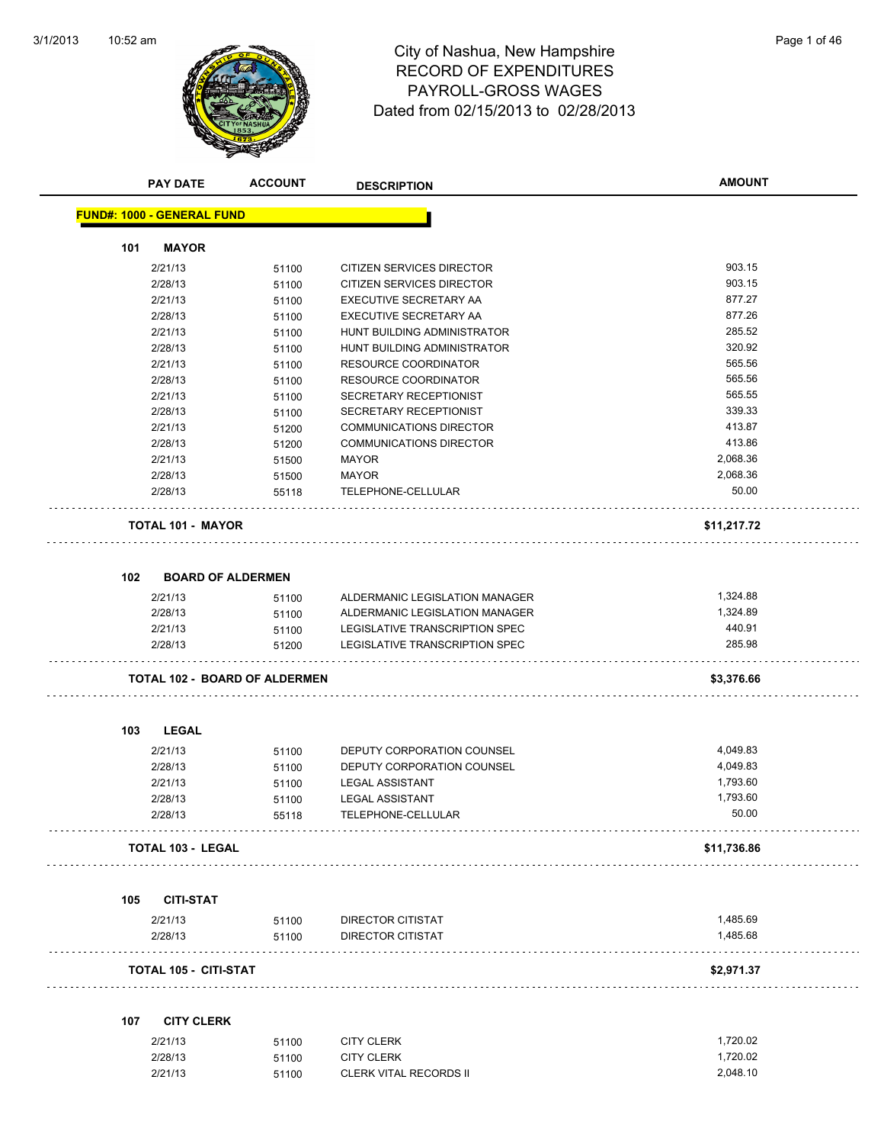

# RECORD OF EXPENDITURES PAYROLL-GROSS WAGES Dated from 02/15/2013 to 02/28/2013

|                  | <b>PAY DATE</b>                   | <b>ACCOUNT</b>                       | <b>DESCRIPTION</b>               | <b>AMOUNT</b> |
|------------------|-----------------------------------|--------------------------------------|----------------------------------|---------------|
|                  | <b>FUND#: 1000 - GENERAL FUND</b> |                                      |                                  |               |
| 101              | <b>MAYOR</b>                      |                                      |                                  |               |
|                  | 2/21/13                           |                                      | CITIZEN SERVICES DIRECTOR        | 903.15        |
|                  | 2/28/13                           | 51100<br>51100                       | <b>CITIZEN SERVICES DIRECTOR</b> | 903.15        |
|                  | 2/21/13                           | 51100                                | EXECUTIVE SECRETARY AA           | 877.27        |
|                  | 2/28/13                           | 51100                                | EXECUTIVE SECRETARY AA           | 877.26        |
|                  | 2/21/13                           | 51100                                | HUNT BUILDING ADMINISTRATOR      | 285.52        |
|                  | 2/28/13                           | 51100                                | HUNT BUILDING ADMINISTRATOR      | 320.92        |
|                  | 2/21/13                           | 51100                                | <b>RESOURCE COORDINATOR</b>      | 565.56        |
|                  | 2/28/13                           | 51100                                | <b>RESOURCE COORDINATOR</b>      | 565.56        |
|                  | 2/21/13                           | 51100                                | SECRETARY RECEPTIONIST           | 565.55        |
|                  | 2/28/13                           | 51100                                | SECRETARY RECEPTIONIST           | 339.33        |
|                  | 2/21/13                           | 51200                                | <b>COMMUNICATIONS DIRECTOR</b>   | 413.87        |
|                  | 2/28/13                           | 51200                                | <b>COMMUNICATIONS DIRECTOR</b>   | 413.86        |
|                  | 2/21/13                           | 51500                                | <b>MAYOR</b>                     | 2,068.36      |
|                  | 2/28/13                           | 51500                                | <b>MAYOR</b>                     | 2,068.36      |
|                  | 2/28/13                           | 55118                                | TELEPHONE-CELLULAR               | 50.00         |
|                  | <b>TOTAL 101 - MAYOR</b>          |                                      |                                  | \$11,217.72   |
| 102 <sub>1</sub> | <b>BOARD OF ALDERMEN</b>          |                                      |                                  |               |
|                  | 2/21/13                           | 51100                                | ALDERMANIC LEGISLATION MANAGER   | 1,324.88      |
|                  | 2/28/13                           | 51100                                | ALDERMANIC LEGISLATION MANAGER   | 1,324.89      |
|                  | 2/21/13                           | 51100                                | LEGISLATIVE TRANSCRIPTION SPEC   | 440.91        |
|                  | 2/28/13                           | 51200                                | LEGISLATIVE TRANSCRIPTION SPEC   | 285.98        |
|                  |                                   | <b>TOTAL 102 - BOARD OF ALDERMEN</b> |                                  | \$3,376.66    |
| 103              | <b>LEGAL</b>                      |                                      |                                  |               |
|                  | 2/21/13                           | 51100                                | DEPUTY CORPORATION COUNSEL       | 4,049.83      |
|                  | 2/28/13                           | 51100                                | DEPUTY CORPORATION COUNSEL       | 4,049.83      |
|                  | 2/21/13                           | 51100                                | <b>LEGAL ASSISTANT</b>           | 1,793.60      |
|                  | 2/28/13                           | 51100                                | <b>LEGAL ASSISTANT</b>           | 1,793.60      |
|                  | 2/28/13                           | 55118                                | TELEPHONE-CELLULAR               | 50.00         |
|                  | <b>TOTAL 103 - LEGAL</b>          |                                      |                                  | \$11,736.86   |
| 105              | <b>CITI-STAT</b>                  |                                      |                                  |               |
|                  | 2/21/13                           | 51100                                | DIRECTOR CITISTAT                | 1,485.69      |
|                  | 2/28/13                           | 51100                                | <b>DIRECTOR CITISTAT</b>         | 1,485.68      |
|                  | <b>TOTAL 105 - CITI-STAT</b>      |                                      |                                  | \$2,971.37    |
|                  |                                   |                                      |                                  |               |
| 107              | <b>CITY CLERK</b>                 |                                      |                                  |               |
|                  | 2/21/13                           | 51100                                | <b>CITY CLERK</b>                | 1,720.02      |
|                  | 2/28/13                           | 51100                                | <b>CITY CLERK</b>                | 1,720.02      |
|                  | 2/21/13                           | 51100                                | <b>CLERK VITAL RECORDS II</b>    | 2,048.10      |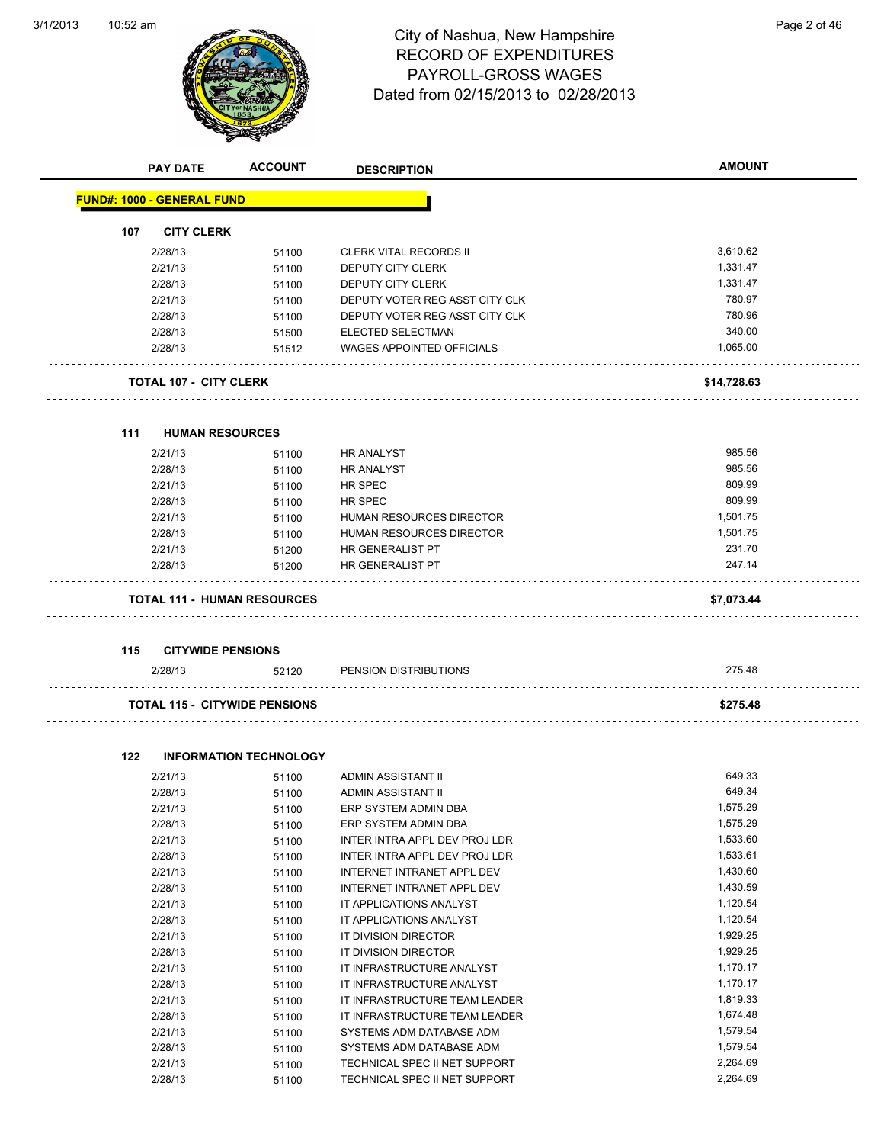$\overline{\phantom{a}}$ 



# 10:52 am Page 2 of 46 RECORD OF EXPENDITURES PAYROLL-GROSS WAGES Dated from 02/15/2013 to 02/28/2013

|     | <b>PAY DATE</b>                      | <b>ACCOUNT</b>                | <b>DESCRIPTION</b>               | <b>AMOUNT</b> |
|-----|--------------------------------------|-------------------------------|----------------------------------|---------------|
|     | <b>FUND#: 1000 - GENERAL FUND</b>    |                               |                                  |               |
| 107 | <b>CITY CLERK</b>                    |                               |                                  |               |
|     | 2/28/13                              | 51100                         | <b>CLERK VITAL RECORDS II</b>    | 3,610.62      |
|     | 2/21/13                              | 51100                         | <b>DEPUTY CITY CLERK</b>         | 1,331.47      |
|     | 2/28/13                              | 51100                         | DEPUTY CITY CLERK                | 1,331.47      |
|     | 2/21/13                              | 51100                         | DEPUTY VOTER REG ASST CITY CLK   | 780.97        |
|     | 2/28/13                              | 51100                         | DEPUTY VOTER REG ASST CITY CLK   | 780.96        |
|     | 2/28/13                              | 51500                         | ELECTED SELECTMAN                | 340.00        |
|     | 2/28/13                              | 51512                         | <b>WAGES APPOINTED OFFICIALS</b> | 1,065.00      |
|     | TOTAL 107 - CITY CLERK               |                               |                                  | \$14,728.63   |
| 111 | <b>HUMAN RESOURCES</b>               |                               |                                  |               |
|     | 2/21/13                              | 51100                         | <b>HR ANALYST</b>                | 985.56        |
|     | 2/28/13                              | 51100                         | <b>HR ANALYST</b>                | 985.56        |
|     | 2/21/13                              | 51100                         | <b>HR SPEC</b>                   | 809.99        |
|     | 2/28/13                              | 51100                         | HR SPEC                          | 809.99        |
|     | 2/21/13                              | 51100                         | HUMAN RESOURCES DIRECTOR         | 1,501.75      |
|     | 2/28/13                              | 51100                         | <b>HUMAN RESOURCES DIRECTOR</b>  | 1,501.75      |
|     | 2/21/13                              | 51200                         | HR GENERALIST PT                 | 231.70        |
|     | 2/28/13                              | 51200                         | HR GENERALIST PT                 | 247.14        |
|     | <b>TOTAL 111 - HUMAN RESOURCES</b>   |                               |                                  | \$7,073.44    |
| 115 | <b>CITYWIDE PENSIONS</b>             |                               |                                  |               |
|     | 2/28/13                              | 52120                         | PENSION DISTRIBUTIONS            | 275.48        |
|     | <b>TOTAL 115 - CITYWIDE PENSIONS</b> |                               |                                  | \$275.48      |
| 122 |                                      | <b>INFORMATION TECHNOLOGY</b> |                                  |               |
|     | 2/21/13                              | 51100                         | ADMIN ASSISTANT II               | 649.33        |
|     | 2/28/13                              | 51100                         | ADMIN ASSISTANT II               | 649.34        |
|     | 2/21/13                              | 51100                         | ERP SYSTEM ADMIN DBA             | 1,575.29      |
|     | 2/28/13                              | 51100                         | ERP SYSTEM ADMIN DBA             | 1,575.29      |
|     | 2/21/13                              | 51100                         | INTER INTRA APPL DEV PROJ LDR    | 1,533.60      |
|     | 2/28/13                              | 51100                         | INTER INTRA APPL DEV PROJ LDR    | 1,533.61      |
|     |                                      |                               |                                  |               |

| 2/21/13 | 51100 | INTER INTRA APPL DEV PROJ LDR | 1,533.60 |
|---------|-------|-------------------------------|----------|
| 2/28/13 | 51100 | INTER INTRA APPL DEV PROJ LDR | 1,533.61 |
| 2/21/13 | 51100 | INTERNET INTRANET APPL DEV    | 1,430.60 |
| 2/28/13 | 51100 | INTERNET INTRANET APPL DEV    | 1,430.59 |
| 2/21/13 | 51100 | IT APPLICATIONS ANALYST       | 1,120.54 |
| 2/28/13 | 51100 | IT APPLICATIONS ANALYST       | 1,120.54 |
| 2/21/13 | 51100 | IT DIVISION DIRECTOR          | 1,929.25 |
| 2/28/13 | 51100 | IT DIVISION DIRECTOR          | 1,929.25 |
| 2/21/13 | 51100 | IT INFRASTRUCTURE ANALYST     | 1,170.17 |
| 2/28/13 | 51100 | IT INFRASTRUCTURE ANALYST     | 1,170.17 |
| 2/21/13 | 51100 | IT INFRASTRUCTURE TEAM LEADER | 1,819.33 |
| 2/28/13 | 51100 | IT INFRASTRUCTURE TEAM LEADER | 1,674.48 |
| 2/21/13 | 51100 | SYSTEMS ADM DATABASE ADM      | 1,579.54 |
| 2/28/13 | 51100 | SYSTEMS ADM DATABASE ADM      | 1,579.54 |
| 2/21/13 | 51100 | TECHNICAL SPEC II NET SUPPORT | 2,264.69 |
| 2/28/13 | 51100 | TECHNICAL SPEC II NET SUPPORT | 2.264.69 |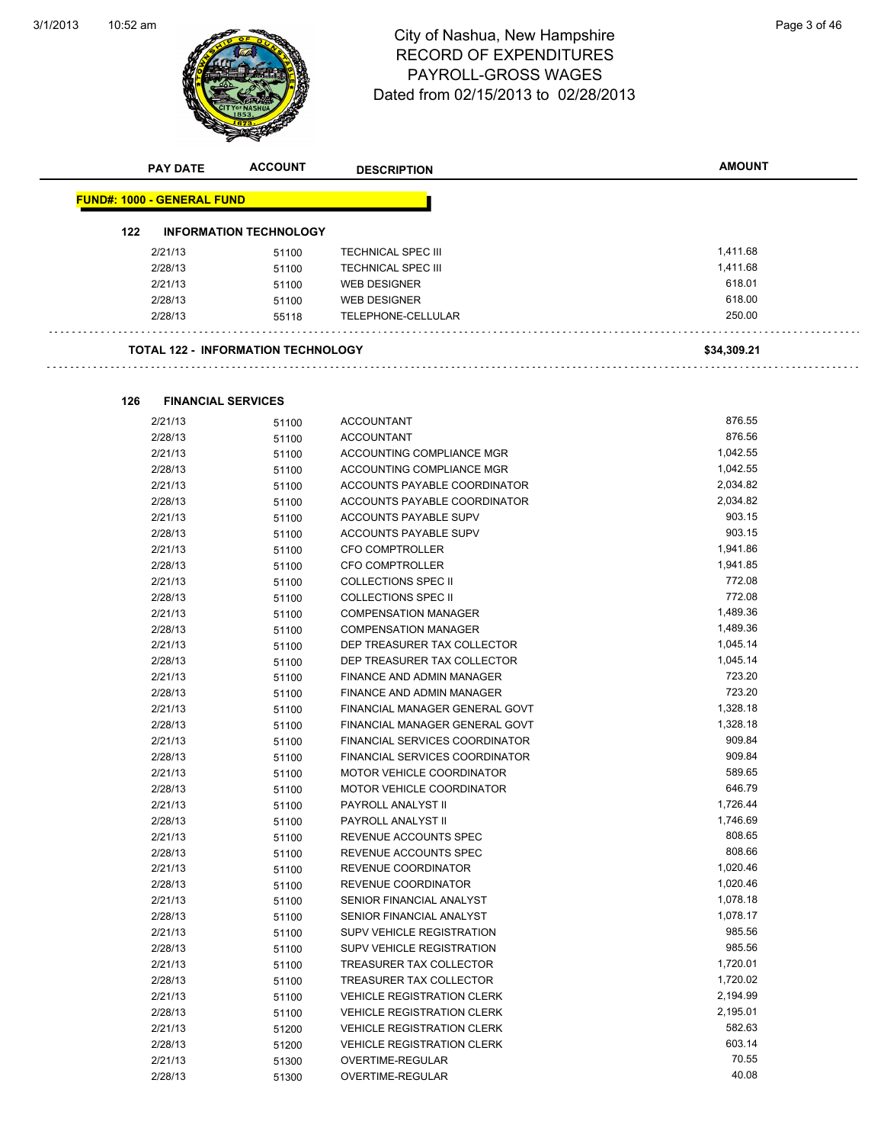

# 10:52 am Page 3 of 46 RECORD OF EXPENDITURES PAYROLL-GROSS WAGES Dated from 02/15/2013 to 02/28/2013

|     | <b>PAY DATE</b>                   | <b>ACCOUNT</b>                            | <b>DESCRIPTION</b>                | <b>AMOUNT</b> |  |
|-----|-----------------------------------|-------------------------------------------|-----------------------------------|---------------|--|
|     | <b>FUND#: 1000 - GENERAL FUND</b> |                                           |                                   |               |  |
|     |                                   |                                           |                                   |               |  |
| 122 |                                   | <b>INFORMATION TECHNOLOGY</b>             |                                   |               |  |
|     | 2/21/13                           | 51100                                     | <b>TECHNICAL SPEC III</b>         | 1,411.68      |  |
|     | 2/28/13                           | 51100                                     | <b>TECHNICAL SPEC III</b>         | 1,411.68      |  |
|     | 2/21/13                           | 51100                                     | <b>WEB DESIGNER</b>               | 618.01        |  |
|     | 2/28/13                           | 51100                                     | <b>WEB DESIGNER</b>               | 618.00        |  |
|     | 2/28/13                           | 55118                                     | TELEPHONE-CELLULAR                | 250.00        |  |
|     |                                   |                                           |                                   |               |  |
|     |                                   | <b>TOTAL 122 - INFORMATION TECHNOLOGY</b> |                                   | \$34,309.21   |  |
|     |                                   |                                           |                                   |               |  |
| 126 |                                   | <b>FINANCIAL SERVICES</b>                 |                                   |               |  |
|     | 2/21/13                           | 51100                                     | <b>ACCOUNTANT</b>                 | 876.55        |  |
|     | 2/28/13                           | 51100                                     | <b>ACCOUNTANT</b>                 | 876.56        |  |
|     | 2/21/13                           | 51100                                     | ACCOUNTING COMPLIANCE MGR         | 1,042.55      |  |
|     | 2/28/13                           | 51100                                     | ACCOUNTING COMPLIANCE MGR         | 1,042.55      |  |
|     | 2/21/13                           | 51100                                     | ACCOUNTS PAYABLE COORDINATOR      | 2,034.82      |  |
|     | 2/28/13                           | 51100                                     | ACCOUNTS PAYABLE COORDINATOR      | 2,034.82      |  |
|     | 2/21/13                           | 51100                                     | ACCOUNTS PAYABLE SUPV             | 903.15        |  |
|     | 2/28/13                           | 51100                                     | ACCOUNTS PAYABLE SUPV             | 903.15        |  |
|     | 2/21/13                           | 51100                                     | <b>CFO COMPTROLLER</b>            | 1,941.86      |  |
|     | 2/28/13                           | 51100                                     | <b>CFO COMPTROLLER</b>            | 1,941.85      |  |
|     | 2/21/13                           | 51100                                     | <b>COLLECTIONS SPEC II</b>        | 772.08        |  |
|     | 2/28/13                           | 51100                                     | <b>COLLECTIONS SPEC II</b>        | 772.08        |  |
|     | 2/21/13                           | 51100                                     | <b>COMPENSATION MANAGER</b>       | 1,489.36      |  |
|     | 2/28/13                           | 51100                                     | <b>COMPENSATION MANAGER</b>       | 1,489.36      |  |
|     | 2/21/13                           | 51100                                     | DEP TREASURER TAX COLLECTOR       | 1,045.14      |  |
|     | 2/28/13                           | 51100                                     | DEP TREASURER TAX COLLECTOR       | 1,045.14      |  |
|     | 2/21/13                           | 51100                                     | FINANCE AND ADMIN MANAGER         | 723.20        |  |
|     | 2/28/13                           | 51100                                     | FINANCE AND ADMIN MANAGER         | 723.20        |  |
|     | 2/21/13                           | 51100                                     | FINANCIAL MANAGER GENERAL GOVT    | 1,328.18      |  |
|     | 2/28/13                           | 51100                                     | FINANCIAL MANAGER GENERAL GOVT    | 1,328.18      |  |
|     | 2/21/13                           | 51100                                     | FINANCIAL SERVICES COORDINATOR    | 909.84        |  |
|     | 2/28/13                           | 51100                                     | FINANCIAL SERVICES COORDINATOR    | 909.84        |  |
|     | 2/21/13                           | 51100                                     | <b>MOTOR VEHICLE COORDINATOR</b>  | 589.65        |  |
|     | 2/28/13                           | 51100                                     | MOTOR VEHICLE COORDINATOR         | 646.79        |  |
|     | 2/21/13                           | 51100                                     | PAYROLL ANALYST II                | 1,726.44      |  |
|     | 2/28/13                           |                                           | PAYROLL ANALYST II                | 1,746.69      |  |
|     | 2/21/13                           | 51100<br>51100                            | REVENUE ACCOUNTS SPEC             | 808.65        |  |
|     | 2/28/13                           |                                           | REVENUE ACCOUNTS SPEC             | 808.66        |  |
|     | 2/21/13                           | 51100<br>51100                            | REVENUE COORDINATOR               | 1,020.46      |  |
|     | 2/28/13                           |                                           | REVENUE COORDINATOR               | 1,020.46      |  |
|     |                                   | 51100                                     | SENIOR FINANCIAL ANALYST          | 1,078.18      |  |
|     | 2/21/13<br>2/28/13                | 51100                                     | SENIOR FINANCIAL ANALYST          | 1,078.17      |  |
|     |                                   | 51100                                     |                                   | 985.56        |  |
|     | 2/21/13                           | 51100                                     | SUPV VEHICLE REGISTRATION         | 985.56        |  |
|     | 2/28/13                           | 51100                                     | SUPV VEHICLE REGISTRATION         | 1,720.01      |  |
|     | 2/21/13                           | 51100                                     | TREASURER TAX COLLECTOR           |               |  |
|     | 2/28/13                           | 51100                                     | TREASURER TAX COLLECTOR           | 1,720.02      |  |
|     | 2/21/13                           | 51100                                     | <b>VEHICLE REGISTRATION CLERK</b> | 2,194.99      |  |
|     | 2/28/13                           | 51100                                     | <b>VEHICLE REGISTRATION CLERK</b> | 2,195.01      |  |
|     | 2/21/13                           | 51200                                     | <b>VEHICLE REGISTRATION CLERK</b> | 582.63        |  |
|     | 2/28/13                           | 51200                                     | <b>VEHICLE REGISTRATION CLERK</b> | 603.14        |  |
|     | 2/21/13                           | 51300                                     | OVERTIME-REGULAR                  | 70.55         |  |
|     | 2/28/13                           | 51300                                     | OVERTIME-REGULAR                  | 40.08         |  |

L,

 $\ddot{\phantom{a}}$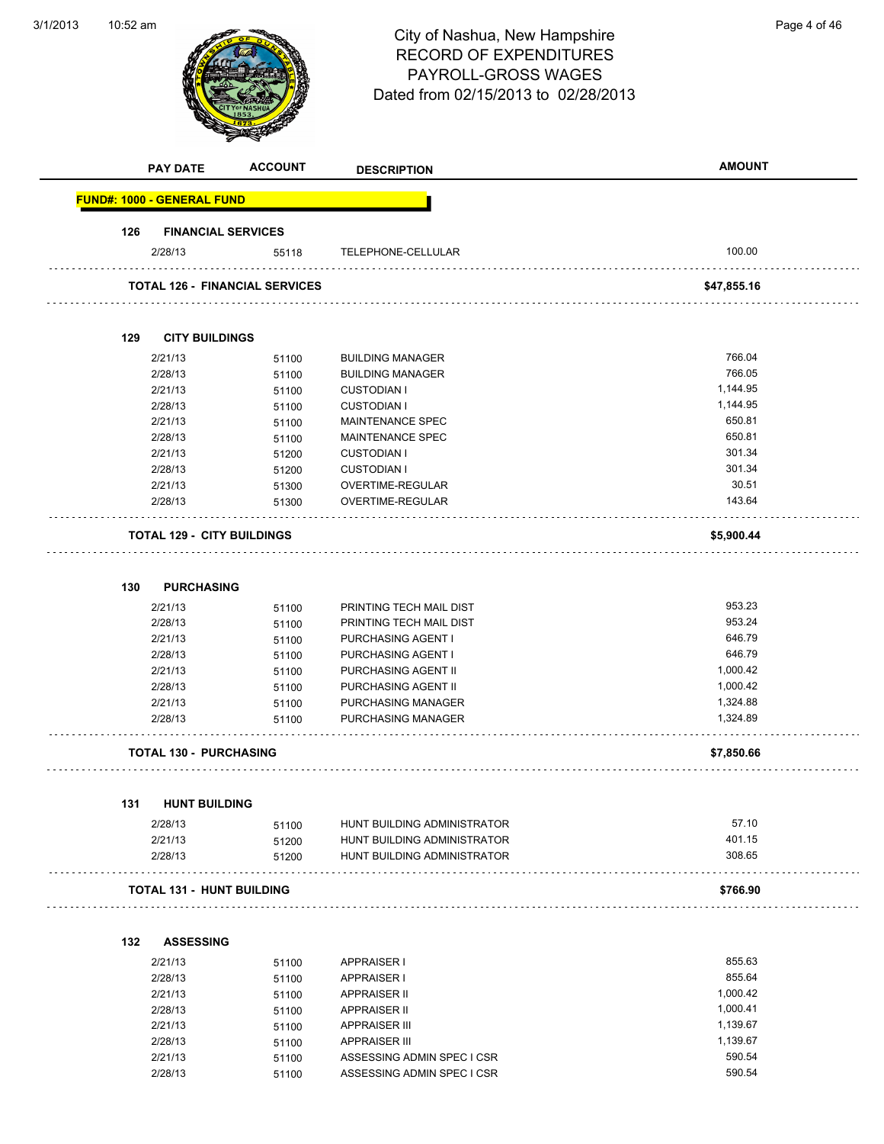| 3/1/2013 | 10:52 am |                                   |                                       | City of Nashua, New Hampshire<br><b>RECORD OF EXPENDITURES</b><br>PAYROLL-GROSS WAGES<br>Dated from 02/15/2013 to 02/28/2013 | Page 4 of 46  |
|----------|----------|-----------------------------------|---------------------------------------|------------------------------------------------------------------------------------------------------------------------------|---------------|
|          |          | <b>PAY DATE</b>                   | <b>ACCOUNT</b>                        | <b>DESCRIPTION</b>                                                                                                           | <b>AMOUNT</b> |
|          |          | <b>FUND#: 1000 - GENERAL FUND</b> |                                       |                                                                                                                              |               |
|          | 126      | <b>FINANCIAL SERVICES</b>         |                                       |                                                                                                                              |               |
|          |          | 2/28/13                           | 55118                                 | TELEPHONE-CELLULAR                                                                                                           | 100.00        |
|          |          |                                   | <b>TOTAL 126 - FINANCIAL SERVICES</b> |                                                                                                                              | \$47,855.16   |
|          | 129      | <b>CITY BUILDINGS</b>             |                                       |                                                                                                                              |               |
|          |          | 2/21/13                           | 51100                                 | <b>BUILDING MANAGER</b>                                                                                                      | 766.04        |
|          |          | 2/28/13                           | 51100                                 | <b>BUILDING MANAGER</b>                                                                                                      | 766.05        |
|          |          | 2/21/13                           | 51100                                 | <b>CUSTODIAN I</b>                                                                                                           | 1,144.95      |
|          |          | 2/28/13                           | 51100                                 | <b>CUSTODIAN I</b>                                                                                                           | 1,144.95      |
|          |          | 2/21/13                           | 51100                                 | MAINTENANCE SPEC                                                                                                             | 650.81        |
|          |          | 2/28/13                           | 51100                                 | MAINTENANCE SPEC                                                                                                             | 650.81        |
|          |          | 2/21/13                           | 51200                                 | <b>CUSTODIAN I</b>                                                                                                           | 301.34        |
|          |          | 2/28/13                           | 51200                                 | <b>CUSTODIAN I</b>                                                                                                           | 301.34        |
|          |          | 2/21/13                           | 51300                                 | OVERTIME-REGULAR                                                                                                             | 30.51         |
|          |          | 2/28/13                           | 51300                                 | OVERTIME-REGULAR                                                                                                             | 143.64        |
|          | 130      | <b>PURCHASING</b>                 |                                       |                                                                                                                              |               |
|          |          | 2/21/13                           | 51100                                 | PRINTING TECH MAIL DIST                                                                                                      | 953.23        |
|          |          | 2/28/13                           | 51100                                 | PRINTING TECH MAIL DIST                                                                                                      | 953.24        |
|          |          | 2/21/13                           | 51100                                 | PURCHASING AGENT I                                                                                                           | 646.79        |
|          |          | 2/28/13                           | 51100                                 | PURCHASING AGENT I                                                                                                           | 646.79        |
|          |          | 2/21/13                           | 51100                                 | PURCHASING AGENT II                                                                                                          | 1,000.42      |
|          |          | 2/28/13                           | 51100                                 | PURCHASING AGENT II                                                                                                          | 1,000.42      |
|          |          | 2/21/13                           | 51100                                 | PURCHASING MANAGER                                                                                                           | 1,324.88      |
|          |          | 2/28/13                           | 51100                                 | PURCHASING MANAGER                                                                                                           | 1,324.89      |
|          |          | <b>TOTAL 130 - PURCHASING</b>     |                                       |                                                                                                                              | \$7,850.66    |
|          | 131      | <b>HUNT BUILDING</b>              |                                       |                                                                                                                              |               |
|          |          | 2/28/13                           |                                       | HUNT BUILDING ADMINISTRATOR                                                                                                  | 57.10         |
|          |          | 2/21/13                           | 51100<br>51200                        | HUNT BUILDING ADMINISTRATOR                                                                                                  | 401.15        |
|          |          | 2/28/13                           | 51200                                 | HUNT BUILDING ADMINISTRATOR                                                                                                  | 308.65        |
|          |          | <b>TOTAL 131 - HUNT BUILDING</b>  |                                       |                                                                                                                              | \$766.90      |
|          |          |                                   |                                       |                                                                                                                              |               |
|          | 132      | <b>ASSESSING</b>                  |                                       |                                                                                                                              |               |
|          |          | 2/21/13                           | 51100                                 | <b>APPRAISER I</b>                                                                                                           | 855.63        |
|          |          | 2/28/13                           | 51100                                 | <b>APPRAISER I</b>                                                                                                           | 855.64        |
|          |          | 2/21/13                           | 51100                                 | APPRAISER II                                                                                                                 | 1,000.42      |
|          |          | 2/28/13                           | 51100                                 | APPRAISER II                                                                                                                 | 1,000.41      |
|          |          | 2/21/13                           | 51100                                 | <b>APPRAISER III</b>                                                                                                         | 1,139.67      |
|          |          | 2/28/13                           | 51100                                 | <b>APPRAISER III</b>                                                                                                         | 1,139.67      |
|          |          | 2/21/13                           | 51100                                 | ASSESSING ADMIN SPEC I CSR                                                                                                   | 590.54        |

2/21/13 51100 ASSESSING ADMIN SPEC I CSR<br>2/28/13 51100 ASSESSING ADMIN SPEC I CSR

2/28/13 51100 ASSESSING ADMIN SPEC I CSR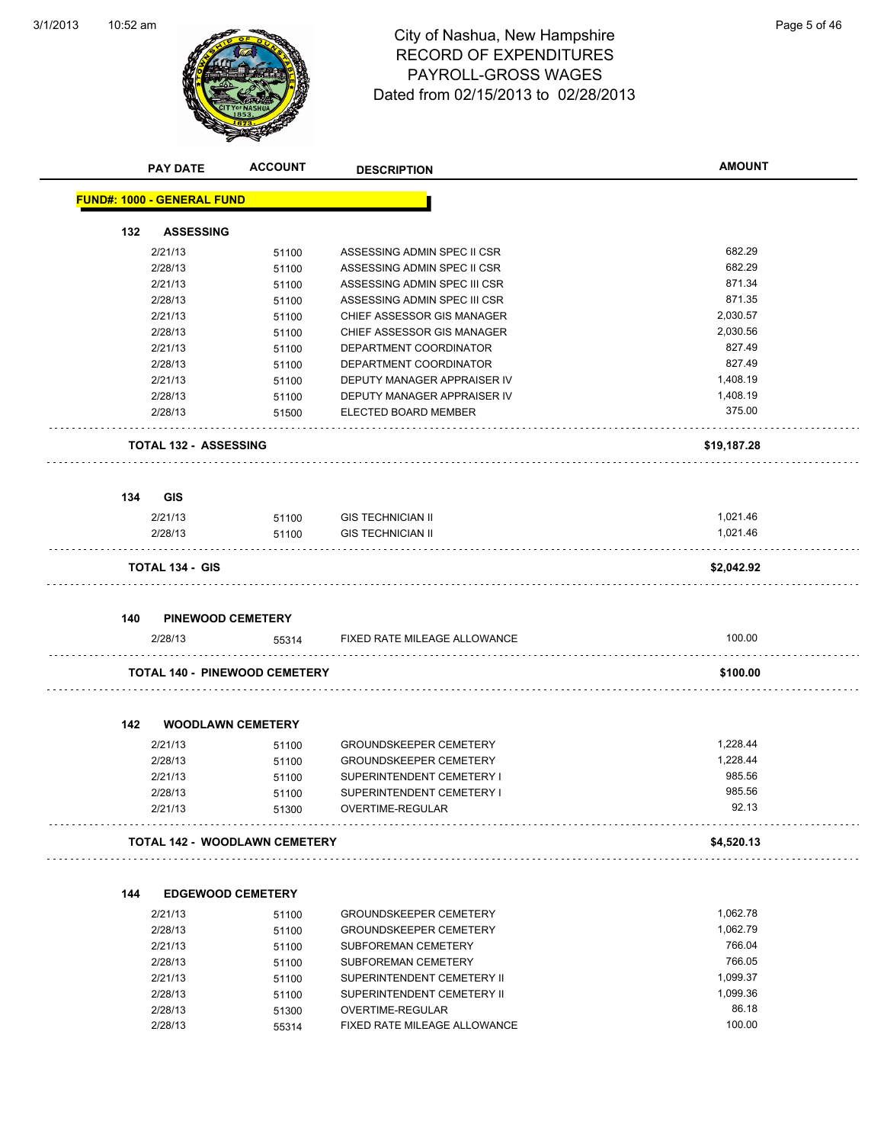

## 10:52 am Page 5 of 46 RECORD OF EXPENDITURES PAYROLL-GROSS WAGES Dated from 02/15/2013 to 02/28/2013

|     | <b>PAY DATE</b>                      | <b>ACCOUNT</b> | <b>DESCRIPTION</b>            | <b>AMOUNT</b>        |
|-----|--------------------------------------|----------------|-------------------------------|----------------------|
|     | <b>FUND#: 1000 - GENERAL FUND</b>    |                |                               |                      |
| 132 | <b>ASSESSING</b>                     |                |                               |                      |
|     | 2/21/13                              | 51100          | ASSESSING ADMIN SPEC II CSR   | 682.29               |
|     | 2/28/13                              | 51100          | ASSESSING ADMIN SPEC II CSR   | 682.29               |
|     | 2/21/13                              | 51100          | ASSESSING ADMIN SPEC III CSR  | 871.34               |
|     | 2/28/13                              | 51100          | ASSESSING ADMIN SPEC III CSR  | 871.35               |
|     | 2/21/13                              | 51100          | CHIEF ASSESSOR GIS MANAGER    | 2,030.57             |
|     | 2/28/13                              | 51100          | CHIEF ASSESSOR GIS MANAGER    | 2,030.56             |
|     | 2/21/13                              | 51100          | DEPARTMENT COORDINATOR        | 827.49               |
|     | 2/28/13                              | 51100          | DEPARTMENT COORDINATOR        | 827.49               |
|     | 2/21/13                              | 51100          | DEPUTY MANAGER APPRAISER IV   | 1,408.19             |
|     | 2/28/13                              | 51100          | DEPUTY MANAGER APPRAISER IV   | 1,408.19             |
|     | 2/28/13                              | 51500          | ELECTED BOARD MEMBER          | 375.00               |
|     | <b>TOTAL 132 - ASSESSING</b>         |                |                               | \$19,187.28          |
| 134 | <b>GIS</b>                           |                |                               |                      |
|     | 2/21/13                              | 51100          | <b>GIS TECHNICIAN II</b>      | 1,021.46             |
|     | 2/28/13                              | 51100          | <b>GIS TECHNICIAN II</b>      | 1,021.46             |
|     |                                      |                |                               |                      |
|     | <b>TOTAL 134 - GIS</b>               |                |                               | \$2,042.92           |
| 140 | <b>PINEWOOD CEMETERY</b>             |                |                               |                      |
|     | 2/28/13                              | 55314          | FIXED RATE MILEAGE ALLOWANCE  | 100.00               |
|     | <b>TOTAL 140 - PINEWOOD CEMETERY</b> |                |                               | \$100.00             |
| 142 | <b>WOODLAWN CEMETERY</b>             |                |                               |                      |
|     | 2/21/13                              | 51100          | <b>GROUNDSKEEPER CEMETERY</b> | 1,228.44             |
|     | 2/28/13                              | 51100          | <b>GROUNDSKEEPER CEMETERY</b> | 1,228.44             |
|     | 2/21/13                              | 51100          | SUPERINTENDENT CEMETERY I     | 985.56               |
|     | 2/28/13                              | 51100          | SUPERINTENDENT CEMETERY I     | 985.56               |
|     | 2/21/13                              | 51300          | OVERTIME-REGULAR              | 92.13                |
|     | <b>TOTAL 142 - WOODLAWN CEMETERY</b> |                |                               | \$4,520.13           |
|     |                                      |                |                               |                      |
| 144 | <b>EDGEWOOD CEMETERY</b>             |                |                               |                      |
|     | 2/21/13                              | 51100          | <b>GROUNDSKEEPER CEMETERY</b> | 1,062.78<br>1,062.79 |
|     | 2/28/13                              | 51100          | <b>GROUNDSKEEPER CEMETERY</b> |                      |
|     | 2/21/13                              | 51100          | SUBFOREMAN CEMETERY           | 766.04               |
|     | 2/28/13                              | 51100          | <b>SUBFOREMAN CEMETERY</b>    | 766.05               |
|     | 2/21/13                              | 51100          | SUPERINTENDENT CEMETERY II    | 1,099.37             |
|     | 2/28/13                              | 51100          | SUPERINTENDENT CEMETERY II    | 1,099.36             |
|     | 2/28/13                              | 51300          | OVERTIME-REGULAR              | 86.18<br>100.00      |
|     | 2/28/13                              | 55314          | FIXED RATE MILEAGE ALLOWANCE  |                      |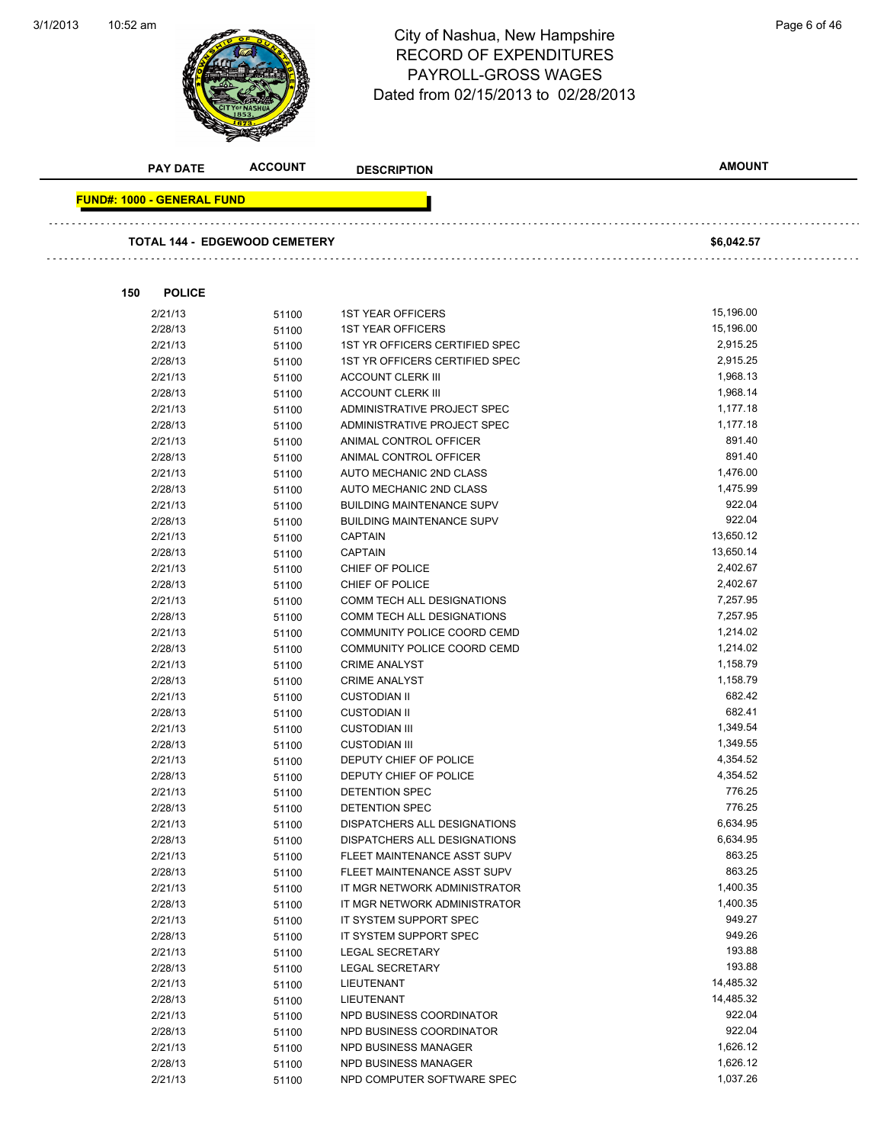3/1/2013



## 10:52 am Page 6 of 46 RECORD OF EXPENDITURES PAYROLL-GROSS WAGES Dated from 02/15/2013 to 02/28/2013

|     | <b>PAY DATE</b>                    | <b>ACCOUNT</b>                       | <b>DESCRIPTION</b>                               | <b>AMOUNT</b>        |
|-----|------------------------------------|--------------------------------------|--------------------------------------------------|----------------------|
|     | <u> FUND#: 1000 - GENERAL FUND</u> |                                      |                                                  |                      |
|     |                                    |                                      |                                                  |                      |
|     |                                    | <b>TOTAL 144 - EDGEWOOD CEMETERY</b> |                                                  | \$6,042.57           |
|     |                                    |                                      |                                                  |                      |
| 150 | <b>POLICE</b>                      |                                      |                                                  |                      |
|     | 2/21/13                            | 51100                                | <b>1ST YEAR OFFICERS</b>                         | 15,196.00            |
|     | 2/28/13                            | 51100                                | <b>1ST YEAR OFFICERS</b>                         | 15,196.00            |
|     | 2/21/13                            | 51100                                | 1ST YR OFFICERS CERTIFIED SPEC                   | 2,915.25             |
|     | 2/28/13                            | 51100                                | 1ST YR OFFICERS CERTIFIED SPEC                   | 2,915.25             |
|     | 2/21/13                            | 51100                                | <b>ACCOUNT CLERK III</b>                         | 1,968.13             |
|     | 2/28/13                            | 51100                                | <b>ACCOUNT CLERK III</b>                         | 1,968.14             |
|     | 2/21/13                            | 51100                                | ADMINISTRATIVE PROJECT SPEC                      | 1,177.18             |
|     | 2/28/13                            | 51100                                | ADMINISTRATIVE PROJECT SPEC                      | 1,177.18             |
|     | 2/21/13                            | 51100                                | ANIMAL CONTROL OFFICER                           | 891.40               |
|     | 2/28/13                            | 51100                                | ANIMAL CONTROL OFFICER                           | 891.40               |
|     | 2/21/13                            | 51100                                | AUTO MECHANIC 2ND CLASS                          | 1,476.00             |
|     | 2/28/13                            | 51100                                | AUTO MECHANIC 2ND CLASS                          | 1,475.99             |
|     | 2/21/13                            | 51100                                | <b>BUILDING MAINTENANCE SUPV</b>                 | 922.04               |
|     | 2/28/13                            | 51100                                | <b>BUILDING MAINTENANCE SUPV</b>                 | 922.04               |
|     | 2/21/13                            | 51100                                | <b>CAPTAIN</b>                                   | 13,650.12            |
|     | 2/28/13                            | 51100                                | <b>CAPTAIN</b>                                   | 13,650.14            |
|     | 2/21/13                            | 51100                                | CHIEF OF POLICE                                  | 2,402.67             |
|     | 2/28/13                            | 51100                                | CHIEF OF POLICE                                  | 2,402.67             |
|     | 2/21/13                            | 51100                                | COMM TECH ALL DESIGNATIONS                       | 7,257.95             |
|     | 2/28/13                            | 51100                                | COMM TECH ALL DESIGNATIONS                       | 7,257.95             |
|     | 2/21/13                            | 51100                                | COMMUNITY POLICE COORD CEMD                      | 1,214.02             |
|     | 2/28/13                            | 51100                                | COMMUNITY POLICE COORD CEMD                      | 1,214.02             |
|     | 2/21/13                            | 51100                                | <b>CRIME ANALYST</b>                             | 1,158.79             |
|     | 2/28/13                            | 51100                                | <b>CRIME ANALYST</b>                             | 1,158.79             |
|     | 2/21/13                            | 51100                                | <b>CUSTODIAN II</b>                              | 682.42               |
|     | 2/28/13                            | 51100                                | <b>CUSTODIAN II</b>                              | 682.41               |
|     | 2/21/13                            | 51100                                | <b>CUSTODIAN III</b>                             | 1,349.54             |
|     | 2/28/13                            | 51100                                | <b>CUSTODIAN III</b>                             | 1,349.55             |
|     | 2/21/13                            | 51100                                | DEPUTY CHIEF OF POLICE                           | 4,354.52             |
|     | 2/28/13                            | 51100                                | DEPUTY CHIEF OF POLICE                           | 4,354.52             |
|     | 2/21/13                            | 51100                                | DETENTION SPEC                                   | 776.25               |
|     | 2/28/13                            | 51100                                | DETENTION SPEC                                   | 776.25               |
|     | 2/21/13                            | 51100                                | DISPATCHERS ALL DESIGNATIONS                     | 6,634.95             |
|     | 2/28/13                            | 51100                                | DISPATCHERS ALL DESIGNATIONS                     | 6,634.95             |
|     | 2/21/13                            | 51100                                | FLEET MAINTENANCE ASST SUPV                      | 863.25               |
|     | 2/28/13                            | 51100                                | FLEET MAINTENANCE ASST SUPV                      | 863.25               |
|     | 2/21/13                            | 51100                                | IT MGR NETWORK ADMINISTRATOR                     | 1,400.35<br>1,400.35 |
|     | 2/28/13                            | 51100                                | IT MGR NETWORK ADMINISTRATOR                     | 949.27               |
|     | 2/21/13                            | 51100                                | IT SYSTEM SUPPORT SPEC                           | 949.26               |
|     | 2/28/13                            | 51100                                | IT SYSTEM SUPPORT SPEC                           | 193.88               |
|     | 2/21/13                            | 51100                                | LEGAL SECRETARY                                  | 193.88               |
|     | 2/28/13<br>2/21/13                 | 51100                                | <b>LEGAL SECRETARY</b>                           | 14,485.32            |
|     |                                    | 51100                                | LIEUTENANT                                       | 14,485.32            |
|     | 2/28/13<br>2/21/13                 | 51100                                | LIEUTENANT<br>NPD BUSINESS COORDINATOR           | 922.04               |
|     |                                    | 51100                                |                                                  | 922.04               |
|     | 2/28/13<br>2/21/13                 | 51100                                | NPD BUSINESS COORDINATOR<br>NPD BUSINESS MANAGER | 1,626.12             |
|     | 2/28/13                            | 51100                                | NPD BUSINESS MANAGER                             | 1,626.12             |
|     | 2/21/13                            | 51100                                | NPD COMPUTER SOFTWARE SPEC                       | 1,037.26             |
|     |                                    | 51100                                |                                                  |                      |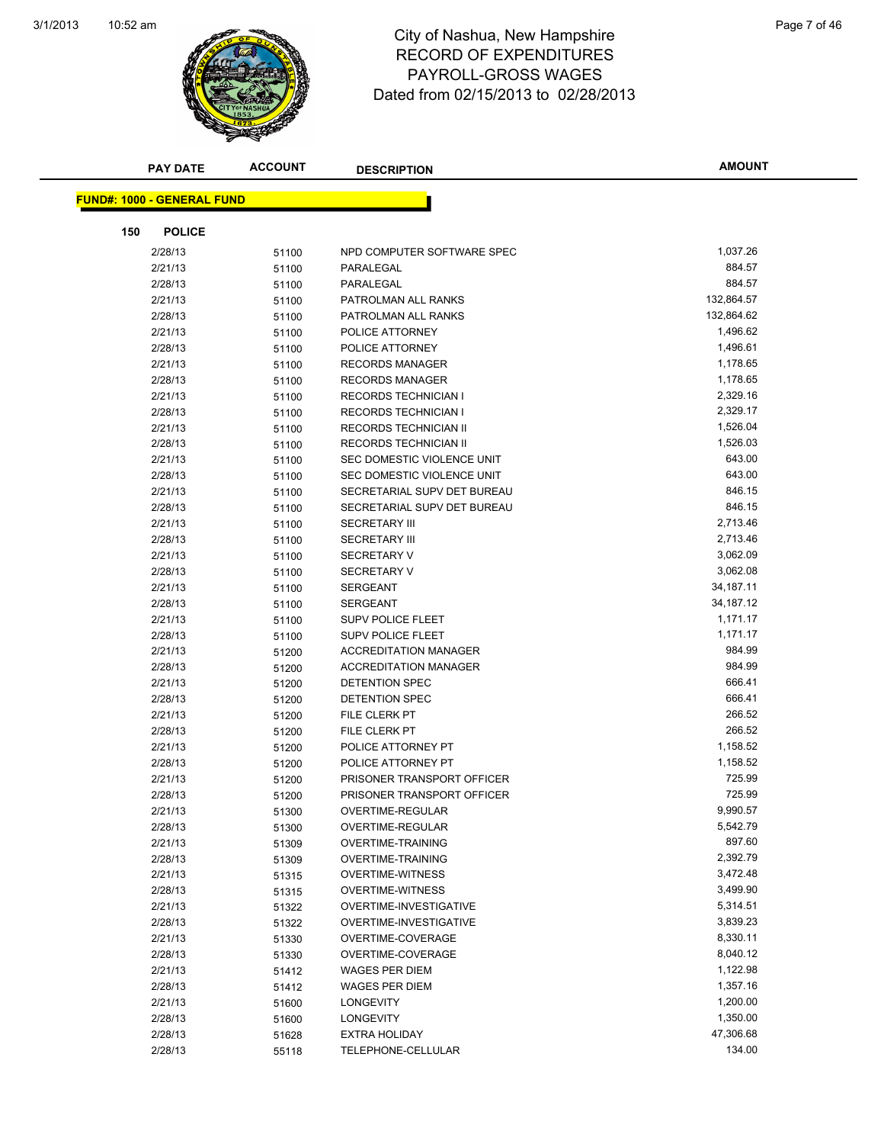

### 10:52 am Page 7 of 46 RECORD OF EXPENDITURES PAYROLL-GROSS WAGES Dated from 02/15/2013 to 02/28/2013

| <b>PAY DATE</b>                   | <b>ACCOUNT</b> | <b>DESCRIPTION</b>                                | <b>AMOUNT</b>        |
|-----------------------------------|----------------|---------------------------------------------------|----------------------|
|                                   |                |                                                   |                      |
| <b>FUND#: 1000 - GENERAL FUND</b> |                |                                                   |                      |
| 150<br><b>POLICE</b>              |                |                                                   |                      |
| 2/28/13                           | 51100          | NPD COMPUTER SOFTWARE SPEC                        | 1,037.26             |
| 2/21/13                           | 51100          | PARALEGAL                                         | 884.57               |
| 2/28/13                           | 51100          | PARALEGAL                                         | 884.57               |
| 2/21/13                           | 51100          | PATROLMAN ALL RANKS                               | 132,864.57           |
| 2/28/13                           | 51100          | PATROLMAN ALL RANKS                               | 132,864.62           |
| 2/21/13                           | 51100          | POLICE ATTORNEY                                   | 1,496.62             |
| 2/28/13                           | 51100          | POLICE ATTORNEY                                   | 1,496.61             |
| 2/21/13                           | 51100          | <b>RECORDS MANAGER</b>                            | 1,178.65             |
| 2/28/13                           | 51100          | <b>RECORDS MANAGER</b>                            | 1,178.65             |
| 2/21/13                           | 51100          | <b>RECORDS TECHNICIAN I</b>                       | 2,329.16             |
| 2/28/13                           | 51100          | <b>RECORDS TECHNICIAN I</b>                       | 2,329.17             |
| 2/21/13                           | 51100          | RECORDS TECHNICIAN II                             | 1,526.04             |
| 2/28/13                           | 51100          | RECORDS TECHNICIAN II                             | 1,526.03             |
| 2/21/13                           | 51100          | SEC DOMESTIC VIOLENCE UNIT                        | 643.00               |
| 2/28/13                           | 51100          | SEC DOMESTIC VIOLENCE UNIT                        | 643.00               |
| 2/21/13                           | 51100          | SECRETARIAL SUPV DET BUREAU                       | 846.15               |
| 2/28/13                           | 51100          | SECRETARIAL SUPV DET BUREAU                       | 846.15               |
| 2/21/13                           | 51100          | <b>SECRETARY III</b>                              | 2,713.46             |
| 2/28/13                           | 51100          | <b>SECRETARY III</b>                              | 2,713.46             |
| 2/21/13                           | 51100          | <b>SECRETARY V</b>                                | 3,062.09             |
| 2/28/13                           | 51100          | SECRETARY V                                       | 3,062.08             |
| 2/21/13                           | 51100          | <b>SERGEANT</b>                                   | 34, 187. 11          |
| 2/28/13                           | 51100          | SERGEANT                                          | 34,187.12            |
| 2/21/13                           | 51100          | <b>SUPV POLICE FLEET</b>                          | 1,171.17             |
| 2/28/13                           | 51100          | <b>SUPV POLICE FLEET</b>                          | 1,171.17             |
| 2/21/13                           | 51200          | <b>ACCREDITATION MANAGER</b>                      | 984.99               |
| 2/28/13                           | 51200          | <b>ACCREDITATION MANAGER</b>                      | 984.99               |
| 2/21/13                           | 51200          | DETENTION SPEC                                    | 666.41               |
| 2/28/13                           | 51200          | DETENTION SPEC                                    | 666.41               |
| 2/21/13                           | 51200          | FILE CLERK PT                                     | 266.52               |
| 2/28/13                           | 51200          | FILE CLERK PT                                     | 266.52               |
| 2/21/13                           | 51200          | POLICE ATTORNEY PT                                | 1,158.52             |
| 2/28/13                           | 51200          | POLICE ATTORNEY PT                                | 1,158.52             |
| 2/21/13                           | 51200          | PRISONER TRANSPORT OFFICER                        | 725.99               |
| 2/28/13                           | 51200          | PRISONER TRANSPORT OFFICER                        | 725.99               |
| 2/21/13                           | 51300          | OVERTIME-REGULAR                                  | 9,990.57             |
| 2/28/13                           | 51300          | OVERTIME-REGULAR                                  | 5,542.79             |
| 2/21/13                           | 51309          | <b>OVERTIME-TRAINING</b>                          | 897.60               |
| 2/28/13                           | 51309          | OVERTIME-TRAINING                                 | 2,392.79             |
| 2/21/13                           | 51315          | <b>OVERTIME-WITNESS</b>                           | 3,472.48             |
| 2/28/13                           | 51315          | OVERTIME-WITNESS<br><b>OVERTIME-INVESTIGATIVE</b> | 3,499.90<br>5,314.51 |
| 2/21/13<br>2/28/13                | 51322          | <b>OVERTIME-INVESTIGATIVE</b>                     | 3,839.23             |
| 2/21/13                           | 51322          | OVERTIME-COVERAGE                                 | 8,330.11             |
| 2/28/13                           | 51330          | OVERTIME-COVERAGE                                 | 8,040.12             |
| 2/21/13                           | 51330<br>51412 | <b>WAGES PER DIEM</b>                             | 1,122.98             |
| 2/28/13                           | 51412          | <b>WAGES PER DIEM</b>                             | 1,357.16             |
| 2/21/13                           | 51600          | LONGEVITY                                         | 1,200.00             |
| 2/28/13                           | 51600          | LONGEVITY                                         | 1,350.00             |
| 2/28/13                           | 51628          | <b>EXTRA HOLIDAY</b>                              | 47,306.68            |
| 2/28/13                           | 55118          | TELEPHONE-CELLULAR                                | 134.00               |
|                                   |                |                                                   |                      |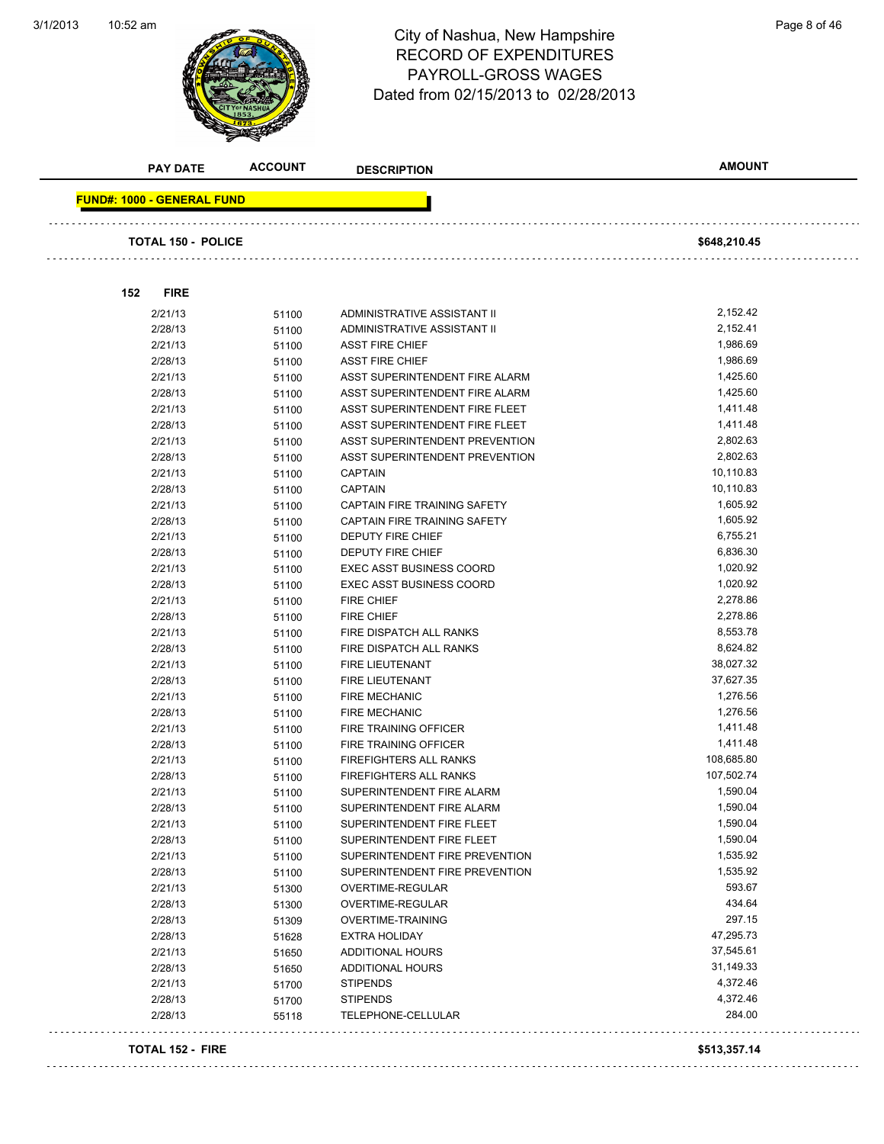3/1/2013



### 10:52 am Page 8 of 46 RECORD OF EXPENDITURES PAYROLL-GROSS WAGES Dated from 02/15/2013 to 02/28/2013

|                                   | <b>PAY DATE</b>           | <b>ACCOUNT</b> | <b>DESCRIPTION</b>                                               | <b>AMOUNT</b>          |
|-----------------------------------|---------------------------|----------------|------------------------------------------------------------------|------------------------|
| <b>FUND#: 1000 - GENERAL FUND</b> |                           |                |                                                                  |                        |
|                                   |                           |                |                                                                  |                        |
|                                   | <b>TOTAL 150 - POLICE</b> |                |                                                                  | \$648,210.45           |
|                                   |                           |                |                                                                  |                        |
| 152                               | <b>FIRE</b>               |                |                                                                  |                        |
|                                   |                           |                |                                                                  |                        |
|                                   | 2/21/13                   | 51100          | ADMINISTRATIVE ASSISTANT II                                      | 2,152.42<br>2,152.41   |
|                                   | 2/28/13<br>2/21/13        | 51100          | ADMINISTRATIVE ASSISTANT II<br><b>ASST FIRE CHIEF</b>            | 1,986.69               |
|                                   | 2/28/13                   | 51100          | <b>ASST FIRE CHIEF</b>                                           | 1,986.69               |
|                                   | 2/21/13                   | 51100          |                                                                  | 1,425.60               |
|                                   | 2/28/13                   | 51100          | ASST SUPERINTENDENT FIRE ALARM<br>ASST SUPERINTENDENT FIRE ALARM | 1,425.60               |
|                                   |                           | 51100          |                                                                  | 1,411.48               |
|                                   | 2/21/13<br>2/28/13        | 51100          | ASST SUPERINTENDENT FIRE FLEET<br>ASST SUPERINTENDENT FIRE FLEET | 1,411.48               |
|                                   | 2/21/13                   | 51100          | ASST SUPERINTENDENT PREVENTION                                   | 2,802.63               |
|                                   |                           | 51100          |                                                                  | 2,802.63               |
|                                   | 2/28/13                   | 51100          | ASST SUPERINTENDENT PREVENTION                                   |                        |
|                                   | 2/21/13                   | 51100          | <b>CAPTAIN</b>                                                   | 10,110.83<br>10,110.83 |
|                                   | 2/28/13                   | 51100          | <b>CAPTAIN</b>                                                   |                        |
|                                   | 2/21/13                   | 51100          | <b>CAPTAIN FIRE TRAINING SAFETY</b>                              | 1,605.92<br>1,605.92   |
|                                   | 2/28/13                   | 51100          | CAPTAIN FIRE TRAINING SAFETY                                     | 6,755.21               |
|                                   | 2/21/13                   | 51100          | <b>DEPUTY FIRE CHIEF</b><br><b>DEPUTY FIRE CHIEF</b>             | 6,836.30               |
|                                   | 2/28/13<br>2/21/13        | 51100          | <b>EXEC ASST BUSINESS COORD</b>                                  | 1,020.92               |
|                                   |                           | 51100          |                                                                  | 1,020.92               |
|                                   | 2/28/13                   | 51100          | <b>EXEC ASST BUSINESS COORD</b>                                  |                        |
|                                   | 2/21/13                   | 51100          | <b>FIRE CHIEF</b>                                                | 2,278.86<br>2,278.86   |
|                                   | 2/28/13                   | 51100          | FIRE CHIEF                                                       | 8,553.78               |
|                                   | 2/21/13                   | 51100          | FIRE DISPATCH ALL RANKS                                          | 8,624.82               |
|                                   | 2/28/13                   | 51100          | FIRE DISPATCH ALL RANKS                                          | 38,027.32              |
|                                   | 2/21/13                   | 51100          | FIRE LIEUTENANT                                                  | 37,627.35              |
|                                   | 2/28/13<br>2/21/13        | 51100          | FIRE LIEUTENANT                                                  | 1,276.56               |
|                                   |                           | 51100          | <b>FIRE MECHANIC</b>                                             | 1,276.56               |
|                                   | 2/28/13                   | 51100          | <b>FIRE MECHANIC</b>                                             | 1,411.48               |
|                                   | 2/21/13                   | 51100          | FIRE TRAINING OFFICER                                            |                        |
|                                   | 2/28/13                   | 51100          | <b>FIRE TRAINING OFFICER</b>                                     | 1,411.48               |
|                                   | 2/21/13                   | 51100          | <b>FIREFIGHTERS ALL RANKS</b>                                    | 108,685.80             |
|                                   | 2/28/13                   | 51100          | <b>FIREFIGHTERS ALL RANKS</b>                                    | 107,502.74             |
|                                   | 2/21/13                   | 51100          | SUPERINTENDENT FIRE ALARM                                        | 1,590.04               |
|                                   | 2/28/13                   | 51100          | SUPERINTENDENT FIRE ALARM                                        | 1,590.04               |
|                                   | 2/21/13                   | 51100          | SUPERINTENDENT FIRE FLEET                                        | 1,590.04               |
|                                   | 2/28/13                   | 51100          | SUPERINTENDENT FIRE FLEET                                        | 1,590.04               |
|                                   | 2/21/13                   | 51100          | SUPERINTENDENT FIRE PREVENTION                                   | 1,535.92               |
|                                   | 2/28/13                   | 51100          | SUPERINTENDENT FIRE PREVENTION                                   | 1,535.92               |
|                                   | 2/21/13                   | 51300          | OVERTIME-REGULAR                                                 | 593.67                 |
|                                   | 2/28/13                   | 51300          | OVERTIME-REGULAR                                                 | 434.64                 |
|                                   | 2/28/13                   | 51309          | <b>OVERTIME-TRAINING</b>                                         | 297.15                 |
|                                   | 2/28/13                   | 51628          | <b>EXTRA HOLIDAY</b>                                             | 47,295.73              |
|                                   | 2/21/13                   | 51650          | <b>ADDITIONAL HOURS</b>                                          | 37,545.61              |
|                                   | 2/28/13                   | 51650          | ADDITIONAL HOURS                                                 | 31,149.33              |
|                                   | 2/21/13                   | 51700          | <b>STIPENDS</b>                                                  | 4,372.46               |
|                                   | 2/28/13                   | 51700          | <b>STIPENDS</b>                                                  | 4,372.46               |
|                                   | 2/28/13                   | 55118          | TELEPHONE-CELLULAR                                               | 284.00                 |

#### **TOTAL 152 - FIRE \$513,357.14**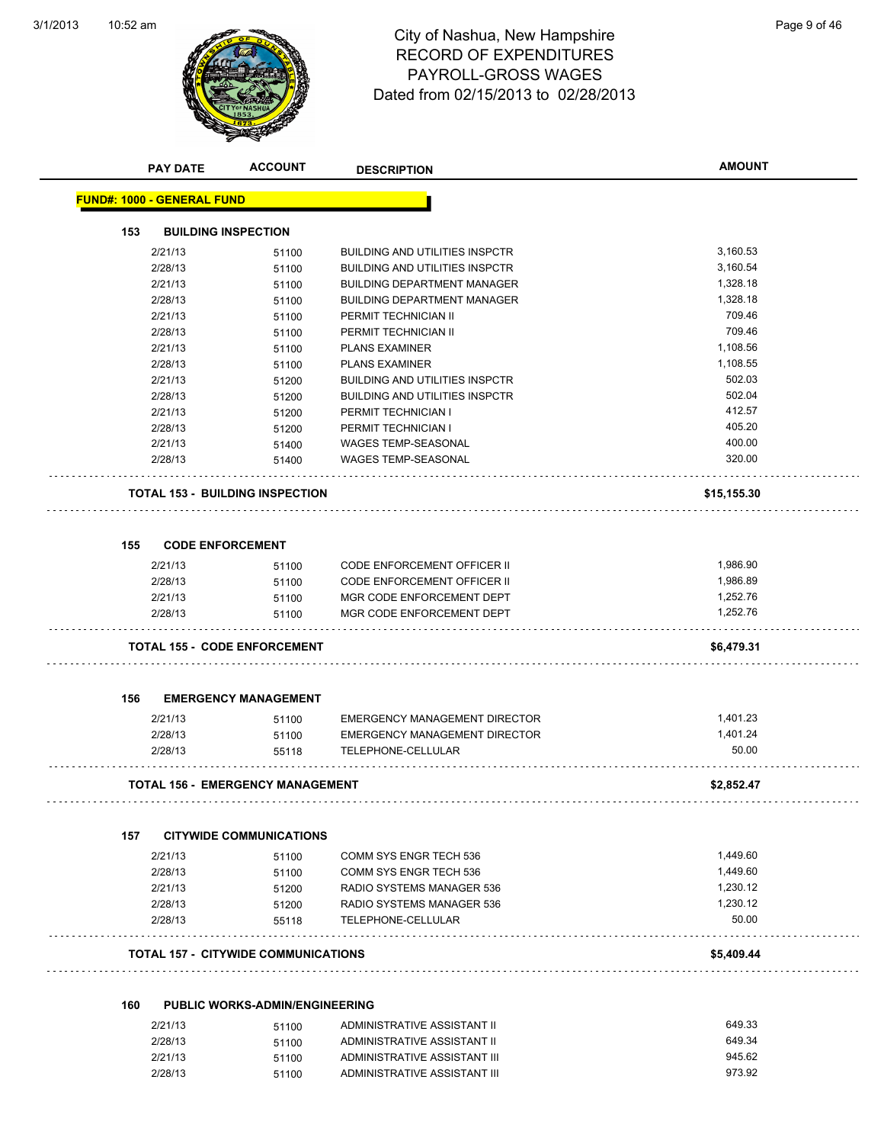

## 10:52 am Page 9 of 46 RECORD OF EXPENDITURES PAYROLL-GROSS WAGES Dated from 02/15/2013 to 02/28/2013

|     | <b>PAY DATE</b>                   | <b>ACCOUNT</b>                          | <b>DESCRIPTION</b>                    | <b>AMOUNT</b> |
|-----|-----------------------------------|-----------------------------------------|---------------------------------------|---------------|
|     | <b>FUND#: 1000 - GENERAL FUND</b> |                                         |                                       |               |
| 153 |                                   | <b>BUILDING INSPECTION</b>              |                                       |               |
|     | 2/21/13                           | 51100                                   | <b>BUILDING AND UTILITIES INSPCTR</b> | 3,160.53      |
|     | 2/28/13                           | 51100                                   | <b>BUILDING AND UTILITIES INSPCTR</b> | 3,160.54      |
|     | 2/21/13                           | 51100                                   | <b>BUILDING DEPARTMENT MANAGER</b>    | 1,328.18      |
|     | 2/28/13                           | 51100                                   | <b>BUILDING DEPARTMENT MANAGER</b>    | 1,328.18      |
|     | 2/21/13                           | 51100                                   | PERMIT TECHNICIAN II                  | 709.46        |
|     | 2/28/13                           | 51100                                   | PERMIT TECHNICIAN II                  | 709.46        |
|     | 2/21/13                           | 51100                                   | <b>PLANS EXAMINER</b>                 | 1,108.56      |
|     | 2/28/13                           | 51100                                   | <b>PLANS EXAMINER</b>                 | 1,108.55      |
|     | 2/21/13                           | 51200                                   | <b>BUILDING AND UTILITIES INSPCTR</b> | 502.03        |
|     | 2/28/13                           | 51200                                   | <b>BUILDING AND UTILITIES INSPCTR</b> | 502.04        |
|     | 2/21/13                           | 51200                                   | PERMIT TECHNICIAN I                   | 412.57        |
|     | 2/28/13                           | 51200                                   | PERMIT TECHNICIAN I                   | 405.20        |
|     | 2/21/13                           | 51400                                   | <b>WAGES TEMP-SEASONAL</b>            | 400.00        |
|     | 2/28/13                           | 51400                                   | WAGES TEMP-SEASONAL                   | 320.00        |
|     |                                   | <b>TOTAL 153 - BUILDING INSPECTION</b>  |                                       | \$15,155.30   |
|     |                                   |                                         |                                       |               |
| 155 | <b>CODE ENFORCEMENT</b>           |                                         |                                       |               |
|     | 2/21/13                           | 51100                                   | <b>CODE ENFORCEMENT OFFICER II</b>    | 1,986.90      |
|     | 2/28/13                           | 51100                                   | <b>CODE ENFORCEMENT OFFICER II</b>    | 1,986.89      |
|     | 2/21/13                           | 51100                                   | MGR CODE ENFORCEMENT DEPT             | 1,252.76      |
|     | 2/28/13                           | 51100                                   | MGR CODE ENFORCEMENT DEPT             | 1,252.76      |
|     |                                   | <b>TOTAL 155 - CODE ENFORCEMENT</b>     |                                       | \$6,479.31    |
|     |                                   |                                         |                                       |               |
| 156 |                                   | <b>EMERGENCY MANAGEMENT</b>             |                                       |               |
|     | 2/21/13                           | 51100                                   | EMERGENCY MANAGEMENT DIRECTOR         | 1,401.23      |
|     | 2/28/13                           | 51100                                   | <b>EMERGENCY MANAGEMENT DIRECTOR</b>  | 1,401.24      |
|     | 2/28/13                           | 55118                                   | TELEPHONE-CELLULAR                    | 50.00         |
|     |                                   | <b>TOTAL 156 - EMERGENCY MANAGEMENT</b> |                                       | \$2,852.47    |
|     |                                   |                                         |                                       |               |
| 157 | 2/21/13                           | <b>CITYWIDE COMMUNICATIONS</b><br>51100 | COMM SYS ENGR TECH 536                | 1,449.60      |
|     | 2/28/13                           | 51100                                   | COMM SYS ENGR TECH 536                | 1.449.60      |
|     | 2/21/13                           | 51200                                   | RADIO SYSTEMS MANAGER 536             | 1,230.12      |
|     | 2/28/13                           | 51200                                   | RADIO SYSTEMS MANAGER 536             | 1.230.12      |
|     | 2/28/13                           | 55118                                   | TELEPHONE-CELLULAR                    | 50.00         |
|     |                                   | TOTAL 157 - CITYWIDE COMMUNICATIONS     |                                       | \$5,409.44    |
|     |                                   |                                         |                                       |               |
| 160 |                                   | <b>PUBLIC WORKS-ADMIN/ENGINEERING</b>   |                                       |               |
|     | 2/21/13                           | 51100                                   | ADMINISTRATIVE ASSISTANT II           | 649.33        |
|     | 2/28/13                           | 51100                                   | ADMINISTRATIVE ASSISTANT II           | 649.34        |
|     | 2/21/13                           | 51100                                   | ADMINISTRATIVE ASSISTANT III          | 945.62        |

2/28/13 51100 ADMINISTRATIVE ASSISTANT III 973.92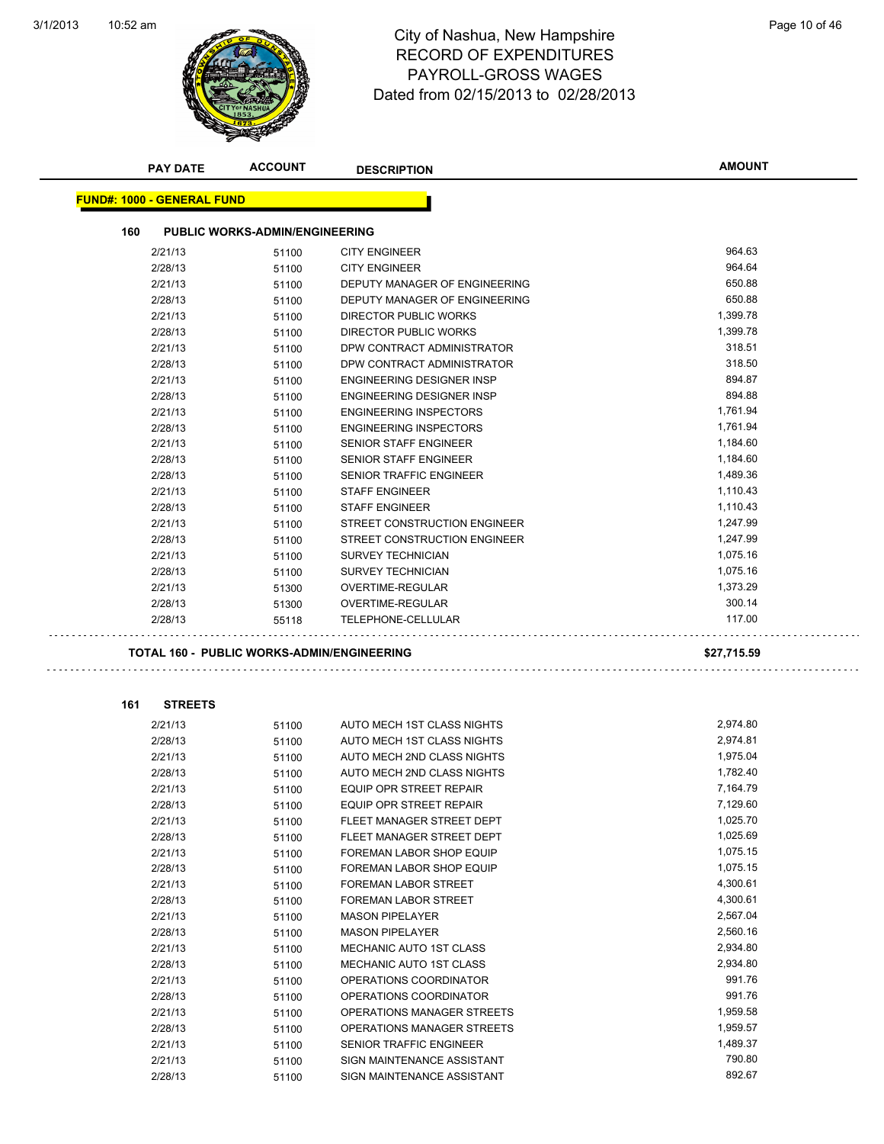$\sim$  .



### 10:52 am Page 10 of 46 RECORD OF EXPENDITURES PAYROLL-GROSS WAGES Dated from 02/15/2013 to 02/28/2013

|     | <b>PAY DATE</b>                   | <b>ACCOUNT</b>                             | <b>DESCRIPTION</b>               | <b>AMOUNT</b> |
|-----|-----------------------------------|--------------------------------------------|----------------------------------|---------------|
|     | <b>FUND#: 1000 - GENERAL FUND</b> |                                            |                                  |               |
|     |                                   |                                            |                                  |               |
| 160 |                                   | <b>PUBLIC WORKS-ADMIN/ENGINEERING</b>      |                                  |               |
|     | 2/21/13                           | 51100                                      | <b>CITY ENGINEER</b>             | 964.63        |
|     | 2/28/13                           | 51100                                      | <b>CITY ENGINEER</b>             | 964.64        |
|     | 2/21/13                           | 51100                                      | DEPUTY MANAGER OF ENGINEERING    | 650.88        |
|     | 2/28/13                           | 51100                                      | DEPUTY MANAGER OF ENGINEERING    | 650.88        |
|     | 2/21/13                           | 51100                                      | DIRECTOR PUBLIC WORKS            | 1,399.78      |
|     | 2/28/13                           | 51100                                      | DIRECTOR PUBLIC WORKS            | 1,399.78      |
|     | 2/21/13                           | 51100                                      | DPW CONTRACT ADMINISTRATOR       | 318.51        |
|     | 2/28/13                           | 51100                                      | DPW CONTRACT ADMINISTRATOR       | 318.50        |
|     | 2/21/13                           | 51100                                      | ENGINEERING DESIGNER INSP        | 894.87        |
|     | 2/28/13                           | 51100                                      | <b>ENGINEERING DESIGNER INSP</b> | 894.88        |
|     | 2/21/13                           | 51100                                      | <b>ENGINEERING INSPECTORS</b>    | 1,761.94      |
|     | 2/28/13                           | 51100                                      | <b>ENGINEERING INSPECTORS</b>    | 1,761.94      |
|     | 2/21/13                           | 51100                                      | <b>SENIOR STAFF ENGINEER</b>     | 1,184.60      |
|     | 2/28/13                           | 51100                                      | SENIOR STAFF ENGINEER            | 1,184.60      |
|     | 2/28/13                           | 51100                                      | SENIOR TRAFFIC ENGINEER          | 1,489.36      |
|     | 2/21/13                           | 51100                                      | <b>STAFF ENGINEER</b>            | 1,110.43      |
|     | 2/28/13                           | 51100                                      | <b>STAFF ENGINEER</b>            | 1,110.43      |
|     | 2/21/13                           | 51100                                      | STREET CONSTRUCTION ENGINEER     | 1,247.99      |
|     | 2/28/13                           | 51100                                      | STREET CONSTRUCTION ENGINEER     | 1,247.99      |
|     | 2/21/13                           | 51100                                      | <b>SURVEY TECHNICIAN</b>         | 1,075.16      |
|     | 2/28/13                           | 51100                                      | <b>SURVEY TECHNICIAN</b>         | 1,075.16      |
|     | 2/21/13                           | 51300                                      | OVERTIME-REGULAR                 | 1,373.29      |
|     | 2/28/13                           | 51300                                      | OVERTIME-REGULAR                 | 300.14        |
|     | 2/28/13                           | 55118                                      | TELEPHONE-CELLULAR               | 117.00        |
|     |                                   | TOTAL 160 - PUBLIC WORKS-ADMIN/ENGINEERING |                                  | \$27,715.59   |
|     |                                   |                                            |                                  |               |
| 161 | <b>STREETS</b>                    |                                            |                                  |               |
|     | 2/21/13                           | 51100                                      | AUTO MECH 1ST CLASS NIGHTS       | 2,974.80      |
|     | 2/28/13                           | 51100                                      | AUTO MECH 1ST CLASS NIGHTS       | 2,974.81      |
|     | 2/21/13                           | 51100                                      | AUTO MECH 2ND CLASS NIGHTS       | 1,975.04      |
|     | 2/28/13                           | 51100                                      | AUTO MECH 2ND CLASS NIGHTS       | 1,782.40      |
|     | 2/21/13                           | 51100                                      | EQUIP OPR STREET REPAIR          | 7,164.79      |
|     | 2/28/13                           | 51100                                      | EQUIP OPR STREET REPAIR          | 7,129.60      |
|     | 2/21/13                           | 51100                                      | FLEET MANAGER STREET DEPT        | 1,025.70      |
|     | 2/28/13                           | 51100                                      | FLEET MANAGER STREET DEPT        | 1,025.69      |
|     | 2/21/13                           | 51100                                      | FOREMAN LABOR SHOP EQUIP         | 1,075.15      |
|     | 2/28/13                           | 51100                                      | FOREMAN LABOR SHOP EQUIP         | 1,075.15      |
|     | 2/21/13                           | 51100                                      | <b>FOREMAN LABOR STREET</b>      | 4,300.61      |
|     | 2/28/13                           | 51100                                      | <b>FOREMAN LABOR STREET</b>      | 4,300.61      |
|     | 2/21/13                           | 51100                                      | <b>MASON PIPELAYER</b>           | 2,567.04      |
|     | 2/28/13                           | 51100                                      | <b>MASON PIPELAYER</b>           | 2,560.16      |
|     | 2/21/13                           | 51100                                      | MECHANIC AUTO 1ST CLASS          | 2,934.80      |
|     | 2/28/13                           | 51100                                      | MECHANIC AUTO 1ST CLASS          | 2,934.80      |
|     | 2/21/13                           | 51100                                      | OPERATIONS COORDINATOR           | 991.76        |
|     | 2/28/13                           | 51100                                      | OPERATIONS COORDINATOR           | 991.76        |
|     | 2/21/13                           | 51100                                      | OPERATIONS MANAGER STREETS       | 1,959.58      |
|     | 2/28/13                           | 51100                                      | OPERATIONS MANAGER STREETS       | 1,959.57      |
|     | 2/21/13                           | 51100                                      | SENIOR TRAFFIC ENGINEER          | 1,489.37      |
|     | 2/21/13                           | 51100                                      | SIGN MAINTENANCE ASSISTANT       | 790.80        |
|     | 2/28/13                           | 51100                                      | SIGN MAINTENANCE ASSISTANT       | 892.67        |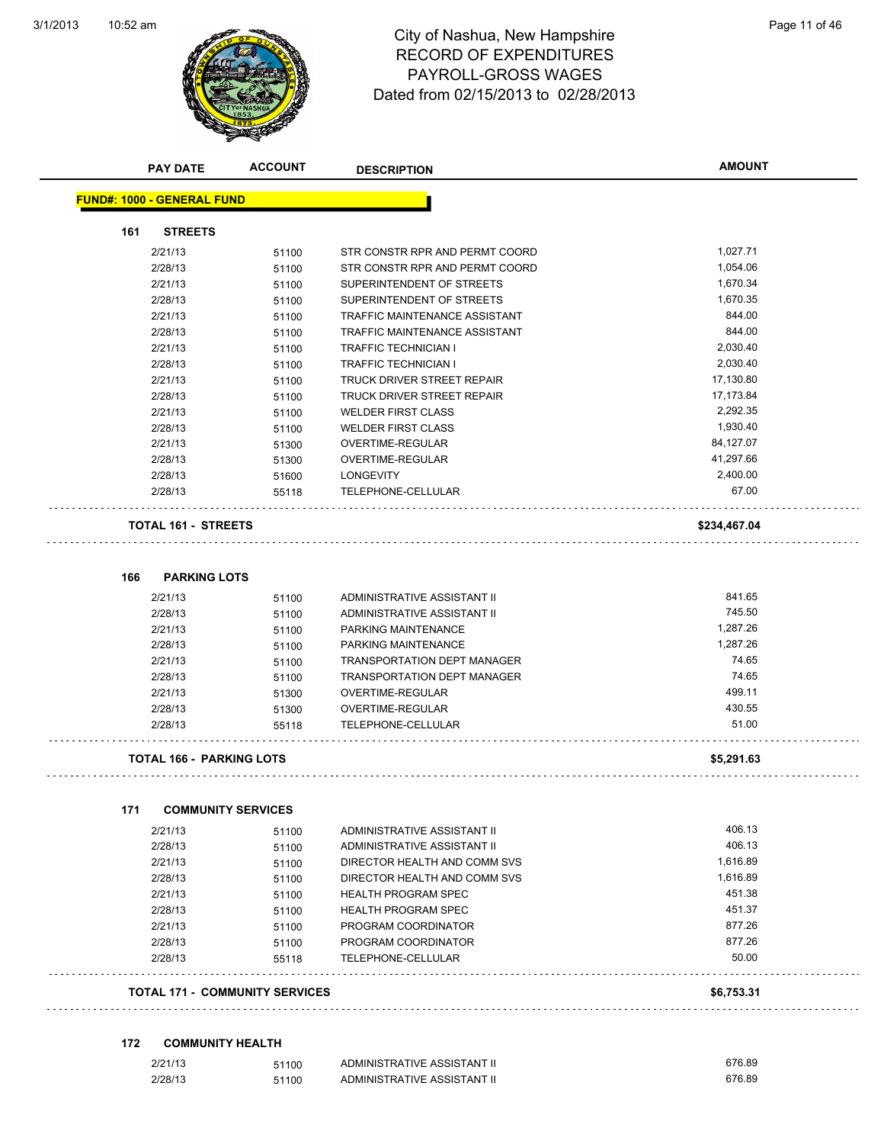

### 10:52 am Page 11 of 46 RECORD OF EXPENDITURES PAYROLL-GROSS WAGES Dated from 02/15/2013 to 02/28/2013

| <b>PAY DATE</b>                   | <b>ACCOUNT</b>            | <b>DESCRIPTION</b>                 | <b>AMOUNT</b> |
|-----------------------------------|---------------------------|------------------------------------|---------------|
| <b>FUND#: 1000 - GENERAL FUND</b> |                           |                                    |               |
| <b>STREETS</b><br>161             |                           |                                    |               |
| 2/21/13                           | 51100                     | STR CONSTR RPR AND PERMT COORD     | 1,027.71      |
| 2/28/13                           | 51100                     | STR CONSTR RPR AND PERMT COORD     | 1,054.06      |
| 2/21/13                           | 51100                     | SUPERINTENDENT OF STREETS          | 1,670.34      |
| 2/28/13                           | 51100                     | SUPERINTENDENT OF STREETS          | 1,670.35      |
| 2/21/13                           | 51100                     | TRAFFIC MAINTENANCE ASSISTANT      | 844.00        |
| 2/28/13                           | 51100                     | TRAFFIC MAINTENANCE ASSISTANT      | 844.00        |
| 2/21/13                           | 51100                     | <b>TRAFFIC TECHNICIAN I</b>        | 2,030.40      |
| 2/28/13                           | 51100                     | <b>TRAFFIC TECHNICIAN I</b>        | 2,030.40      |
| 2/21/13                           | 51100                     | TRUCK DRIVER STREET REPAIR         | 17,130.80     |
| 2/28/13                           | 51100                     | TRUCK DRIVER STREET REPAIR         | 17,173.84     |
| 2/21/13                           | 51100                     | <b>WELDER FIRST CLASS</b>          | 2,292.35      |
| 2/28/13                           | 51100                     | <b>WELDER FIRST CLASS</b>          | 1,930.40      |
| 2/21/13                           | 51300                     | <b>OVERTIME-REGULAR</b>            | 84,127.07     |
| 2/28/13                           | 51300                     | OVERTIME-REGULAR                   | 41,297.66     |
| 2/28/13                           | 51600                     | LONGEVITY                          | 2,400.00      |
| 2/28/13                           | 55118                     | TELEPHONE-CELLULAR                 | 67.00         |
| <b>TOTAL 161 - STREETS</b>        |                           |                                    | \$234,467.04  |
| 166<br><b>PARKING LOTS</b>        |                           |                                    |               |
| 2/21/13                           | 51100                     | ADMINISTRATIVE ASSISTANT II        | 841.65        |
| 2/28/13                           | 51100                     | ADMINISTRATIVE ASSISTANT II        | 745.50        |
| 2/21/13                           | 51100                     | PARKING MAINTENANCE                | 1,287.26      |
| 2/28/13                           | 51100                     | PARKING MAINTENANCE                | 1,287.26      |
| 2/21/13                           | 51100                     | <b>TRANSPORTATION DEPT MANAGER</b> | 74.65         |
| 2/28/13                           | 51100                     | <b>TRANSPORTATION DEPT MANAGER</b> | 74.65         |
| 2/21/13                           | 51300                     | OVERTIME-REGULAR                   | 499.11        |
| 2/28/13                           | 51300                     | OVERTIME-REGULAR                   | 430.55        |
| 2/28/13                           | 55118                     | TELEPHONE-CELLULAR                 | 51.00         |
| <b>TOTAL 166 - PARKING LOTS</b>   |                           |                                    | \$5,291.63    |
|                                   |                           |                                    |               |
| 171                               | <b>COMMUNITY SERVICES</b> |                                    |               |
| 2/21/13                           | 51100                     | ADMINISTRATIVE ASSISTANT II        | 406.13        |
|                                   | 51100                     | ADMINISTRATIVE ASSISTANT II        | 406.13        |
| 2/28/13                           | 51100                     | DIRECTOR HEALTH AND COMM SVS       | 1,616.89      |
| 2/21/13                           |                           |                                    | 1,616.89      |
| 2/28/13                           | 51100                     | DIRECTOR HEALTH AND COMM SVS       |               |
| 2/21/13                           | 51100                     | <b>HEALTH PROGRAM SPEC</b>         | 451.38        |
| 2/28/13                           | 51100                     | <b>HEALTH PROGRAM SPEC</b>         | 451.37        |
| 2/21/13                           | 51100                     | PROGRAM COORDINATOR                | 877.26        |
| 2/28/13                           | 51100                     | PROGRAM COORDINATOR                | 877.26        |
| 2/28/13                           | 55118                     | TELEPHONE-CELLULAR                 | 50.00         |

#### **172 COMMUNITY HEALTH**

| 2/21/13 | 51100 | ADMINISTRATIVE ASSISTANT II | 676.89 |
|---------|-------|-----------------------------|--------|
| 2/28/13 | 51100 | ADMINISTRATIVE ASSISTANT II | 676.89 |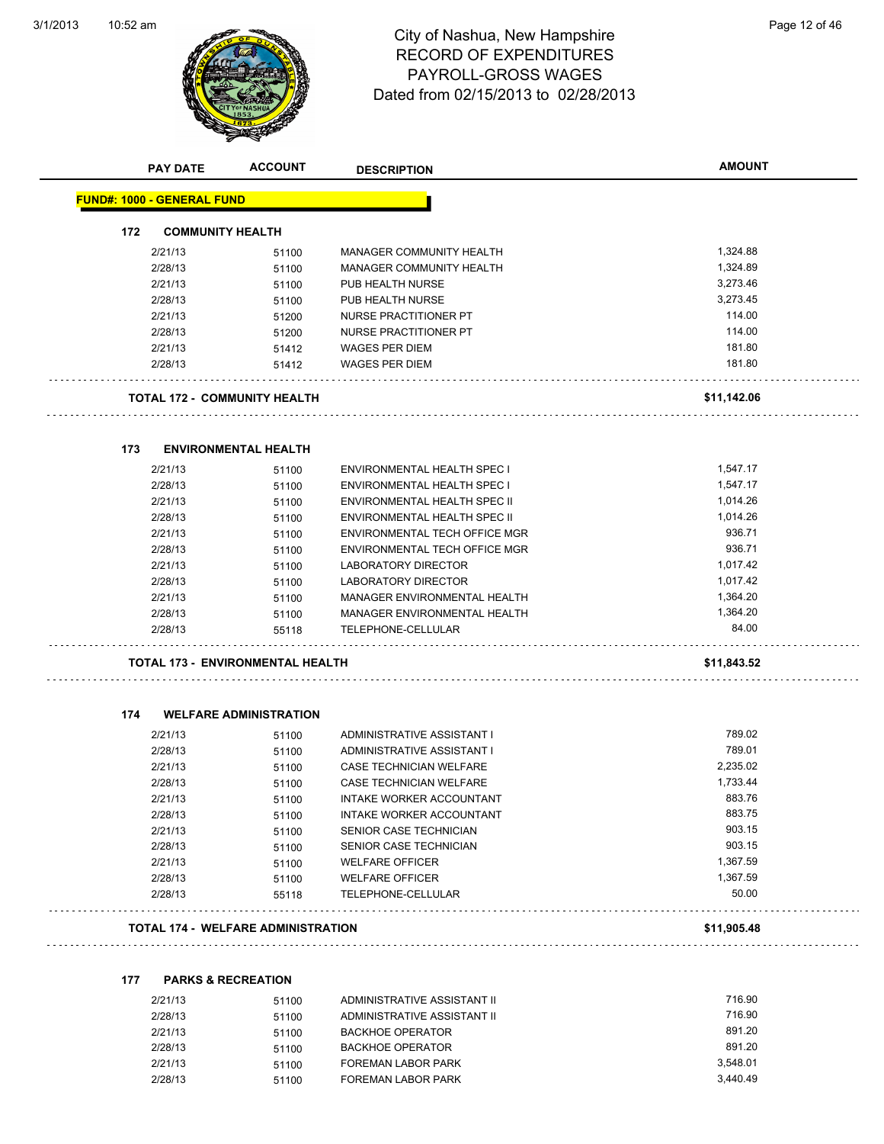

## 10:52 am Page 12 of 46 RECORD OF EXPENDITURES PAYROLL-GROSS WAGES Dated from 02/15/2013 to 02/28/2013

|     | <b>PAY DATE</b>                   | <b>ACCOUNT</b>                            | <b>DESCRIPTION</b>            | <b>AMOUNT</b> |
|-----|-----------------------------------|-------------------------------------------|-------------------------------|---------------|
|     | <b>FUND#: 1000 - GENERAL FUND</b> |                                           |                               |               |
| 172 | <b>COMMUNITY HEALTH</b>           |                                           |                               |               |
|     | 2/21/13                           | 51100                                     | MANAGER COMMUNITY HEALTH      | 1,324.88      |
|     | 2/28/13                           | 51100                                     | MANAGER COMMUNITY HEALTH      | 1,324.89      |
|     | 2/21/13                           | 51100                                     | PUB HEALTH NURSE              | 3,273.46      |
|     | 2/28/13                           | 51100                                     | PUB HEALTH NURSE              | 3,273.45      |
|     | 2/21/13                           | 51200                                     | NURSE PRACTITIONER PT         | 114.00        |
|     | 2/28/13                           | 51200                                     | NURSE PRACTITIONER PT         | 114.00        |
|     | 2/21/13                           | 51412                                     | <b>WAGES PER DIEM</b>         | 181.80        |
|     | 2/28/13                           | 51412                                     | <b>WAGES PER DIEM</b>         | 181.80        |
|     |                                   | TOTAL 172 -  COMMUNITY HEALTH             |                               | \$11,142.06   |
| 173 |                                   | <b>ENVIRONMENTAL HEALTH</b>               |                               |               |
|     | 2/21/13                           | 51100                                     | ENVIRONMENTAL HEALTH SPEC I   | 1,547.17      |
|     | 2/28/13                           | 51100                                     | ENVIRONMENTAL HEALTH SPEC I   | 1,547.17      |
|     | 2/21/13                           | 51100                                     | ENVIRONMENTAL HEALTH SPEC II  | 1,014.26      |
|     | 2/28/13                           | 51100                                     | ENVIRONMENTAL HEALTH SPEC II  | 1,014.26      |
|     | 2/21/13                           | 51100                                     | ENVIRONMENTAL TECH OFFICE MGR | 936.71        |
|     | 2/28/13                           | 51100                                     | ENVIRONMENTAL TECH OFFICE MGR | 936.71        |
|     | 2/21/13                           | 51100                                     | LABORATORY DIRECTOR           | 1,017.42      |
|     | 2/28/13                           | 51100                                     | LABORATORY DIRECTOR           | 1,017.42      |
|     | 2/21/13                           | 51100                                     | MANAGER ENVIRONMENTAL HEALTH  | 1,364.20      |
|     | 2/28/13                           | 51100                                     | MANAGER ENVIRONMENTAL HEALTH  | 1,364.20      |
|     | 2/28/13                           | 55118                                     | TELEPHONE-CELLULAR            | 84.00         |
|     |                                   | <b>TOTAL 173 - ENVIRONMENTAL HEALTH</b>   |                               | \$11,843.52   |
| 174 |                                   | <b>WELFARE ADMINISTRATION</b>             |                               |               |
|     | 2/21/13                           | 51100                                     | ADMINISTRATIVE ASSISTANT I    | 789.02        |
|     | 2/28/13                           | 51100                                     | ADMINISTRATIVE ASSISTANT I    | 789.01        |
|     | 2/21/13                           | 51100                                     | CASE TECHNICIAN WELFARE       | 2,235.02      |
|     | 2/28/13                           | 51100                                     | CASE TECHNICIAN WELFARE       | 1,733.44      |
|     | 2/21/13                           | 51100                                     | INTAKE WORKER ACCOUNTANT      | 883.76        |
|     | 2/28/13                           | 51100                                     | INTAKE WORKER ACCOUNTANT      | 883.75        |
|     | 2/21/13                           | 51100                                     | SENIOR CASE TECHNICIAN        | 903.15        |
|     | 2/28/13                           | 51100                                     | SENIOR CASE TECHNICIAN        | 903.15        |
|     | 2/21/13                           | 51100                                     | <b>WELFARE OFFICER</b>        | 1,367.59      |
|     | 2/28/13                           | 51100                                     | <b>WELFARE OFFICER</b>        | 1,367.59      |
|     | 2/28/13                           | 55118                                     | TELEPHONE-CELLULAR            | 50.00         |
|     |                                   | <b>TOTAL 174 - WELFARE ADMINISTRATION</b> |                               | \$11,905.48   |

| 177 | <b>PARKS &amp; RECREATION</b> |       |                             |          |
|-----|-------------------------------|-------|-----------------------------|----------|
|     | 2/21/13                       | 51100 | ADMINISTRATIVE ASSISTANT II | 716.90   |
|     | 2/28/13                       | 51100 | ADMINISTRATIVE ASSISTANT II | 716.90   |
|     | 2/21/13                       | 51100 | <b>BACKHOE OPERATOR</b>     | 891.20   |
|     | 2/28/13                       | 51100 | <b>BACKHOE OPERATOR</b>     | 891.20   |
|     | 2/21/13                       | 51100 | <b>FOREMAN LABOR PARK</b>   | 3.548.01 |

2/28/13 51100 FOREMAN LABOR PARK 3,440.49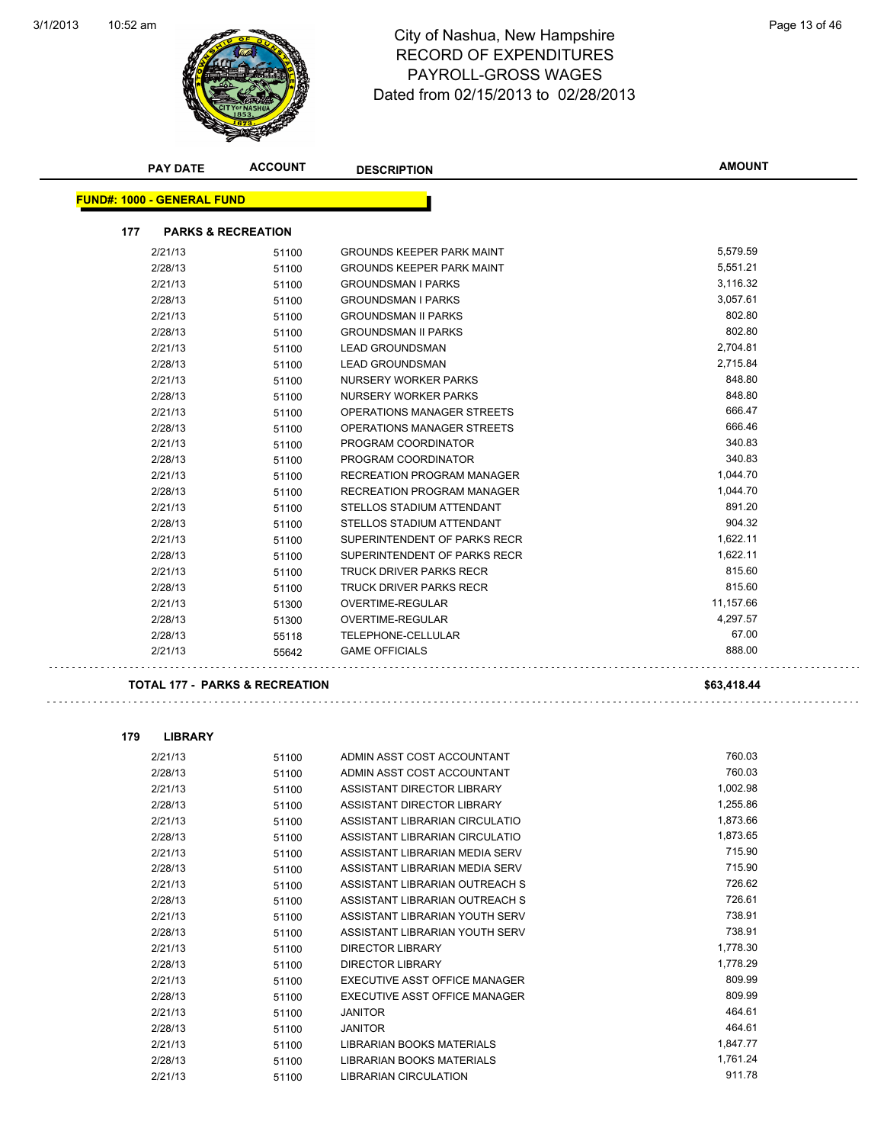$\ddot{\phantom{1}}$  .



### 10:52 am Page 13 of 46 RECORD OF EXPENDITURES PAYROLL-GROSS WAGES Dated from 02/15/2013 to 02/28/2013

| <b>PAY DATE</b>                   | <b>ACCOUNT</b>                            | <b>DESCRIPTION</b>               | <b>AMOUNT</b> |
|-----------------------------------|-------------------------------------------|----------------------------------|---------------|
| <b>FUND#: 1000 - GENERAL FUND</b> |                                           |                                  |               |
| 177                               | <b>PARKS &amp; RECREATION</b>             |                                  |               |
| 2/21/13                           | 51100                                     | <b>GROUNDS KEEPER PARK MAINT</b> | 5,579.59      |
| 2/28/13                           | 51100                                     | <b>GROUNDS KEEPER PARK MAINT</b> | 5,551.21      |
| 2/21/13                           | 51100                                     | <b>GROUNDSMAN I PARKS</b>        | 3,116.32      |
| 2/28/13                           | 51100                                     | <b>GROUNDSMAN I PARKS</b>        | 3,057.61      |
| 2/21/13                           | 51100                                     | <b>GROUNDSMAN II PARKS</b>       | 802.80        |
| 2/28/13                           | 51100                                     | <b>GROUNDSMAN II PARKS</b>       | 802.80        |
| 2/21/13                           | 51100                                     | <b>LEAD GROUNDSMAN</b>           | 2,704.81      |
| 2/28/13                           | 51100                                     | <b>LEAD GROUNDSMAN</b>           | 2,715.84      |
| 2/21/13                           | 51100                                     | NURSERY WORKER PARKS             | 848.80        |
| 2/28/13                           | 51100                                     | NURSERY WORKER PARKS             | 848.80        |
| 2/21/13                           | 51100                                     | OPERATIONS MANAGER STREETS       | 666.47        |
| 2/28/13                           | 51100                                     | OPERATIONS MANAGER STREETS       | 666.46        |
| 2/21/13                           | 51100                                     | PROGRAM COORDINATOR              | 340.83        |
| 2/28/13                           | 51100                                     | PROGRAM COORDINATOR              | 340.83        |
| 2/21/13                           | 51100                                     | RECREATION PROGRAM MANAGER       | 1,044.70      |
| 2/28/13                           | 51100                                     | RECREATION PROGRAM MANAGER       | 1,044.70      |
| 2/21/13                           | 51100                                     | STELLOS STADIUM ATTENDANT        | 891.20        |
| 2/28/13                           | 51100                                     | STELLOS STADIUM ATTENDANT        | 904.32        |
| 2/21/13                           | 51100                                     | SUPERINTENDENT OF PARKS RECR     | 1,622.11      |
| 2/28/13                           | 51100                                     | SUPERINTENDENT OF PARKS RECR     | 1,622.11      |
| 2/21/13                           | 51100                                     | TRUCK DRIVER PARKS RECR          | 815.60        |
| 2/28/13                           | 51100                                     | TRUCK DRIVER PARKS RECR          | 815.60        |
| 2/21/13                           | 51300                                     | OVERTIME-REGULAR                 | 11,157.66     |
| 2/28/13                           | 51300                                     | OVERTIME-REGULAR                 | 4,297.57      |
| 2/28/13                           | 55118                                     | TELEPHONE-CELLULAR               | 67.00         |
| 2/21/13                           | 55642                                     | <b>GAME OFFICIALS</b>            | 888.00        |
|                                   | <b>TOTAL 177 - PARKS &amp; RECREATION</b> |                                  | \$63,418.44   |
| 179<br><b>LIBRARY</b>             |                                           |                                  |               |
| 2/21/13                           | 51100                                     | ADMIN ASST COST ACCOUNTANT       | 760.03        |

| 2/21/13 | 51100 | ADMIN ASST COST ACCOUNTANT       | 760.03   |
|---------|-------|----------------------------------|----------|
| 2/28/13 | 51100 | ADMIN ASST COST ACCOUNTANT       | 760.03   |
| 2/21/13 | 51100 | ASSISTANT DIRECTOR LIBRARY       | 1,002.98 |
| 2/28/13 | 51100 | ASSISTANT DIRECTOR LIBRARY       | 1,255.86 |
| 2/21/13 | 51100 | ASSISTANT LIBRARIAN CIRCULATIO   | 1,873.66 |
| 2/28/13 | 51100 | ASSISTANT LIBRARIAN CIRCULATIO   | 1,873.65 |
| 2/21/13 | 51100 | ASSISTANT LIBRARIAN MEDIA SERV   | 715.90   |
| 2/28/13 | 51100 | ASSISTANT LIBRARIAN MEDIA SERV   | 715.90   |
| 2/21/13 | 51100 | ASSISTANT LIBRARIAN OUTREACH S   | 726.62   |
| 2/28/13 | 51100 | ASSISTANT LIBRARIAN OUTREACH S   | 726.61   |
| 2/21/13 | 51100 | ASSISTANT LIBRARIAN YOUTH SERV   | 738.91   |
| 2/28/13 | 51100 | ASSISTANT LIBRARIAN YOUTH SERV   | 738.91   |
| 2/21/13 | 51100 | <b>DIRECTOR LIBRARY</b>          | 1,778.30 |
| 2/28/13 | 51100 | <b>DIRECTOR LIBRARY</b>          | 1,778.29 |
| 2/21/13 | 51100 | EXECUTIVE ASST OFFICE MANAGER    | 809.99   |
| 2/28/13 | 51100 | EXECUTIVE ASST OFFICE MANAGER    | 809.99   |
| 2/21/13 | 51100 | <b>JANITOR</b>                   | 464.61   |
| 2/28/13 | 51100 | <b>JANITOR</b>                   | 464.61   |
| 2/21/13 | 51100 | <b>LIBRARIAN BOOKS MATERIALS</b> | 1,847.77 |
| 2/28/13 | 51100 | <b>LIBRARIAN BOOKS MATERIALS</b> | 1,761.24 |
| 2/21/13 | 51100 | <b>LIBRARIAN CIRCULATION</b>     | 911.78   |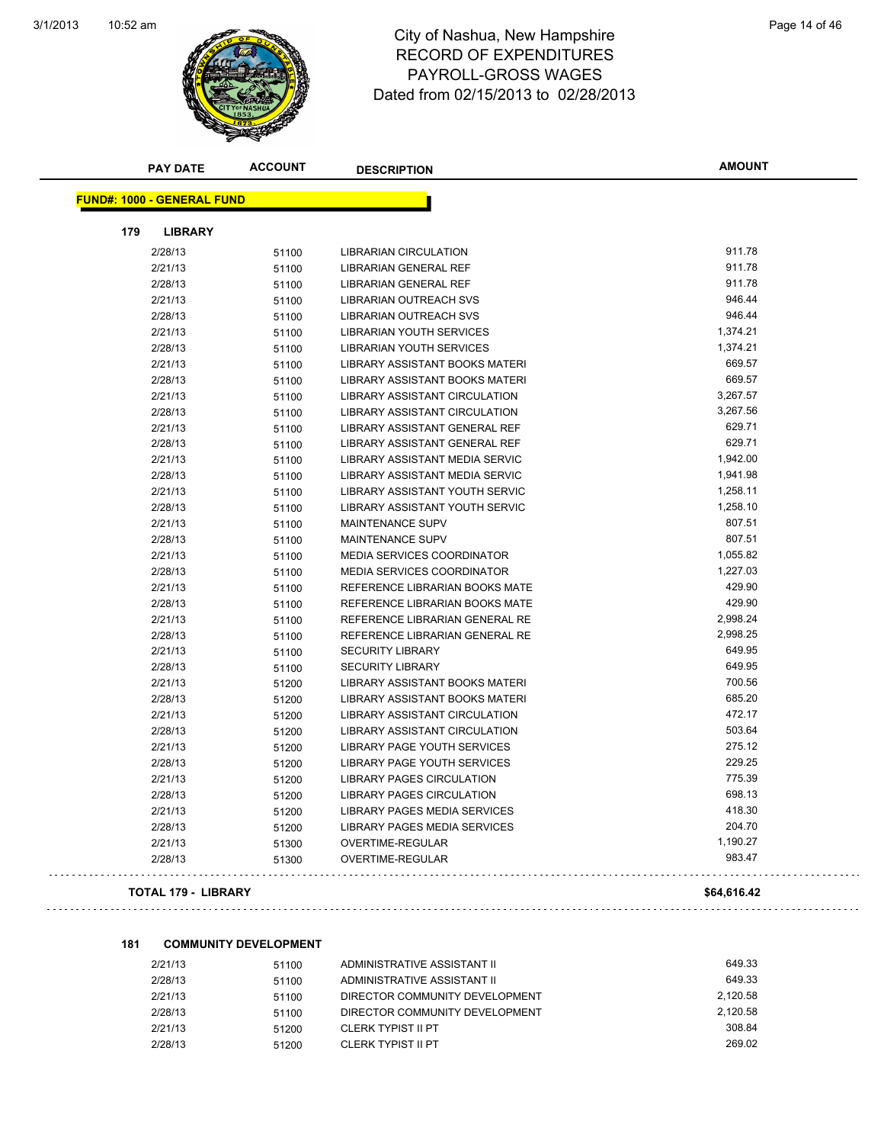

#### 10:52 am Page 14 of 46 RECORD OF EXPENDITURES PAYROLL-GROSS WAGES Dated from 02/15/2013 to 02/28/2013

| <b>PAY DATE</b>                   | <b>ACCOUNT</b> | <b>DESCRIPTION</b>                 | <b>AMOUNT</b> |
|-----------------------------------|----------------|------------------------------------|---------------|
| <b>FUND#: 1000 - GENERAL FUND</b> |                |                                    |               |
| 179<br><b>LIBRARY</b>             |                |                                    |               |
| 2/28/13                           | 51100          | <b>LIBRARIAN CIRCULATION</b>       | 911.78        |
| 2/21/13                           | 51100          | <b>LIBRARIAN GENERAL REF</b>       | 911.78        |
| 2/28/13                           | 51100          | LIBRARIAN GENERAL REF              | 911.78        |
| 2/21/13                           | 51100          | LIBRARIAN OUTREACH SVS             | 946.44        |
| 2/28/13                           | 51100          | <b>LIBRARIAN OUTREACH SVS</b>      | 946.44        |
| 2/21/13                           | 51100          | <b>LIBRARIAN YOUTH SERVICES</b>    | 1,374.21      |
| 2/28/13                           | 51100          | <b>LIBRARIAN YOUTH SERVICES</b>    | 1,374.21      |
| 2/21/13                           | 51100          | LIBRARY ASSISTANT BOOKS MATERI     | 669.57        |
| 2/28/13                           | 51100          | LIBRARY ASSISTANT BOOKS MATERI     | 669.57        |
| 2/21/13                           | 51100          | LIBRARY ASSISTANT CIRCULATION      | 3,267.57      |
| 2/28/13                           | 51100          | LIBRARY ASSISTANT CIRCULATION      | 3,267.56      |
| 2/21/13                           | 51100          | LIBRARY ASSISTANT GENERAL REF      | 629.71        |
| 2/28/13                           | 51100          | LIBRARY ASSISTANT GENERAL REF      | 629.71        |
| 2/21/13                           | 51100          | LIBRARY ASSISTANT MEDIA SERVIC     | 1,942.00      |
| 2/28/13                           | 51100          | LIBRARY ASSISTANT MEDIA SERVIC     | 1,941.98      |
| 2/21/13                           | 51100          | LIBRARY ASSISTANT YOUTH SERVIC     | 1,258.11      |
| 2/28/13                           | 51100          | LIBRARY ASSISTANT YOUTH SERVIC     | 1,258.10      |
| 2/21/13                           | 51100          | MAINTENANCE SUPV                   | 807.51        |
| 2/28/13                           | 51100          | <b>MAINTENANCE SUPV</b>            | 807.51        |
| 2/21/13                           | 51100          | MEDIA SERVICES COORDINATOR         | 1,055.82      |
| 2/28/13                           | 51100          | MEDIA SERVICES COORDINATOR         | 1,227.03      |
| 2/21/13                           | 51100          | REFERENCE LIBRARIAN BOOKS MATE     | 429.90        |
| 2/28/13                           | 51100          | REFERENCE LIBRARIAN BOOKS MATE     | 429.90        |
| 2/21/13                           | 51100          | REFERENCE LIBRARIAN GENERAL RE     | 2,998.24      |
| 2/28/13                           | 51100          | REFERENCE LIBRARIAN GENERAL RE     | 2,998.25      |
| 2/21/13                           | 51100          | <b>SECURITY LIBRARY</b>            | 649.95        |
| 2/28/13                           | 51100          | <b>SECURITY LIBRARY</b>            | 649.95        |
| 2/21/13                           | 51200          | LIBRARY ASSISTANT BOOKS MATERI     | 700.56        |
| 2/28/13                           | 51200          | LIBRARY ASSISTANT BOOKS MATERI     | 685.20        |
| 2/21/13                           | 51200          | LIBRARY ASSISTANT CIRCULATION      | 472.17        |
| 2/28/13                           | 51200          | LIBRARY ASSISTANT CIRCULATION      | 503.64        |
| 2/21/13                           | 51200          | LIBRARY PAGE YOUTH SERVICES        | 275.12        |
| 2/28/13                           | 51200          | <b>LIBRARY PAGE YOUTH SERVICES</b> | 229.25        |
| 2/21/13                           | 51200          | <b>LIBRARY PAGES CIRCULATION</b>   | 775.39        |
| 2/28/13                           | 51200          | <b>LIBRARY PAGES CIRCULATION</b>   | 698.13        |
| 2/21/13                           | 51200          | LIBRARY PAGES MEDIA SERVICES       | 418.30        |
| 2/28/13                           | 51200          | LIBRARY PAGES MEDIA SERVICES       | 204.70        |
| 2/21/13                           | 51300          | OVERTIME-REGULAR                   | 1,190.27      |
| 2/28/13                           | 51300          | OVERTIME-REGULAR                   | 983.47        |
| <b>TOTAL 179 - LIBRARY</b>        |                |                                    | \$64,616.42   |

#### **181 COMMUNITY DEVELOPMENT**

| 2/21/13 | 51100 | ADMINISTRATIVE ASSISTANT II    | 649.33   |
|---------|-------|--------------------------------|----------|
| 2/28/13 | 51100 | ADMINISTRATIVE ASSISTANT II    | 649.33   |
| 2/21/13 | 51100 | DIRECTOR COMMUNITY DEVELOPMENT | 2.120.58 |
| 2/28/13 | 51100 | DIRECTOR COMMUNITY DEVELOPMENT | 2.120.58 |
| 2/21/13 | 51200 | <b>CLERK TYPIST II PT</b>      | 308.84   |
| 2/28/13 | 51200 | CLERK TYPIST II PT             | 269.02   |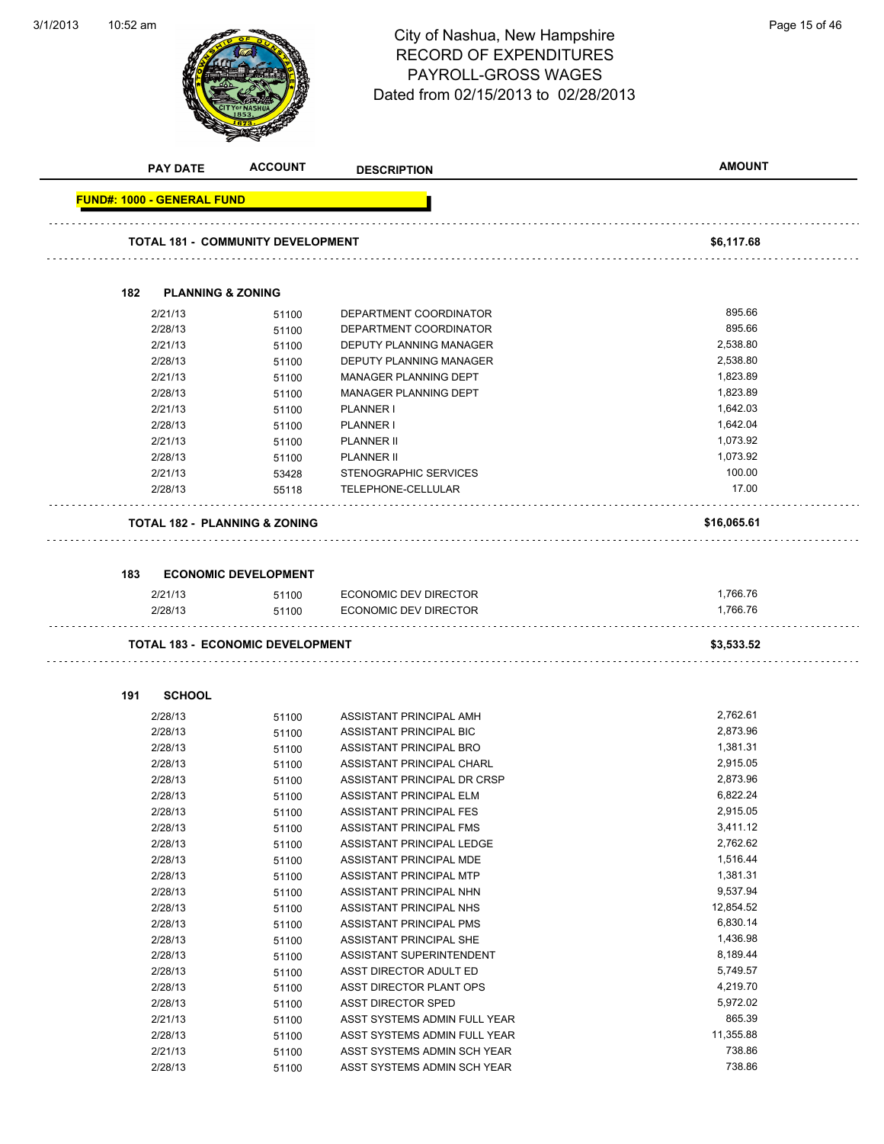## 10:52 am Page 15 of 46 RECORD OF EXPENDITURES PAYROLL-GROSS WAGES Dated from 02/15/2013 to 02/28/2013

3/1/2013

**ACCOUNT** 

|     | <b>PAY DATE</b>                   | <b>ACCOUNT</b>                           | <b>DESCRIPTION</b>                                 | <b>AMOUNT</b>        |
|-----|-----------------------------------|------------------------------------------|----------------------------------------------------|----------------------|
|     | <b>FUND#: 1000 - GENERAL FUND</b> |                                          |                                                    |                      |
|     |                                   | <b>TOTAL 181 - COMMUNITY DEVELOPMENT</b> |                                                    | \$6,117.68           |
|     |                                   |                                          |                                                    |                      |
| 182 | <b>PLANNING &amp; ZONING</b>      |                                          |                                                    |                      |
|     | 2/21/13                           | 51100                                    | DEPARTMENT COORDINATOR                             | 895.66               |
|     | 2/28/13                           | 51100                                    | DEPARTMENT COORDINATOR                             | 895.66               |
|     | 2/21/13                           | 51100                                    | DEPUTY PLANNING MANAGER                            | 2,538.80             |
|     | 2/28/13                           | 51100                                    | DEPUTY PLANNING MANAGER                            | 2,538.80             |
|     | 2/21/13                           | 51100                                    | MANAGER PLANNING DEPT                              | 1,823.89             |
|     | 2/28/13                           | 51100                                    | MANAGER PLANNING DEPT                              | 1,823.89             |
|     | 2/21/13                           | 51100                                    | PLANNER I                                          | 1,642.03             |
|     | 2/28/13                           | 51100                                    | PLANNER I                                          | 1,642.04             |
|     | 2/21/13                           | 51100                                    | <b>PLANNER II</b>                                  | 1,073.92             |
|     | 2/28/13                           | 51100                                    | <b>PLANNER II</b>                                  | 1,073.92             |
|     | 2/21/13                           | 53428                                    | STENOGRAPHIC SERVICES                              | 100.00               |
|     | 2/28/13                           | 55118                                    | TELEPHONE-CELLULAR                                 | 17.00                |
|     |                                   | <b>TOTAL 182 - PLANNING &amp; ZONING</b> |                                                    | \$16,065.61          |
|     |                                   |                                          |                                                    |                      |
| 183 |                                   | <b>ECONOMIC DEVELOPMENT</b>              |                                                    |                      |
|     | 2/21/13                           | 51100                                    | ECONOMIC DEV DIRECTOR                              | 1,766.76             |
|     | 2/28/13                           | 51100                                    | ECONOMIC DEV DIRECTOR                              | 1,766.76             |
|     |                                   | <b>TOTAL 183 - ECONOMIC DEVELOPMENT</b>  |                                                    | \$3,533.52           |
|     |                                   |                                          |                                                    |                      |
| 191 | <b>SCHOOL</b>                     |                                          |                                                    |                      |
|     | 2/28/13                           | 51100                                    | ASSISTANT PRINCIPAL AMH                            | 2,762.61             |
|     | 2/28/13                           | 51100                                    | ASSISTANT PRINCIPAL BIC                            | 2,873.96             |
|     | 2/28/13                           | 51100                                    | ASSISTANT PRINCIPAL BRO                            | 1,381.31<br>2,915.05 |
|     | 2/28/13<br>2/28/13                | 51100                                    | ASSISTANT PRINCIPAL CHARL                          | 2,873.96             |
|     | 2/28/13                           | 51100                                    | ASSISTANT PRINCIPAL DR CRSP                        | 6,822.24             |
|     | 2/28/13                           | 51100                                    | ASSISTANT PRINCIPAL ELM<br>ASSISTANT PRINCIPAL FES | 2,915.05             |
|     | 2/28/13                           | 51100<br>51100                           | ASSISTANT PRINCIPAL FMS                            | 3,411.12             |
|     | 2/28/13                           | 51100                                    | ASSISTANT PRINCIPAL LEDGE                          | 2,762.62             |
|     | 2/28/13                           | 51100                                    | ASSISTANT PRINCIPAL MDE                            | 1,516.44             |
|     | 2/28/13                           | 51100                                    | ASSISTANT PRINCIPAL MTP                            | 1,381.31             |
|     | 2/28/13                           | 51100                                    | ASSISTANT PRINCIPAL NHN                            | 9,537.94             |
|     | 2/28/13                           | 51100                                    | ASSISTANT PRINCIPAL NHS                            | 12,854.52            |
|     | 2/28/13                           | 51100                                    | ASSISTANT PRINCIPAL PMS                            | 6,830.14             |
|     | 2/28/13                           | 51100                                    | ASSISTANT PRINCIPAL SHE                            | 1,436.98             |
|     | 2/28/13                           | 51100                                    | ASSISTANT SUPERINTENDENT                           | 8,189.44             |
|     | 2/28/13                           | 51100                                    | ASST DIRECTOR ADULT ED                             | 5,749.57             |
|     | 2/28/13                           | 51100                                    | ASST DIRECTOR PLANT OPS                            | 4,219.70             |
|     | 2/28/13                           | 51100                                    | <b>ASST DIRECTOR SPED</b>                          | 5,972.02             |
|     | 2/21/13                           | 51100                                    | ASST SYSTEMS ADMIN FULL YEAR                       | 865.39               |
|     | 2/28/13                           | 51100                                    | ASST SYSTEMS ADMIN FULL YEAR                       | 11,355.88            |
|     | 2/21/13                           | 51100                                    | ASST SYSTEMS ADMIN SCH YEAR                        | 738.86               |
|     | 2/28/13                           | 51100                                    | ASST SYSTEMS ADMIN SCH YEAR                        | 738.86               |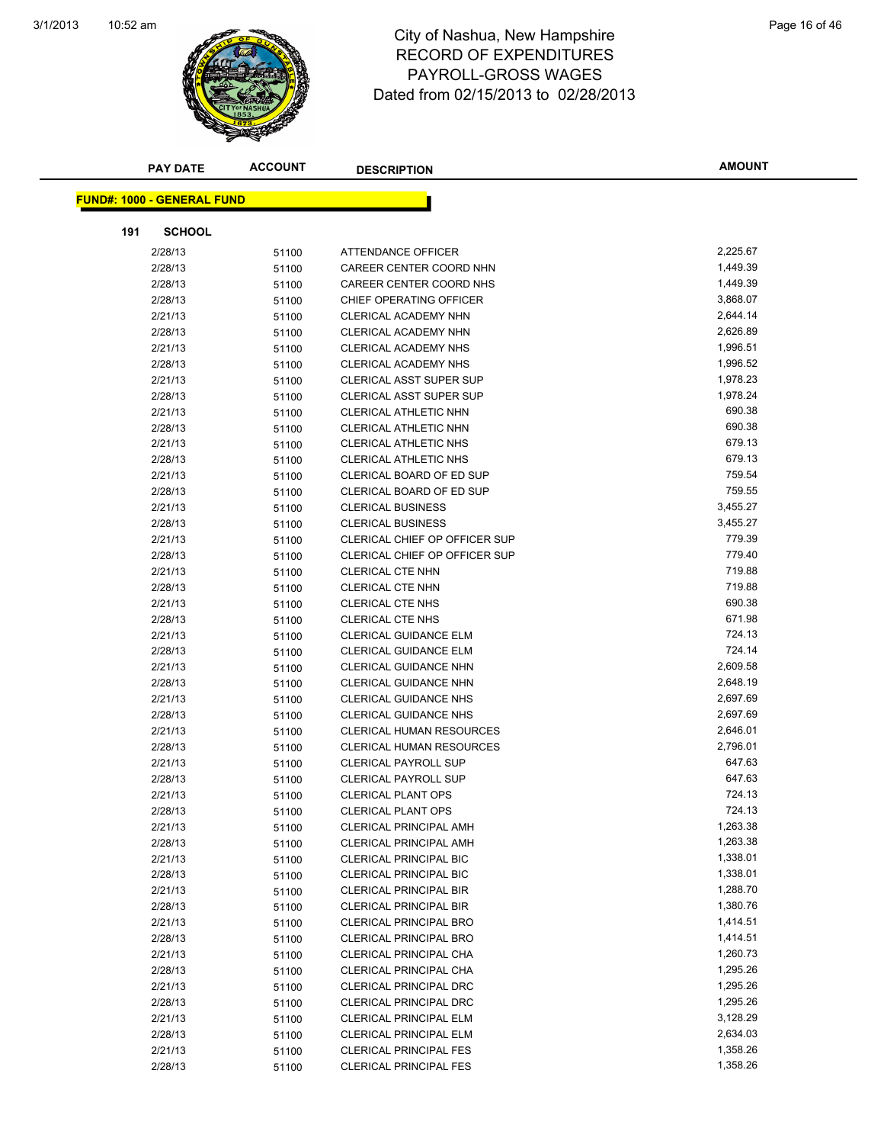

### 10:52 am Page 16 of 46 RECORD OF EXPENDITURES PAYROLL-GROSS WAGES Dated from 02/15/2013 to 02/28/2013

| <b>PAY DATE</b>                   | <b>ACCOUNT</b> | <b>DESCRIPTION</b>                   | <b>AMOUNT</b> |
|-----------------------------------|----------------|--------------------------------------|---------------|
|                                   |                |                                      |               |
| <b>FUND#: 1000 - GENERAL FUND</b> |                |                                      |               |
| 191<br><b>SCHOOL</b>              |                |                                      |               |
| 2/28/13                           | 51100          | ATTENDANCE OFFICER                   | 2,225.67      |
| 2/28/13                           | 51100          | CAREER CENTER COORD NHN              | 1,449.39      |
| 2/28/13                           | 51100          | CAREER CENTER COORD NHS              | 1,449.39      |
| 2/28/13                           | 51100          | CHIEF OPERATING OFFICER              | 3,868.07      |
| 2/21/13                           | 51100          | <b>CLERICAL ACADEMY NHN</b>          | 2,644.14      |
| 2/28/13                           | 51100          | CLERICAL ACADEMY NHN                 | 2,626.89      |
| 2/21/13                           | 51100          | <b>CLERICAL ACADEMY NHS</b>          | 1,996.51      |
| 2/28/13                           | 51100          | <b>CLERICAL ACADEMY NHS</b>          | 1,996.52      |
| 2/21/13                           | 51100          | <b>CLERICAL ASST SUPER SUP</b>       | 1,978.23      |
| 2/28/13                           | 51100          | <b>CLERICAL ASST SUPER SUP</b>       | 1,978.24      |
| 2/21/13                           | 51100          | CLERICAL ATHLETIC NHN                | 690.38        |
| 2/28/13                           | 51100          | CLERICAL ATHLETIC NHN                | 690.38        |
| 2/21/13                           | 51100          | CLERICAL ATHLETIC NHS                | 679.13        |
| 2/28/13                           | 51100          | CLERICAL ATHLETIC NHS                | 679.13        |
| 2/21/13                           | 51100          | CLERICAL BOARD OF ED SUP             | 759.54        |
| 2/28/13                           | 51100          | <b>CLERICAL BOARD OF ED SUP</b>      | 759.55        |
| 2/21/13                           | 51100          | <b>CLERICAL BUSINESS</b>             | 3,455.27      |
| 2/28/13                           | 51100          | <b>CLERICAL BUSINESS</b>             | 3,455.27      |
| 2/21/13                           | 51100          | <b>CLERICAL CHIEF OP OFFICER SUP</b> | 779.39        |
| 2/28/13                           | 51100          | <b>CLERICAL CHIEF OP OFFICER SUP</b> | 779.40        |
| 2/21/13                           | 51100          | <b>CLERICAL CTE NHN</b>              | 719.88        |
| 2/28/13                           | 51100          | <b>CLERICAL CTE NHN</b>              | 719.88        |
| 2/21/13                           | 51100          | <b>CLERICAL CTE NHS</b>              | 690.38        |
| 2/28/13                           | 51100          | <b>CLERICAL CTE NHS</b>              | 671.98        |
| 2/21/13                           | 51100          | CLERICAL GUIDANCE ELM                | 724.13        |
| 2/28/13                           | 51100          | <b>CLERICAL GUIDANCE ELM</b>         | 724.14        |
| 2/21/13                           | 51100          | CLERICAL GUIDANCE NHN                | 2,609.58      |
| 2/28/13                           | 51100          | CLERICAL GUIDANCE NHN                | 2,648.19      |
| 2/21/13                           | 51100          | <b>CLERICAL GUIDANCE NHS</b>         | 2,697.69      |
| 2/28/13                           | 51100          | <b>CLERICAL GUIDANCE NHS</b>         | 2,697.69      |
| 2/21/13                           | 51100          | <b>CLERICAL HUMAN RESOURCES</b>      | 2,646.01      |
| 2/28/13                           | 51100          | CLERICAL HUMAN RESOURCES             | 2,796.01      |
| 2/21/13                           | 51100          | <b>CLERICAL PAYROLL SUP</b>          | 647.63        |
| 2/28/13                           | 51100          | <b>CLERICAL PAYROLL SUP</b>          | 647.63        |
| 2/21/13                           | 51100          | <b>CLERICAL PLANT OPS</b>            | 724.13        |
| 2/28/13                           | 51100          | CLERICAL PLANT OPS                   | 724.13        |
| 2/21/13                           | 51100          | <b>CLERICAL PRINCIPAL AMH</b>        | 1,263.38      |
| 2/28/13                           | 51100          | CLERICAL PRINCIPAL AMH               | 1,263.38      |
| 2/21/13                           | 51100          | <b>CLERICAL PRINCIPAL BIC</b>        | 1,338.01      |
| 2/28/13                           | 51100          | <b>CLERICAL PRINCIPAL BIC</b>        | 1,338.01      |
| 2/21/13                           | 51100          | <b>CLERICAL PRINCIPAL BIR</b>        | 1,288.70      |
| 2/28/13                           | 51100          | <b>CLERICAL PRINCIPAL BIR</b>        | 1,380.76      |
| 2/21/13                           | 51100          | <b>CLERICAL PRINCIPAL BRO</b>        | 1,414.51      |
| 2/28/13                           | 51100          | <b>CLERICAL PRINCIPAL BRO</b>        | 1,414.51      |
| 2/21/13                           | 51100          | CLERICAL PRINCIPAL CHA               | 1,260.73      |
| 2/28/13                           | 51100          | CLERICAL PRINCIPAL CHA               | 1,295.26      |
| 2/21/13                           | 51100          | CLERICAL PRINCIPAL DRC               | 1,295.26      |
| 2/28/13                           | 51100          | CLERICAL PRINCIPAL DRC               | 1,295.26      |
| 2/21/13                           | 51100          | <b>CLERICAL PRINCIPAL ELM</b>        | 3,128.29      |
| 2/28/13                           | 51100          | <b>CLERICAL PRINCIPAL ELM</b>        | 2,634.03      |
| 2/21/13                           | 51100          | <b>CLERICAL PRINCIPAL FES</b>        | 1,358.26      |
| 2/28/13                           | 51100          | <b>CLERICAL PRINCIPAL FES</b>        | 1,358.26      |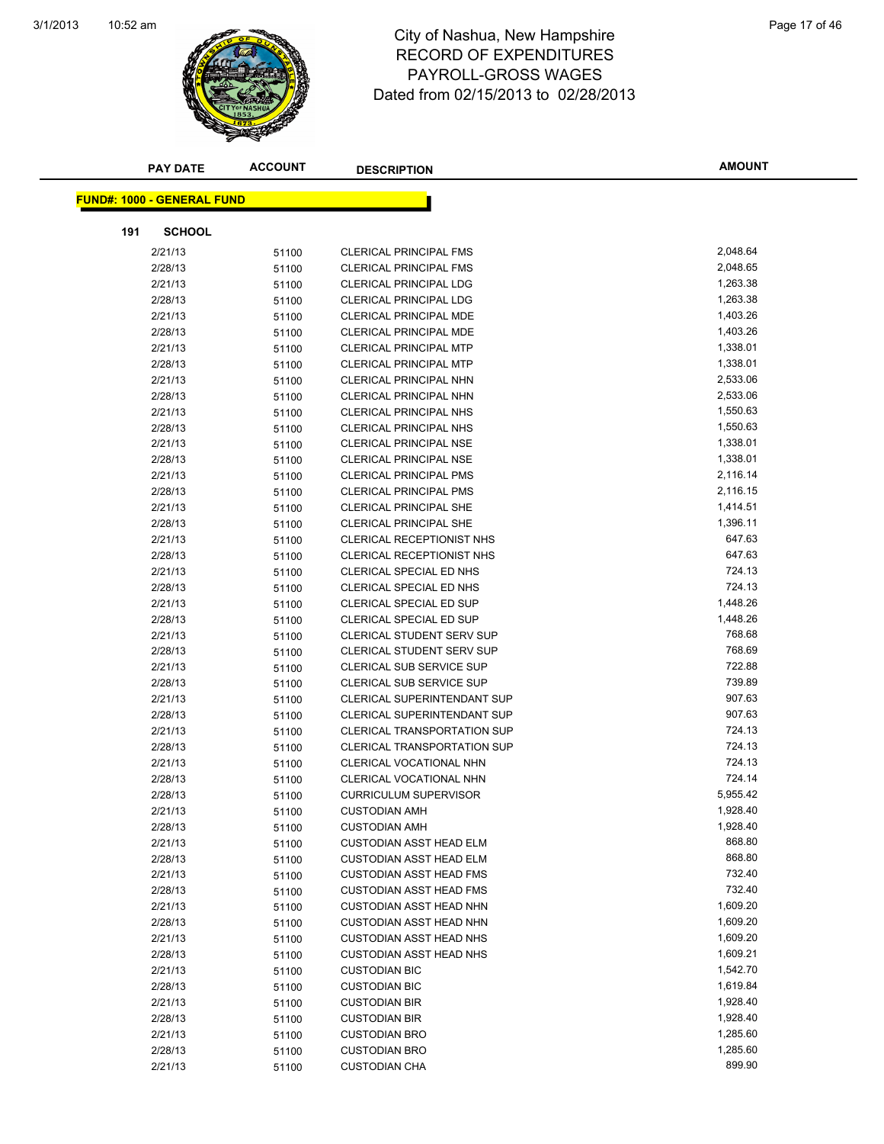

#### 10:52 am Page 17 of 46 RECORD OF EXPENDITURES PAYROLL-GROSS WAGES Dated from 02/15/2013 to 02/28/2013

| <b>PAY DATE</b>                   | <b>ACCOUNT</b> | <b>DESCRIPTION</b>                                     | <b>AMOUNT</b>        |
|-----------------------------------|----------------|--------------------------------------------------------|----------------------|
|                                   |                |                                                        |                      |
| <b>FUND#: 1000 - GENERAL FUND</b> |                |                                                        |                      |
| <b>SCHOOL</b><br>191              |                |                                                        |                      |
| 2/21/13                           | 51100          | <b>CLERICAL PRINCIPAL FMS</b>                          | 2,048.64             |
| 2/28/13                           | 51100          | <b>CLERICAL PRINCIPAL FMS</b>                          | 2,048.65             |
| 2/21/13                           | 51100          | <b>CLERICAL PRINCIPAL LDG</b>                          | 1,263.38             |
| 2/28/13                           | 51100          | <b>CLERICAL PRINCIPAL LDG</b>                          | 1,263.38             |
| 2/21/13                           | 51100          | CLERICAL PRINCIPAL MDE                                 | 1,403.26             |
| 2/28/13                           | 51100          | CLERICAL PRINCIPAL MDE                                 | 1,403.26             |
| 2/21/13                           | 51100          | <b>CLERICAL PRINCIPAL MTP</b>                          | 1,338.01             |
| 2/28/13                           | 51100          | <b>CLERICAL PRINCIPAL MTP</b>                          | 1,338.01             |
| 2/21/13                           | 51100          | CLERICAL PRINCIPAL NHN                                 | 2,533.06             |
| 2/28/13                           | 51100          | <b>CLERICAL PRINCIPAL NHN</b>                          | 2,533.06             |
| 2/21/13                           | 51100          | CLERICAL PRINCIPAL NHS                                 | 1,550.63             |
| 2/28/13                           | 51100          | <b>CLERICAL PRINCIPAL NHS</b>                          | 1,550.63             |
| 2/21/13                           | 51100          | <b>CLERICAL PRINCIPAL NSE</b>                          | 1,338.01             |
| 2/28/13                           | 51100          | <b>CLERICAL PRINCIPAL NSE</b>                          | 1,338.01             |
| 2/21/13                           | 51100          | <b>CLERICAL PRINCIPAL PMS</b>                          | 2,116.14             |
| 2/28/13                           | 51100          | <b>CLERICAL PRINCIPAL PMS</b>                          | 2,116.15             |
| 2/21/13                           | 51100          | <b>CLERICAL PRINCIPAL SHE</b>                          | 1,414.51             |
| 2/28/13                           | 51100          | <b>CLERICAL PRINCIPAL SHE</b>                          | 1,396.11             |
| 2/21/13                           | 51100          | CLERICAL RECEPTIONIST NHS                              | 647.63               |
| 2/28/13                           | 51100          | CLERICAL RECEPTIONIST NHS                              | 647.63               |
| 2/21/13                           | 51100          | CLERICAL SPECIAL ED NHS                                | 724.13               |
| 2/28/13                           | 51100          | CLERICAL SPECIAL ED NHS                                | 724.13               |
| 2/21/13                           | 51100          | CLERICAL SPECIAL ED SUP                                | 1,448.26             |
| 2/28/13                           | 51100          | <b>CLERICAL SPECIAL ED SUP</b>                         | 1,448.26             |
| 2/21/13                           | 51100          | <b>CLERICAL STUDENT SERV SUP</b>                       | 768.68               |
| 2/28/13                           | 51100          | <b>CLERICAL STUDENT SERV SUP</b>                       | 768.69               |
| 2/21/13                           | 51100          | <b>CLERICAL SUB SERVICE SUP</b>                        | 722.88               |
| 2/28/13                           | 51100          | <b>CLERICAL SUB SERVICE SUP</b>                        | 739.89               |
| 2/21/13                           | 51100          | CLERICAL SUPERINTENDANT SUP                            | 907.63               |
| 2/28/13                           | 51100          | CLERICAL SUPERINTENDANT SUP                            | 907.63               |
| 2/21/13                           | 51100          | <b>CLERICAL TRANSPORTATION SUP</b>                     | 724.13               |
| 2/28/13                           | 51100          | <b>CLERICAL TRANSPORTATION SUP</b>                     | 724.13               |
| 2/21/13                           | 51100          | CLERICAL VOCATIONAL NHN                                | 724.13               |
| 2/28/13                           | 51100          | CLERICAL VOCATIONAL NHN                                | 724.14               |
| 2/28/13                           | 51100          | <b>CURRICULUM SUPERVISOR</b>                           | 5,955.42             |
| 2/21/13                           | 51100          | <b>CUSTODIAN AMH</b>                                   | 1,928.40             |
| 2/28/13                           | 51100          | <b>CUSTODIAN AMH</b>                                   | 1,928.40             |
| 2/21/13                           | 51100          | <b>CUSTODIAN ASST HEAD ELM</b>                         | 868.80               |
| 2/28/13                           | 51100          | <b>CUSTODIAN ASST HEAD ELM</b>                         | 868.80               |
| 2/21/13                           | 51100          | <b>CUSTODIAN ASST HEAD FMS</b>                         | 732.40               |
| 2/28/13                           | 51100          | <b>CUSTODIAN ASST HEAD FMS</b>                         | 732.40               |
| 2/21/13                           | 51100          | <b>CUSTODIAN ASST HEAD NHN</b>                         | 1,609.20             |
| 2/28/13                           | 51100          | <b>CUSTODIAN ASST HEAD NHN</b>                         | 1,609.20<br>1,609.20 |
| 2/21/13                           | 51100          | <b>CUSTODIAN ASST HEAD NHS</b>                         |                      |
| 2/28/13<br>2/21/13                | 51100          | <b>CUSTODIAN ASST HEAD NHS</b><br><b>CUSTODIAN BIC</b> | 1,609.21<br>1,542.70 |
| 2/28/13                           | 51100          | <b>CUSTODIAN BIC</b>                                   | 1,619.84             |
| 2/21/13                           | 51100          | <b>CUSTODIAN BIR</b>                                   | 1,928.40             |
| 2/28/13                           | 51100          | <b>CUSTODIAN BIR</b>                                   | 1,928.40             |
| 2/21/13                           | 51100          | <b>CUSTODIAN BRO</b>                                   | 1,285.60             |
| 2/28/13                           | 51100          | <b>CUSTODIAN BRO</b>                                   | 1,285.60             |
| 2/21/13                           | 51100<br>51100 | <b>CUSTODIAN CHA</b>                                   | 899.90               |
|                                   |                |                                                        |                      |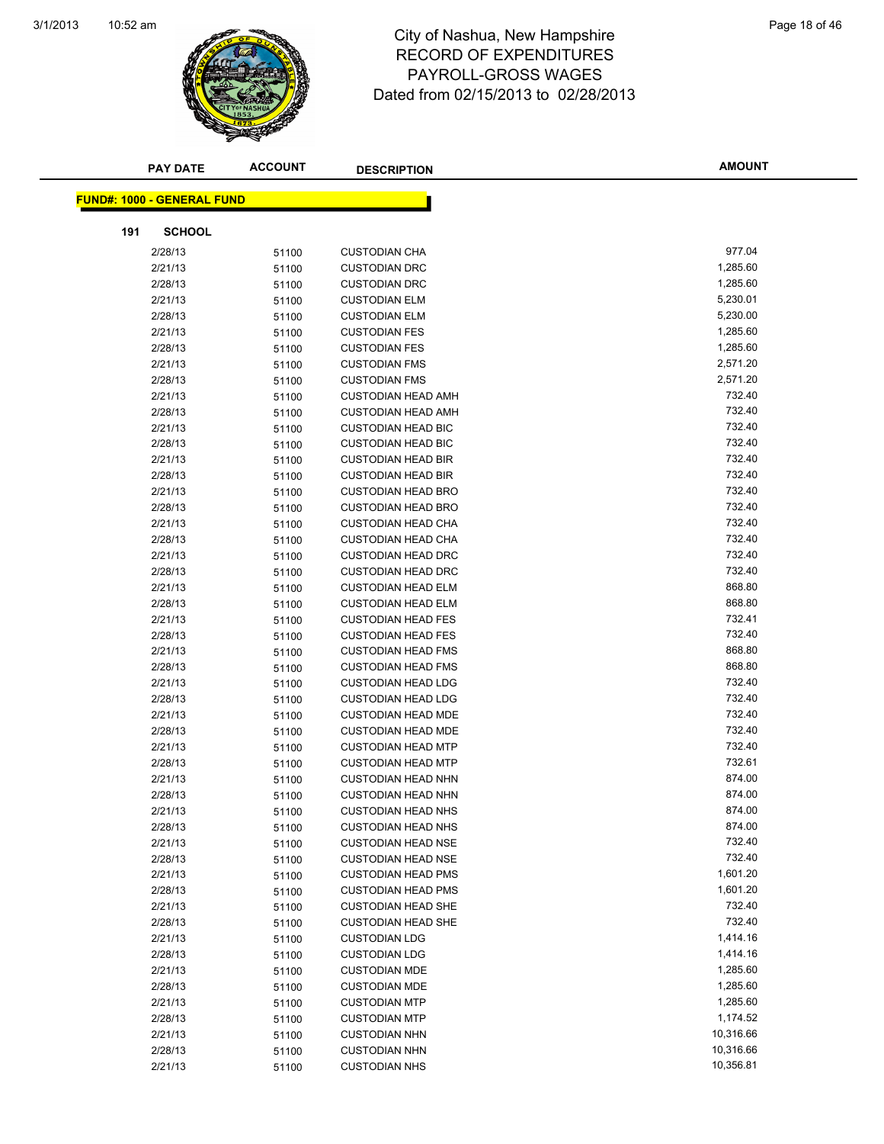

#### 10:52 am Page 18 of 46 RECORD OF EXPENDITURES PAYROLL-GROSS WAGES Dated from 02/15/2013 to 02/28/2013

| <b>PAY DATE</b>                   | <b>ACCOUNT</b> | <b>DESCRIPTION</b>        | <b>AMOUNT</b> |  |
|-----------------------------------|----------------|---------------------------|---------------|--|
|                                   |                |                           |               |  |
| <b>FUND#: 1000 - GENERAL FUND</b> |                |                           |               |  |
| 191<br><b>SCHOOL</b>              |                |                           |               |  |
| 2/28/13                           | 51100          | <b>CUSTODIAN CHA</b>      | 977.04        |  |
| 2/21/13                           | 51100          | <b>CUSTODIAN DRC</b>      | 1,285.60      |  |
| 2/28/13                           | 51100          | <b>CUSTODIAN DRC</b>      | 1,285.60      |  |
| 2/21/13                           | 51100          | <b>CUSTODIAN ELM</b>      | 5,230.01      |  |
| 2/28/13                           | 51100          | <b>CUSTODIAN ELM</b>      | 5,230.00      |  |
| 2/21/13                           | 51100          | <b>CUSTODIAN FES</b>      | 1,285.60      |  |
| 2/28/13                           | 51100          | <b>CUSTODIAN FES</b>      | 1,285.60      |  |
| 2/21/13                           | 51100          | <b>CUSTODIAN FMS</b>      | 2,571.20      |  |
| 2/28/13                           | 51100          | <b>CUSTODIAN FMS</b>      | 2,571.20      |  |
| 2/21/13                           | 51100          | <b>CUSTODIAN HEAD AMH</b> | 732.40        |  |
| 2/28/13                           | 51100          | <b>CUSTODIAN HEAD AMH</b> | 732.40        |  |
| 2/21/13                           | 51100          | <b>CUSTODIAN HEAD BIC</b> | 732.40        |  |
| 2/28/13                           | 51100          | <b>CUSTODIAN HEAD BIC</b> | 732.40        |  |
| 2/21/13                           | 51100          | <b>CUSTODIAN HEAD BIR</b> | 732.40        |  |
| 2/28/13                           | 51100          | <b>CUSTODIAN HEAD BIR</b> | 732.40        |  |
| 2/21/13                           | 51100          | <b>CUSTODIAN HEAD BRO</b> | 732.40        |  |
| 2/28/13                           | 51100          | <b>CUSTODIAN HEAD BRO</b> | 732.40        |  |
| 2/21/13                           | 51100          | <b>CUSTODIAN HEAD CHA</b> | 732.40        |  |
| 2/28/13                           | 51100          | <b>CUSTODIAN HEAD CHA</b> | 732.40        |  |
| 2/21/13                           | 51100          | <b>CUSTODIAN HEAD DRC</b> | 732.40        |  |
| 2/28/13                           | 51100          | <b>CUSTODIAN HEAD DRC</b> | 732.40        |  |
| 2/21/13                           | 51100          | <b>CUSTODIAN HEAD ELM</b> | 868.80        |  |
| 2/28/13                           | 51100          | <b>CUSTODIAN HEAD ELM</b> | 868.80        |  |
| 2/21/13                           | 51100          | <b>CUSTODIAN HEAD FES</b> | 732.41        |  |
| 2/28/13                           | 51100          | <b>CUSTODIAN HEAD FES</b> | 732.40        |  |
| 2/21/13                           | 51100          | <b>CUSTODIAN HEAD FMS</b> | 868.80        |  |
| 2/28/13                           | 51100          | <b>CUSTODIAN HEAD FMS</b> | 868.80        |  |
| 2/21/13                           | 51100          | <b>CUSTODIAN HEAD LDG</b> | 732.40        |  |
| 2/28/13                           | 51100          | <b>CUSTODIAN HEAD LDG</b> | 732.40        |  |
| 2/21/13                           | 51100          | <b>CUSTODIAN HEAD MDE</b> | 732.40        |  |
| 2/28/13                           | 51100          | <b>CUSTODIAN HEAD MDE</b> | 732.40        |  |
| 2/21/13                           | 51100          | <b>CUSTODIAN HEAD MTP</b> | 732.40        |  |
| 2/28/13                           | 51100          | <b>CUSTODIAN HEAD MTP</b> | 732.61        |  |
| 2/21/13                           | 51100          | <b>CUSTODIAN HEAD NHN</b> | 874.00        |  |
| 2/28/13                           | 51100          | <b>CUSTODIAN HEAD NHN</b> | 874.00        |  |
| 2/21/13                           | 51100          | <b>CUSTODIAN HEAD NHS</b> | 874.00        |  |
| 2/28/13                           | 51100          | <b>CUSTODIAN HEAD NHS</b> | 874.00        |  |
| 2/21/13                           | 51100          | <b>CUSTODIAN HEAD NSE</b> | 732.40        |  |
| 2/28/13                           | 51100          | <b>CUSTODIAN HEAD NSE</b> | 732.40        |  |
| 2/21/13                           | 51100          | <b>CUSTODIAN HEAD PMS</b> | 1,601.20      |  |
| 2/28/13                           | 51100          | <b>CUSTODIAN HEAD PMS</b> | 1,601.20      |  |
| 2/21/13                           | 51100          | <b>CUSTODIAN HEAD SHE</b> | 732.40        |  |
| 2/28/13                           | 51100          | <b>CUSTODIAN HEAD SHE</b> | 732.40        |  |
| 2/21/13                           | 51100          | <b>CUSTODIAN LDG</b>      | 1,414.16      |  |
| 2/28/13                           | 51100          | <b>CUSTODIAN LDG</b>      | 1,414.16      |  |
| 2/21/13                           | 51100          | <b>CUSTODIAN MDE</b>      | 1,285.60      |  |
| 2/28/13                           | 51100          | <b>CUSTODIAN MDE</b>      | 1,285.60      |  |
| 2/21/13                           | 51100          | <b>CUSTODIAN MTP</b>      | 1,285.60      |  |
| 2/28/13                           | 51100          | <b>CUSTODIAN MTP</b>      | 1,174.52      |  |
| 2/21/13                           | 51100          | <b>CUSTODIAN NHN</b>      | 10,316.66     |  |
| 2/28/13                           | 51100          | <b>CUSTODIAN NHN</b>      | 10,316.66     |  |
| 2/21/13                           | 51100          | <b>CUSTODIAN NHS</b>      | 10,356.81     |  |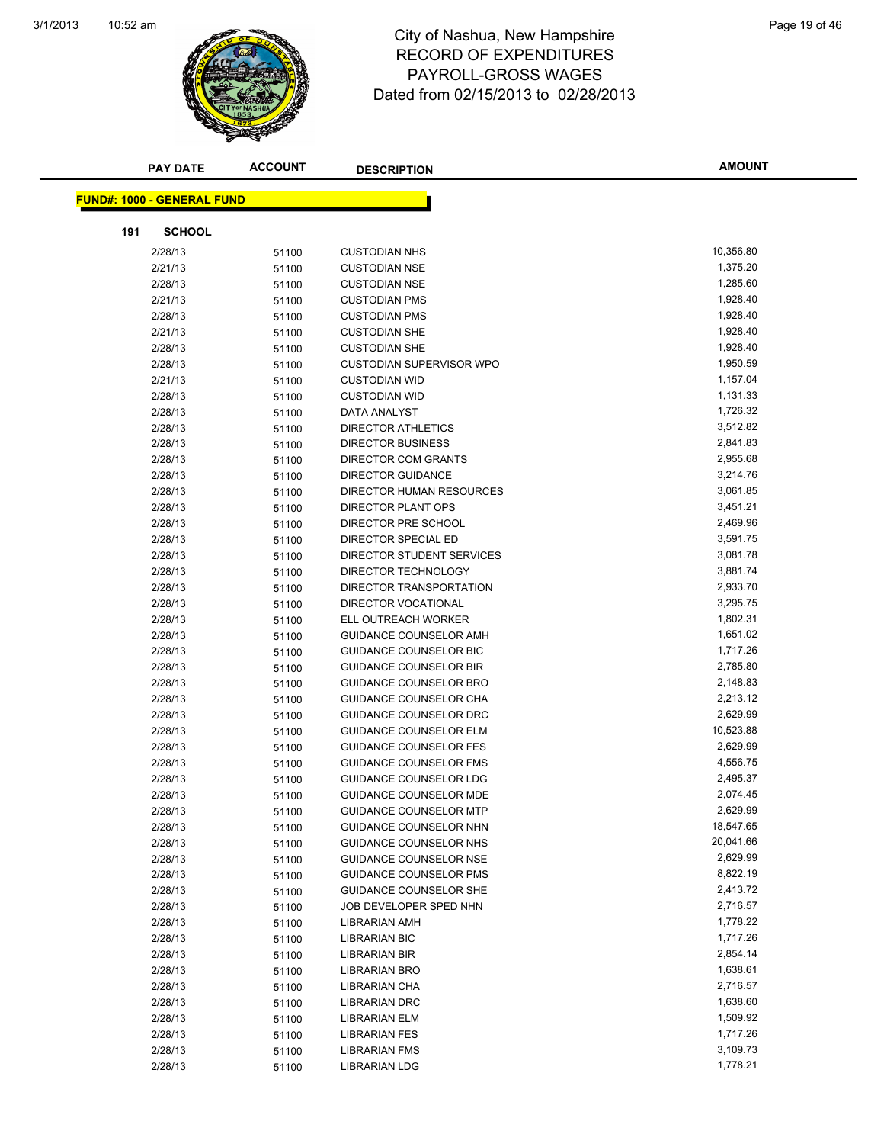

### 10:52 am Page 19 of 46 RECORD OF EXPENDITURES PAYROLL-GROSS WAGES Dated from 02/15/2013 to 02/28/2013

| <b>PAY DATE</b>                   | <b>ACCOUNT</b> | <b>DESCRIPTION</b>              | <b>AMOUNT</b> |
|-----------------------------------|----------------|---------------------------------|---------------|
|                                   |                |                                 |               |
| <b>FUND#: 1000 - GENERAL FUND</b> |                |                                 |               |
| 191<br><b>SCHOOL</b>              |                |                                 |               |
| 2/28/13                           | 51100          | <b>CUSTODIAN NHS</b>            | 10,356.80     |
| 2/21/13                           | 51100          | <b>CUSTODIAN NSE</b>            | 1,375.20      |
| 2/28/13                           | 51100          | <b>CUSTODIAN NSE</b>            | 1,285.60      |
| 2/21/13                           | 51100          | <b>CUSTODIAN PMS</b>            | 1,928.40      |
| 2/28/13                           | 51100          | <b>CUSTODIAN PMS</b>            | 1,928.40      |
| 2/21/13                           | 51100          | <b>CUSTODIAN SHE</b>            | 1,928.40      |
| 2/28/13                           | 51100          | <b>CUSTODIAN SHE</b>            | 1,928.40      |
| 2/28/13                           | 51100          | <b>CUSTODIAN SUPERVISOR WPO</b> | 1,950.59      |
| 2/21/13                           | 51100          | <b>CUSTODIAN WID</b>            | 1,157.04      |
| 2/28/13                           | 51100          | <b>CUSTODIAN WID</b>            | 1,131.33      |
| 2/28/13                           | 51100          | DATA ANALYST                    | 1,726.32      |
| 2/28/13                           | 51100          | <b>DIRECTOR ATHLETICS</b>       | 3,512.82      |
| 2/28/13                           | 51100          | <b>DIRECTOR BUSINESS</b>        | 2,841.83      |
| 2/28/13                           | 51100          | DIRECTOR COM GRANTS             | 2,955.68      |
| 2/28/13                           | 51100          | <b>DIRECTOR GUIDANCE</b>        | 3,214.76      |
| 2/28/13                           | 51100          | DIRECTOR HUMAN RESOURCES        | 3,061.85      |
| 2/28/13                           | 51100          | <b>DIRECTOR PLANT OPS</b>       | 3,451.21      |
| 2/28/13                           | 51100          | DIRECTOR PRE SCHOOL             | 2,469.96      |
| 2/28/13                           | 51100          | DIRECTOR SPECIAL ED             | 3,591.75      |
| 2/28/13                           | 51100          | DIRECTOR STUDENT SERVICES       | 3,081.78      |
| 2/28/13                           | 51100          | DIRECTOR TECHNOLOGY             | 3,881.74      |
| 2/28/13                           | 51100          | DIRECTOR TRANSPORTATION         | 2,933.70      |
| 2/28/13                           | 51100          | DIRECTOR VOCATIONAL             | 3,295.75      |
| 2/28/13                           | 51100          | ELL OUTREACH WORKER             | 1,802.31      |
| 2/28/13                           | 51100          | GUIDANCE COUNSELOR AMH          | 1,651.02      |
| 2/28/13                           | 51100          | GUIDANCE COUNSELOR BIC          | 1,717.26      |
| 2/28/13                           | 51100          | <b>GUIDANCE COUNSELOR BIR</b>   | 2,785.80      |
| 2/28/13                           | 51100          | GUIDANCE COUNSELOR BRO          | 2,148.83      |
| 2/28/13                           | 51100          | GUIDANCE COUNSELOR CHA          | 2,213.12      |
| 2/28/13                           | 51100          | GUIDANCE COUNSELOR DRC          | 2,629.99      |
| 2/28/13                           | 51100          | <b>GUIDANCE COUNSELOR ELM</b>   | 10,523.88     |
| 2/28/13                           | 51100          | <b>GUIDANCE COUNSELOR FES</b>   | 2,629.99      |
| 2/28/13                           | 51100          | <b>GUIDANCE COUNSELOR FMS</b>   | 4,556.75      |
| 2/28/13                           | 51100          | GUIDANCE COUNSELOR LDG          | 2,495.37      |
| 2/28/13                           | 51100          | <b>GUIDANCE COUNSELOR MDE</b>   | 2,074.45      |
| 2/28/13                           | 51100          | <b>GUIDANCE COUNSELOR MTP</b>   | 2,629.99      |
| 2/28/13                           | 51100          | GUIDANCE COUNSELOR NHN          | 18,547.65     |
| 2/28/13                           | 51100          | <b>GUIDANCE COUNSELOR NHS</b>   | 20,041.66     |
| 2/28/13                           | 51100          | <b>GUIDANCE COUNSELOR NSE</b>   | 2,629.99      |
| 2/28/13                           | 51100          | <b>GUIDANCE COUNSELOR PMS</b>   | 8,822.19      |
| 2/28/13                           | 51100          | <b>GUIDANCE COUNSELOR SHE</b>   | 2,413.72      |
| 2/28/13                           | 51100          | JOB DEVELOPER SPED NHN          | 2,716.57      |
| 2/28/13                           | 51100          | <b>LIBRARIAN AMH</b>            | 1,778.22      |
| 2/28/13                           | 51100          | <b>LIBRARIAN BIC</b>            | 1,717.26      |
| 2/28/13                           | 51100          | LIBRARIAN BIR                   | 2,854.14      |
| 2/28/13                           | 51100          | <b>LIBRARIAN BRO</b>            | 1,638.61      |
| 2/28/13                           | 51100          | LIBRARIAN CHA                   | 2,716.57      |
| 2/28/13                           | 51100          | <b>LIBRARIAN DRC</b>            | 1,638.60      |
| 2/28/13                           | 51100          | LIBRARIAN ELM                   | 1,509.92      |
| 2/28/13                           | 51100          | LIBRARIAN FES                   | 1,717.26      |
| 2/28/13                           | 51100          | <b>LIBRARIAN FMS</b>            | 3,109.73      |
| 2/28/13                           | 51100          | <b>LIBRARIAN LDG</b>            | 1,778.21      |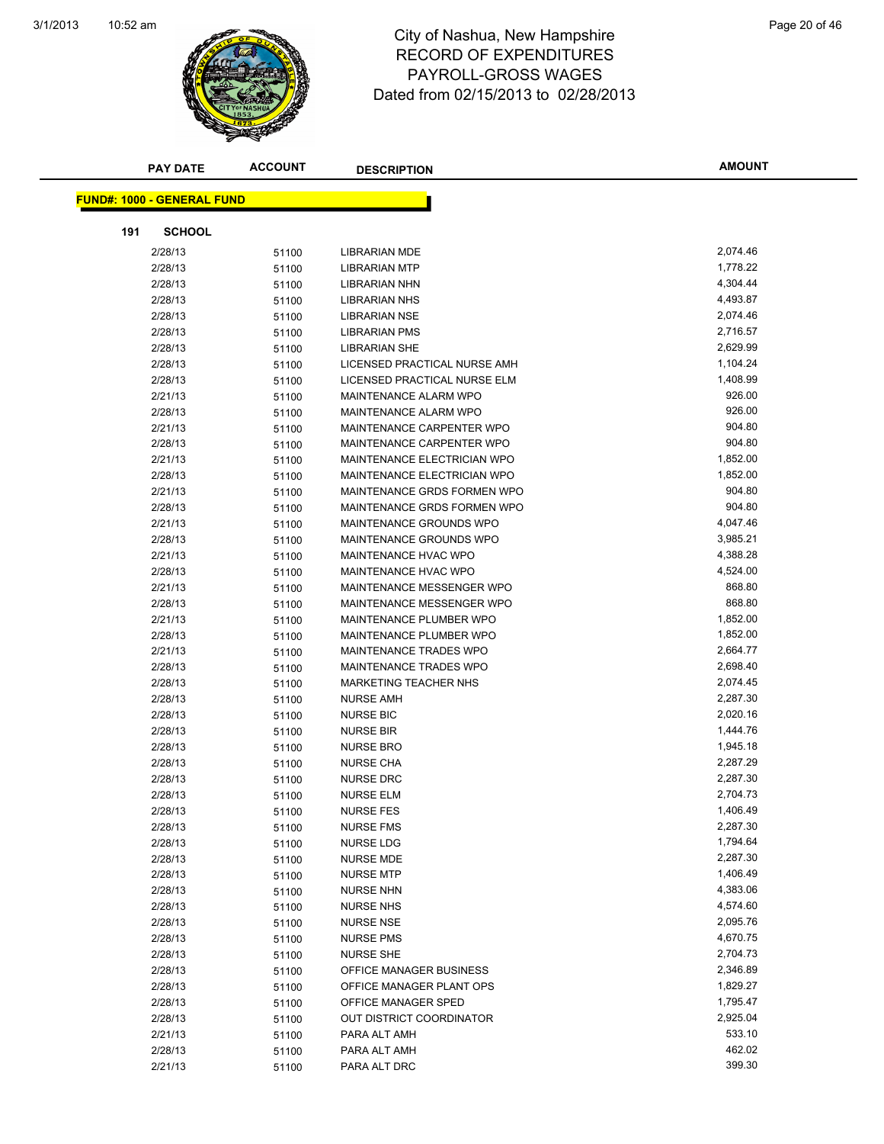

#### 10:52 am Page 20 of 46 RECORD OF EXPENDITURES PAYROLL-GROSS WAGES Dated from 02/15/2013 to 02/28/2013

| <b>PAY DATE</b>                   | <b>ACCOUNT</b> | <b>DESCRIPTION</b>            | <b>AMOUNT</b> |
|-----------------------------------|----------------|-------------------------------|---------------|
|                                   |                |                               |               |
| <b>FUND#: 1000 - GENERAL FUND</b> |                |                               |               |
| 191<br><b>SCHOOL</b>              |                |                               |               |
| 2/28/13                           | 51100          | LIBRARIAN MDE                 | 2,074.46      |
| 2/28/13                           | 51100          | <b>LIBRARIAN MTP</b>          | 1,778.22      |
| 2/28/13                           | 51100          | <b>LIBRARIAN NHN</b>          | 4,304.44      |
| 2/28/13                           | 51100          | LIBRARIAN NHS                 | 4,493.87      |
| 2/28/13                           | 51100          | <b>LIBRARIAN NSE</b>          | 2,074.46      |
| 2/28/13                           | 51100          | <b>LIBRARIAN PMS</b>          | 2,716.57      |
| 2/28/13                           | 51100          | <b>LIBRARIAN SHE</b>          | 2,629.99      |
| 2/28/13                           | 51100          | LICENSED PRACTICAL NURSE AMH  | 1,104.24      |
| 2/28/13                           | 51100          | LICENSED PRACTICAL NURSE ELM  | 1,408.99      |
| 2/21/13                           | 51100          | MAINTENANCE ALARM WPO         | 926.00        |
| 2/28/13                           | 51100          | MAINTENANCE ALARM WPO         | 926.00        |
| 2/21/13                           | 51100          | MAINTENANCE CARPENTER WPO     | 904.80        |
| 2/28/13                           | 51100          | MAINTENANCE CARPENTER WPO     | 904.80        |
| 2/21/13                           | 51100          | MAINTENANCE ELECTRICIAN WPO   | 1,852.00      |
| 2/28/13                           | 51100          | MAINTENANCE ELECTRICIAN WPO   | 1,852.00      |
| 2/21/13                           | 51100          | MAINTENANCE GRDS FORMEN WPO   | 904.80        |
| 2/28/13                           | 51100          | MAINTENANCE GRDS FORMEN WPO   | 904.80        |
| 2/21/13                           | 51100          | MAINTENANCE GROUNDS WPO       | 4,047.46      |
| 2/28/13                           | 51100          | MAINTENANCE GROUNDS WPO       | 3,985.21      |
| 2/21/13                           | 51100          | MAINTENANCE HVAC WPO          | 4,388.28      |
| 2/28/13                           | 51100          | <b>MAINTENANCE HVAC WPO</b>   | 4,524.00      |
| 2/21/13                           | 51100          | MAINTENANCE MESSENGER WPO     | 868.80        |
| 2/28/13                           | 51100          | MAINTENANCE MESSENGER WPO     | 868.80        |
| 2/21/13                           | 51100          | MAINTENANCE PLUMBER WPO       | 1,852.00      |
| 2/28/13                           | 51100          | MAINTENANCE PLUMBER WPO       | 1,852.00      |
| 2/21/13                           | 51100          | <b>MAINTENANCE TRADES WPO</b> | 2,664.77      |
| 2/28/13                           | 51100          | MAINTENANCE TRADES WPO        | 2,698.40      |
| 2/28/13                           | 51100          | <b>MARKETING TEACHER NHS</b>  | 2,074.45      |
| 2/28/13                           | 51100          | <b>NURSE AMH</b>              | 2,287.30      |
| 2/28/13                           | 51100          | <b>NURSE BIC</b>              | 2,020.16      |
| 2/28/13                           | 51100          | <b>NURSE BIR</b>              | 1,444.76      |
| 2/28/13                           | 51100          | <b>NURSE BRO</b>              | 1,945.18      |
| 2/28/13                           | 51100          | <b>NURSE CHA</b>              | 2,287.29      |
| 2/28/13                           | 51100          | <b>NURSE DRC</b>              | 2,287.30      |
| 2/28/13                           | 51100          | <b>NURSE ELM</b>              | 2,704.73      |
| 2/28/13                           | 51100          | <b>NURSE FES</b>              | 1,406.49      |
| 2/28/13                           | 51100          | <b>NURSE FMS</b>              | 2,287.30      |
| 2/28/13                           | 51100          | <b>NURSE LDG</b>              | 1,794.64      |
| 2/28/13                           | 51100          | <b>NURSE MDE</b>              | 2,287.30      |
| 2/28/13                           | 51100          | <b>NURSE MTP</b>              | 1,406.49      |
| 2/28/13                           | 51100          | <b>NURSE NHN</b>              | 4,383.06      |
| 2/28/13                           | 51100          | <b>NURSE NHS</b>              | 4,574.60      |
| 2/28/13                           | 51100          | <b>NURSE NSE</b>              | 2,095.76      |
| 2/28/13                           | 51100          | <b>NURSE PMS</b>              | 4,670.75      |
| 2/28/13                           | 51100          | <b>NURSE SHE</b>              | 2,704.73      |
| 2/28/13                           | 51100          | OFFICE MANAGER BUSINESS       | 2,346.89      |
| 2/28/13                           | 51100          | OFFICE MANAGER PLANT OPS      | 1,829.27      |
| 2/28/13                           | 51100          | OFFICE MANAGER SPED           | 1,795.47      |
| 2/28/13                           | 51100          | OUT DISTRICT COORDINATOR      | 2,925.04      |
| 2/21/13                           | 51100          | PARA ALT AMH                  | 533.10        |
| 2/28/13                           | 51100          | PARA ALT AMH                  | 462.02        |
| 2/21/13                           | 51100          | PARA ALT DRC                  | 399.30        |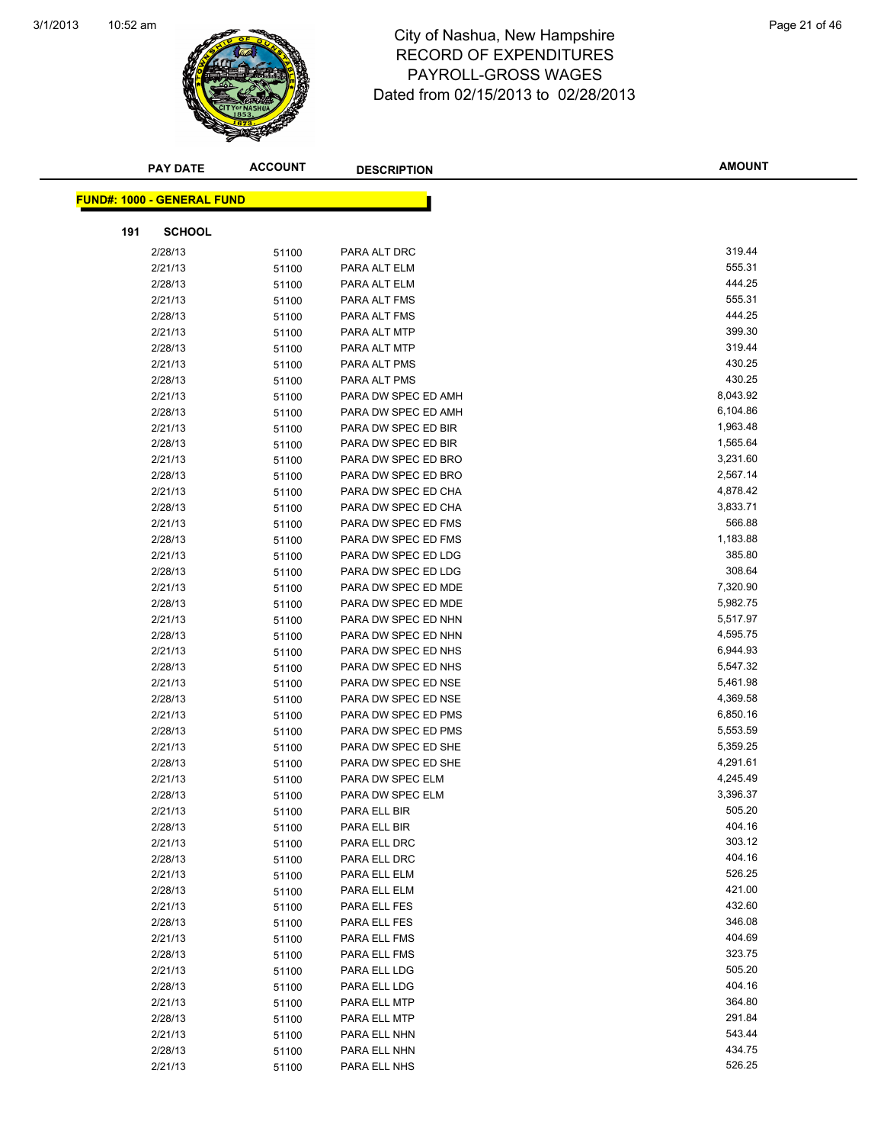

#### 10:52 am Page 21 of 46 RECORD OF EXPENDITURES PAYROLL-GROSS WAGES Dated from 02/15/2013 to 02/28/2013

| <b>PAY DATE</b>                   | <b>ACCOUNT</b> | <b>DESCRIPTION</b>                         | <b>AMOUNT</b>        |  |
|-----------------------------------|----------------|--------------------------------------------|----------------------|--|
|                                   |                |                                            |                      |  |
| <b>FUND#: 1000 - GENERAL FUND</b> |                |                                            |                      |  |
|                                   |                |                                            |                      |  |
| 191<br><b>SCHOOL</b>              |                |                                            |                      |  |
| 2/28/13                           | 51100          | PARA ALT DRC                               | 319.44               |  |
| 2/21/13                           | 51100          | PARA ALT ELM                               | 555.31               |  |
| 2/28/13                           | 51100          | PARA ALT ELM                               | 444.25               |  |
| 2/21/13                           | 51100          | PARA ALT FMS                               | 555.31               |  |
| 2/28/13                           | 51100          | PARA ALT FMS                               | 444.25               |  |
| 2/21/13                           | 51100          | PARA ALT MTP                               | 399.30               |  |
| 2/28/13                           | 51100          | PARA ALT MTP                               | 319.44               |  |
| 2/21/13                           | 51100          | PARA ALT PMS                               | 430.25               |  |
| 2/28/13                           | 51100          | PARA ALT PMS                               | 430.25<br>8,043.92   |  |
| 2/21/13                           | 51100          | PARA DW SPEC ED AMH                        |                      |  |
| 2/28/13                           | 51100          | PARA DW SPEC ED AMH                        | 6,104.86<br>1,963.48 |  |
| 2/21/13                           | 51100          | PARA DW SPEC ED BIR                        | 1,565.64             |  |
| 2/28/13<br>2/21/13                | 51100          | PARA DW SPEC ED BIR<br>PARA DW SPEC ED BRO | 3,231.60             |  |
| 2/28/13                           | 51100          | PARA DW SPEC ED BRO                        | 2,567.14             |  |
| 2/21/13                           | 51100          | PARA DW SPEC ED CHA                        | 4,878.42             |  |
| 2/28/13                           | 51100          | PARA DW SPEC ED CHA                        | 3,833.71             |  |
| 2/21/13                           | 51100<br>51100 | PARA DW SPEC ED FMS                        | 566.88               |  |
| 2/28/13                           |                | PARA DW SPEC ED FMS                        | 1,183.88             |  |
| 2/21/13                           | 51100<br>51100 | PARA DW SPEC ED LDG                        | 385.80               |  |
| 2/28/13                           | 51100          | PARA DW SPEC ED LDG                        | 308.64               |  |
| 2/21/13                           | 51100          | PARA DW SPEC ED MDE                        | 7,320.90             |  |
| 2/28/13                           | 51100          | PARA DW SPEC ED MDE                        | 5,982.75             |  |
| 2/21/13                           | 51100          | PARA DW SPEC ED NHN                        | 5,517.97             |  |
| 2/28/13                           | 51100          | PARA DW SPEC ED NHN                        | 4,595.75             |  |
| 2/21/13                           | 51100          | PARA DW SPEC ED NHS                        | 6,944.93             |  |
| 2/28/13                           | 51100          | PARA DW SPEC ED NHS                        | 5,547.32             |  |
| 2/21/13                           | 51100          | PARA DW SPEC ED NSE                        | 5,461.98             |  |
| 2/28/13                           | 51100          | PARA DW SPEC ED NSE                        | 4,369.58             |  |
| 2/21/13                           | 51100          | PARA DW SPEC ED PMS                        | 6,850.16             |  |
| 2/28/13                           | 51100          | PARA DW SPEC ED PMS                        | 5,553.59             |  |
| 2/21/13                           | 51100          | PARA DW SPEC ED SHE                        | 5,359.25             |  |
| 2/28/13                           | 51100          | PARA DW SPEC ED SHE                        | 4,291.61             |  |
| 2/21/13                           | 51100          | PARA DW SPEC ELM                           | 4,245.49             |  |
| 2/28/13                           | 51100          | PARA DW SPEC ELM                           | 3,396.37             |  |
| 2/21/13                           | 51100          | PARA ELL BIR                               | 505.20               |  |
| 2/28/13                           | 51100          | PARA ELL BIR                               | 404.16               |  |
| 2/21/13                           | 51100          | PARA ELL DRC                               | 303.12               |  |
| 2/28/13                           | 51100          | PARA ELL DRC                               | 404.16               |  |
| 2/21/13                           | 51100          | PARA ELL ELM                               | 526.25               |  |
| 2/28/13                           | 51100          | PARA ELL ELM                               | 421.00               |  |
| 2/21/13                           | 51100          | PARA ELL FES                               | 432.60               |  |
| 2/28/13                           | 51100          | PARA ELL FES                               | 346.08               |  |
| 2/21/13                           | 51100          | PARA ELL FMS                               | 404.69               |  |
| 2/28/13                           | 51100          | PARA ELL FMS                               | 323.75               |  |
| 2/21/13                           | 51100          | PARA ELL LDG                               | 505.20               |  |
| 2/28/13                           | 51100          | PARA ELL LDG                               | 404.16               |  |
| 2/21/13                           | 51100          | PARA ELL MTP                               | 364.80               |  |
| 2/28/13                           | 51100          | PARA ELL MTP                               | 291.84               |  |
| 2/21/13                           | 51100          | PARA ELL NHN                               | 543.44               |  |
| 2/28/13                           | 51100          | PARA ELL NHN                               | 434.75               |  |
| 2/21/13                           | 51100          | PARA ELL NHS                               | 526.25               |  |
|                                   |                |                                            |                      |  |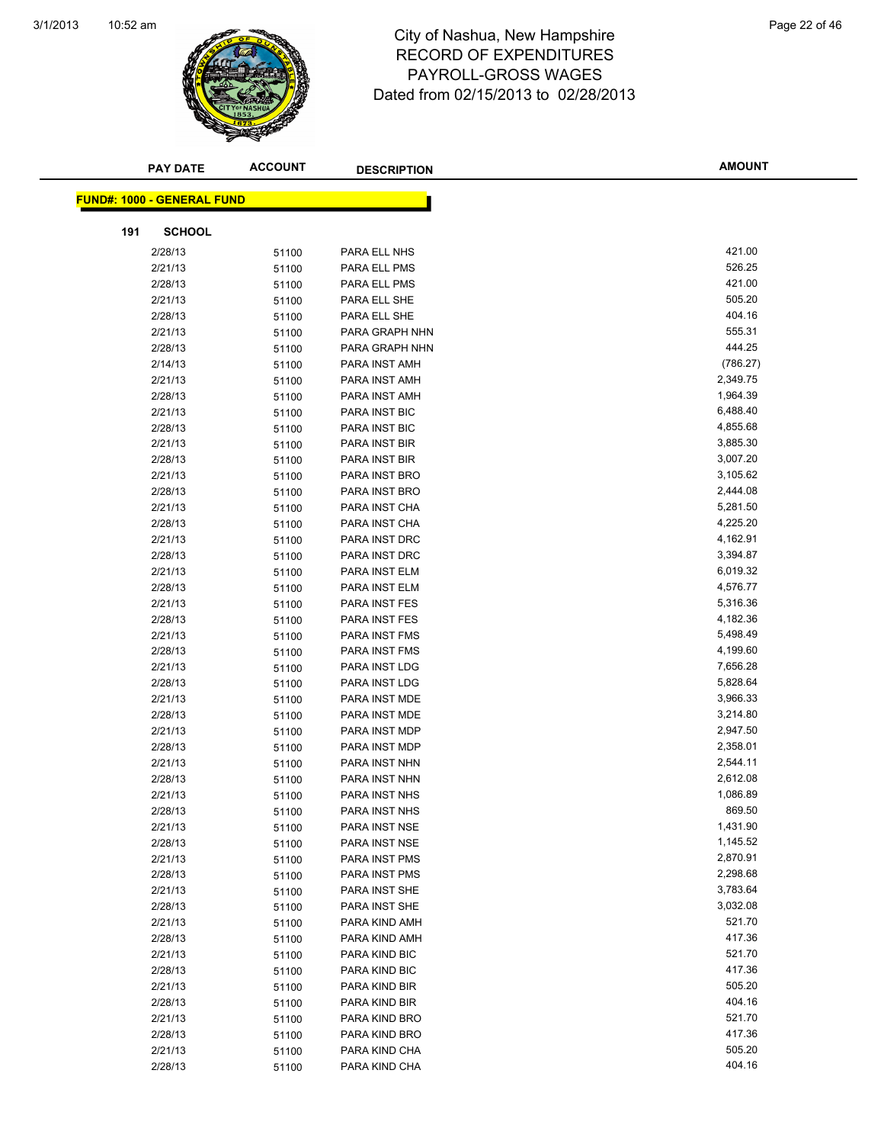

#### 10:52 am Page 22 of 46 RECORD OF EXPENDITURES PAYROLL-GROSS WAGES Dated from 02/15/2013 to 02/28/2013

| <b>PAY DATE</b>                   | <b>ACCOUNT</b> | <b>DESCRIPTION</b> | <b>AMOUNT</b> |
|-----------------------------------|----------------|--------------------|---------------|
| <b>FUND#: 1000 - GENERAL FUND</b> |                |                    |               |
|                                   |                |                    |               |
| <b>SCHOOL</b><br>191              |                |                    |               |
| 2/28/13                           | 51100          | PARA ELL NHS       | 421.00        |
| 2/21/13                           | 51100          | PARA ELL PMS       | 526.25        |
| 2/28/13                           | 51100          | PARA ELL PMS       | 421.00        |
| 2/21/13                           | 51100          | PARA ELL SHE       | 505.20        |
| 2/28/13                           | 51100          | PARA ELL SHE       | 404.16        |
| 2/21/13                           | 51100          | PARA GRAPH NHN     | 555.31        |
| 2/28/13                           | 51100          | PARA GRAPH NHN     | 444.25        |
| 2/14/13                           | 51100          | PARA INST AMH      | (786.27)      |
| 2/21/13                           | 51100          | PARA INST AMH      | 2,349.75      |
| 2/28/13                           | 51100          | PARA INST AMH      | 1,964.39      |
| 2/21/13                           | 51100          | PARA INST BIC      | 6,488.40      |
| 2/28/13                           | 51100          | PARA INST BIC      | 4,855.68      |
| 2/21/13                           | 51100          | PARA INST BIR      | 3,885.30      |
| 2/28/13                           | 51100          | PARA INST BIR      | 3,007.20      |
| 2/21/13                           | 51100          | PARA INST BRO      | 3,105.62      |
| 2/28/13                           | 51100          | PARA INST BRO      | 2,444.08      |
| 2/21/13                           | 51100          | PARA INST CHA      | 5,281.50      |
| 2/28/13                           | 51100          | PARA INST CHA      | 4,225.20      |
| 2/21/13                           | 51100          | PARA INST DRC      | 4,162.91      |
| 2/28/13                           | 51100          | PARA INST DRC      | 3,394.87      |
| 2/21/13                           | 51100          | PARA INST ELM      | 6,019.32      |
| 2/28/13                           | 51100          | PARA INST ELM      | 4,576.77      |
| 2/21/13                           | 51100          | PARA INST FES      | 5,316.36      |
| 2/28/13                           | 51100          | PARA INST FES      | 4,182.36      |
| 2/21/13                           | 51100          | PARA INST FMS      | 5,498.49      |
| 2/28/13                           | 51100          | PARA INST FMS      | 4,199.60      |
| 2/21/13                           | 51100          | PARA INST LDG      | 7,656.28      |
| 2/28/13                           | 51100          | PARA INST LDG      | 5,828.64      |
| 2/21/13                           | 51100          | PARA INST MDE      | 3,966.33      |
| 2/28/13                           | 51100          | PARA INST MDE      | 3,214.80      |
| 2/21/13                           | 51100          | PARA INST MDP      | 2,947.50      |
| 2/28/13                           | 51100          | PARA INST MDP      | 2,358.01      |
| 2/21/13                           | 51100          | PARA INST NHN      | 2,544.11      |
| 2/28/13                           | 51100          | PARA INST NHN      | 2,612.08      |
| 2/21/13                           | 51100          | PARA INST NHS      | 1,086.89      |
| 2/28/13                           | 51100          | PARA INST NHS      | 869.50        |
| 2/21/13                           | 51100          | PARA INST NSE      | 1,431.90      |
| 2/28/13                           | 51100          | PARA INST NSE      | 1,145.52      |
| 2/21/13                           | 51100          | PARA INST PMS      | 2,870.91      |
| 2/28/13                           | 51100          | PARA INST PMS      | 2,298.68      |
| 2/21/13                           | 51100          | PARA INST SHE      | 3,783.64      |
| 2/28/13                           | 51100          | PARA INST SHE      | 3,032.08      |
| 2/21/13                           | 51100          | PARA KIND AMH      | 521.70        |
| 2/28/13                           | 51100          | PARA KIND AMH      | 417.36        |
| 2/21/13                           | 51100          | PARA KIND BIC      | 521.70        |
| 2/28/13                           | 51100          | PARA KIND BIC      | 417.36        |
| 2/21/13                           | 51100          | PARA KIND BIR      | 505.20        |
| 2/28/13                           | 51100          | PARA KIND BIR      | 404.16        |
| 2/21/13                           | 51100          | PARA KIND BRO      | 521.70        |
| 2/28/13                           | 51100          | PARA KIND BRO      | 417.36        |
| 2/21/13                           | 51100          | PARA KIND CHA      | 505.20        |
| 2/28/13                           | 51100          | PARA KIND CHA      | 404.16        |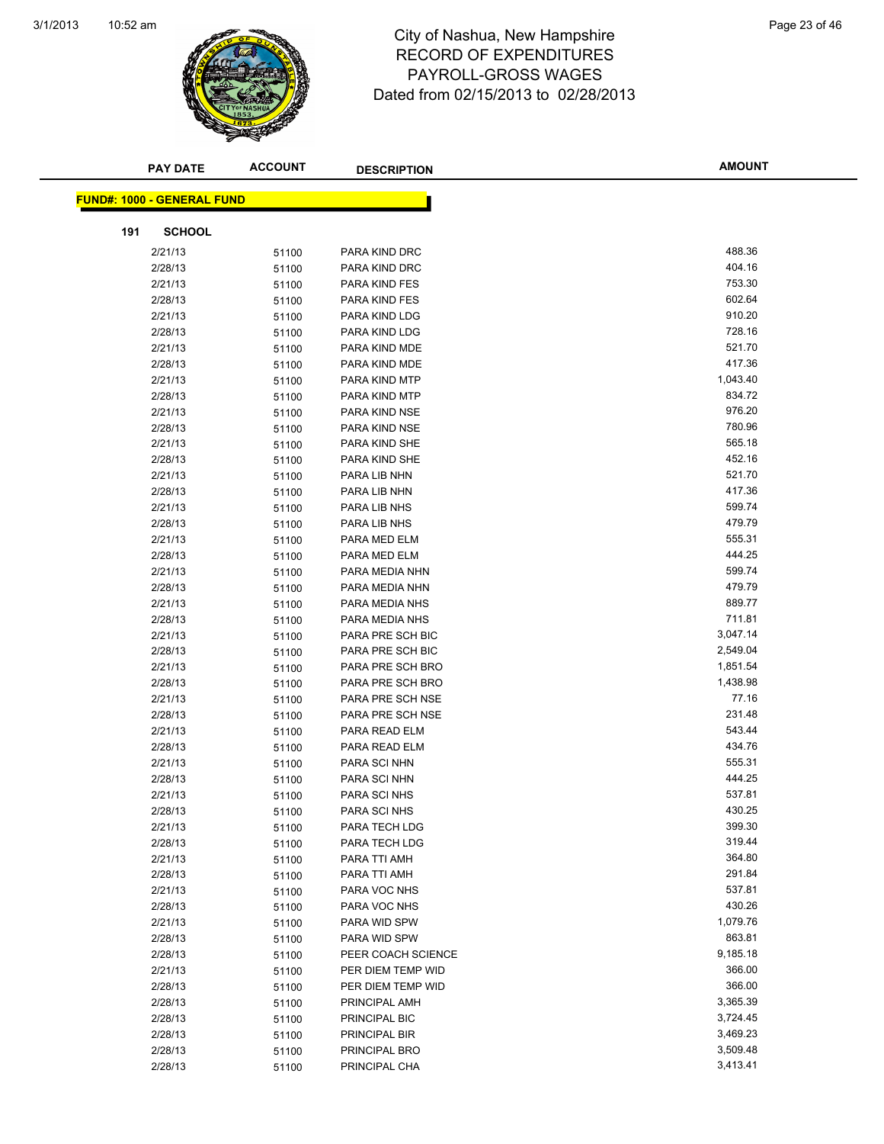

#### 10:52 am Page 23 of 46 RECORD OF EXPENDITURES PAYROLL-GROSS WAGES Dated from 02/15/2013 to 02/28/2013

| <b>PAY DATE</b>                   | <b>ACCOUNT</b> | <b>DESCRIPTION</b>             | <b>AMOUNT</b>      |
|-----------------------------------|----------------|--------------------------------|--------------------|
|                                   |                |                                |                    |
| <b>FUND#: 1000 - GENERAL FUND</b> |                |                                |                    |
|                                   |                |                                |                    |
| 191<br><b>SCHOOL</b>              |                |                                |                    |
| 2/21/13                           | 51100          | PARA KIND DRC                  | 488.36             |
| 2/28/13                           | 51100          | PARA KIND DRC                  | 404.16             |
| 2/21/13                           | 51100          | PARA KIND FES                  | 753.30             |
| 2/28/13                           | 51100          | PARA KIND FES                  | 602.64             |
| 2/21/13                           | 51100          | PARA KIND LDG                  | 910.20             |
| 2/28/13                           | 51100          | PARA KIND LDG                  | 728.16             |
| 2/21/13                           | 51100          | PARA KIND MDE                  | 521.70<br>417.36   |
| 2/28/13                           | 51100          | PARA KIND MDE                  |                    |
| 2/21/13                           | 51100          | PARA KIND MTP                  | 1,043.40<br>834.72 |
| 2/28/13<br>2/21/13                | 51100          | PARA KIND MTP<br>PARA KIND NSE | 976.20             |
| 2/28/13                           | 51100          | PARA KIND NSE                  | 780.96             |
| 2/21/13                           | 51100          | PARA KIND SHE                  | 565.18             |
| 2/28/13                           | 51100<br>51100 | PARA KIND SHE                  | 452.16             |
| 2/21/13                           | 51100          | PARA LIB NHN                   | 521.70             |
| 2/28/13                           | 51100          | PARA LIB NHN                   | 417.36             |
| 2/21/13                           | 51100          | PARA LIB NHS                   | 599.74             |
| 2/28/13                           | 51100          | PARA LIB NHS                   | 479.79             |
| 2/21/13                           | 51100          | PARA MED ELM                   | 555.31             |
| 2/28/13                           | 51100          | PARA MED ELM                   | 444.25             |
| 2/21/13                           | 51100          | PARA MEDIA NHN                 | 599.74             |
| 2/28/13                           | 51100          | PARA MEDIA NHN                 | 479.79             |
| 2/21/13                           | 51100          | PARA MEDIA NHS                 | 889.77             |
| 2/28/13                           | 51100          | PARA MEDIA NHS                 | 711.81             |
| 2/21/13                           | 51100          | PARA PRE SCH BIC               | 3,047.14           |
| 2/28/13                           | 51100          | PARA PRE SCH BIC               | 2,549.04           |
| 2/21/13                           | 51100          | PARA PRE SCH BRO               | 1,851.54           |
| 2/28/13                           | 51100          | PARA PRE SCH BRO               | 1,438.98           |
| 2/21/13                           | 51100          | PARA PRE SCH NSE               | 77.16              |
| 2/28/13                           | 51100          | PARA PRE SCH NSE               | 231.48             |
| 2/21/13                           | 51100          | PARA READ ELM                  | 543.44             |
| 2/28/13                           | 51100          | PARA READ ELM                  | 434.76             |
| 2/21/13                           | 51100          | PARA SCI NHN                   | 555.31             |
| 2/28/13                           | 51100          | PARA SCI NHN                   | 444.25             |
| 2/21/13                           | 51100          | <b>PARA SCINHS</b>             | 537.81             |
| 2/28/13                           | 51100          | PARA SCI NHS                   | 430.25             |
| 2/21/13                           | 51100          | PARA TECH LDG                  | 399.30             |
| 2/28/13                           | 51100          | PARA TECH LDG                  | 319.44             |
| 2/21/13                           | 51100          | PARA TTI AMH                   | 364.80             |
| 2/28/13                           | 51100          | PARA TTI AMH                   | 291.84             |
| 2/21/13                           | 51100          | PARA VOC NHS                   | 537.81             |
| 2/28/13                           | 51100          | PARA VOC NHS                   | 430.26             |
| 2/21/13                           | 51100          | PARA WID SPW                   | 1,079.76           |
| 2/28/13                           | 51100          | PARA WID SPW                   | 863.81             |
| 2/28/13                           | 51100          | PEER COACH SCIENCE             | 9,185.18           |
| 2/21/13                           | 51100          | PER DIEM TEMP WID              | 366.00             |
| 2/28/13                           | 51100          | PER DIEM TEMP WID              | 366.00             |
| 2/28/13                           | 51100          | PRINCIPAL AMH                  | 3,365.39           |
| 2/28/13                           | 51100          | PRINCIPAL BIC                  | 3,724.45           |
| 2/28/13                           | 51100          | PRINCIPAL BIR                  | 3,469.23           |
| 2/28/13                           | 51100          | PRINCIPAL BRO                  | 3,509.48           |
| 2/28/13                           | 51100          | PRINCIPAL CHA                  | 3,413.41           |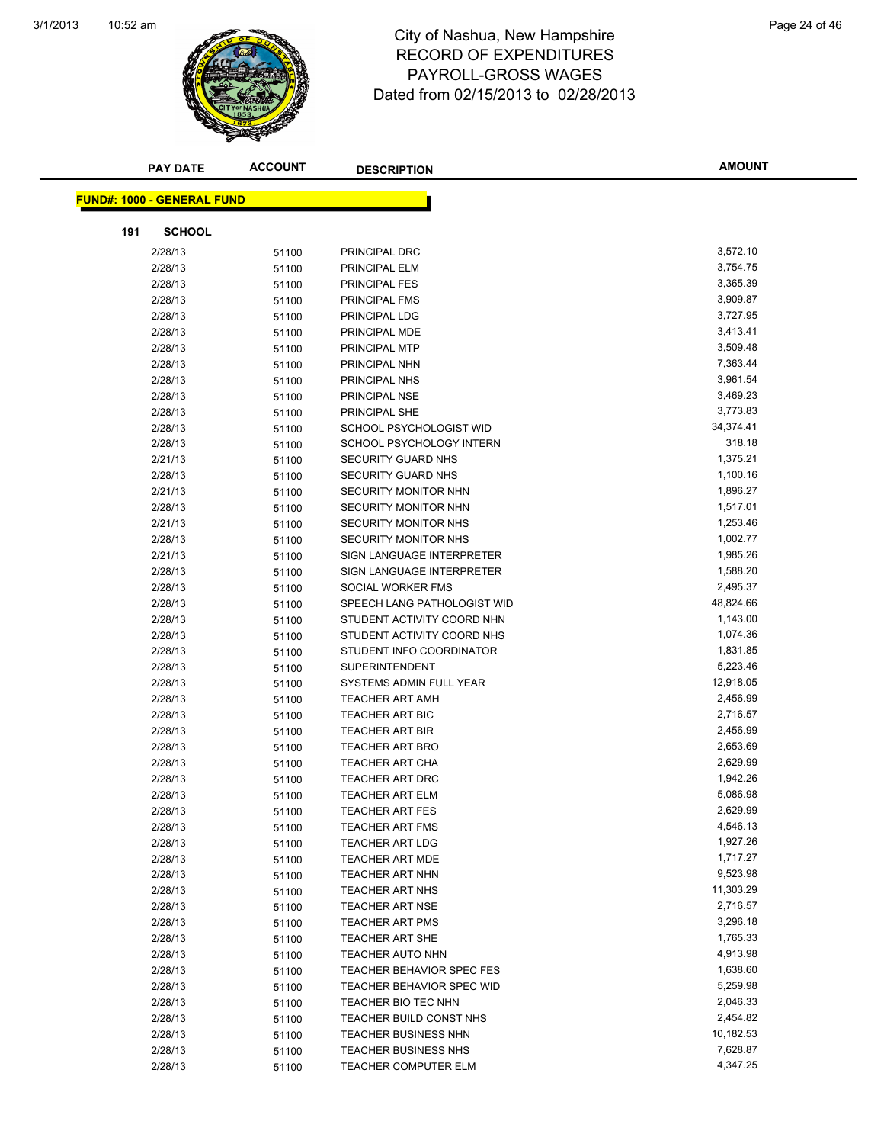

#### 10:52 am Page 24 of 46 RECORD OF EXPENDITURES PAYROLL-GROSS WAGES Dated from 02/15/2013 to 02/28/2013

|     | <b>PAY DATE</b>                   | <b>ACCOUNT</b> | <b>DESCRIPTION</b>          | <b>AMOUNT</b> |
|-----|-----------------------------------|----------------|-----------------------------|---------------|
|     |                                   |                |                             |               |
|     | <b>FUND#: 1000 - GENERAL FUND</b> |                |                             |               |
| 191 | <b>SCHOOL</b>                     |                |                             |               |
|     | 2/28/13                           | 51100          | PRINCIPAL DRC               | 3,572.10      |
|     | 2/28/13                           | 51100          | PRINCIPAL ELM               | 3,754.75      |
|     | 2/28/13                           | 51100          | <b>PRINCIPAL FES</b>        | 3,365.39      |
|     | 2/28/13                           | 51100          | PRINCIPAL FMS               | 3,909.87      |
|     | 2/28/13                           | 51100          | PRINCIPAL LDG               | 3,727.95      |
|     | 2/28/13                           | 51100          | PRINCIPAL MDE               | 3,413.41      |
|     | 2/28/13                           | 51100          | PRINCIPAL MTP               | 3,509.48      |
|     | 2/28/13                           | 51100          | PRINCIPAL NHN               | 7,363.44      |
|     | 2/28/13                           | 51100          | PRINCIPAL NHS               | 3,961.54      |
|     | 2/28/13                           | 51100          | PRINCIPAL NSE               | 3,469.23      |
|     | 2/28/13                           | 51100          | PRINCIPAL SHE               | 3,773.83      |
|     | 2/28/13                           | 51100          | SCHOOL PSYCHOLOGIST WID     | 34,374.41     |
|     | 2/28/13                           | 51100          | SCHOOL PSYCHOLOGY INTERN    | 318.18        |
|     | 2/21/13                           | 51100          | SECURITY GUARD NHS          | 1,375.21      |
|     | 2/28/13                           | 51100          | SECURITY GUARD NHS          | 1,100.16      |
|     | 2/21/13                           | 51100          | SECURITY MONITOR NHN        | 1,896.27      |
|     | 2/28/13                           | 51100          | SECURITY MONITOR NHN        | 1,517.01      |
|     | 2/21/13                           | 51100          | <b>SECURITY MONITOR NHS</b> | 1,253.46      |
|     | 2/28/13                           | 51100          | <b>SECURITY MONITOR NHS</b> | 1,002.77      |
|     | 2/21/13                           | 51100          | SIGN LANGUAGE INTERPRETER   | 1,985.26      |
|     | 2/28/13                           | 51100          | SIGN LANGUAGE INTERPRETER   | 1,588.20      |
|     | 2/28/13                           | 51100          | SOCIAL WORKER FMS           | 2,495.37      |
|     | 2/28/13                           | 51100          | SPEECH LANG PATHOLOGIST WID | 48,824.66     |
|     | 2/28/13                           | 51100          | STUDENT ACTIVITY COORD NHN  | 1,143.00      |
|     | 2/28/13                           | 51100          | STUDENT ACTIVITY COORD NHS  | 1,074.36      |
|     | 2/28/13                           | 51100          | STUDENT INFO COORDINATOR    | 1,831.85      |
|     | 2/28/13                           | 51100          | <b>SUPERINTENDENT</b>       | 5,223.46      |
|     | 2/28/13                           | 51100          | SYSTEMS ADMIN FULL YEAR     | 12,918.05     |
|     | 2/28/13                           | 51100          | <b>TEACHER ART AMH</b>      | 2,456.99      |
|     | 2/28/13                           | 51100          | <b>TEACHER ART BIC</b>      | 2,716.57      |
|     | 2/28/13                           | 51100          | <b>TEACHER ART BIR</b>      | 2,456.99      |
|     | 2/28/13                           | 51100          | <b>TEACHER ART BRO</b>      | 2,653.69      |
|     | 2/28/13                           | 51100          | <b>TEACHER ART CHA</b>      | 2,629.99      |
|     | 2/28/13                           | 51100          | <b>TEACHER ART DRC</b>      | 1,942.26      |
|     | 2/28/13                           | 51100          | <b>TEACHER ART ELM</b>      | 5,086.98      |
|     | 2/28/13                           | 51100          | TEACHER ART FES             | 2,629.99      |
|     | 2/28/13                           | 51100          | <b>TEACHER ART FMS</b>      | 4,546.13      |
|     | 2/28/13                           | 51100          | <b>TEACHER ART LDG</b>      | 1,927.26      |
|     | 2/28/13                           | 51100          | <b>TEACHER ART MDE</b>      | 1,717.27      |
|     | 2/28/13                           | 51100          | <b>TEACHER ART NHN</b>      | 9,523.98      |
|     | 2/28/13                           | 51100          | <b>TEACHER ART NHS</b>      | 11,303.29     |
|     | 2/28/13                           | 51100          | <b>TEACHER ART NSE</b>      | 2,716.57      |
|     | 2/28/13                           | 51100          | <b>TEACHER ART PMS</b>      | 3,296.18      |
|     | 2/28/13                           | 51100          | TEACHER ART SHE             | 1,765.33      |
|     | 2/28/13                           | 51100          | TEACHER AUTO NHN            | 4,913.98      |
|     | 2/28/13                           | 51100          | TEACHER BEHAVIOR SPEC FES   | 1,638.60      |
|     | 2/28/13                           | 51100          | TEACHER BEHAVIOR SPEC WID   | 5,259.98      |
|     | 2/28/13                           | 51100          | TEACHER BIO TEC NHN         | 2,046.33      |
|     | 2/28/13                           | 51100          | TEACHER BUILD CONST NHS     | 2,454.82      |
|     | 2/28/13                           | 51100          | <b>TEACHER BUSINESS NHN</b> | 10,182.53     |
|     | 2/28/13                           | 51100          | <b>TEACHER BUSINESS NHS</b> | 7,628.87      |
|     | 2/28/13                           | 51100          | <b>TEACHER COMPUTER ELM</b> | 4,347.25      |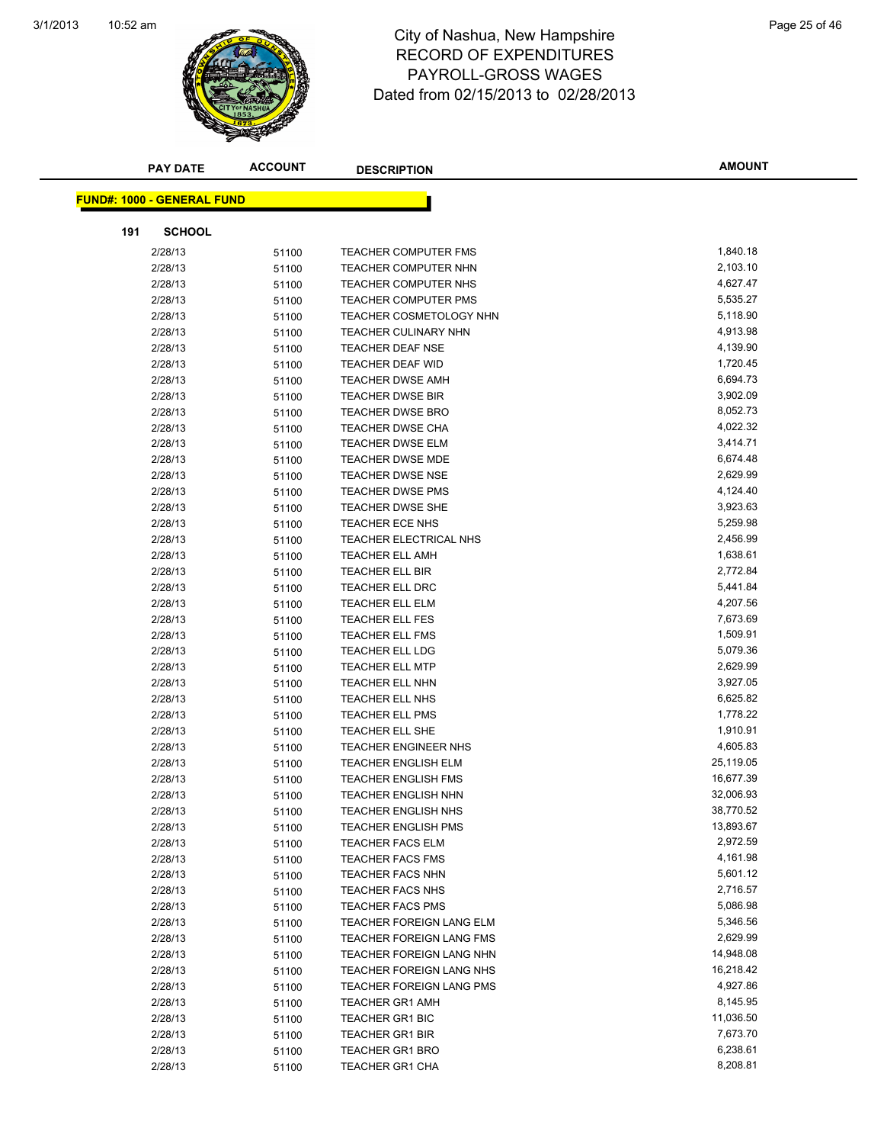

#### 10:52 am Page 25 of 46 RECORD OF EXPENDITURES PAYROLL-GROSS WAGES Dated from 02/15/2013 to 02/28/2013

| <b>PAY DATE</b>                   | <b>ACCOUNT</b> | <b>DESCRIPTION</b>             | <b>AMOUNT</b> |
|-----------------------------------|----------------|--------------------------------|---------------|
| <b>FUND#: 1000 - GENERAL FUND</b> |                |                                |               |
|                                   |                |                                |               |
| <b>SCHOOL</b><br>191              |                |                                |               |
| 2/28/13                           | 51100          | <b>TEACHER COMPUTER FMS</b>    | 1,840.18      |
| 2/28/13                           | 51100          | <b>TEACHER COMPUTER NHN</b>    | 2,103.10      |
| 2/28/13                           | 51100          | <b>TEACHER COMPUTER NHS</b>    | 4,627.47      |
| 2/28/13                           | 51100          | <b>TEACHER COMPUTER PMS</b>    | 5,535.27      |
| 2/28/13                           | 51100          | <b>TEACHER COSMETOLOGY NHN</b> | 5,118.90      |
| 2/28/13                           | 51100          | <b>TEACHER CULINARY NHN</b>    | 4,913.98      |
| 2/28/13                           | 51100          | <b>TEACHER DEAF NSE</b>        | 4,139.90      |
| 2/28/13                           | 51100          | TEACHER DEAF WID               | 1,720.45      |
| 2/28/13                           | 51100          | <b>TEACHER DWSE AMH</b>        | 6,694.73      |
| 2/28/13                           | 51100          | <b>TEACHER DWSE BIR</b>        | 3,902.09      |
| 2/28/13                           | 51100          | <b>TEACHER DWSE BRO</b>        | 8,052.73      |
| 2/28/13                           | 51100          | <b>TEACHER DWSE CHA</b>        | 4,022.32      |
| 2/28/13                           | 51100          | <b>TEACHER DWSE ELM</b>        | 3,414.71      |
| 2/28/13                           | 51100          | <b>TEACHER DWSE MDE</b>        | 6,674.48      |
| 2/28/13                           | 51100          | <b>TEACHER DWSE NSE</b>        | 2,629.99      |
| 2/28/13                           | 51100          | <b>TEACHER DWSE PMS</b>        | 4,124.40      |
| 2/28/13                           | 51100          | TEACHER DWSE SHE               | 3,923.63      |
| 2/28/13                           | 51100          | <b>TEACHER ECE NHS</b>         | 5,259.98      |
| 2/28/13                           | 51100          | <b>TEACHER ELECTRICAL NHS</b>  | 2,456.99      |
| 2/28/13                           | 51100          | <b>TEACHER ELL AMH</b>         | 1,638.61      |
| 2/28/13                           | 51100          | TEACHER ELL BIR                | 2,772.84      |
| 2/28/13                           | 51100          | <b>TEACHER ELL DRC</b>         | 5,441.84      |
| 2/28/13                           | 51100          | <b>TEACHER ELL ELM</b>         | 4,207.56      |
| 2/28/13                           | 51100          | <b>TEACHER ELL FES</b>         | 7,673.69      |
| 2/28/13                           | 51100          | <b>TEACHER ELL FMS</b>         | 1,509.91      |
| 2/28/13                           | 51100          | <b>TEACHER ELL LDG</b>         | 5,079.36      |
| 2/28/13                           | 51100          | <b>TEACHER ELL MTP</b>         | 2,629.99      |
| 2/28/13                           | 51100          | <b>TEACHER ELL NHN</b>         | 3,927.05      |
| 2/28/13                           | 51100          | <b>TEACHER ELL NHS</b>         | 6,625.82      |
| 2/28/13                           | 51100          | <b>TEACHER ELL PMS</b>         | 1,778.22      |
| 2/28/13                           | 51100          | <b>TEACHER ELL SHE</b>         | 1,910.91      |
| 2/28/13                           | 51100          | TEACHER ENGINEER NHS           | 4,605.83      |
| 2/28/13                           | 51100          | <b>TEACHER ENGLISH ELM</b>     | 25,119.05     |
| 2/28/13                           | 51100          | <b>TEACHER ENGLISH FMS</b>     | 16,677.39     |
| 2/28/13                           | 51100          | <b>TEACHER ENGLISH NHN</b>     | 32,006.93     |
| 2/28/13                           | 51100          | TEACHER ENGLISH NHS            | 38,770.52     |
| 2/28/13                           | 51100          | <b>TEACHER ENGLISH PMS</b>     | 13,893.67     |
| 2/28/13                           | 51100          | <b>TEACHER FACS ELM</b>        | 2,972.59      |
| 2/28/13                           | 51100          | <b>TEACHER FACS FMS</b>        | 4,161.98      |
| 2/28/13                           | 51100          | <b>TEACHER FACS NHN</b>        | 5,601.12      |
| 2/28/13                           | 51100          | <b>TEACHER FACS NHS</b>        | 2,716.57      |
| 2/28/13                           | 51100          | <b>TEACHER FACS PMS</b>        | 5,086.98      |
| 2/28/13                           | 51100          | TEACHER FOREIGN LANG ELM       | 5,346.56      |
| 2/28/13                           | 51100          | TEACHER FOREIGN LANG FMS       | 2,629.99      |
| 2/28/13                           | 51100          | TEACHER FOREIGN LANG NHN       | 14,948.08     |
| 2/28/13                           | 51100          | TEACHER FOREIGN LANG NHS       | 16,218.42     |
| 2/28/13                           | 51100          | TEACHER FOREIGN LANG PMS       | 4,927.86      |
| 2/28/13                           | 51100          | <b>TEACHER GR1 AMH</b>         | 8,145.95      |
| 2/28/13                           | 51100          | <b>TEACHER GR1 BIC</b>         | 11,036.50     |
| 2/28/13                           | 51100          | <b>TEACHER GR1 BIR</b>         | 7,673.70      |
| 2/28/13                           | 51100          | <b>TEACHER GR1 BRO</b>         | 6,238.61      |
| 2/28/13                           | 51100          | <b>TEACHER GR1 CHA</b>         | 8,208.81      |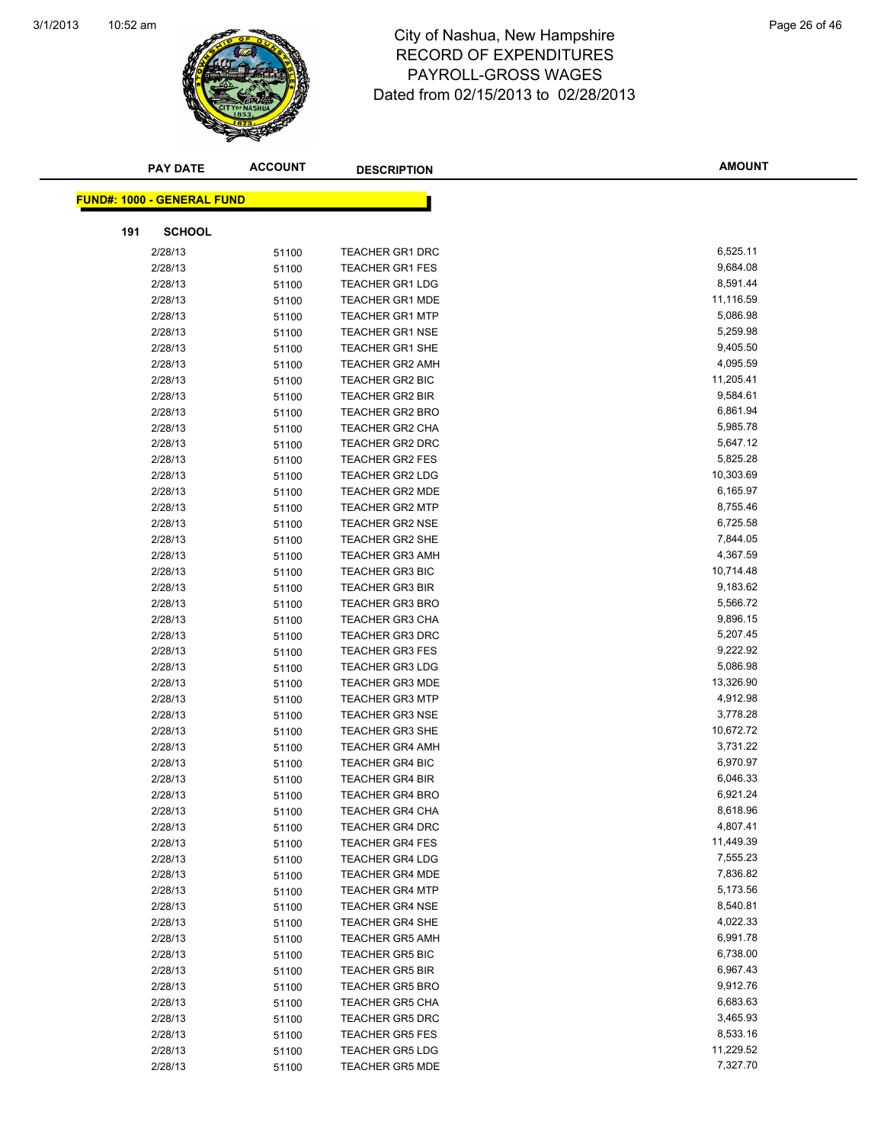

#### 10:52 am Page 26 of 46 RECORD OF EXPENDITURES PAYROLL-GROSS WAGES Dated from 02/15/2013 to 02/28/2013

| <b>PAY DATE</b>                   | <b>ACCOUNT</b> | <b>DESCRIPTION</b>                               | <b>AMOUNT</b>        |
|-----------------------------------|----------------|--------------------------------------------------|----------------------|
|                                   |                |                                                  |                      |
| <b>FUND#: 1000 - GENERAL FUND</b> |                |                                                  |                      |
| <b>SCHOOL</b><br>191              |                |                                                  |                      |
| 2/28/13                           | 51100          | <b>TEACHER GR1 DRC</b>                           | 6,525.11             |
| 2/28/13                           | 51100          | <b>TEACHER GR1 FES</b>                           | 9,684.08             |
| 2/28/13                           | 51100          | <b>TEACHER GR1 LDG</b>                           | 8,591.44             |
| 2/28/13                           | 51100          | <b>TEACHER GR1 MDE</b>                           | 11,116.59            |
| 2/28/13                           | 51100          | <b>TEACHER GR1 MTP</b>                           | 5,086.98             |
| 2/28/13                           | 51100          | <b>TEACHER GR1 NSE</b>                           | 5,259.98             |
| 2/28/13                           | 51100          | <b>TEACHER GR1 SHE</b>                           | 9,405.50             |
| 2/28/13                           | 51100          | <b>TEACHER GR2 AMH</b>                           | 4,095.59             |
| 2/28/13                           | 51100          | <b>TEACHER GR2 BIC</b>                           | 11,205.41            |
| 2/28/13                           | 51100          | <b>TEACHER GR2 BIR</b>                           | 9,584.61             |
| 2/28/13                           | 51100          | <b>TEACHER GR2 BRO</b>                           | 6,861.94             |
| 2/28/13                           | 51100          | <b>TEACHER GR2 CHA</b>                           | 5,985.78             |
| 2/28/13                           | 51100          | <b>TEACHER GR2 DRC</b>                           | 5,647.12             |
| 2/28/13                           | 51100          | <b>TEACHER GR2 FES</b>                           | 5,825.28             |
| 2/28/13                           | 51100          | <b>TEACHER GR2 LDG</b>                           | 10,303.69            |
| 2/28/13                           | 51100          | <b>TEACHER GR2 MDE</b>                           | 6,165.97             |
| 2/28/13                           | 51100          | <b>TEACHER GR2 MTP</b>                           | 8,755.46             |
| 2/28/13                           | 51100          | <b>TEACHER GR2 NSE</b>                           | 6,725.58             |
| 2/28/13                           | 51100          | <b>TEACHER GR2 SHE</b>                           | 7,844.05             |
| 2/28/13                           | 51100          | <b>TEACHER GR3 AMH</b>                           | 4,367.59             |
| 2/28/13                           | 51100          | <b>TEACHER GR3 BIC</b>                           | 10,714.48            |
| 2/28/13                           | 51100          | <b>TEACHER GR3 BIR</b>                           | 9,183.62             |
| 2/28/13                           | 51100          | <b>TEACHER GR3 BRO</b>                           | 5,566.72             |
| 2/28/13                           | 51100          | <b>TEACHER GR3 CHA</b>                           | 9,896.15             |
| 2/28/13                           | 51100          | <b>TEACHER GR3 DRC</b>                           | 5,207.45             |
| 2/28/13                           | 51100          | <b>TEACHER GR3 FES</b>                           | 9,222.92             |
| 2/28/13                           | 51100          | <b>TEACHER GR3 LDG</b>                           | 5,086.98             |
| 2/28/13                           | 51100          | <b>TEACHER GR3 MDE</b>                           | 13,326.90            |
| 2/28/13                           | 51100          | <b>TEACHER GR3 MTP</b>                           | 4,912.98             |
| 2/28/13                           | 51100          | <b>TEACHER GR3 NSE</b>                           | 3,778.28             |
| 2/28/13                           | 51100          | <b>TEACHER GR3 SHE</b>                           | 10,672.72            |
| 2/28/13                           | 51100          | <b>TEACHER GR4 AMH</b>                           | 3,731.22             |
| 2/28/13                           | 51100          | <b>TEACHER GR4 BIC</b>                           | 6,970.97             |
| 2/28/13                           | 51100          | <b>TEACHER GR4 BIR</b>                           | 6,046.33             |
| 2/28/13                           | 51100          | <b>TEACHER GR4 BRO</b>                           | 6,921.24             |
| 2/28/13                           | 51100          | TEACHER GR4 CHA                                  | 8,618.96             |
| 2/28/13                           | 51100          | <b>TEACHER GR4 DRC</b>                           | 4,807.41             |
| 2/28/13                           | 51100          | <b>TEACHER GR4 FES</b>                           | 11,449.39            |
| 2/28/13                           | 51100          | <b>TEACHER GR4 LDG</b>                           | 7,555.23             |
| 2/28/13                           | 51100          | <b>TEACHER GR4 MDE</b>                           | 7,836.82             |
| 2/28/13                           | 51100          | <b>TEACHER GR4 MTP</b><br><b>TEACHER GR4 NSE</b> | 5,173.56<br>8,540.81 |
| 2/28/13<br>2/28/13                | 51100          | <b>TEACHER GR4 SHE</b>                           | 4,022.33             |
| 2/28/13                           | 51100          | <b>TEACHER GR5 AMH</b>                           | 6,991.78             |
| 2/28/13                           | 51100<br>51100 | <b>TEACHER GR5 BIC</b>                           | 6,738.00             |
| 2/28/13                           | 51100          | <b>TEACHER GR5 BIR</b>                           | 6,967.43             |
| 2/28/13                           | 51100          | <b>TEACHER GR5 BRO</b>                           | 9,912.76             |
| 2/28/13                           | 51100          | <b>TEACHER GR5 CHA</b>                           | 6,683.63             |
| 2/28/13                           | 51100          | <b>TEACHER GR5 DRC</b>                           | 3,465.93             |
| 2/28/13                           | 51100          | <b>TEACHER GR5 FES</b>                           | 8,533.16             |
| 2/28/13                           | 51100          | <b>TEACHER GR5 LDG</b>                           | 11,229.52            |
| 2/28/13                           | 51100          | <b>TEACHER GR5 MDE</b>                           | 7,327.70             |
|                                   |                |                                                  |                      |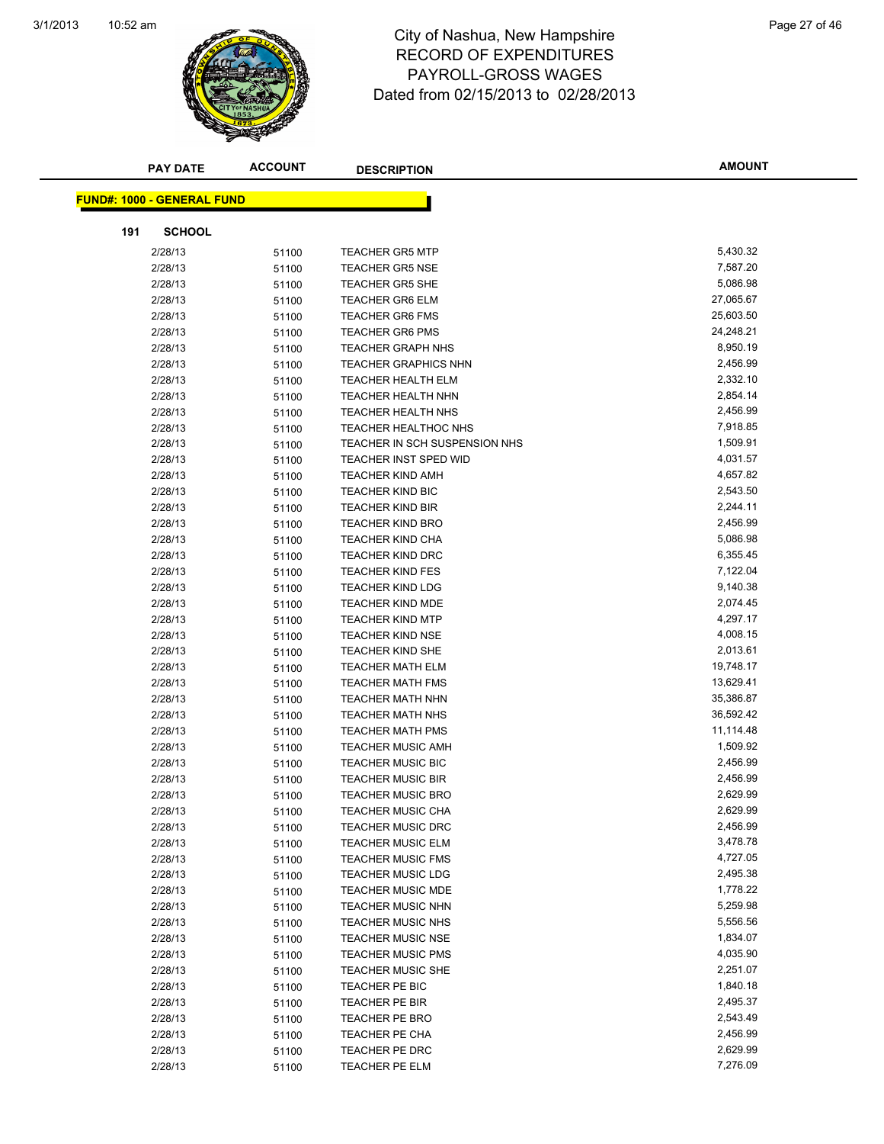

#### 10:52 am Page 27 of 46 RECORD OF EXPENDITURES PAYROLL-GROSS WAGES Dated from 02/15/2013 to 02/28/2013

| <b>PAY DATE</b>                   | <b>ACCOUNT</b> | <b>DESCRIPTION</b>            | <b>AMOUNT</b> |
|-----------------------------------|----------------|-------------------------------|---------------|
|                                   |                |                               |               |
| <b>FUND#: 1000 - GENERAL FUND</b> |                |                               |               |
| <b>SCHOOL</b><br>191              |                |                               |               |
| 2/28/13                           | 51100          | <b>TEACHER GR5 MTP</b>        | 5,430.32      |
| 2/28/13                           | 51100          | <b>TEACHER GR5 NSE</b>        | 7,587.20      |
| 2/28/13                           | 51100          | <b>TEACHER GR5 SHE</b>        | 5,086.98      |
| 2/28/13                           | 51100          | <b>TEACHER GR6 ELM</b>        | 27,065.67     |
| 2/28/13                           | 51100          | <b>TEACHER GR6 FMS</b>        | 25,603.50     |
| 2/28/13                           | 51100          | <b>TEACHER GR6 PMS</b>        | 24,248.21     |
| 2/28/13                           | 51100          | <b>TEACHER GRAPH NHS</b>      | 8,950.19      |
| 2/28/13                           | 51100          | <b>TEACHER GRAPHICS NHN</b>   | 2,456.99      |
| 2/28/13                           | 51100          | <b>TEACHER HEALTH ELM</b>     | 2,332.10      |
| 2/28/13                           | 51100          | <b>TEACHER HEALTH NHN</b>     | 2,854.14      |
| 2/28/13                           | 51100          | <b>TEACHER HEALTH NHS</b>     | 2,456.99      |
| 2/28/13                           | 51100          | <b>TEACHER HEALTHOC NHS</b>   | 7,918.85      |
| 2/28/13                           | 51100          | TEACHER IN SCH SUSPENSION NHS | 1,509.91      |
| 2/28/13                           | 51100          | <b>TEACHER INST SPED WID</b>  | 4,031.57      |
| 2/28/13                           | 51100          | <b>TEACHER KIND AMH</b>       | 4,657.82      |
| 2/28/13                           | 51100          | <b>TEACHER KIND BIC</b>       | 2,543.50      |
| 2/28/13                           | 51100          | <b>TEACHER KIND BIR</b>       | 2,244.11      |
| 2/28/13                           | 51100          | <b>TEACHER KIND BRO</b>       | 2,456.99      |
| 2/28/13                           | 51100          | <b>TEACHER KIND CHA</b>       | 5,086.98      |
| 2/28/13                           | 51100          | <b>TEACHER KIND DRC</b>       | 6,355.45      |
| 2/28/13                           | 51100          | <b>TEACHER KIND FES</b>       | 7,122.04      |
| 2/28/13                           | 51100          | TEACHER KIND LDG              | 9,140.38      |
| 2/28/13                           | 51100          | <b>TEACHER KIND MDE</b>       | 2,074.45      |
| 2/28/13                           | 51100          | <b>TEACHER KIND MTP</b>       | 4,297.17      |
| 2/28/13                           | 51100          | <b>TEACHER KIND NSE</b>       | 4,008.15      |
| 2/28/13                           | 51100          | TEACHER KIND SHE              | 2,013.61      |
| 2/28/13                           | 51100          | <b>TEACHER MATH ELM</b>       | 19,748.17     |
| 2/28/13                           | 51100          | <b>TEACHER MATH FMS</b>       | 13,629.41     |
| 2/28/13                           | 51100          | TEACHER MATH NHN              | 35,386.87     |
| 2/28/13                           | 51100          | <b>TEACHER MATH NHS</b>       | 36,592.42     |
| 2/28/13                           | 51100          | <b>TEACHER MATH PMS</b>       | 11,114.48     |
| 2/28/13                           | 51100          | <b>TEACHER MUSIC AMH</b>      | 1,509.92      |
| 2/28/13                           | 51100          | <b>TEACHER MUSIC BIC</b>      | 2,456.99      |
| 2/28/13                           | 51100          | <b>TEACHER MUSIC BIR</b>      | 2,456.99      |
| 2/28/13                           | 51100          | <b>TEACHER MUSIC BRO</b>      | 2,629.99      |
| 2/28/13                           | 51100          | TEACHER MUSIC CHA             | 2,629.99      |
| 2/28/13                           | 51100          | <b>TEACHER MUSIC DRC</b>      | 2,456.99      |
| 2/28/13                           | 51100          | <b>TEACHER MUSIC ELM</b>      | 3,478.78      |
| 2/28/13                           | 51100          | <b>TEACHER MUSIC FMS</b>      | 4,727.05      |
| 2/28/13                           | 51100          | <b>TEACHER MUSIC LDG</b>      | 2,495.38      |
| 2/28/13                           | 51100          | <b>TEACHER MUSIC MDE</b>      | 1,778.22      |
| 2/28/13                           | 51100          | <b>TEACHER MUSIC NHN</b>      | 5,259.98      |
| 2/28/13                           | 51100          | <b>TEACHER MUSIC NHS</b>      | 5,556.56      |
| 2/28/13                           | 51100          | <b>TEACHER MUSIC NSE</b>      | 1,834.07      |
| 2/28/13                           | 51100          | <b>TEACHER MUSIC PMS</b>      | 4,035.90      |
| 2/28/13                           | 51100          | <b>TEACHER MUSIC SHE</b>      | 2,251.07      |
| 2/28/13                           | 51100          | TEACHER PE BIC                | 1,840.18      |
| 2/28/13                           | 51100          | TEACHER PE BIR                | 2,495.37      |
| 2/28/13                           | 51100          | TEACHER PE BRO                | 2,543.49      |
| 2/28/13                           | 51100          | <b>TEACHER PE CHA</b>         | 2,456.99      |
| 2/28/13                           | 51100          | TEACHER PE DRC                | 2,629.99      |
| 2/28/13                           | 51100          | <b>TEACHER PE ELM</b>         | 7,276.09      |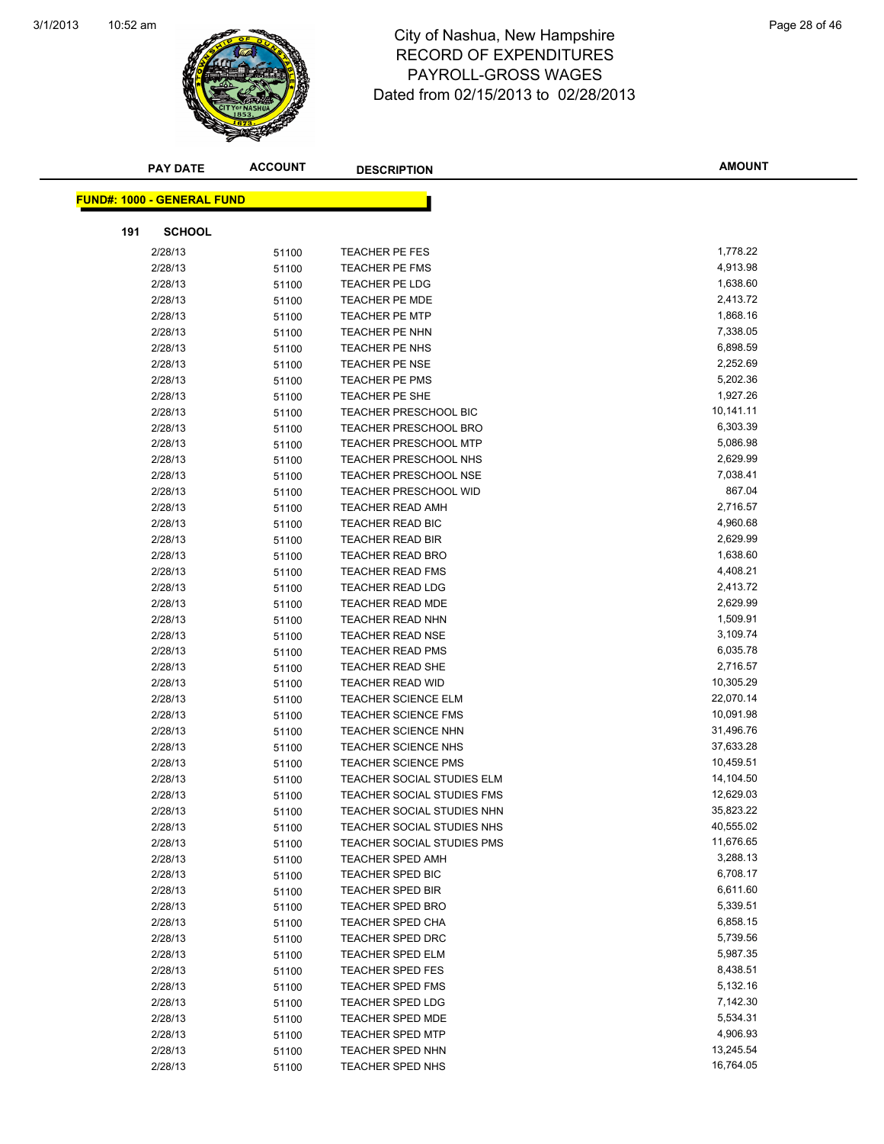

#### 10:52 am Page 28 of 46 RECORD OF EXPENDITURES PAYROLL-GROSS WAGES Dated from 02/15/2013 to 02/28/2013

|                                   | <b>ACCOUNT</b><br><b>PAY DATE</b> | <b>DESCRIPTION</b>                                       | <b>AMOUNT</b>          |
|-----------------------------------|-----------------------------------|----------------------------------------------------------|------------------------|
|                                   |                                   |                                                          |                        |
| <b>FUND#: 1000 - GENERAL FUND</b> |                                   |                                                          |                        |
| 191                               | <b>SCHOOL</b>                     |                                                          |                        |
| 2/28/13                           | 51100                             | <b>TEACHER PE FES</b>                                    | 1,778.22               |
| 2/28/13                           | 51100                             | TEACHER PE FMS                                           | 4,913.98               |
| 2/28/13                           | 51100                             | TEACHER PE LDG                                           | 1,638.60               |
| 2/28/13                           | 51100                             | <b>TEACHER PE MDE</b>                                    | 2,413.72               |
| 2/28/13                           | 51100                             | <b>TEACHER PE MTP</b>                                    | 1,868.16               |
| 2/28/13                           | 51100                             | TEACHER PE NHN                                           | 7,338.05               |
| 2/28/13                           | 51100                             | TEACHER PE NHS                                           | 6,898.59               |
| 2/28/13                           | 51100                             | TEACHER PE NSE                                           | 2,252.69               |
| 2/28/13                           | 51100                             | <b>TEACHER PE PMS</b>                                    | 5,202.36               |
| 2/28/13                           | 51100                             | TEACHER PE SHE                                           | 1,927.26               |
| 2/28/13                           | 51100                             | <b>TEACHER PRESCHOOL BIC</b>                             | 10,141.11              |
| 2/28/13                           | 51100                             | <b>TEACHER PRESCHOOL BRO</b>                             | 6,303.39               |
| 2/28/13                           | 51100                             | <b>TEACHER PRESCHOOL MTP</b>                             | 5,086.98               |
| 2/28/13                           | 51100                             | <b>TEACHER PRESCHOOL NHS</b>                             | 2,629.99               |
| 2/28/13                           | 51100                             | <b>TEACHER PRESCHOOL NSE</b>                             | 7,038.41               |
| 2/28/13                           | 51100                             | <b>TEACHER PRESCHOOL WID</b>                             | 867.04                 |
| 2/28/13                           | 51100                             | <b>TEACHER READ AMH</b>                                  | 2,716.57               |
| 2/28/13                           | 51100                             | TEACHER READ BIC                                         | 4,960.68               |
| 2/28/13                           | 51100                             | <b>TEACHER READ BIR</b>                                  | 2,629.99               |
| 2/28/13                           | 51100                             | <b>TEACHER READ BRO</b>                                  | 1,638.60               |
| 2/28/13                           | 51100                             | <b>TEACHER READ FMS</b>                                  | 4,408.21               |
| 2/28/13                           | 51100                             | <b>TEACHER READ LDG</b>                                  | 2,413.72               |
| 2/28/13                           | 51100                             | TEACHER READ MDE                                         | 2,629.99               |
| 2/28/13                           | 51100                             | <b>TEACHER READ NHN</b>                                  | 1,509.91               |
| 2/28/13                           | 51100                             | <b>TEACHER READ NSE</b>                                  | 3,109.74               |
| 2/28/13                           | 51100                             | <b>TEACHER READ PMS</b>                                  | 6,035.78               |
| 2/28/13                           | 51100                             | <b>TEACHER READ SHE</b>                                  | 2,716.57               |
| 2/28/13                           | 51100                             | <b>TEACHER READ WID</b>                                  | 10,305.29<br>22,070.14 |
| 2/28/13<br>2/28/13                | 51100                             | <b>TEACHER SCIENCE ELM</b><br><b>TEACHER SCIENCE FMS</b> | 10,091.98              |
| 2/28/13                           | 51100                             | <b>TEACHER SCIENCE NHN</b>                               | 31,496.76              |
| 2/28/13                           | 51100<br>51100                    | <b>TEACHER SCIENCE NHS</b>                               | 37,633.28              |
| 2/28/13                           | 51100                             | <b>TEACHER SCIENCE PMS</b>                               | 10,459.51              |
| 2/28/13                           | 51100                             | <b>TEACHER SOCIAL STUDIES ELM</b>                        | 14,104.50              |
| 2/28/13                           | 51100                             | TEACHER SOCIAL STUDIES FMS                               | 12,629.03              |
| 2/28/13                           | 51100                             | TEACHER SOCIAL STUDIES NHN                               | 35,823.22              |
| 2/28/13                           | 51100                             | TEACHER SOCIAL STUDIES NHS                               | 40,555.02              |
| 2/28/13                           | 51100                             | TEACHER SOCIAL STUDIES PMS                               | 11,676.65              |
| 2/28/13                           | 51100                             | <b>TEACHER SPED AMH</b>                                  | 3,288.13               |
| 2/28/13                           | 51100                             | TEACHER SPED BIC                                         | 6,708.17               |
| 2/28/13                           | 51100                             | TEACHER SPED BIR                                         | 6,611.60               |
| 2/28/13                           | 51100                             | <b>TEACHER SPED BRO</b>                                  | 5,339.51               |
| 2/28/13                           | 51100                             | TEACHER SPED CHA                                         | 6,858.15               |
| 2/28/13                           | 51100                             | TEACHER SPED DRC                                         | 5,739.56               |
| 2/28/13                           | 51100                             | <b>TEACHER SPED ELM</b>                                  | 5,987.35               |
| 2/28/13                           | 51100                             | <b>TEACHER SPED FES</b>                                  | 8,438.51               |
| 2/28/13                           | 51100                             | <b>TEACHER SPED FMS</b>                                  | 5,132.16               |
| 2/28/13                           | 51100                             | <b>TEACHER SPED LDG</b>                                  | 7,142.30               |
| 2/28/13                           | 51100                             | <b>TEACHER SPED MDE</b>                                  | 5,534.31               |
| 2/28/13                           | 51100                             | <b>TEACHER SPED MTP</b>                                  | 4,906.93               |
| 2/28/13                           | 51100                             | <b>TEACHER SPED NHN</b>                                  | 13,245.54              |
| 2/28/13                           | 51100                             | TEACHER SPED NHS                                         | 16,764.05              |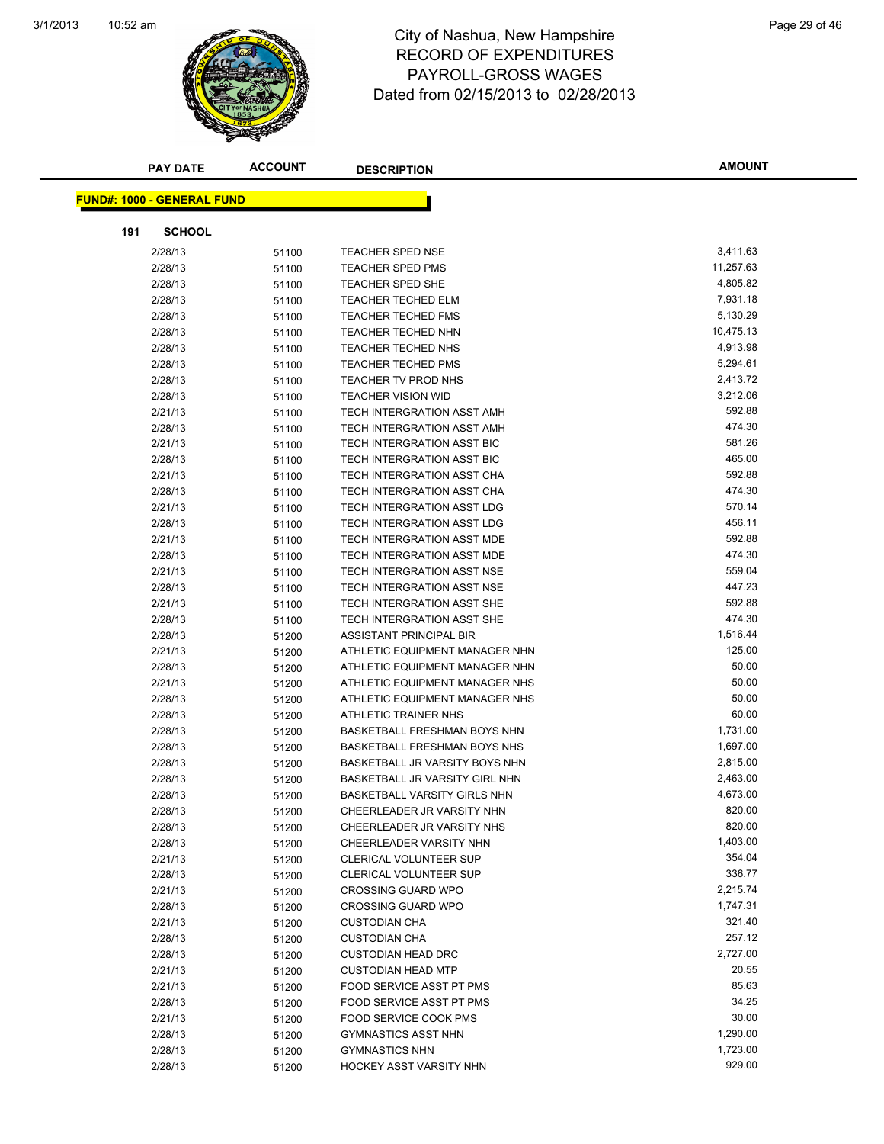

#### 10:52 am Page 29 of 46 RECORD OF EXPENDITURES PAYROLL-GROSS WAGES Dated from 02/15/2013 to 02/28/2013

| <b>PAY DATE</b>                   | <b>ACCOUNT</b> | <b>DESCRIPTION</b>                  | <b>AMOUNT</b> |
|-----------------------------------|----------------|-------------------------------------|---------------|
|                                   |                |                                     |               |
| <b>FUND#: 1000 - GENERAL FUND</b> |                |                                     |               |
| <b>SCHOOL</b><br>191              |                |                                     |               |
| 2/28/13                           | 51100          | <b>TEACHER SPED NSE</b>             | 3,411.63      |
| 2/28/13                           | 51100          | <b>TEACHER SPED PMS</b>             | 11,257.63     |
| 2/28/13                           | 51100          | <b>TEACHER SPED SHE</b>             | 4,805.82      |
| 2/28/13                           | 51100          | <b>TEACHER TECHED ELM</b>           | 7,931.18      |
| 2/28/13                           | 51100          | <b>TEACHER TECHED FMS</b>           | 5,130.29      |
| 2/28/13                           | 51100          | TEACHER TECHED NHN                  | 10,475.13     |
| 2/28/13                           | 51100          | <b>TEACHER TECHED NHS</b>           | 4,913.98      |
| 2/28/13                           | 51100          | <b>TEACHER TECHED PMS</b>           | 5,294.61      |
| 2/28/13                           | 51100          | TEACHER TV PROD NHS                 | 2,413.72      |
| 2/28/13                           | 51100          | <b>TEACHER VISION WID</b>           | 3,212.06      |
| 2/21/13                           | 51100          | TECH INTERGRATION ASST AMH          | 592.88        |
| 2/28/13                           | 51100          | TECH INTERGRATION ASST AMH          | 474.30        |
| 2/21/13                           | 51100          | TECH INTERGRATION ASST BIC          | 581.26        |
| 2/28/13                           | 51100          | TECH INTERGRATION ASST BIC          | 465.00        |
| 2/21/13                           | 51100          | TECH INTERGRATION ASST CHA          | 592.88        |
| 2/28/13                           | 51100          | TECH INTERGRATION ASST CHA          | 474.30        |
| 2/21/13                           | 51100          | TECH INTERGRATION ASST LDG          | 570.14        |
| 2/28/13                           | 51100          | TECH INTERGRATION ASST LDG          | 456.11        |
| 2/21/13                           | 51100          | TECH INTERGRATION ASST MDE          | 592.88        |
| 2/28/13                           | 51100          | TECH INTERGRATION ASST MDE          | 474.30        |
| 2/21/13                           | 51100          | TECH INTERGRATION ASST NSE          | 559.04        |
| 2/28/13                           | 51100          | TECH INTERGRATION ASST NSE          | 447.23        |
| 2/21/13                           | 51100          | TECH INTERGRATION ASST SHE          | 592.88        |
| 2/28/13                           | 51100          | TECH INTERGRATION ASST SHE          | 474.30        |
| 2/28/13                           | 51200          | ASSISTANT PRINCIPAL BIR             | 1,516.44      |
| 2/21/13                           | 51200          | ATHLETIC EQUIPMENT MANAGER NHN      | 125.00        |
| 2/28/13                           | 51200          | ATHLETIC EQUIPMENT MANAGER NHN      | 50.00         |
| 2/21/13                           | 51200          | ATHLETIC EQUIPMENT MANAGER NHS      | 50.00         |
| 2/28/13                           | 51200          | ATHLETIC EQUIPMENT MANAGER NHS      | 50.00         |
| 2/28/13                           | 51200          | ATHLETIC TRAINER NHS                | 60.00         |
| 2/28/13                           | 51200          | <b>BASKETBALL FRESHMAN BOYS NHN</b> | 1,731.00      |
| 2/28/13                           | 51200          | BASKETBALL FRESHMAN BOYS NHS        | 1,697.00      |
| 2/28/13                           | 51200          | BASKETBALL JR VARSITY BOYS NHN      | 2,815.00      |
| 2/28/13                           | 51200          | BASKETBALL JR VARSITY GIRL NHN      | 2,463.00      |
| 2/28/13                           | 51200          | BASKETBALL VARSITY GIRLS NHN        | 4,673.00      |
| 2/28/13                           | 51200          | CHEERLEADER JR VARSITY NHN          | 820.00        |
| 2/28/13                           | 51200          | CHEERLEADER JR VARSITY NHS          | 820.00        |
| 2/28/13                           | 51200          | CHEERLEADER VARSITY NHN             | 1,403.00      |
| 2/21/13                           | 51200          | <b>CLERICAL VOLUNTEER SUP</b>       | 354.04        |
| 2/28/13                           | 51200          | <b>CLERICAL VOLUNTEER SUP</b>       | 336.77        |
| 2/21/13                           | 51200          | <b>CROSSING GUARD WPO</b>           | 2,215.74      |
| 2/28/13                           | 51200          | <b>CROSSING GUARD WPO</b>           | 1,747.31      |
| 2/21/13                           | 51200          | <b>CUSTODIAN CHA</b>                | 321.40        |
| 2/28/13                           | 51200          | <b>CUSTODIAN CHA</b>                | 257.12        |
| 2/28/13                           | 51200          | <b>CUSTODIAN HEAD DRC</b>           | 2,727.00      |
| 2/21/13                           | 51200          | <b>CUSTODIAN HEAD MTP</b>           | 20.55         |
| 2/21/13                           | 51200          | FOOD SERVICE ASST PT PMS            | 85.63         |
| 2/28/13                           | 51200          | FOOD SERVICE ASST PT PMS            | 34.25         |
| 2/21/13                           | 51200          | FOOD SERVICE COOK PMS               | 30.00         |
| 2/28/13                           | 51200          | <b>GYMNASTICS ASST NHN</b>          | 1,290.00      |
| 2/28/13                           | 51200          | <b>GYMNASTICS NHN</b>               | 1,723.00      |
| 2/28/13                           | 51200          | HOCKEY ASST VARSITY NHN             | 929.00        |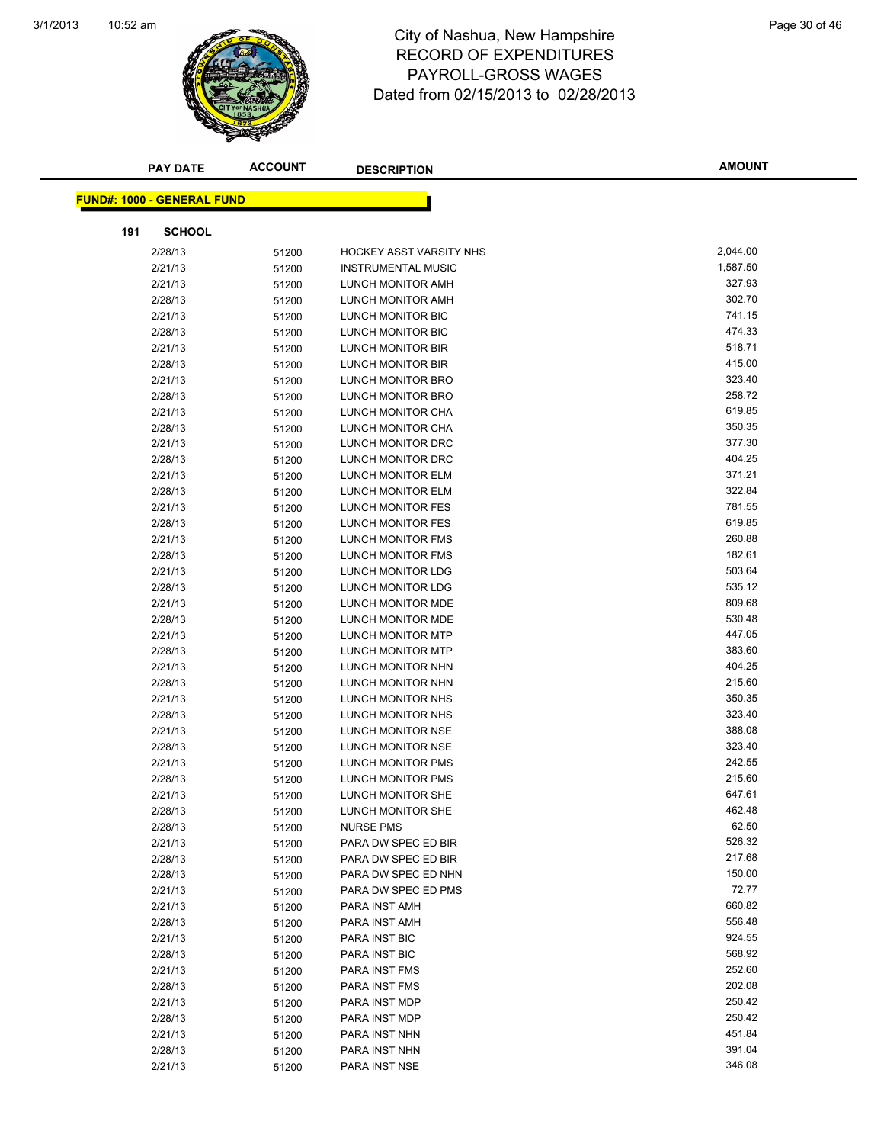

#### 10:52 am Page 30 of 46 RECORD OF EXPENDITURES PAYROLL-GROSS WAGES Dated from 02/15/2013 to 02/28/2013

|     | <b>PAY DATE</b>                   | <b>ACCOUNT</b> | <b>DESCRIPTION</b>             | <b>AMOUNT</b> |
|-----|-----------------------------------|----------------|--------------------------------|---------------|
|     |                                   |                |                                |               |
|     | <b>FUND#: 1000 - GENERAL FUND</b> |                |                                |               |
| 191 | <b>SCHOOL</b>                     |                |                                |               |
|     | 2/28/13                           | 51200          | <b>HOCKEY ASST VARSITY NHS</b> | 2,044.00      |
|     | 2/21/13                           | 51200          | <b>INSTRUMENTAL MUSIC</b>      | 1,587.50      |
|     | 2/21/13                           | 51200          | LUNCH MONITOR AMH              | 327.93        |
|     | 2/28/13                           | 51200          | LUNCH MONITOR AMH              | 302.70        |
|     | 2/21/13                           | 51200          | LUNCH MONITOR BIC              | 741.15        |
|     | 2/28/13                           | 51200          | LUNCH MONITOR BIC              | 474.33        |
|     | 2/21/13                           | 51200          | LUNCH MONITOR BIR              | 518.71        |
|     | 2/28/13                           | 51200          | LUNCH MONITOR BIR              | 415.00        |
|     | 2/21/13                           | 51200          | LUNCH MONITOR BRO              | 323.40        |
|     | 2/28/13                           | 51200          | LUNCH MONITOR BRO              | 258.72        |
|     | 2/21/13                           | 51200          | LUNCH MONITOR CHA              | 619.85        |
|     | 2/28/13                           | 51200          | LUNCH MONITOR CHA              | 350.35        |
|     | 2/21/13                           | 51200          | LUNCH MONITOR DRC              | 377.30        |
|     | 2/28/13                           | 51200          | LUNCH MONITOR DRC              | 404.25        |
|     | 2/21/13                           | 51200          | <b>LUNCH MONITOR ELM</b>       | 371.21        |
|     | 2/28/13                           | 51200          | LUNCH MONITOR ELM              | 322.84        |
|     | 2/21/13                           | 51200          | LUNCH MONITOR FES              | 781.55        |
|     | 2/28/13                           | 51200          | LUNCH MONITOR FES              | 619.85        |
|     | 2/21/13                           | 51200          | LUNCH MONITOR FMS              | 260.88        |
|     | 2/28/13                           | 51200          | LUNCH MONITOR FMS              | 182.61        |
|     | 2/21/13                           | 51200          | LUNCH MONITOR LDG              | 503.64        |
|     | 2/28/13                           | 51200          | LUNCH MONITOR LDG              | 535.12        |
|     | 2/21/13                           | 51200          | LUNCH MONITOR MDE              | 809.68        |
|     | 2/28/13                           | 51200          | LUNCH MONITOR MDE              | 530.48        |
|     | 2/21/13                           | 51200          | LUNCH MONITOR MTP              | 447.05        |
|     | 2/28/13                           | 51200          | LUNCH MONITOR MTP              | 383.60        |
|     | 2/21/13                           | 51200          | LUNCH MONITOR NHN              | 404.25        |
|     | 2/28/13                           | 51200          | LUNCH MONITOR NHN              | 215.60        |
|     | 2/21/13                           | 51200          | LUNCH MONITOR NHS              | 350.35        |
|     | 2/28/13                           | 51200          | LUNCH MONITOR NHS              | 323.40        |
|     | 2/21/13                           | 51200          | LUNCH MONITOR NSE              | 388.08        |
|     | 2/28/13                           | 51200          | LUNCH MONITOR NSE              | 323.40        |
|     | 2/21/13                           | 51200          | LUNCH MONITOR PMS              | 242.55        |
|     | 2/28/13                           | 51200          | <b>LUNCH MONITOR PMS</b>       | 215.60        |
|     | 2/21/13                           | 51200          | LUNCH MONITOR SHE              | 647.61        |
|     | 2/28/13                           | 51200          | LUNCH MONITOR SHE              | 462.48        |
|     | 2/28/13                           | 51200          | <b>NURSE PMS</b>               | 62.50         |
|     | 2/21/13                           | 51200          | PARA DW SPEC ED BIR            | 526.32        |
|     | 2/28/13                           | 51200          | PARA DW SPEC ED BIR            | 217.68        |
|     | 2/28/13                           | 51200          | PARA DW SPEC ED NHN            | 150.00        |
|     | 2/21/13                           | 51200          | PARA DW SPEC ED PMS            | 72.77         |
|     | 2/21/13                           | 51200          | PARA INST AMH                  | 660.82        |
|     | 2/28/13                           | 51200          | PARA INST AMH                  | 556.48        |
|     | 2/21/13                           | 51200          | PARA INST BIC                  | 924.55        |
|     | 2/28/13                           | 51200          | PARA INST BIC                  | 568.92        |
|     | 2/21/13                           | 51200          | PARA INST FMS                  | 252.60        |
|     | 2/28/13                           | 51200          | PARA INST FMS                  | 202.08        |
|     | 2/21/13                           | 51200          | PARA INST MDP                  | 250.42        |
|     | 2/28/13                           | 51200          | PARA INST MDP                  | 250.42        |
|     | 2/21/13                           | 51200          | PARA INST NHN                  | 451.84        |
|     | 2/28/13                           | 51200          | PARA INST NHN                  | 391.04        |
|     | 2/21/13                           | 51200          | PARA INST NSE                  | 346.08        |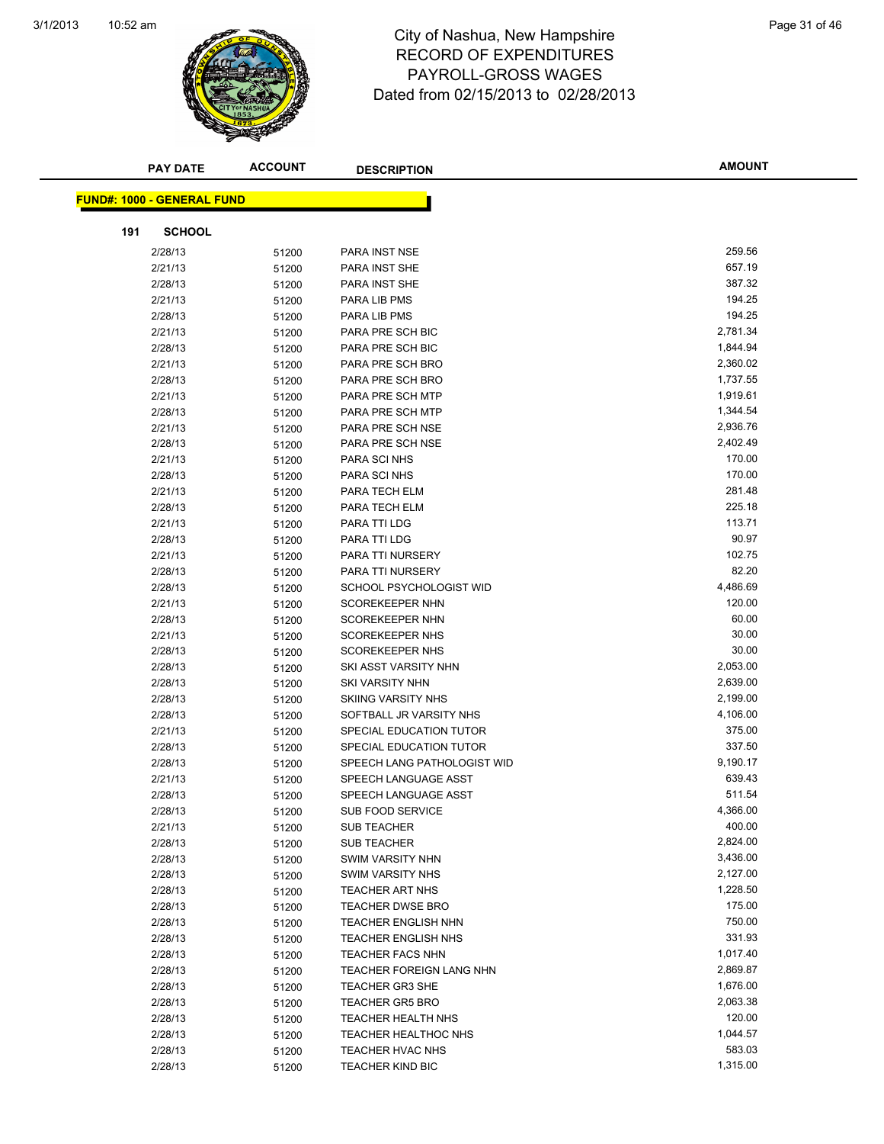

#### 10:52 am Page 31 of 46 RECORD OF EXPENDITURES PAYROLL-GROSS WAGES Dated from 02/15/2013 to 02/28/2013

| <b>PAY DATE</b>                   | <b>ACCOUNT</b> | <b>DESCRIPTION</b>                   | <b>AMOUNT</b>        |
|-----------------------------------|----------------|--------------------------------------|----------------------|
|                                   |                |                                      |                      |
| <b>FUND#: 1000 - GENERAL FUND</b> |                |                                      |                      |
| 191                               |                |                                      |                      |
| <b>SCHOOL</b>                     |                |                                      |                      |
| 2/28/13                           | 51200          | <b>PARA INST NSE</b>                 | 259.56               |
| 2/21/13                           | 51200          | PARA INST SHE                        | 657.19               |
| 2/28/13                           | 51200          | <b>PARA INST SHE</b>                 | 387.32               |
| 2/21/13                           | 51200          | PARA LIB PMS                         | 194.25               |
| 2/28/13                           | 51200          | PARA LIB PMS                         | 194.25               |
| 2/21/13                           | 51200          | PARA PRE SCH BIC                     | 2,781.34             |
| 2/28/13                           | 51200          | PARA PRE SCH BIC                     | 1,844.94             |
| 2/21/13                           | 51200          | PARA PRE SCH BRO                     | 2,360.02<br>1,737.55 |
| 2/28/13                           | 51200          | PARA PRE SCH BRO                     | 1,919.61             |
| 2/21/13<br>2/28/13                | 51200          | PARA PRE SCH MTP<br>PARA PRE SCH MTP | 1,344.54             |
| 2/21/13                           | 51200          | PARA PRE SCH NSE                     | 2,936.76             |
| 2/28/13                           | 51200          | PARA PRE SCH NSE                     | 2,402.49             |
| 2/21/13                           | 51200<br>51200 | PARA SCI NHS                         | 170.00               |
| 2/28/13                           |                | PARA SCI NHS                         | 170.00               |
| 2/21/13                           | 51200<br>51200 | PARA TECH ELM                        | 281.48               |
| 2/28/13                           | 51200          | PARA TECH ELM                        | 225.18               |
| 2/21/13                           | 51200          | PARA TTI LDG                         | 113.71               |
| 2/28/13                           | 51200          | PARA TTI LDG                         | 90.97                |
| 2/21/13                           | 51200          | PARA TTI NURSERY                     | 102.75               |
| 2/28/13                           | 51200          | PARA TTI NURSERY                     | 82.20                |
| 2/28/13                           | 51200          | SCHOOL PSYCHOLOGIST WID              | 4,486.69             |
| 2/21/13                           | 51200          | <b>SCOREKEEPER NHN</b>               | 120.00               |
| 2/28/13                           | 51200          | <b>SCOREKEEPER NHN</b>               | 60.00                |
| 2/21/13                           | 51200          | <b>SCOREKEEPER NHS</b>               | 30.00                |
| 2/28/13                           | 51200          | <b>SCOREKEEPER NHS</b>               | 30.00                |
| 2/28/13                           | 51200          | SKI ASST VARSITY NHN                 | 2,053.00             |
| 2/28/13                           | 51200          | <b>SKI VARSITY NHN</b>               | 2,639.00             |
| 2/28/13                           | 51200          | <b>SKIING VARSITY NHS</b>            | 2,199.00             |
| 2/28/13                           | 51200          | SOFTBALL JR VARSITY NHS              | 4,106.00             |
| 2/21/13                           | 51200          | SPECIAL EDUCATION TUTOR              | 375.00               |
| 2/28/13                           | 51200          | SPECIAL EDUCATION TUTOR              | 337.50               |
| 2/28/13                           | 51200          | SPEECH LANG PATHOLOGIST WID          | 9,190.17             |
| 2/21/13                           | 51200          | SPEECH LANGUAGE ASST                 | 639.43               |
| 2/28/13                           | 51200          | SPEECH LANGUAGE ASST                 | 511.54               |
| 2/28/13                           | 51200          | SUB FOOD SERVICE                     | 4,366.00             |
| 2/21/13                           | 51200          | <b>SUB TEACHER</b>                   | 400.00               |
| 2/28/13                           | 51200          | <b>SUB TEACHER</b>                   | 2,824.00             |
| 2/28/13                           | 51200          | <b>SWIM VARSITY NHN</b>              | 3,436.00             |
| 2/28/13                           | 51200          | <b>SWIM VARSITY NHS</b>              | 2,127.00             |
| 2/28/13                           | 51200          | <b>TEACHER ART NHS</b>               | 1,228.50             |
| 2/28/13                           | 51200          | TEACHER DWSE BRO                     | 175.00               |
| 2/28/13                           | 51200          | <b>TEACHER ENGLISH NHN</b>           | 750.00               |
| 2/28/13                           | 51200          | TEACHER ENGLISH NHS                  | 331.93               |
| 2/28/13                           | 51200          | <b>TEACHER FACS NHN</b>              | 1,017.40             |
| 2/28/13                           | 51200          | TEACHER FOREIGN LANG NHN             | 2,869.87             |
| 2/28/13                           | 51200          | <b>TEACHER GR3 SHE</b>               | 1,676.00             |
| 2/28/13                           | 51200          | <b>TEACHER GR5 BRO</b>               | 2,063.38             |
| 2/28/13                           | 51200          | <b>TEACHER HEALTH NHS</b>            | 120.00               |
| 2/28/13                           | 51200          | <b>TEACHER HEALTHOC NHS</b>          | 1,044.57             |
| 2/28/13                           | 51200          | TEACHER HVAC NHS                     | 583.03               |
| 2/28/13                           | 51200          | TEACHER KIND BIC                     | 1,315.00             |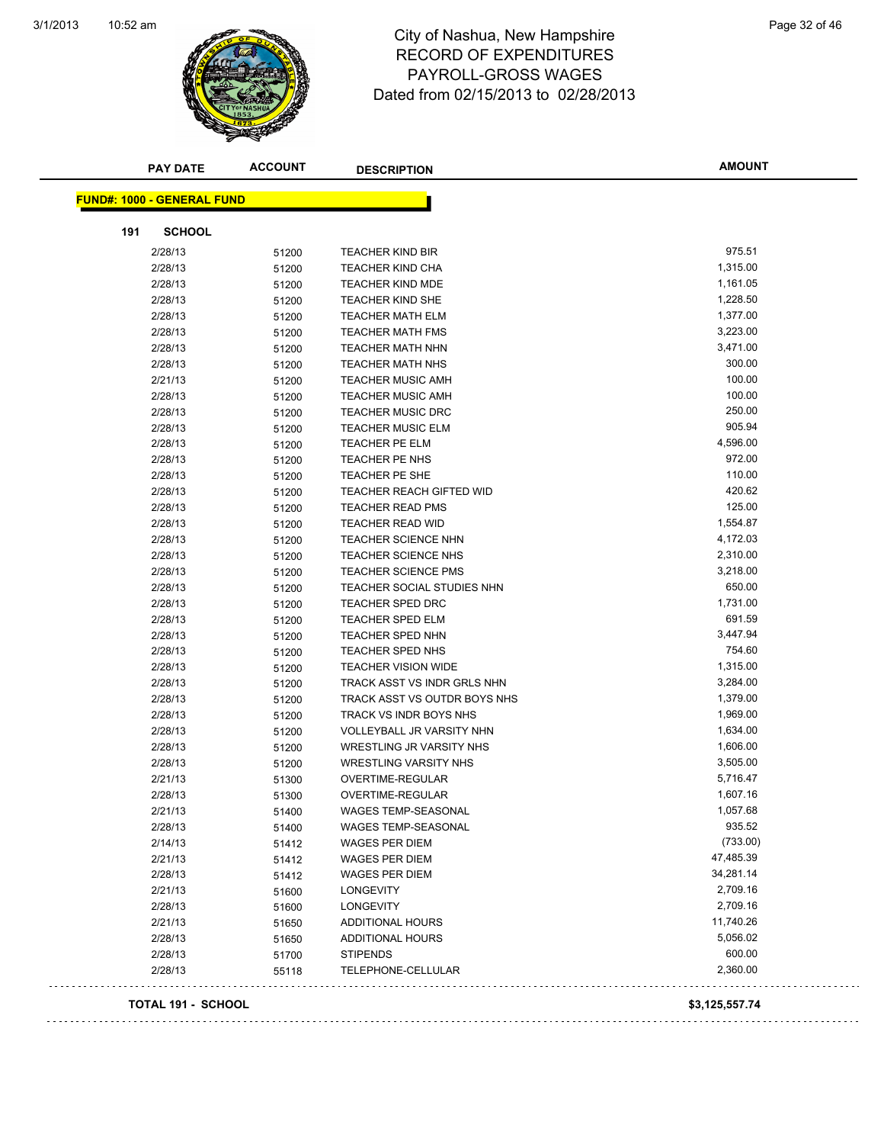

#### 10:52 am Page 32 of 46 RECORD OF EXPENDITURES PAYROLL-GROSS WAGES Dated from 02/15/2013 to 02/28/2013

|     | <b>PAY DATE</b>                   | <b>ACCOUNT</b> | <b>DESCRIPTION</b>            | <b>AMOUNT</b>  |
|-----|-----------------------------------|----------------|-------------------------------|----------------|
|     | <b>FUND#: 1000 - GENERAL FUND</b> |                |                               |                |
|     | <b>SCHOOL</b>                     |                |                               |                |
| 191 |                                   |                |                               |                |
|     | 2/28/13                           | 51200          | <b>TEACHER KIND BIR</b>       | 975.51         |
|     | 2/28/13                           | 51200          | <b>TEACHER KIND CHA</b>       | 1,315.00       |
|     | 2/28/13                           | 51200          | <b>TEACHER KIND MDE</b>       | 1,161.05       |
|     | 2/28/13                           | 51200          | <b>TEACHER KIND SHE</b>       | 1,228.50       |
|     | 2/28/13                           | 51200          | <b>TEACHER MATH ELM</b>       | 1,377.00       |
|     | 2/28/13                           | 51200          | <b>TEACHER MATH FMS</b>       | 3,223.00       |
|     | 2/28/13                           | 51200          | <b>TEACHER MATH NHN</b>       | 3,471.00       |
|     | 2/28/13                           | 51200          | <b>TEACHER MATH NHS</b>       | 300.00         |
|     | 2/21/13                           | 51200          | <b>TEACHER MUSIC AMH</b>      | 100.00         |
|     | 2/28/13                           | 51200          | <b>TEACHER MUSIC AMH</b>      | 100.00         |
|     | 2/28/13                           | 51200          | <b>TEACHER MUSIC DRC</b>      | 250.00         |
|     | 2/28/13                           | 51200          | <b>TEACHER MUSIC ELM</b>      | 905.94         |
|     | 2/28/13                           | 51200          | <b>TEACHER PE ELM</b>         | 4,596.00       |
|     | 2/28/13                           | 51200          | TEACHER PE NHS                | 972.00         |
|     | 2/28/13                           | 51200          | TEACHER PE SHE                | 110.00         |
|     | 2/28/13                           | 51200          | TEACHER REACH GIFTED WID      | 420.62         |
|     | 2/28/13                           | 51200          | <b>TEACHER READ PMS</b>       | 125.00         |
|     | 2/28/13                           | 51200          | <b>TEACHER READ WID</b>       | 1,554.87       |
|     | 2/28/13                           | 51200          | <b>TEACHER SCIENCE NHN</b>    | 4,172.03       |
|     | 2/28/13                           | 51200          | <b>TEACHER SCIENCE NHS</b>    | 2,310.00       |
|     | 2/28/13                           | 51200          | <b>TEACHER SCIENCE PMS</b>    | 3,218.00       |
|     | 2/28/13                           | 51200          | TEACHER SOCIAL STUDIES NHN    | 650.00         |
|     | 2/28/13                           | 51200          | <b>TEACHER SPED DRC</b>       | 1,731.00       |
|     | 2/28/13                           | 51200          | <b>TEACHER SPED ELM</b>       | 691.59         |
|     | 2/28/13                           | 51200          | <b>TEACHER SPED NHN</b>       | 3,447.94       |
|     | 2/28/13                           | 51200          | <b>TEACHER SPED NHS</b>       | 754.60         |
|     | 2/28/13                           | 51200          | <b>TEACHER VISION WIDE</b>    | 1,315.00       |
|     | 2/28/13                           | 51200          | TRACK ASST VS INDR GRLS NHN   | 3,284.00       |
|     | 2/28/13                           | 51200          | TRACK ASST VS OUTDR BOYS NHS  | 1,379.00       |
|     | 2/28/13                           | 51200          | <b>TRACK VS INDR BOYS NHS</b> | 1,969.00       |
|     | 2/28/13                           | 51200          | VOLLEYBALL JR VARSITY NHN     | 1,634.00       |
|     | 2/28/13                           | 51200          | WRESTLING JR VARSITY NHS      | 1,606.00       |
|     | 2/28/13                           | 51200          | <b>WRESTLING VARSITY NHS</b>  | 3,505.00       |
|     | 2/21/13                           | 51300          | <b>OVERTIME-REGULAR</b>       | 5,716.47       |
|     | 2/28/13                           | 51300          | OVERTIME-REGULAR              | 1,607.16       |
|     | 2/21/13                           | 51400          | <b>WAGES TEMP-SEASONAL</b>    | 1,057.68       |
|     | 2/28/13                           | 51400          | <b>WAGES TEMP-SEASONAL</b>    | 935.52         |
|     | 2/14/13                           | 51412          | WAGES PER DIEM                | (733.00)       |
|     | 2/21/13                           | 51412          | <b>WAGES PER DIEM</b>         | 47,485.39      |
|     | 2/28/13                           | 51412          | <b>WAGES PER DIEM</b>         | 34,281.14      |
|     | 2/21/13                           | 51600          | LONGEVITY                     | 2,709.16       |
|     | 2/28/13                           | 51600          | LONGEVITY                     | 2,709.16       |
|     | 2/21/13                           | 51650          | <b>ADDITIONAL HOURS</b>       | 11,740.26      |
|     | 2/28/13                           | 51650          | <b>ADDITIONAL HOURS</b>       | 5,056.02       |
|     | 2/28/13                           | 51700          | <b>STIPENDS</b>               | 600.00         |
|     | 2/28/13                           | 55118          | TELEPHONE-CELLULAR            | 2,360.00       |
|     | TOTAL 191 - SCHOOL                |                |                               | \$3,125,557.74 |

 $\bar{L}$  .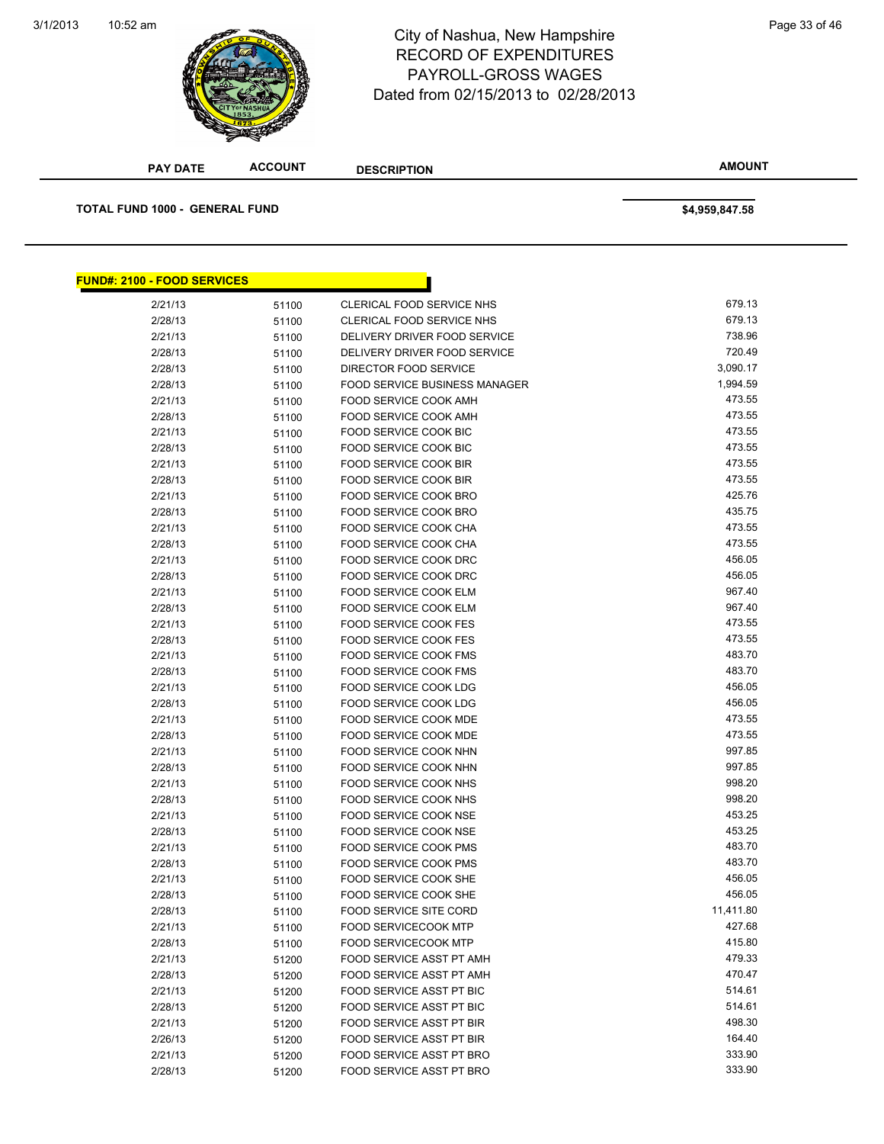#### 3/1/2013



## 10:52 am Page 33 of 46 RECORD OF EXPENDITURES PAYROLL-GROSS WAGES Dated from 02/15/2013 to 02/28/2013

| <b>PAY DATE</b>                       | <b>ACCOUNT</b> | <b>DESCRIPTION</b>                                    | <b>AMOUNT</b>    |
|---------------------------------------|----------------|-------------------------------------------------------|------------------|
| <b>TOTAL FUND 1000 - GENERAL FUND</b> |                |                                                       | \$4,959,847.58   |
| <b>FUND#: 2100 - FOOD SERVICES</b>    |                |                                                       |                  |
|                                       |                |                                                       |                  |
| 2/21/13                               | 51100          | CLERICAL FOOD SERVICE NHS                             | 679.13           |
| 2/28/13                               | 51100          | CLERICAL FOOD SERVICE NHS                             | 679.13           |
| 2/21/13                               | 51100          | DELIVERY DRIVER FOOD SERVICE                          | 738.96           |
| 2/28/13                               | 51100          | DELIVERY DRIVER FOOD SERVICE                          | 720.49           |
| 2/28/13                               | 51100          | DIRECTOR FOOD SERVICE                                 | 3,090.17         |
| 2/28/13                               | 51100          | <b>FOOD SERVICE BUSINESS MANAGER</b>                  | 1,994.59         |
| 2/21/13                               | 51100          | FOOD SERVICE COOK AMH                                 | 473.55           |
| 2/28/13                               | 51100          | <b>FOOD SERVICE COOK AMH</b>                          | 473.55           |
| 2/21/13                               | 51100          | FOOD SERVICE COOK BIC                                 | 473.55           |
| 2/28/13                               | 51100          | FOOD SERVICE COOK BIC                                 | 473.55           |
| 2/21/13                               | 51100          | FOOD SERVICE COOK BIR                                 | 473.55           |
| 2/28/13                               | 51100          | <b>FOOD SERVICE COOK BIR</b>                          | 473.55           |
| 2/21/13                               | 51100          | FOOD SERVICE COOK BRO                                 | 425.76           |
| 2/28/13                               | 51100          | FOOD SERVICE COOK BRO                                 | 435.75           |
| 2/21/13                               | 51100          | <b>FOOD SERVICE COOK CHA</b>                          | 473.55           |
| 2/28/13                               | 51100          | FOOD SERVICE COOK CHA                                 | 473.55           |
| 2/21/13                               | 51100          | FOOD SERVICE COOK DRC                                 | 456.05           |
| 2/28/13                               | 51100          | FOOD SERVICE COOK DRC                                 | 456.05           |
| 2/21/13                               | 51100          | FOOD SERVICE COOK ELM                                 | 967.40           |
| 2/28/13                               | 51100          | FOOD SERVICE COOK ELM                                 | 967.40           |
| 2/21/13                               | 51100          | <b>FOOD SERVICE COOK FES</b>                          | 473.55           |
| 2/28/13                               | 51100          | <b>FOOD SERVICE COOK FES</b>                          | 473.55           |
| 2/21/13                               | 51100          | FOOD SERVICE COOK FMS                                 | 483.70           |
| 2/28/13                               | 51100          | FOOD SERVICE COOK FMS                                 | 483.70           |
| 2/21/13                               | 51100          | FOOD SERVICE COOK LDG                                 | 456.05           |
| 2/28/13                               | 51100          | FOOD SERVICE COOK LDG                                 | 456.05<br>473.55 |
| 2/21/13                               | 51100          | <b>FOOD SERVICE COOK MDE</b>                          |                  |
| 2/28/13                               | 51100          | <b>FOOD SERVICE COOK MDE</b>                          | 473.55           |
| 2/21/13                               | 51100          | FOOD SERVICE COOK NHN                                 | 997.85           |
| 2/28/13                               | 51100          | FOOD SERVICE COOK NHN                                 | 997.85<br>998.20 |
| 2/21/13                               | 51100          | FOOD SERVICE COOK NHS                                 | 998.20           |
| 2/28/13                               | 51100          | FOOD SERVICE COOK NHS                                 | 453.25           |
| 2/21/13                               | 51100          | FOOD SERVICE COOK NSE<br>FOOD SERVICE COOK NSE        | 453.25           |
| 2/28/13                               | 51100          |                                                       | 483.70           |
| 2/21/13                               | 51100          | <b>FOOD SERVICE COOK PMS</b>                          | 483.70           |
| 2/28/13<br>2/21/13                    | 51100          | <b>FOOD SERVICE COOK PMS</b><br>FOOD SERVICE COOK SHE | 456.05           |
| 2/28/13                               | 51100          |                                                       | 456.05           |
| 2/28/13                               | 51100          | FOOD SERVICE COOK SHE<br>FOOD SERVICE SITE CORD       | 11,411.80        |
| 2/21/13                               | 51100          | <b>FOOD SERVICECOOK MTP</b>                           | 427.68           |
| 2/28/13                               | 51100          | <b>FOOD SERVICECOOK MTP</b>                           | 415.80           |
| 2/21/13                               | 51100          | FOOD SERVICE ASST PT AMH                              | 479.33           |
| 2/28/13                               | 51200          | FOOD SERVICE ASST PT AMH                              | 470.47           |
| 2/21/13                               | 51200          | FOOD SERVICE ASST PT BIC                              | 514.61           |
| 2/28/13                               | 51200          | FOOD SERVICE ASST PT BIC                              | 514.61           |
|                                       | 51200          |                                                       | 498.30           |
| 2/21/13                               | 51200          | FOOD SERVICE ASST PT BIR<br>FOOD SERVICE ASST PT BIR  | 164.40           |
| 2/26/13<br>2/21/13                    | 51200          | FOOD SERVICE ASST PT BRO                              | 333.90           |
|                                       | 51200          |                                                       | 333.90           |
| 2/28/13                               | 51200          | FOOD SERVICE ASST PT BRO                              |                  |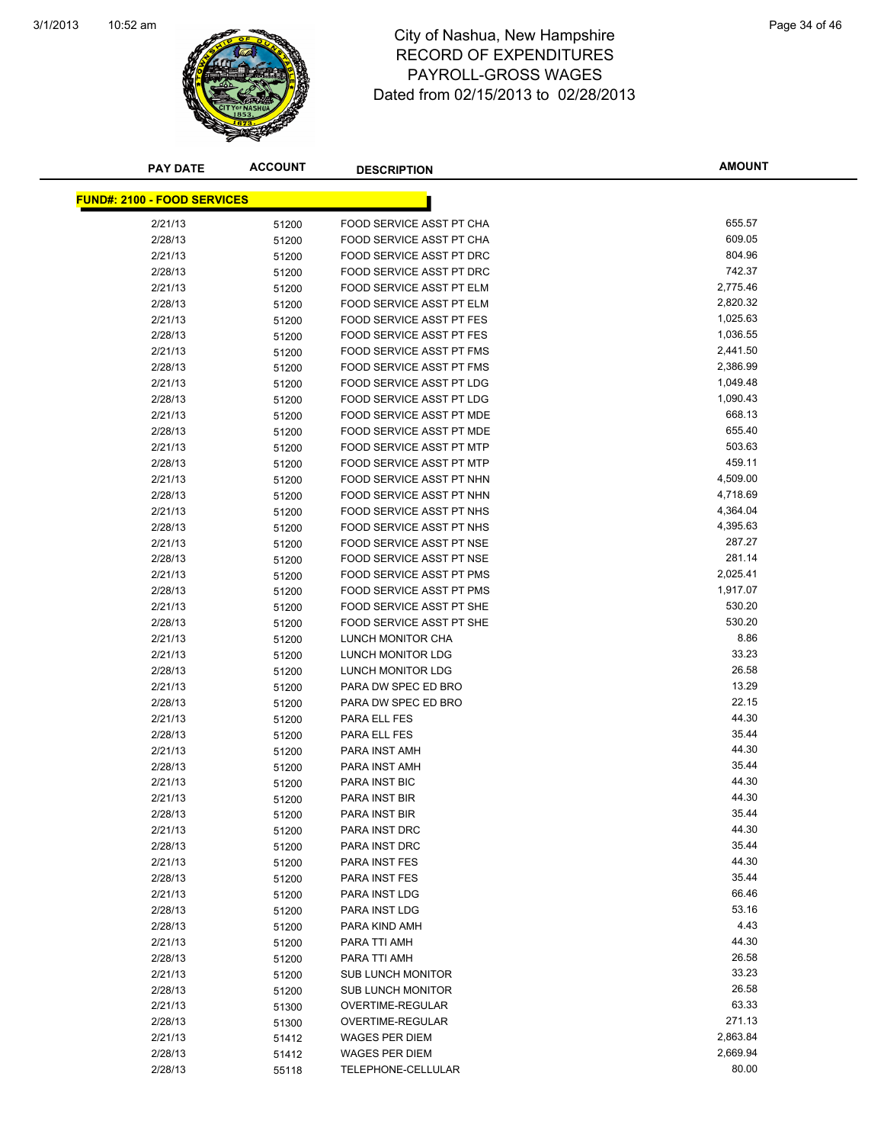

### 10:52 am Page 34 of 46 RECORD OF EXPENDITURES PAYROLL-GROSS WAGES Dated from 02/15/2013 to 02/28/2013

| <b>PAY DATE</b>                    | <b>ACCOUNT</b> | <b>DESCRIPTION</b>                            | <b>AMOUNT</b>    |
|------------------------------------|----------------|-----------------------------------------------|------------------|
|                                    |                |                                               |                  |
| <b>FUND#: 2100 - FOOD SERVICES</b> |                |                                               |                  |
| 2/21/13                            | 51200          | FOOD SERVICE ASST PT CHA                      | 655.57           |
| 2/28/13                            | 51200          | FOOD SERVICE ASST PT CHA                      | 609.05           |
| 2/21/13                            | 51200          | FOOD SERVICE ASST PT DRC                      | 804.96           |
| 2/28/13                            | 51200          | FOOD SERVICE ASST PT DRC                      | 742.37           |
| 2/21/13                            | 51200          | FOOD SERVICE ASST PT ELM                      | 2,775.46         |
| 2/28/13                            | 51200          | FOOD SERVICE ASST PT ELM                      | 2,820.32         |
| 2/21/13                            | 51200          | <b>FOOD SERVICE ASST PT FES</b>               | 1,025.63         |
| 2/28/13                            | 51200          | <b>FOOD SERVICE ASST PT FES</b>               | 1,036.55         |
| 2/21/13                            | 51200          | FOOD SERVICE ASST PT FMS                      | 2,441.50         |
| 2/28/13                            | 51200          | FOOD SERVICE ASST PT FMS                      | 2,386.99         |
| 2/21/13                            | 51200          | FOOD SERVICE ASST PT LDG                      | 1,049.48         |
| 2/28/13                            | 51200          | FOOD SERVICE ASST PT LDG                      | 1,090.43         |
| 2/21/13                            | 51200          | FOOD SERVICE ASST PT MDE                      | 668.13           |
| 2/28/13                            | 51200          | FOOD SERVICE ASST PT MDE                      | 655.40           |
| 2/21/13                            | 51200          | FOOD SERVICE ASST PT MTP                      | 503.63           |
| 2/28/13                            | 51200          | FOOD SERVICE ASST PT MTP                      | 459.11           |
| 2/21/13                            | 51200          | FOOD SERVICE ASST PT NHN                      | 4,509.00         |
| 2/28/13                            | 51200          | FOOD SERVICE ASST PT NHN                      | 4,718.69         |
| 2/21/13                            | 51200          | FOOD SERVICE ASST PT NHS                      | 4,364.04         |
| 2/28/13                            | 51200          | FOOD SERVICE ASST PT NHS                      | 4,395.63         |
| 2/21/13                            | 51200          | FOOD SERVICE ASST PT NSE                      | 287.27           |
| 2/28/13                            | 51200          | FOOD SERVICE ASST PT NSE                      | 281.14           |
| 2/21/13                            | 51200          | FOOD SERVICE ASST PT PMS                      | 2,025.41         |
| 2/28/13                            | 51200          | FOOD SERVICE ASST PT PMS                      | 1,917.07         |
| 2/21/13                            | 51200          | FOOD SERVICE ASST PT SHE                      | 530.20<br>530.20 |
| 2/28/13                            | 51200          | FOOD SERVICE ASST PT SHE                      | 8.86             |
| 2/21/13<br>2/21/13                 | 51200          | LUNCH MONITOR CHA<br><b>LUNCH MONITOR LDG</b> | 33.23            |
| 2/28/13                            | 51200          | LUNCH MONITOR LDG                             | 26.58            |
| 2/21/13                            | 51200          | PARA DW SPEC ED BRO                           | 13.29            |
| 2/28/13                            | 51200          | PARA DW SPEC ED BRO                           | 22.15            |
| 2/21/13                            | 51200<br>51200 | PARA ELL FES                                  | 44.30            |
| 2/28/13                            | 51200          | PARA ELL FES                                  | 35.44            |
| 2/21/13                            | 51200          | PARA INST AMH                                 | 44.30            |
| 2/28/13                            | 51200          | PARA INST AMH                                 | 35.44            |
| 2/21/13                            | 51200          | PARA INST BIC                                 | 44.30            |
| 2/21/13                            | 51200          | PARA INST BIR                                 | 44.30            |
| 2/28/13                            | 51200          | PARA INST BIR                                 | 35.44            |
| 2/21/13                            | 51200          | PARA INST DRC                                 | 44.30            |
| 2/28/13                            | 51200          | PARA INST DRC                                 | 35.44            |
| 2/21/13                            | 51200          | PARA INST FES                                 | 44.30            |
| 2/28/13                            | 51200          | PARA INST FES                                 | 35.44            |
| 2/21/13                            | 51200          | PARA INST LDG                                 | 66.46            |
| 2/28/13                            | 51200          | PARA INST LDG                                 | 53.16            |
| 2/28/13                            | 51200          | PARA KIND AMH                                 | 4.43             |
| 2/21/13                            | 51200          | PARA TTI AMH                                  | 44.30            |
| 2/28/13                            | 51200          | PARA TTI AMH                                  | 26.58            |
| 2/21/13                            | 51200          | <b>SUB LUNCH MONITOR</b>                      | 33.23            |
| 2/28/13                            | 51200          | <b>SUB LUNCH MONITOR</b>                      | 26.58            |
| 2/21/13                            | 51300          | OVERTIME-REGULAR                              | 63.33            |
| 2/28/13                            | 51300          | OVERTIME-REGULAR                              | 271.13           |
| 2/21/13                            | 51412          | <b>WAGES PER DIEM</b>                         | 2,863.84         |
| 2/28/13                            | 51412          | <b>WAGES PER DIEM</b>                         | 2,669.94         |
| 2/28/13                            | 55118          | TELEPHONE-CELLULAR                            | 80.00            |
|                                    |                |                                               |                  |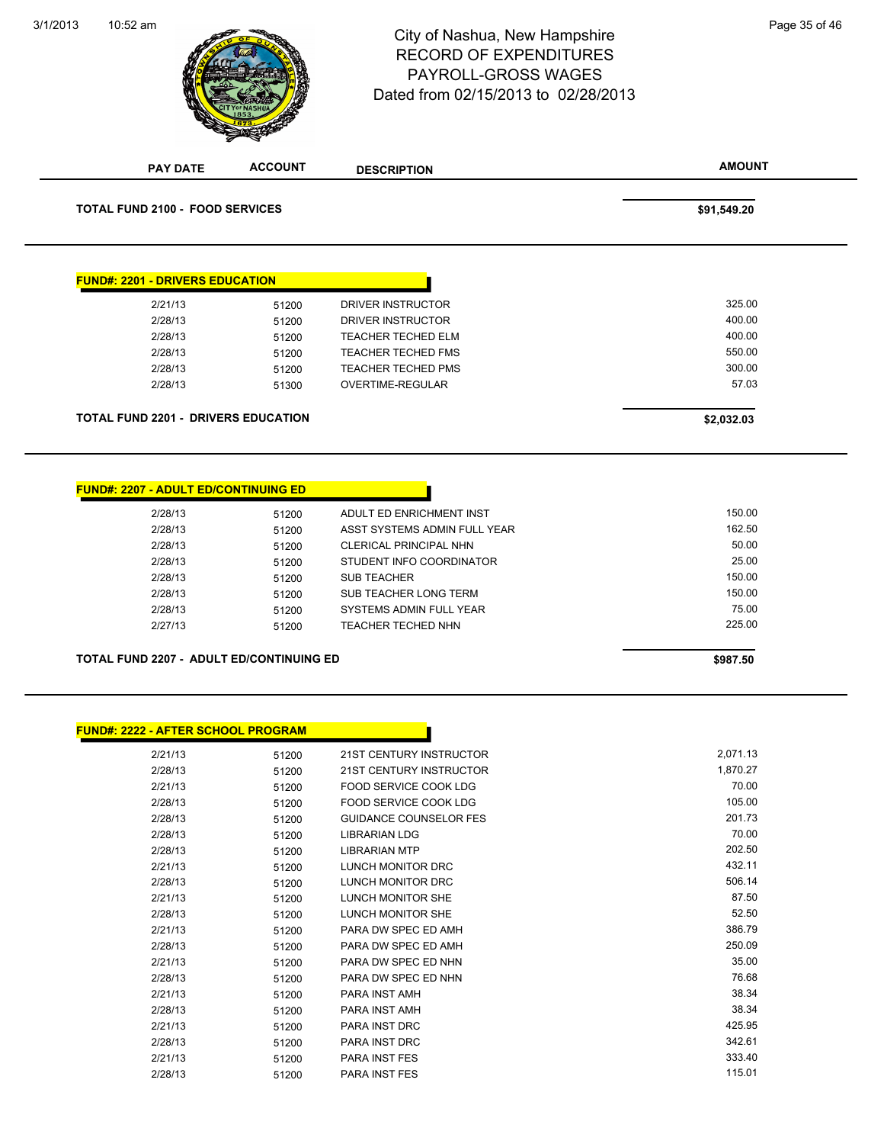### 10:52 am Page 35 of 46 RECORD OF EXPENDITURES PAYROLL-GROSS WAGES Dated from 02/15/2013 to 02/28/2013

| <b>PAY DATE</b>                                 | <b>ACCOUNT</b> | <b>DESCRIPTION</b>                                   | <b>AMOUNT</b>    |
|-------------------------------------------------|----------------|------------------------------------------------------|------------------|
| <b>TOTAL FUND 2100 - FOOD SERVICES</b>          |                |                                                      | \$91,549.20      |
|                                                 |                |                                                      |                  |
|                                                 |                |                                                      |                  |
| <u> FUND#: 2201 - DRIVERS EDUCATION</u>         |                |                                                      |                  |
| 2/21/13                                         | 51200          | DRIVER INSTRUCTOR                                    | 325.00           |
| 2/28/13                                         | 51200          | DRIVER INSTRUCTOR                                    | 400.00           |
| 2/28/13                                         | 51200          | <b>TEACHER TECHED ELM</b>                            | 400.00           |
| 2/28/13                                         | 51200          | <b>TEACHER TECHED FMS</b>                            | 550.00           |
| 2/28/13                                         | 51200          | <b>TEACHER TECHED PMS</b>                            | 300.00           |
| 2/28/13                                         | 51300          | OVERTIME-REGULAR                                     | 57.03            |
| <b>TOTAL FUND 2201 - DRIVERS EDUCATION</b>      |                |                                                      | \$2,032.03       |
|                                                 |                |                                                      |                  |
| <b>FUND#: 2207 - ADULT ED/CONTINUING ED</b>     |                |                                                      |                  |
| 2/28/13                                         | 51200          | ADULT ED ENRICHMENT INST                             | 150.00           |
| 2/28/13                                         | 51200          | ASST SYSTEMS ADMIN FULL YEAR                         | 162.50           |
| 2/28/13                                         | 51200          | CLERICAL PRINCIPAL NHN                               | 50.00            |
| 2/28/13                                         | 51200          | STUDENT INFO COORDINATOR                             | 25.00            |
| 2/28/13                                         | 51200          | <b>SUB TEACHER</b>                                   | 150.00           |
|                                                 |                |                                                      | 150.00           |
| 2/28/13                                         | 51200          | SUB TEACHER LONG TERM                                |                  |
| 2/28/13<br>2/27/13                              | 51200<br>51200 | SYSTEMS ADMIN FULL YEAR<br><b>TEACHER TECHED NHN</b> | 75.00<br>225.00  |
| <b>TOTAL FUND 2207 - ADULT ED/CONTINUING ED</b> |                |                                                      | \$987.50         |
|                                                 |                |                                                      |                  |
| <u> FUND#: 2222 - AFTER SCHOOL PROGRAM</u>      |                |                                                      |                  |
| 2/21/13                                         | 51200          | 21ST CENTURY INSTRUCTOR                              | 2,071.13         |
| 2/28/13                                         | 51200          | <b>21ST CENTURY INSTRUCTOR</b>                       | 1,870.27         |
| 2/21/13                                         | 51200          | <b>FOOD SERVICE COOK LDG</b>                         | 70.00            |
| 2/28/13                                         | 51200          | FOOD SERVICE COOK LDG                                | 105.00           |
| 2/28/13                                         | 51200          | <b>GUIDANCE COUNSELOR FES</b>                        | 201.73           |
| 2/28/13                                         | 51200          | LIBRARIAN LDG                                        | 70.00            |
| 2/28/13                                         | 51200          | <b>LIBRARIAN MTP</b>                                 | 202.50           |
| 2/21/13                                         | 51200          | LUNCH MONITOR DRC                                    | 432.11           |
| 2/28/13                                         | 51200          | LUNCH MONITOR DRC                                    | 506.14           |
| 2/21/13                                         | 51200          | LUNCH MONITOR SHE                                    | 87.50            |
| 2/28/13                                         | 51200          | LUNCH MONITOR SHE                                    | 52.50            |
| 2/21/13                                         | 51200          | PARA DW SPEC ED AMH                                  | 386.79           |
| 2/28/13                                         | 51200          | PARA DW SPEC ED AMH                                  | 250.09           |
| 2/21/13                                         | 51200          | PARA DW SPEC ED NHN                                  | 35.00            |
| 2/28/13                                         | 51200          | PARA DW SPEC ED NHN                                  | 76.68            |
| 2/21/13                                         | 51200          | PARA INST AMH                                        | 38.34            |
| 2/28/13                                         | 51200          | PARA INST AMH                                        | 38.34            |
| 2/21/13                                         | 51200          | PARA INST DRC                                        | 425.95           |
| 2/28/13<br>2/21/13                              | 51200<br>51200 | PARA INST DRC<br>PARA INST FES                       | 342.61<br>333.40 |

**ACCOUNT**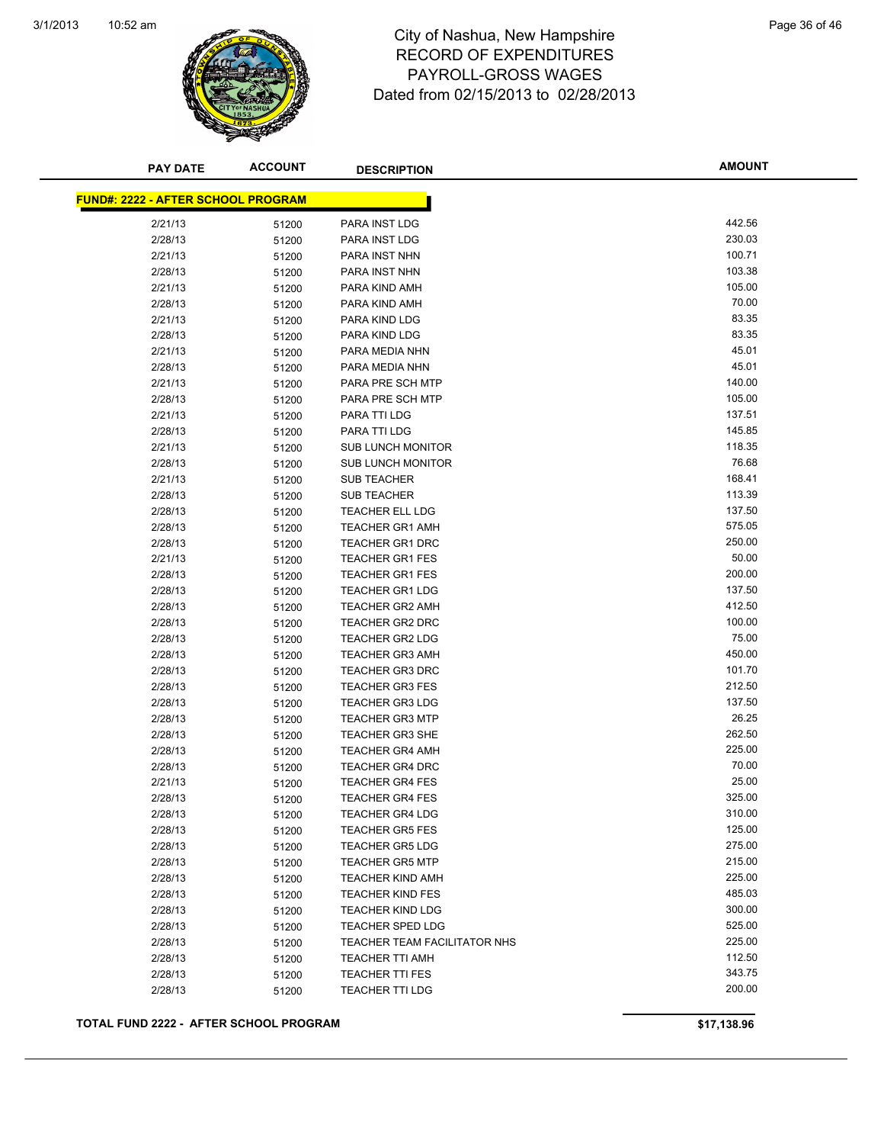

### 10:52 am Page 36 of 46 RECORD OF EXPENDITURES PAYROLL-GROSS WAGES Dated from 02/15/2013 to 02/28/2013

| <b>PAY DATE</b>                           | <b>ACCOUNT</b> | <b>DESCRIPTION</b>           | <b>AMOUNT</b> |
|-------------------------------------------|----------------|------------------------------|---------------|
| <b>FUND#: 2222 - AFTER SCHOOL PROGRAM</b> |                |                              |               |
| 2/21/13                                   | 51200          | PARA INST LDG                | 442.56        |
| 2/28/13                                   | 51200          | <b>PARA INST LDG</b>         | 230.03        |
| 2/21/13                                   | 51200          | PARA INST NHN                | 100.71        |
| 2/28/13                                   | 51200          | PARA INST NHN                | 103.38        |
| 2/21/13                                   | 51200          | PARA KIND AMH                | 105.00        |
| 2/28/13                                   | 51200          | PARA KIND AMH                | 70.00         |
| 2/21/13                                   | 51200          | PARA KIND LDG                | 83.35         |
| 2/28/13                                   | 51200          | PARA KIND LDG                | 83.35         |
| 2/21/13                                   | 51200          | PARA MEDIA NHN               | 45.01         |
| 2/28/13                                   | 51200          | PARA MEDIA NHN               | 45.01         |
| 2/21/13                                   | 51200          | PARA PRE SCH MTP             | 140.00        |
| 2/28/13                                   | 51200          | PARA PRE SCH MTP             | 105.00        |
| 2/21/13                                   | 51200          | PARA TTI LDG                 | 137.51        |
| 2/28/13                                   | 51200          | PARA TTI LDG                 | 145.85        |
| 2/21/13                                   | 51200          | <b>SUB LUNCH MONITOR</b>     | 118.35        |
| 2/28/13                                   | 51200          | <b>SUB LUNCH MONITOR</b>     | 76.68         |
| 2/21/13                                   | 51200          | <b>SUB TEACHER</b>           | 168.41        |
| 2/28/13                                   | 51200          | <b>SUB TEACHER</b>           | 113.39        |
| 2/28/13                                   | 51200          | <b>TEACHER ELL LDG</b>       | 137.50        |
| 2/28/13                                   | 51200          | <b>TEACHER GR1 AMH</b>       | 575.05        |
| 2/28/13                                   | 51200          | <b>TEACHER GR1 DRC</b>       | 250.00        |
| 2/21/13                                   | 51200          | <b>TEACHER GR1 FES</b>       | 50.00         |
| 2/28/13                                   | 51200          | <b>TEACHER GR1 FES</b>       | 200.00        |
| 2/28/13                                   | 51200          | <b>TEACHER GR1 LDG</b>       | 137.50        |
| 2/28/13                                   | 51200          | <b>TEACHER GR2 AMH</b>       | 412.50        |
| 2/28/13                                   | 51200          | <b>TEACHER GR2 DRC</b>       | 100.00        |
| 2/28/13                                   | 51200          | <b>TEACHER GR2 LDG</b>       | 75.00         |
| 2/28/13                                   | 51200          | <b>TEACHER GR3 AMH</b>       | 450.00        |
| 2/28/13                                   | 51200          | <b>TEACHER GR3 DRC</b>       | 101.70        |
| 2/28/13                                   | 51200          | <b>TEACHER GR3 FES</b>       | 212.50        |
| 2/28/13                                   | 51200          | <b>TEACHER GR3 LDG</b>       | 137.50        |
| 2/28/13                                   | 51200          | <b>TEACHER GR3 MTP</b>       | 26.25         |
| 2/28/13                                   | 51200          | <b>TEACHER GR3 SHE</b>       | 262.50        |
| 2/28/13                                   | 51200          | <b>TEACHER GR4 AMH</b>       | 225.00        |
| 2/28/13                                   | 51200          | <b>TEACHER GR4 DRC</b>       | 70.00         |
| 2/21/13                                   | 51200          | <b>TEACHER GR4 FES</b>       | 25.00         |
| 2/28/13                                   | 51200          | <b>TEACHER GR4 FES</b>       | 325.00        |
| 2/28/13                                   | 51200          | <b>TEACHER GR4 LDG</b>       | 310.00        |
| 2/28/13                                   | 51200          | <b>TEACHER GR5 FES</b>       | 125.00        |
| 2/28/13                                   | 51200          | <b>TEACHER GR5 LDG</b>       | 275.00        |
| 2/28/13                                   | 51200          | <b>TEACHER GR5 MTP</b>       | 215.00        |
| 2/28/13                                   | 51200          | <b>TEACHER KIND AMH</b>      | 225.00        |
| 2/28/13                                   | 51200          | <b>TEACHER KIND FES</b>      | 485.03        |
| 2/28/13                                   | 51200          | <b>TEACHER KIND LDG</b>      | 300.00        |
| 2/28/13                                   | 51200          | <b>TEACHER SPED LDG</b>      | 525.00        |
| 2/28/13                                   | 51200          | TEACHER TEAM FACILITATOR NHS | 225.00        |
| 2/28/13                                   | 51200          | <b>TEACHER TTI AMH</b>       | 112.50        |
| 2/28/13                                   | 51200          | <b>TEACHER TTI FES</b>       | 343.75        |
| 2/28/13                                   | 51200          | TEACHER TTI LDG              | 200.00        |
|                                           |                |                              |               |

**TOTAL FUND 2222 - AFTER SCHOOL PROGRAM \$17,138.96**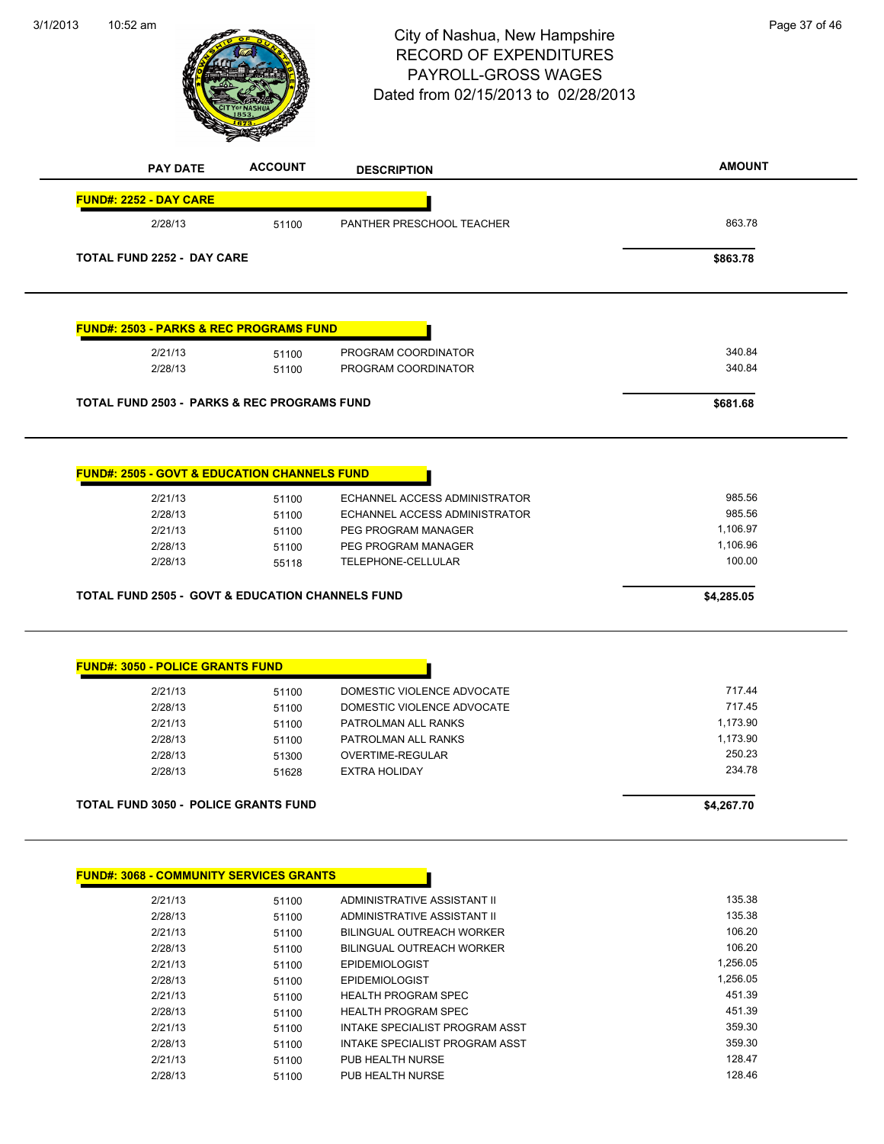#### 3/1/2013



# 10:52 am Page 37 of 46 RECORD OF EXPENDITURES PAYROLL-GROSS WAGES Dated from 02/15/2013 to 02/28/2013

| <b>PAY DATE</b>                                             | <b>ACCOUNT</b> | <b>DESCRIPTION</b>            | <b>AMOUNT</b> |
|-------------------------------------------------------------|----------------|-------------------------------|---------------|
| <b>FUND#: 2252 - DAY CARE</b><br>2/28/13                    | 51100          | PANTHER PRESCHOOL TEACHER     | 863.78        |
|                                                             |                |                               |               |
| <b>TOTAL FUND 2252 - DAY CARE</b>                           |                |                               | \$863.78      |
| <b>FUND#: 2503 - PARKS &amp; REC PROGRAMS FUND</b>          |                |                               |               |
| 2/21/13                                                     | 51100          | PROGRAM COORDINATOR           | 340.84        |
| 2/28/13                                                     | 51100          | PROGRAM COORDINATOR           | 340.84        |
| <b>TOTAL FUND 2503 - PARKS &amp; REC PROGRAMS FUND</b>      |                |                               | \$681.68      |
|                                                             |                |                               |               |
| <b>FUND#: 2505 - GOVT &amp; EDUCATION CHANNELS FUND</b>     |                |                               |               |
| 2/21/13                                                     | 51100          | ECHANNEL ACCESS ADMINISTRATOR | 985.56        |
| 2/28/13                                                     | 51100          | ECHANNEL ACCESS ADMINISTRATOR | 985.56        |
| 2/21/13                                                     | 51100          | PEG PROGRAM MANAGER           | 1,106.97      |
| 2/28/13                                                     | 51100          | PEG PROGRAM MANAGER           | 1,106.96      |
| 2/28/13                                                     | 55118          | TELEPHONE-CELLULAR            | 100.00        |
| <b>TOTAL FUND 2505 - GOVT &amp; EDUCATION CHANNELS FUND</b> |                |                               | \$4,285.05    |
|                                                             |                |                               |               |
| <b>FUND#: 3050 - POLICE GRANTS FUND</b>                     |                |                               |               |
| 2/21/13                                                     | 51100          | DOMESTIC VIOLENCE ADVOCATE    | 717.44        |
| 2/28/13                                                     | 51100          | DOMESTIC VIOLENCE ADVOCATE    | 717.45        |
| 2/21/13                                                     | 51100          | PATROLMAN ALL RANKS           | 1,173.90      |
| 2/28/13                                                     | 51100          | PATROLMAN ALL RANKS           | 1,173.90      |
| 2/28/13                                                     | 51300          | OVERTIME-REGULAR              | 250.23        |
| 2/28/13                                                     | 51628          | <b>EXTRA HOLIDAY</b>          | 234.78        |
| TOTAL FUND 3050 - POLICE GRANTS FUND                        |                |                               | \$4,267.70    |
|                                                             |                |                               |               |
|                                                             |                |                               |               |

| 2/21/13 | 51100 | ADMINISTRATIVE ASSISTANT II    | 135.38   |
|---------|-------|--------------------------------|----------|
| 2/28/13 | 51100 | ADMINISTRATIVE ASSISTANT II    | 135.38   |
| 2/21/13 | 51100 | BILINGUAL OUTREACH WORKER      | 106.20   |
| 2/28/13 | 51100 | BILINGUAL OUTREACH WORKER      | 106.20   |
| 2/21/13 | 51100 | <b>EPIDEMIOLOGIST</b>          | 1.256.05 |
| 2/28/13 | 51100 | <b>EPIDEMIOLOGIST</b>          | 1.256.05 |
| 2/21/13 | 51100 | <b>HEALTH PROGRAM SPEC</b>     | 451.39   |
| 2/28/13 | 51100 | <b>HEALTH PROGRAM SPEC</b>     | 451.39   |
| 2/21/13 | 51100 | INTAKE SPECIALIST PROGRAM ASST | 359.30   |
| 2/28/13 | 51100 | INTAKE SPECIALIST PROGRAM ASST | 359.30   |
| 2/21/13 | 51100 | PUB HEALTH NURSE               | 128.47   |
| 2/28/13 | 51100 | PUB HEALTH NURSE               | 128.46   |
|         |       |                                |          |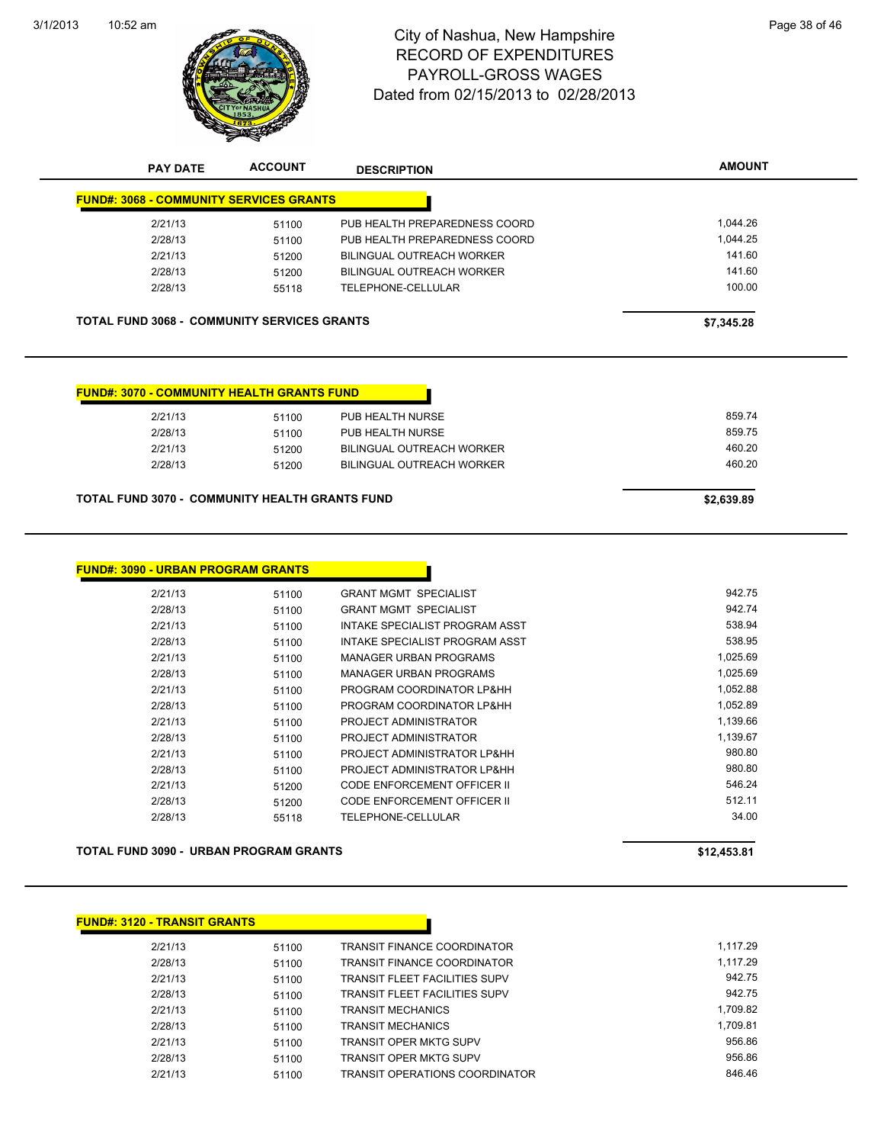

**PAY DATE ACCOUNT DESCRIPTION**

# 10:52 am Page 38 of 46 RECORD OF EXPENDITURES PAYROLL-GROSS WAGES Dated from 02/15/2013 to 02/28/2013

**AMOUNT**

| 51200 | <b>BILINGUAL OUTREACH WORKER</b> | 460.20                                                                                                                                                                    |
|-------|----------------------------------|---------------------------------------------------------------------------------------------------------------------------------------------------------------------------|
| 51200 | BILINGUAL OUTREACH WORKER        | 460.20                                                                                                                                                                    |
| 51100 | PUB HEALTH NURSE                 | 859.75                                                                                                                                                                    |
| 51100 | PUB HEALTH NURSE                 | 859.74                                                                                                                                                                    |
|       |                                  |                                                                                                                                                                           |
|       |                                  | \$7,345.28                                                                                                                                                                |
| 55118 | TELEPHONE-CELLULAR               | 100.00                                                                                                                                                                    |
| 51200 | BILINGUAL OUTREACH WORKER        | 141.60                                                                                                                                                                    |
| 51200 | <b>BILINGUAL OUTREACH WORKER</b> | 141.60                                                                                                                                                                    |
|       |                                  | 1,044.26<br>1,044.25                                                                                                                                                      |
|       | 51100<br>51100                   | PUB HEALTH PREPAREDNESS COORD<br>PUB HEALTH PREPAREDNESS COORD<br><b>TOTAL FUND 3068 - COMMUNITY SERVICES GRANTS</b><br><b>FUND#: 3070 - COMMUNITY HEALTH GRANTS FUND</b> |

| <u> IND#: 3090 - URBAN PROGRAM GRANTS</u> |                                    |          |  |
|-------------------------------------------|------------------------------------|----------|--|
| 51100                                     | <b>GRANT MGMT SPECIALIST</b>       | 942.75   |  |
| 51100                                     | <b>GRANT MGMT SPECIALIST</b>       | 942.74   |  |
| 51100                                     | INTAKE SPECIALIST PROGRAM ASST     | 538.94   |  |
| 51100                                     | INTAKE SPECIALIST PROGRAM ASST     | 538.95   |  |
| 51100                                     | <b>MANAGER URBAN PROGRAMS</b>      | 1,025.69 |  |
| 51100                                     | <b>MANAGER URBAN PROGRAMS</b>      | 1,025.69 |  |
| 51100                                     | PROGRAM COORDINATOR LP&HH          | 1,052.88 |  |
| 51100                                     | PROGRAM COORDINATOR LP&HH          | 1,052.89 |  |
| 51100                                     | PROJECT ADMINISTRATOR              | 1,139.66 |  |
| 51100                                     | PROJECT ADMINISTRATOR              | 1,139.67 |  |
| 51100                                     | PROJECT ADMINISTRATOR LP&HH        | 980.80   |  |
| 51100                                     | PROJECT ADMINISTRATOR LP&HH        | 980.80   |  |
| 51200                                     | CODE ENFORCEMENT OFFICER II        | 546.24   |  |
| 51200                                     | <b>CODE ENFORCEMENT OFFICER II</b> | 512.11   |  |
| 55118                                     | TELEPHONE-CELLULAR                 | 34.00    |  |
|                                           |                                    |          |  |

**TOTAL FUND 3090 - URBAN PROGRAM GRANTS \$12,453.81**

#### **FUND#: 3120 - TRANSIT GRANTS**

| 2/21/13 | 51100 | <b>TRANSIT FINANCE COORDINATOR</b>    | 1.117.29 |
|---------|-------|---------------------------------------|----------|
| 2/28/13 | 51100 | <b>TRANSIT FINANCE COORDINATOR</b>    | 1.117.29 |
| 2/21/13 | 51100 | <b>TRANSIT FLEET FACILITIES SUPV</b>  | 942.75   |
| 2/28/13 | 51100 | <b>TRANSIT FLEET FACILITIES SUPV</b>  | 942.75   |
| 2/21/13 | 51100 | <b>TRANSIT MECHANICS</b>              | 1.709.82 |
| 2/28/13 | 51100 | <b>TRANSIT MECHANICS</b>              | 1,709.81 |
| 2/21/13 | 51100 | <b>TRANSIT OPER MKTG SUPV</b>         | 956.86   |
| 2/28/13 | 51100 | <b>TRANSIT OPER MKTG SUPV</b>         | 956.86   |
| 2/21/13 | 51100 | <b>TRANSIT OPERATIONS COORDINATOR</b> | 846.46   |

П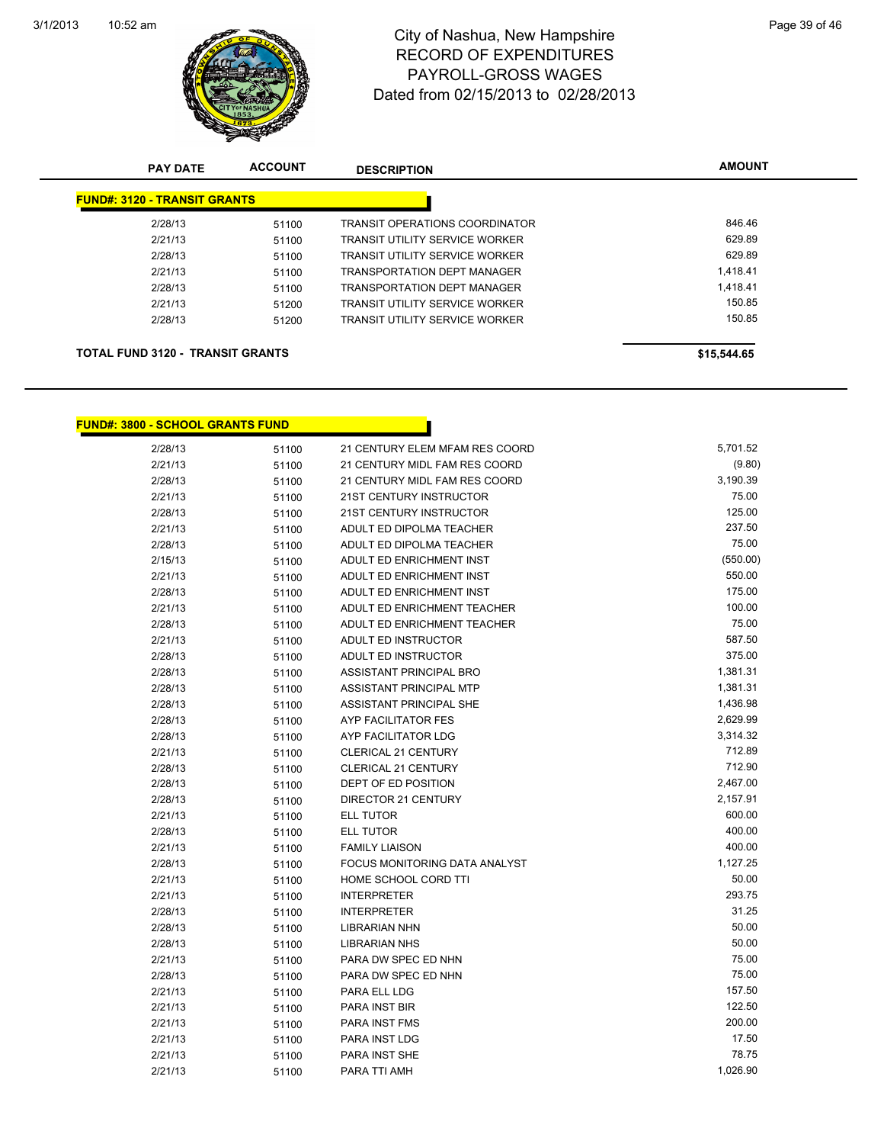

### 10:52 am Page 39 of 46 RECORD OF EXPENDITURES PAYROLL-GROSS WAGES Dated from 02/15/2013 to 02/28/2013

| <b>PAY DATE</b>                         | <b>ACCOUNT</b> | <b>DESCRIPTION</b>                    | <b>AMOUNT</b> |
|-----------------------------------------|----------------|---------------------------------------|---------------|
| <b>FUND#: 3120 - TRANSIT GRANTS</b>     |                |                                       |               |
| 2/28/13                                 | 51100          | <b>TRANSIT OPERATIONS COORDINATOR</b> | 846.46        |
| 2/21/13                                 | 51100          | <b>TRANSIT UTILITY SERVICE WORKER</b> | 629.89        |
| 2/28/13                                 | 51100          | <b>TRANSIT UTILITY SERVICE WORKER</b> | 629.89        |
| 2/21/13                                 | 51100          | <b>TRANSPORTATION DEPT MANAGER</b>    | 1.418.41      |
| 2/28/13                                 | 51100          | <b>TRANSPORTATION DEPT MANAGER</b>    | 1.418.41      |
| 2/21/13                                 | 51200          | <b>TRANSIT UTILITY SERVICE WORKER</b> | 150.85        |
| 2/28/13                                 | 51200          | <b>TRANSIT UTILITY SERVICE WORKER</b> | 150.85        |
| <b>TOTAL FUND 3120 - TRANSIT GRANTS</b> |                |                                       | \$15,544.65   |

#### **FUND#: 3800 - SCHOOL GRANTS FUND**

| 2/28/13 | 51100 | 21 CENTURY ELEM MFAM RES COORD | 5,701.52 |
|---------|-------|--------------------------------|----------|
| 2/21/13 | 51100 | 21 CENTURY MIDL FAM RES COORD  | (9.80)   |
| 2/28/13 | 51100 | 21 CENTURY MIDL FAM RES COORD  | 3,190.39 |
| 2/21/13 | 51100 | 21ST CENTURY INSTRUCTOR        | 75.00    |
| 2/28/13 | 51100 | 21ST CENTURY INSTRUCTOR        | 125.00   |
| 2/21/13 | 51100 | ADULT ED DIPOLMA TEACHER       | 237.50   |
| 2/28/13 | 51100 | ADULT ED DIPOLMA TEACHER       | 75.00    |
| 2/15/13 | 51100 | ADULT ED ENRICHMENT INST       | (550.00) |
| 2/21/13 | 51100 | ADULT ED ENRICHMENT INST       | 550.00   |
| 2/28/13 | 51100 | ADULT ED ENRICHMENT INST       | 175.00   |
| 2/21/13 | 51100 | ADULT ED ENRICHMENT TEACHER    | 100.00   |
| 2/28/13 | 51100 | ADULT ED ENRICHMENT TEACHER    | 75.00    |
| 2/21/13 | 51100 | ADULT ED INSTRUCTOR            | 587.50   |
| 2/28/13 | 51100 | ADULT ED INSTRUCTOR            | 375.00   |
| 2/28/13 | 51100 | ASSISTANT PRINCIPAL BRO        | 1,381.31 |
| 2/28/13 | 51100 | ASSISTANT PRINCIPAL MTP        | 1,381.31 |
| 2/28/13 | 51100 | ASSISTANT PRINCIPAL SHE        | 1,436.98 |
| 2/28/13 | 51100 | <b>AYP FACILITATOR FES</b>     | 2,629.99 |
| 2/28/13 | 51100 | AYP FACILITATOR LDG            | 3,314.32 |
| 2/21/13 | 51100 | <b>CLERICAL 21 CENTURY</b>     | 712.89   |
| 2/28/13 | 51100 | <b>CLERICAL 21 CENTURY</b>     | 712.90   |
| 2/28/13 | 51100 | DEPT OF ED POSITION            | 2,467.00 |
| 2/28/13 | 51100 | DIRECTOR 21 CENTURY            | 2,157.91 |
| 2/21/13 | 51100 | <b>ELL TUTOR</b>               | 600.00   |
| 2/28/13 | 51100 | <b>ELL TUTOR</b>               | 400.00   |
| 2/21/13 | 51100 | <b>FAMILY LIAISON</b>          | 400.00   |
| 2/28/13 | 51100 | FOCUS MONITORING DATA ANALYST  | 1,127.25 |
| 2/21/13 | 51100 | HOME SCHOOL CORD TTI           | 50.00    |
| 2/21/13 | 51100 | <b>INTERPRETER</b>             | 293.75   |
| 2/28/13 | 51100 | <b>INTERPRETER</b>             | 31.25    |
| 2/28/13 | 51100 | <b>LIBRARIAN NHN</b>           | 50.00    |
| 2/28/13 | 51100 | <b>LIBRARIAN NHS</b>           | 50.00    |
| 2/21/13 | 51100 | PARA DW SPEC ED NHN            | 75.00    |
| 2/28/13 | 51100 | PARA DW SPEC ED NHN            | 75.00    |
| 2/21/13 | 51100 | PARA ELL LDG                   | 157.50   |
| 2/21/13 | 51100 | <b>PARA INST BIR</b>           | 122.50   |
| 2/21/13 | 51100 | PARA INST FMS                  | 200.00   |
| 2/21/13 | 51100 | PARA INST LDG                  | 17.50    |
| 2/21/13 | 51100 | PARA INST SHE                  | 78.75    |
| 2/21/13 | 51100 | PARA TTI AMH                   | 1,026.90 |
|         |       |                                |          |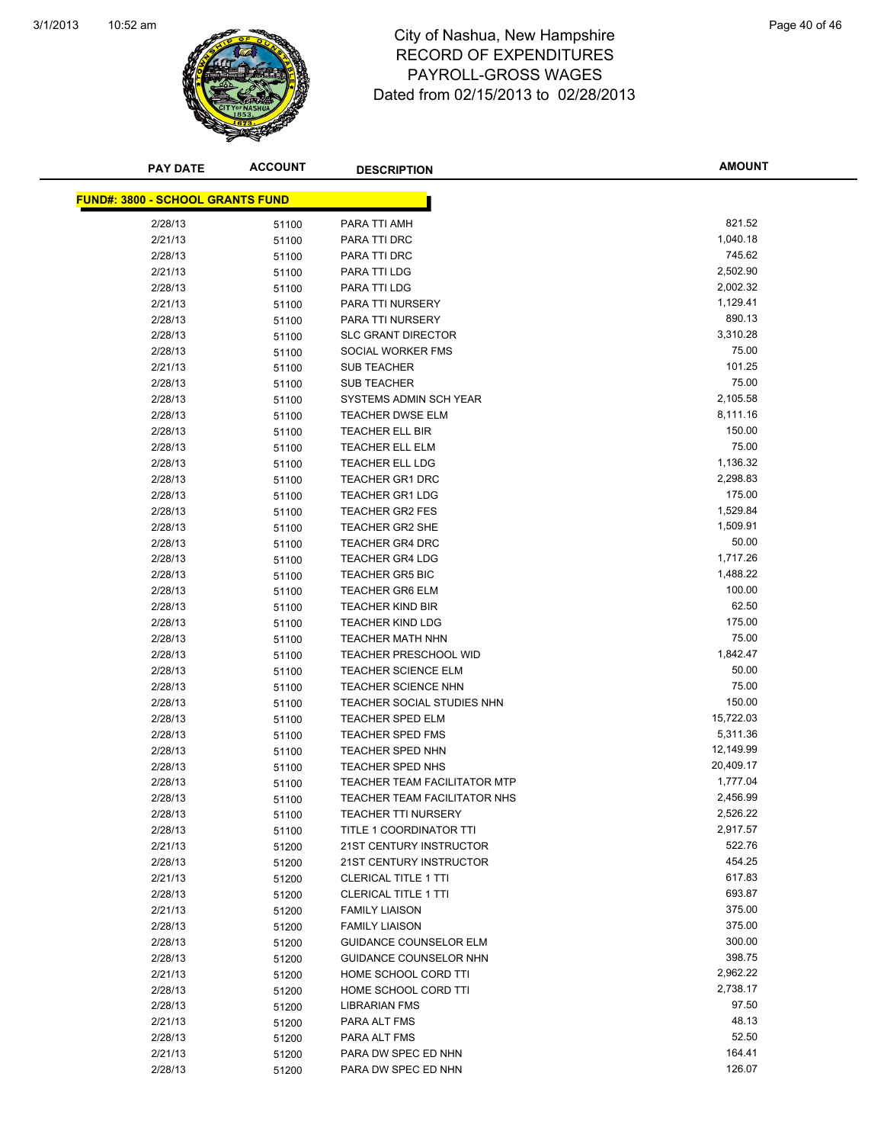

### 10:52 am Page 40 of 46 RECORD OF EXPENDITURES PAYROLL-GROSS WAGES Dated from 02/15/2013 to 02/28/2013

| <b>PAY DATE</b>                  | <b>ACCOUNT</b> | <b>DESCRIPTION</b>                  | <b>AMOUNT</b> |
|----------------------------------|----------------|-------------------------------------|---------------|
| FUND#: 3800 - SCHOOL GRANTS FUND |                |                                     |               |
| 2/28/13                          | 51100          | PARA TTI AMH                        | 821.52        |
| 2/21/13                          | 51100          | PARA TTI DRC                        | 1,040.18      |
| 2/28/13                          | 51100          | PARA TTI DRC                        | 745.62        |
| 2/21/13                          | 51100          | PARA TTI LDG                        | 2,502.90      |
| 2/28/13                          | 51100          | PARA TTI LDG                        | 2,002.32      |
| 2/21/13                          | 51100          | PARA TTI NURSERY                    | 1,129.41      |
| 2/28/13                          | 51100          | PARA TTI NURSERY                    | 890.13        |
| 2/28/13                          | 51100          | <b>SLC GRANT DIRECTOR</b>           | 3,310.28      |
| 2/28/13                          | 51100          | SOCIAL WORKER FMS                   | 75.00         |
| 2/21/13                          | 51100          | <b>SUB TEACHER</b>                  | 101.25        |
| 2/28/13                          | 51100          | <b>SUB TEACHER</b>                  | 75.00         |
| 2/28/13                          | 51100          | SYSTEMS ADMIN SCH YEAR              | 2,105.58      |
| 2/28/13                          | 51100          | <b>TEACHER DWSE ELM</b>             | 8,111.16      |
| 2/28/13                          | 51100          | <b>TEACHER ELL BIR</b>              | 150.00        |
| 2/28/13                          | 51100          | <b>TEACHER ELL ELM</b>              | 75.00         |
| 2/28/13                          | 51100          | <b>TEACHER ELL LDG</b>              | 1,136.32      |
| 2/28/13                          | 51100          | <b>TEACHER GR1 DRC</b>              | 2,298.83      |
| 2/28/13                          | 51100          | <b>TEACHER GR1 LDG</b>              | 175.00        |
| 2/28/13                          | 51100          | <b>TEACHER GR2 FES</b>              | 1,529.84      |
| 2/28/13                          | 51100          | <b>TEACHER GR2 SHE</b>              | 1,509.91      |
| 2/28/13                          | 51100          | <b>TEACHER GR4 DRC</b>              | 50.00         |
| 2/28/13                          | 51100          | <b>TEACHER GR4 LDG</b>              | 1,717.26      |
| 2/28/13                          | 51100          | <b>TEACHER GR5 BIC</b>              | 1,488.22      |
| 2/28/13                          | 51100          | <b>TEACHER GR6 ELM</b>              | 100.00        |
| 2/28/13                          | 51100          | <b>TEACHER KIND BIR</b>             | 62.50         |
| 2/28/13                          | 51100          | <b>TEACHER KIND LDG</b>             | 175.00        |
| 2/28/13                          | 51100          | <b>TEACHER MATH NHN</b>             | 75.00         |
| 2/28/13                          | 51100          | <b>TEACHER PRESCHOOL WID</b>        | 1,842.47      |
| 2/28/13                          | 51100          | <b>TEACHER SCIENCE ELM</b>          | 50.00         |
| 2/28/13                          | 51100          | <b>TEACHER SCIENCE NHN</b>          | 75.00         |
| 2/28/13                          | 51100          | TEACHER SOCIAL STUDIES NHN          | 150.00        |
| 2/28/13                          | 51100          | <b>TEACHER SPED ELM</b>             | 15,722.03     |
| 2/28/13                          | 51100          | <b>TEACHER SPED FMS</b>             | 5,311.36      |
| 2/28/13                          | 51100          | <b>TEACHER SPED NHN</b>             | 12,149.99     |
| 2/28/13                          | 51100          | <b>TEACHER SPED NHS</b>             | 20,409.17     |
| 2/28/13                          | 51100          | TEACHER TEAM FACILITATOR MTP        | 1,777.04      |
| 2/28/13                          | 51100          | <b>TEACHER TEAM FACILITATOR NHS</b> | 2,456.99      |
| 2/28/13                          | 51100          | <b>TEACHER TTI NURSERY</b>          | 2,526.22      |
| 2/28/13                          | 51100          | TITLE 1 COORDINATOR TTI             | 2,917.57      |
| 2/21/13                          | 51200          | 21ST CENTURY INSTRUCTOR             | 522.76        |
| 2/28/13                          | 51200          | 21ST CENTURY INSTRUCTOR             | 454.25        |
| 2/21/13                          | 51200          | <b>CLERICAL TITLE 1 TTI</b>         | 617.83        |
| 2/28/13                          | 51200          | <b>CLERICAL TITLE 1 TTI</b>         | 693.87        |
| 2/21/13                          | 51200          | <b>FAMILY LIAISON</b>               | 375.00        |
| 2/28/13                          | 51200          | <b>FAMILY LIAISON</b>               | 375.00        |
| 2/28/13                          | 51200          | <b>GUIDANCE COUNSELOR ELM</b>       | 300.00        |
| 2/28/13                          | 51200          | GUIDANCE COUNSELOR NHN              | 398.75        |
| 2/21/13                          | 51200          | HOME SCHOOL CORD TTI                | 2,962.22      |
| 2/28/13                          | 51200          | HOME SCHOOL CORD TTI                | 2,738.17      |
| 2/28/13                          | 51200          | <b>LIBRARIAN FMS</b>                | 97.50         |
| 2/21/13                          | 51200          | PARA ALT FMS                        | 48.13         |
| 2/28/13                          | 51200          | PARA ALT FMS                        | 52.50         |
| 2/21/13                          | 51200          | PARA DW SPEC ED NHN                 | 164.41        |
| 2/28/13                          | 51200          | PARA DW SPEC ED NHN                 | 126.07        |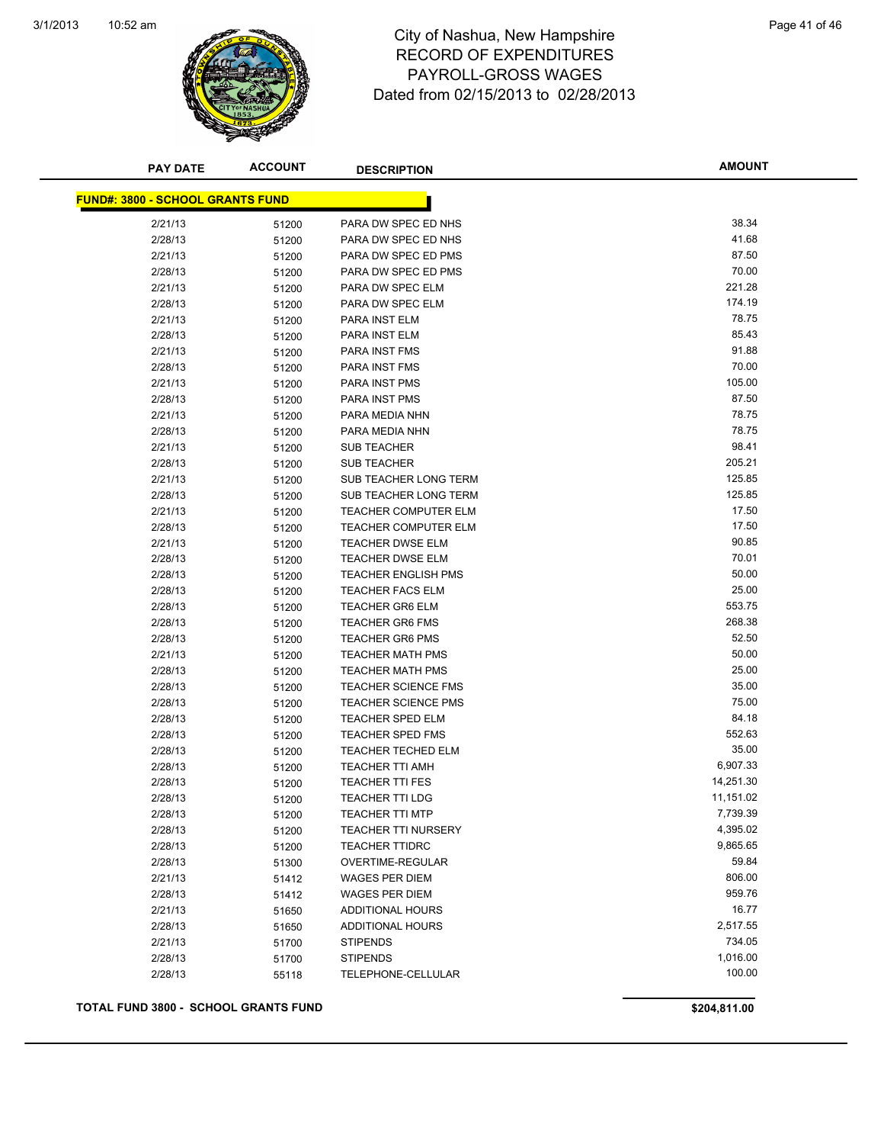

## 10:52 am Page 41 of 46 RECORD OF EXPENDITURES PAYROLL-GROSS WAGES Dated from 02/15/2013 to 02/28/2013

| <b>PAY DATE</b>                         | <b>ACCOUNT</b> | <b>DESCRIPTION</b>          | <b>AMOUNT</b> |
|-----------------------------------------|----------------|-----------------------------|---------------|
| <b>FUND#: 3800 - SCHOOL GRANTS FUND</b> |                |                             |               |
|                                         |                |                             |               |
| 2/21/13                                 | 51200          | PARA DW SPEC ED NHS         | 38.34         |
| 2/28/13                                 | 51200          | PARA DW SPEC ED NHS         | 41.68         |
| 2/21/13                                 | 51200          | PARA DW SPEC ED PMS         | 87.50         |
| 2/28/13                                 | 51200          | PARA DW SPEC ED PMS         | 70.00         |
| 2/21/13                                 | 51200          | PARA DW SPEC ELM            | 221.28        |
| 2/28/13                                 | 51200          | PARA DW SPEC ELM            | 174.19        |
| 2/21/13                                 | 51200          | PARA INST ELM               | 78.75         |
| 2/28/13                                 | 51200          | PARA INST ELM               | 85.43         |
| 2/21/13                                 | 51200          | PARA INST FMS               | 91.88         |
| 2/28/13                                 | 51200          | PARA INST FMS               | 70.00         |
| 2/21/13                                 | 51200          | PARA INST PMS               | 105.00        |
| 2/28/13                                 | 51200          | PARA INST PMS               | 87.50         |
| 2/21/13                                 | 51200          | PARA MEDIA NHN              | 78.75         |
| 2/28/13                                 | 51200          | PARA MEDIA NHN              | 78.75         |
| 2/21/13                                 | 51200          | <b>SUB TEACHER</b>          | 98.41         |
| 2/28/13                                 | 51200          | <b>SUB TEACHER</b>          | 205.21        |
| 2/21/13                                 | 51200          | SUB TEACHER LONG TERM       | 125.85        |
| 2/28/13                                 | 51200          | SUB TEACHER LONG TERM       | 125.85        |
| 2/21/13                                 | 51200          | <b>TEACHER COMPUTER ELM</b> | 17.50         |
| 2/28/13                                 | 51200          | TEACHER COMPUTER ELM        | 17.50         |
| 2/21/13                                 | 51200          | <b>TEACHER DWSE ELM</b>     | 90.85         |
| 2/28/13                                 | 51200          | <b>TEACHER DWSE ELM</b>     | 70.01         |
| 2/28/13                                 | 51200          | <b>TEACHER ENGLISH PMS</b>  | 50.00         |
| 2/28/13                                 | 51200          | <b>TEACHER FACS ELM</b>     | 25.00         |
| 2/28/13                                 | 51200          | <b>TEACHER GR6 ELM</b>      | 553.75        |
| 2/28/13                                 | 51200          | <b>TEACHER GR6 FMS</b>      | 268.38        |
| 2/28/13                                 | 51200          | <b>TEACHER GR6 PMS</b>      | 52.50         |
| 2/21/13                                 | 51200          | <b>TEACHER MATH PMS</b>     | 50.00         |
| 2/28/13                                 | 51200          | <b>TEACHER MATH PMS</b>     | 25.00         |
| 2/28/13                                 | 51200          | <b>TEACHER SCIENCE FMS</b>  | 35.00         |
| 2/28/13                                 | 51200          | <b>TEACHER SCIENCE PMS</b>  | 75.00         |
| 2/28/13                                 | 51200          | <b>TEACHER SPED ELM</b>     | 84.18         |
| 2/28/13                                 | 51200          | <b>TEACHER SPED FMS</b>     | 552.63        |
| 2/28/13                                 | 51200          | <b>TEACHER TECHED ELM</b>   | 35.00         |
| 2/28/13                                 | 51200          | <b>TEACHER TTI AMH</b>      | 6,907.33      |
| 2/28/13                                 | 51200          | <b>TEACHER TTI FES</b>      | 14,251.30     |
| 2/28/13                                 | 51200          | <b>TEACHER TTI LDG</b>      | 11,151.02     |
| 2/28/13                                 | 51200          | <b>TEACHER TTI MTP</b>      | 7,739.39      |
| 2/28/13                                 | 51200          | <b>TEACHER TTI NURSERY</b>  | 4,395.02      |
| 2/28/13                                 | 51200          | <b>TEACHER TTIDRC</b>       | 9,865.65      |
| 2/28/13                                 | 51300          | OVERTIME-REGULAR            | 59.84         |
| 2/21/13                                 | 51412          | <b>WAGES PER DIEM</b>       | 806.00        |
| 2/28/13                                 | 51412          | <b>WAGES PER DIEM</b>       | 959.76        |
| 2/21/13                                 | 51650          | <b>ADDITIONAL HOURS</b>     | 16.77         |
| 2/28/13                                 | 51650          | <b>ADDITIONAL HOURS</b>     | 2,517.55      |
| 2/21/13                                 | 51700          | <b>STIPENDS</b>             | 734.05        |
| 2/28/13                                 | 51700          | <b>STIPENDS</b>             | 1,016.00      |
| 2/28/13                                 | 55118          | TELEPHONE-CELLULAR          | 100.00        |
|                                         |                |                             |               |

**TOTAL FUND 3800 - SCHOOL GRANTS FUND \$204,811.00**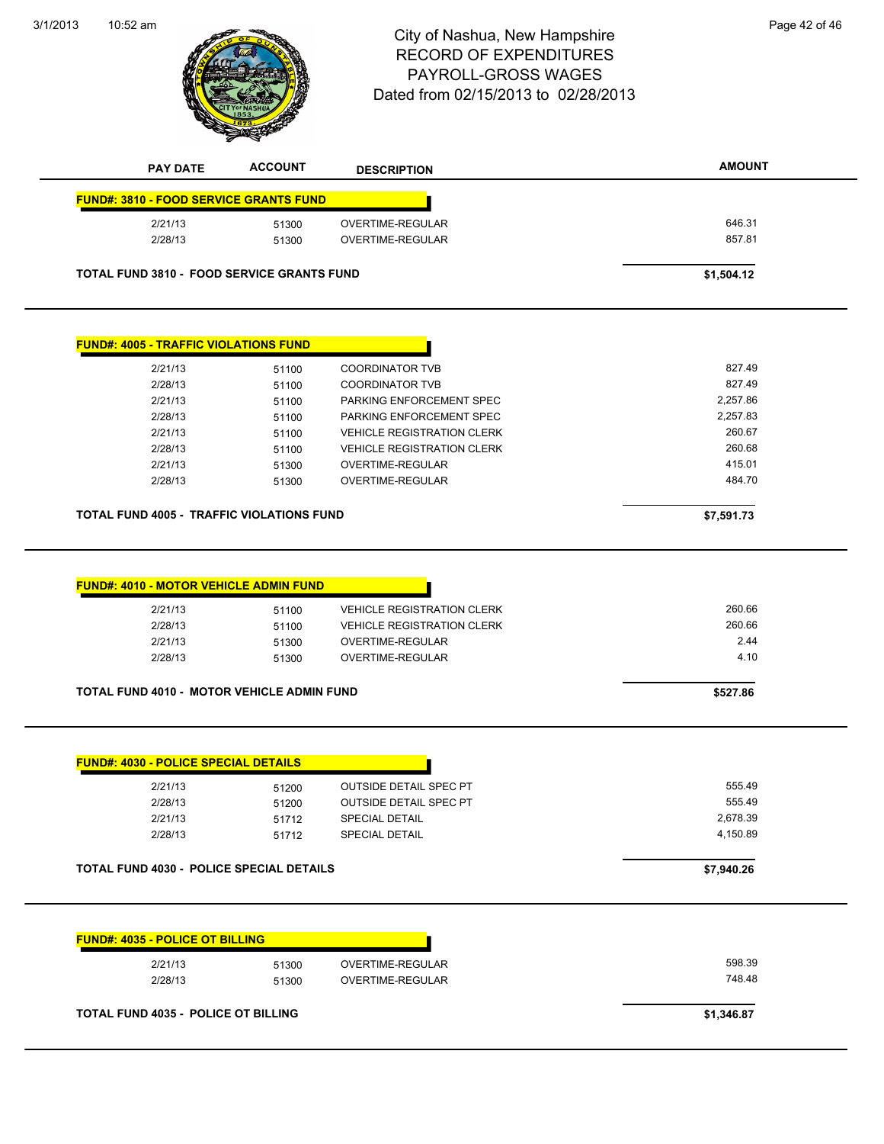3/1/2013



# 10:52 am Page 42 of 46 RECORD OF EXPENDITURES PAYROLL-GROSS WAGES Dated from 02/15/2013 to 02/28/2013

| <b>FUND#: 3810 - FOOD SERVICE GRANTS FUND</b>                                                                                                 | <b>ACCOUNT</b>          | <b>DESCRIPTION</b>                                                                                             | <b>AMOUNT</b>                    |
|-----------------------------------------------------------------------------------------------------------------------------------------------|-------------------------|----------------------------------------------------------------------------------------------------------------|----------------------------------|
|                                                                                                                                               |                         |                                                                                                                |                                  |
| 2/21/13                                                                                                                                       | 51300                   | OVERTIME-REGULAR                                                                                               | 646.31                           |
| 2/28/13                                                                                                                                       | 51300                   | <b>OVERTIME-REGULAR</b>                                                                                        | 857.81                           |
| <b>TOTAL FUND 3810 - FOOD SERVICE GRANTS FUND</b>                                                                                             |                         |                                                                                                                | \$1,504.12                       |
| <b>FUND#: 4005 - TRAFFIC VIOLATIONS FUND</b>                                                                                                  |                         |                                                                                                                |                                  |
| 2/21/13                                                                                                                                       | 51100                   | <b>COORDINATOR TVB</b>                                                                                         | 827.49                           |
| 2/28/13                                                                                                                                       | 51100                   | <b>COORDINATOR TVB</b>                                                                                         | 827.49                           |
| 2/21/13                                                                                                                                       | 51100                   | PARKING ENFORCEMENT SPEC                                                                                       | 2,257.86                         |
| 2/28/13                                                                                                                                       | 51100                   | PARKING ENFORCEMENT SPEC                                                                                       | 2,257.83                         |
| 2/21/13                                                                                                                                       | 51100                   | <b>VEHICLE REGISTRATION CLERK</b>                                                                              | 260.67                           |
| 2/28/13                                                                                                                                       | 51100                   | <b>VEHICLE REGISTRATION CLERK</b>                                                                              | 260.68                           |
|                                                                                                                                               |                         |                                                                                                                | 415.01                           |
| 2/21/13                                                                                                                                       | 51300                   | OVERTIME-REGULAR                                                                                               |                                  |
| 2/28/13                                                                                                                                       | 51300                   | <b>OVERTIME-REGULAR</b>                                                                                        | 484.70                           |
|                                                                                                                                               |                         |                                                                                                                | \$7,591.73                       |
| <b>TOTAL FUND 4005 - TRAFFIC VIOLATIONS FUND</b><br><b>FUND#: 4010 - MOTOR VEHICLE ADMIN FUND</b><br>2/21/13<br>2/28/13<br>2/21/13<br>2/28/13 | 51100<br>51100<br>51300 | <b>VEHICLE REGISTRATION CLERK</b><br><b>VEHICLE REGISTRATION CLERK</b><br>OVERTIME-REGULAR<br>OVERTIME-REGULAR | 260.66<br>260.66<br>2.44<br>4.10 |

#### **TOTAL FUND 4030 - POLICE SPECIAL DETAILS \$7,940.26**

| 2/21/13 | 51300 | OVERTIME-REGULAR | 598.39 |
|---------|-------|------------------|--------|
| 2/28/13 | 51300 | OVERTIME-REGULAR | 748.48 |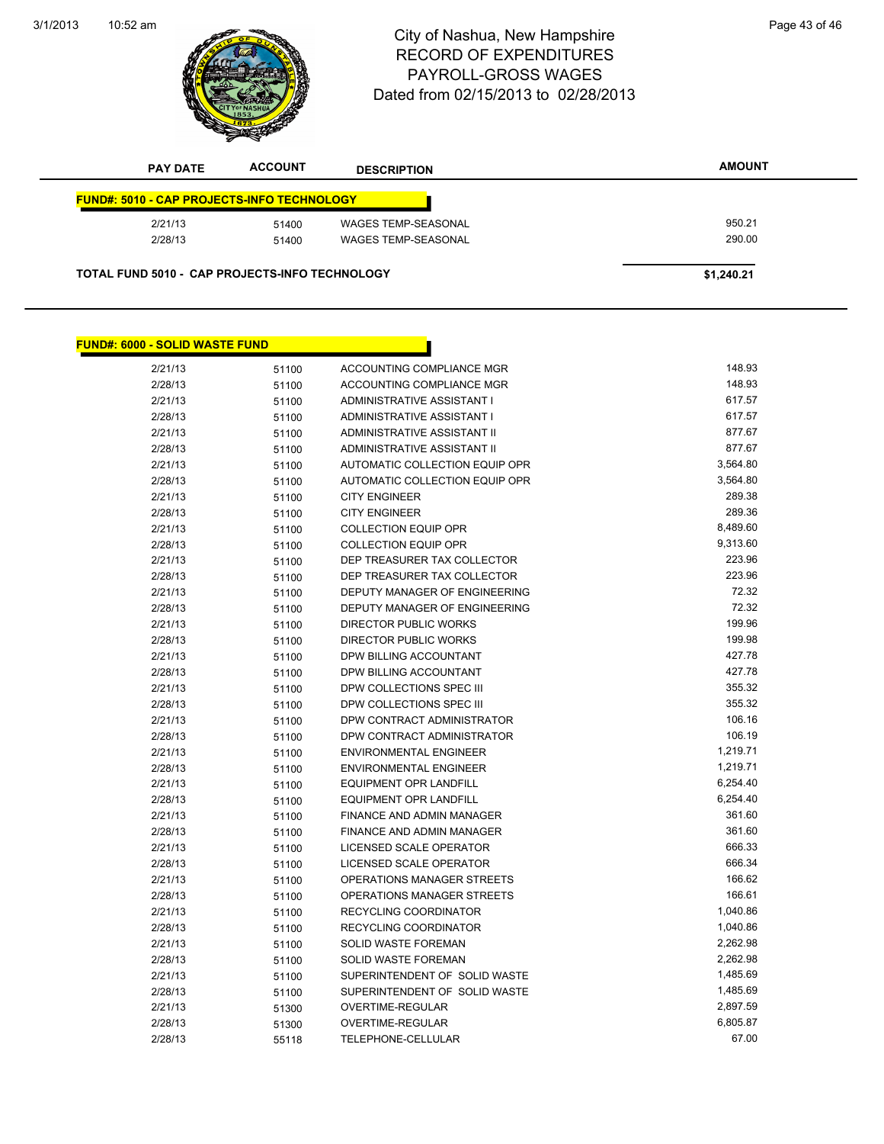#### 3/1/2013



# 10:52 am Page 43 of 46 RECORD OF EXPENDITURES PAYROLL-GROSS WAGES Dated from 02/15/2013 to 02/28/2013

| <b>FUND#: 5010 - CAP PROJECTS-INFO TECHNOLOGY</b> |       |                     |        |
|---------------------------------------------------|-------|---------------------|--------|
| 2/21/13                                           | 51400 | WAGES TEMP-SEASONAL | 950.21 |
| 2/28/13                                           | 51400 | WAGES TEMP-SEASONAL | 290.00 |

| <b>FUND#: 6000 - SOLID WASTE FUND</b> |       |                                    |          |
|---------------------------------------|-------|------------------------------------|----------|
| 2/21/13                               | 51100 | ACCOUNTING COMPLIANCE MGR          | 148.93   |
| 2/28/13                               | 51100 | ACCOUNTING COMPLIANCE MGR          | 148.93   |
| 2/21/13                               | 51100 | ADMINISTRATIVE ASSISTANT I         | 617.57   |
| 2/28/13                               | 51100 | ADMINISTRATIVE ASSISTANT I         | 617.57   |
| 2/21/13                               | 51100 | <b>ADMINISTRATIVE ASSISTANT II</b> | 877.67   |
| 2/28/13                               | 51100 | ADMINISTRATIVE ASSISTANT II        | 877.67   |
| 2/21/13                               | 51100 | AUTOMATIC COLLECTION EQUIP OPR     | 3,564.80 |
| 2/28/13                               | 51100 | AUTOMATIC COLLECTION EQUIP OPR     | 3,564.80 |
| 2/21/13                               | 51100 | <b>CITY ENGINEER</b>               | 289.38   |
| 2/28/13                               | 51100 | <b>CITY ENGINEER</b>               | 289.36   |
| 2/21/13                               | 51100 | <b>COLLECTION EQUIP OPR</b>        | 8,489.60 |
| 2/28/13                               | 51100 | <b>COLLECTION EQUIP OPR</b>        | 9,313.60 |
| 2/21/13                               | 51100 | DEP TREASURER TAX COLLECTOR        | 223.96   |
| 2/28/13                               | 51100 | DEP TREASURER TAX COLLECTOR        | 223.96   |
| 2/21/13                               | 51100 | DEPUTY MANAGER OF ENGINEERING      | 72.32    |
| 2/28/13                               | 51100 | DEPUTY MANAGER OF ENGINEERING      | 72.32    |
| 2/21/13                               | 51100 | <b>DIRECTOR PUBLIC WORKS</b>       | 199.96   |
| 2/28/13                               | 51100 | <b>DIRECTOR PUBLIC WORKS</b>       | 199.98   |
| 2/21/13                               | 51100 | DPW BILLING ACCOUNTANT             | 427.78   |
| 2/28/13                               | 51100 | DPW BILLING ACCOUNTANT             | 427.78   |
| 2/21/13                               | 51100 | DPW COLLECTIONS SPEC III           | 355.32   |
| 2/28/13                               | 51100 | DPW COLLECTIONS SPEC III           | 355.32   |
| 2/21/13                               | 51100 | DPW CONTRACT ADMINISTRATOR         | 106.16   |
| 2/28/13                               | 51100 | DPW CONTRACT ADMINISTRATOR         | 106.19   |
| 2/21/13                               | 51100 | <b>ENVIRONMENTAL ENGINEER</b>      | 1,219.71 |
| 2/28/13                               | 51100 | <b>ENVIRONMENTAL ENGINEER</b>      | 1,219.71 |
| 2/21/13                               | 51100 | EQUIPMENT OPR LANDFILL             | 6,254.40 |
| 2/28/13                               | 51100 | <b>EQUIPMENT OPR LANDFILL</b>      | 6,254.40 |
| 2/21/13                               | 51100 | FINANCE AND ADMIN MANAGER          | 361.60   |
| 2/28/13                               | 51100 | <b>FINANCE AND ADMIN MANAGER</b>   | 361.60   |
| 2/21/13                               | 51100 | LICENSED SCALE OPERATOR            | 666.33   |
| 2/28/13                               | 51100 | LICENSED SCALE OPERATOR            | 666.34   |
| 2/21/13                               | 51100 | OPERATIONS MANAGER STREETS         | 166.62   |
| 2/28/13                               | 51100 | OPERATIONS MANAGER STREETS         | 166.61   |
| 2/21/13                               | 51100 | RECYCLING COORDINATOR              | 1,040.86 |
| 2/28/13                               | 51100 | RECYCLING COORDINATOR              | 1,040.86 |
| 2/21/13                               | 51100 | <b>SOLID WASTE FOREMAN</b>         | 2,262.98 |
| 2/28/13                               | 51100 | SOLID WASTE FOREMAN                | 2,262.98 |
| 2/21/13                               | 51100 | SUPERINTENDENT OF SOLID WASTE      | 1,485.69 |
| 2/28/13                               | 51100 | SUPERINTENDENT OF SOLID WASTE      | 1,485.69 |
| 2/21/13                               | 51300 | OVERTIME-REGULAR                   | 2,897.59 |
| 2/28/13                               | 51300 | <b>OVERTIME-REGULAR</b>            | 6,805.87 |
| 2/28/13                               | 55118 | <b>TELEPHONE-CELLULAR</b>          | 67.00    |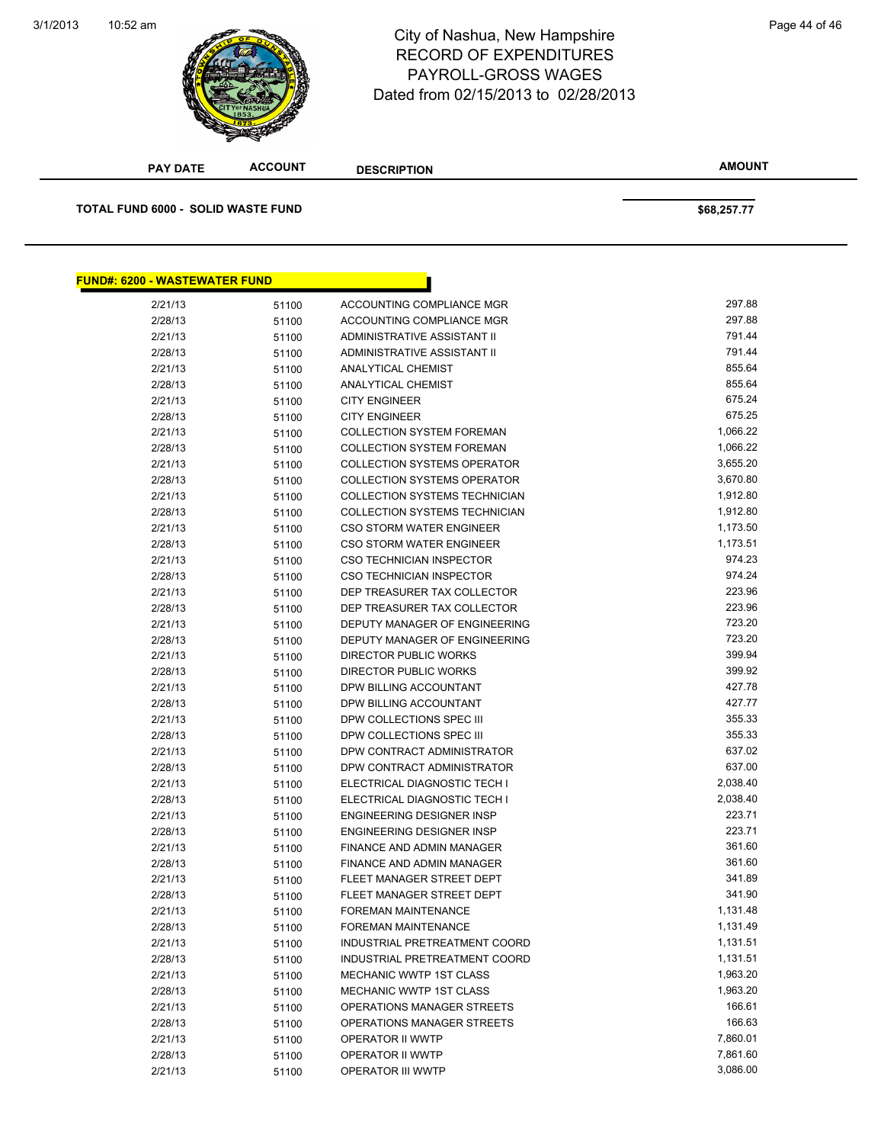#### 10:52 am Page 44 of 46 RECORD OF EXPENDITURES PAYROLL-GROSS WAGES Dated from 02/15/2013 to 02/28/2013

| <b>PAY DATE</b>                      | <b>ACCOUNT</b> | <b>DESCRIPTION</b>                                       | <b>AMOUNT</b>        |
|--------------------------------------|----------------|----------------------------------------------------------|----------------------|
| TOTAL FUND 6000 - SOLID WASTE FUND   |                |                                                          | \$68,257.77          |
|                                      |                |                                                          |                      |
|                                      |                |                                                          |                      |
| <b>FUND#: 6200 - WASTEWATER FUND</b> |                |                                                          |                      |
| 2/21/13                              | 51100          | ACCOUNTING COMPLIANCE MGR                                | 297.88               |
| 2/28/13                              | 51100          | ACCOUNTING COMPLIANCE MGR                                | 297.88               |
| 2/21/13                              | 51100          | ADMINISTRATIVE ASSISTANT II                              | 791.44               |
| 2/28/13                              | 51100          | ADMINISTRATIVE ASSISTANT II                              | 791.44               |
| 2/21/13                              | 51100          | <b>ANALYTICAL CHEMIST</b>                                | 855.64               |
| 2/28/13                              | 51100          | <b>ANALYTICAL CHEMIST</b>                                | 855.64               |
| 2/21/13                              | 51100          | <b>CITY ENGINEER</b>                                     | 675.24               |
| 2/28/13                              | 51100          | <b>CITY ENGINEER</b>                                     | 675.25               |
| 2/21/13                              | 51100          | <b>COLLECTION SYSTEM FOREMAN</b>                         | 1,066.22             |
| 2/28/13                              | 51100          | <b>COLLECTION SYSTEM FOREMAN</b>                         | 1,066.22             |
| 2/21/13                              | 51100          | <b>COLLECTION SYSTEMS OPERATOR</b>                       | 3,655.20             |
| 2/28/13                              | 51100          | <b>COLLECTION SYSTEMS OPERATOR</b>                       | 3,670.80             |
| 2/21/13                              | 51100          | <b>COLLECTION SYSTEMS TECHNICIAN</b>                     | 1,912.80             |
| 2/28/13                              | 51100          | <b>COLLECTION SYSTEMS TECHNICIAN</b>                     | 1,912.80             |
| 2/21/13                              | 51100          | <b>CSO STORM WATER ENGINEER</b>                          | 1,173.50             |
| 2/28/13                              | 51100          | <b>CSO STORM WATER ENGINEER</b>                          | 1,173.51             |
| 2/21/13                              | 51100          | CSO TECHNICIAN INSPECTOR                                 | 974.23               |
| 2/28/13                              | 51100          | <b>CSO TECHNICIAN INSPECTOR</b>                          | 974.24               |
| 2/21/13                              | 51100          | DEP TREASURER TAX COLLECTOR                              | 223.96               |
| 2/28/13                              | 51100          | DEP TREASURER TAX COLLECTOR                              | 223.96               |
| 2/21/13                              | 51100          | DEPUTY MANAGER OF ENGINEERING                            | 723.20               |
| 2/28/13                              | 51100          | DEPUTY MANAGER OF ENGINEERING                            | 723.20               |
| 2/21/13                              | 51100          | DIRECTOR PUBLIC WORKS                                    | 399.94               |
| 2/28/13                              | 51100          | DIRECTOR PUBLIC WORKS                                    | 399.92               |
| 2/21/13                              | 51100          | DPW BILLING ACCOUNTANT                                   | 427.78               |
| 2/28/13                              | 51100          | DPW BILLING ACCOUNTANT                                   | 427.77               |
| 2/21/13                              | 51100          | DPW COLLECTIONS SPEC III                                 | 355.33               |
| 2/28/13                              | 51100          | DPW COLLECTIONS SPEC III                                 | 355.33               |
| 2/21/13                              | 51100          | DPW CONTRACT ADMINISTRATOR                               | 637.02               |
| 2/28/13                              | 51100          | DPW CONTRACT ADMINISTRATOR                               | 637.00               |
| 2/21/13                              | 51100          | ELECTRICAL DIAGNOSTIC TECH I                             | 2,038.40             |
| 2/28/13                              | 51100          | ELECTRICAL DIAGNOSTIC TECH I                             | 2,038.40             |
| 2/21/13                              | 51100          | ENGINEERING DESIGNER INSP                                | 223.71               |
| 2/28/13                              | 51100          | ENGINEERING DESIGNER INSP                                | 223.71               |
| 2/21/13                              | 51100          | FINANCE AND ADMIN MANAGER                                | 361.60               |
| 2/28/13                              | 51100          | FINANCE AND ADMIN MANAGER                                | 361.60               |
| 2/21/13                              | 51100          | FLEET MANAGER STREET DEPT                                | 341.89<br>341.90     |
| 2/28/13                              | 51100          | FLEET MANAGER STREET DEPT                                |                      |
| 2/21/13                              | 51100          | FOREMAN MAINTENANCE                                      | 1,131.48             |
| 2/28/13                              | 51100          | FOREMAN MAINTENANCE<br>INDUSTRIAL PRETREATMENT COORD     | 1,131.49             |
| 2/21/13                              | 51100          |                                                          | 1,131.51<br>1,131.51 |
| 2/28/13<br>2/21/13                   | 51100          | INDUSTRIAL PRETREATMENT COORD<br>MECHANIC WWTP 1ST CLASS | 1,963.20             |
|                                      | 51100          | MECHANIC WWTP 1ST CLASS                                  | 1,963.20             |
| 2/28/13                              | 51100          |                                                          | 166.61               |
| 2/21/13                              | 51100          | OPERATIONS MANAGER STREETS<br>OPERATIONS MANAGER STREETS | 166.63               |
| 2/28/13                              | 51100          |                                                          | 7,860.01             |
| 2/21/13                              | 51100          | OPERATOR II WWTP                                         | 7,861.60             |
| 2/28/13<br>2/21/13                   | 51100          | OPERATOR II WWTP<br>OPERATOR III WWTP                    | 3,086.00             |
|                                      | 51100          |                                                          |                      |

**ACCOUNT**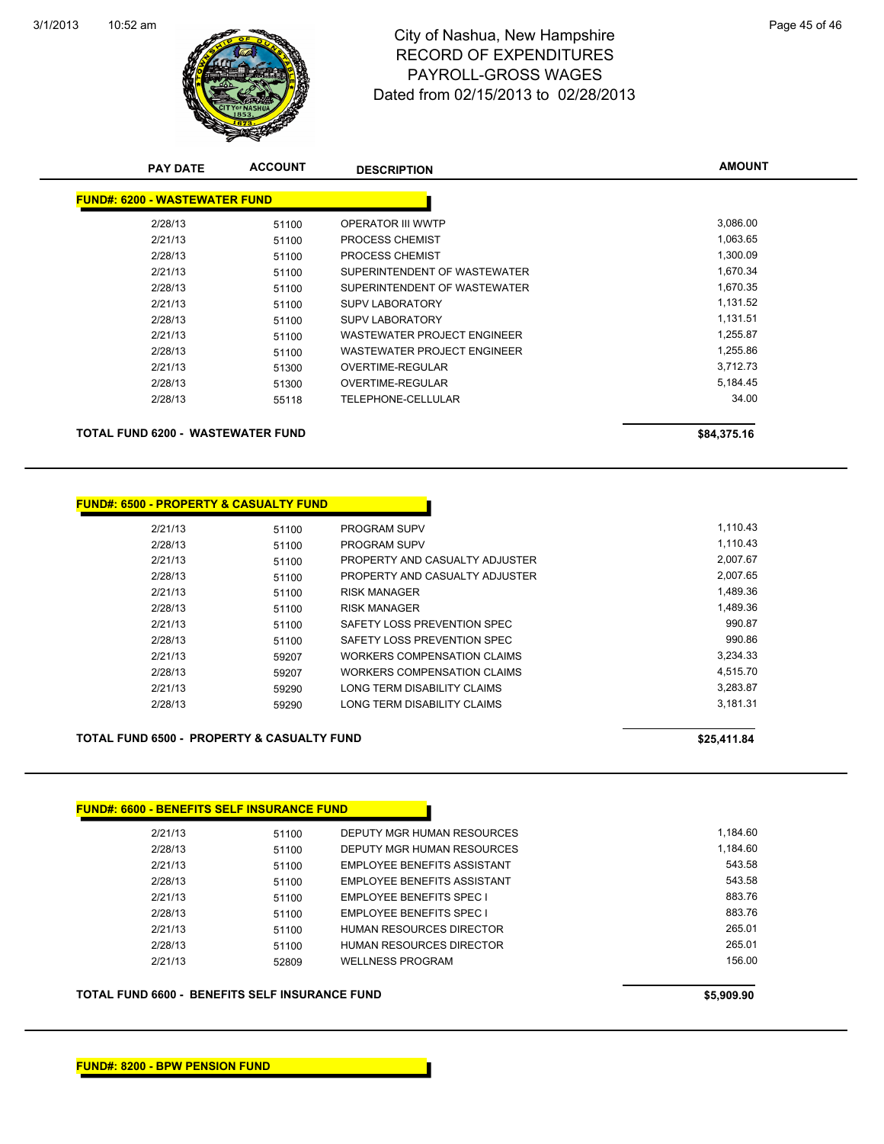

# 10:52 am Page 45 of 46 RECORD OF EXPENDITURES PAYROLL-GROSS WAGES Dated from 02/15/2013 to 02/28/2013

| <b>PAY DATE</b>                      | <b>ACCOUNT</b> | <b>DESCRIPTION</b>                 | <b>AMOUNT</b> |
|--------------------------------------|----------------|------------------------------------|---------------|
| <b>FUND#: 6200 - WASTEWATER FUND</b> |                |                                    |               |
| 2/28/13                              | 51100          | <b>OPERATOR III WWTP</b>           | 3,086.00      |
| 2/21/13                              | 51100          | <b>PROCESS CHEMIST</b>             | 1,063.65      |
| 2/28/13                              | 51100          | <b>PROCESS CHEMIST</b>             | 1,300.09      |
| 2/21/13                              | 51100          | SUPERINTENDENT OF WASTEWATER       | 1,670.34      |
| 2/28/13                              | 51100          | SUPERINTENDENT OF WASTEWATER       | 1,670.35      |
| 2/21/13                              | 51100          | <b>SUPV LABORATORY</b>             | 1,131.52      |
| 2/28/13                              | 51100          | <b>SUPV LABORATORY</b>             | 1,131.51      |
| 2/21/13                              | 51100          | <b>WASTEWATER PROJECT ENGINEER</b> | 1,255.87      |
| 2/28/13                              | 51100          | WASTEWATER PROJECT ENGINEER        | 1,255.86      |
| 2/21/13                              | 51300          | OVERTIME-REGULAR                   | 3,712.73      |
| 2/28/13                              | 51300          | <b>OVERTIME-REGULAR</b>            | 5,184.45      |
| 2/28/13                              | 55118          | TELEPHONE-CELLULAR                 | 34.00         |
| TOTAL FUND 6200 - WASTEWATER FUND    |                |                                    | \$84,375.16   |

| 51100 | <b>PROGRAM SUPV</b>                               | 1,110.43 |
|-------|---------------------------------------------------|----------|
| 51100 | <b>PROGRAM SUPV</b>                               | 1.110.43 |
| 51100 | PROPERTY AND CASUALTY ADJUSTER                    | 2,007.67 |
| 51100 | PROPERTY AND CASUALTY ADJUSTER                    | 2.007.65 |
| 51100 | <b>RISK MANAGER</b>                               | 1,489.36 |
| 51100 | <b>RISK MANAGER</b>                               | 1,489.36 |
| 51100 | SAFETY LOSS PREVENTION SPEC                       | 990.87   |
| 51100 | SAFETY LOSS PREVENTION SPEC                       | 990.86   |
| 59207 | WORKERS COMPENSATION CLAIMS                       | 3,234.33 |
| 59207 | WORKERS COMPENSATION CLAIMS                       | 4.515.70 |
| 59290 | LONG TERM DISABILITY CLAIMS                       | 3.283.87 |
| 59290 | LONG TERM DISABILITY CLAIMS                       | 3,181.31 |
|       | <b>FUND#: 6500 - PROPERTY &amp; CASUALTY FUND</b> |          |

TOTAL FUND 6500 - PROPERTY & CASUALTY FUND<br>
\$25,411.84

#### **FUND#: 6600 - BENEFITS SELF INSURANCE FUND**

| 2/21/13 | 51100 | DEPUTY MGR HUMAN RESOURCES      | 1.184.60 |
|---------|-------|---------------------------------|----------|
| 2/28/13 | 51100 | DEPUTY MGR HUMAN RESOURCES      | 1.184.60 |
| 2/21/13 | 51100 | EMPLOYEE BENEFITS ASSISTANT     | 543.58   |
| 2/28/13 | 51100 | EMPLOYEE BENEFITS ASSISTANT     | 543.58   |
| 2/21/13 | 51100 | <b>EMPLOYEE BENEFITS SPEC I</b> | 883.76   |
| 2/28/13 | 51100 | <b>EMPLOYEE BENEFITS SPEC I</b> | 883.76   |
| 2/21/13 | 51100 | HUMAN RESOURCES DIRECTOR        | 265.01   |
| 2/28/13 | 51100 | HUMAN RESOURCES DIRECTOR        | 265.01   |
| 2/21/13 | 52809 | <b>WELLNESS PROGRAM</b>         | 156.00   |
|         |       |                                 |          |

**TOTAL FUND 6600 - BENEFITS SELF INSURANCE FUND \$5,909.90**